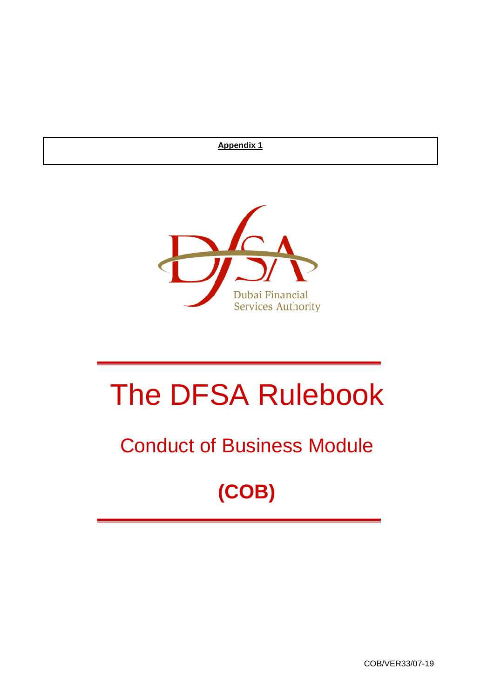**Appendix 1**



# The DFSA Rulebook

# Conduct of Business Module

# **(COB)**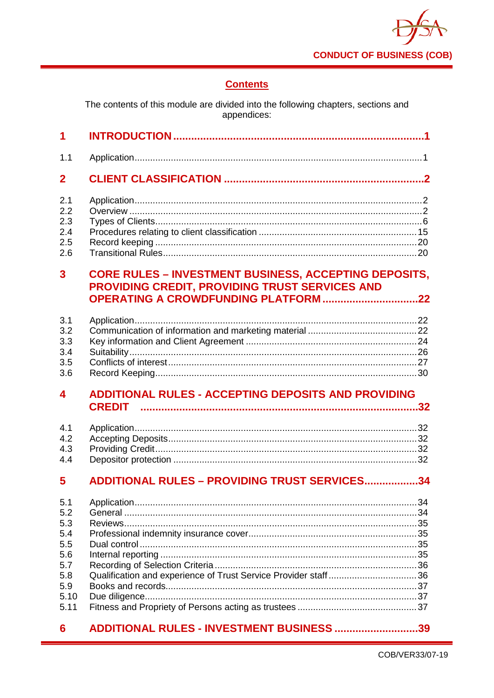

# **Contents**

The contents of this module are divided into the following chapters, sections and appendices:

| 1                                                                           |                                                                                                                                                               |
|-----------------------------------------------------------------------------|---------------------------------------------------------------------------------------------------------------------------------------------------------------|
| 1.1                                                                         |                                                                                                                                                               |
| $\mathbf 2$                                                                 |                                                                                                                                                               |
| 2.1<br>2.2<br>2.3<br>2.4<br>2.5<br>2.6                                      |                                                                                                                                                               |
| 3                                                                           | <b>CORE RULES - INVESTMENT BUSINESS, ACCEPTING DEPOSITS,</b><br>PROVIDING CREDIT, PROVIDING TRUST SERVICES AND<br><b>OPERATING A CROWDFUNDING PLATFORM 22</b> |
| 3.1<br>3.2<br>3.3<br>3.4<br>3.5<br>3.6                                      |                                                                                                                                                               |
|                                                                             |                                                                                                                                                               |
| 4                                                                           | <b>ADDITIONAL RULES - ACCEPTING DEPOSITS AND PROVIDING</b><br><b>CREDIT</b>                                                                                   |
| 4.1<br>4.2<br>4.3<br>4.4                                                    |                                                                                                                                                               |
| 5                                                                           | <b>ADDITIONAL RULES - PROVIDING TRUST SERVICES34</b>                                                                                                          |
| 5.1<br>5.2<br>5.3<br>5.4<br>5.5<br>5.6<br>5.7<br>5.8<br>5.9<br>5.10<br>5.11 |                                                                                                                                                               |

#### $6\phantom{1}$ ADDITIONAL RULES - INVESTMENT BUSINESS .............................39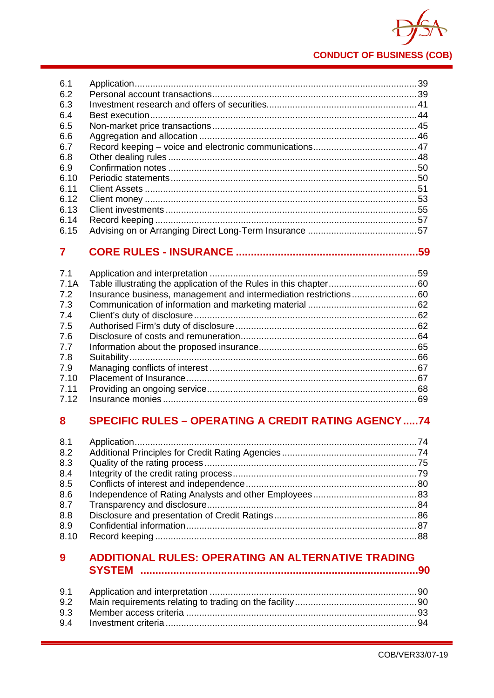

| 6.1  |  |
|------|--|
| 6.2  |  |
| 6.3  |  |
| 6.4  |  |
| 6.5  |  |
| 6.6  |  |
| 6.7  |  |
| 6.8  |  |
| 6.9  |  |
| 6.10 |  |
| 6.11 |  |
| 6.12 |  |
| 6.13 |  |
| 6.14 |  |
| 6.15 |  |

# 

| 7.1  |                                                                   |  |
|------|-------------------------------------------------------------------|--|
| 7.1A |                                                                   |  |
| 7.2  | Insurance business, management and intermediation restrictions 60 |  |
| 7.3  |                                                                   |  |
| 7.4  |                                                                   |  |
| 7.5  |                                                                   |  |
| 7.6  |                                                                   |  |
| 7.7  |                                                                   |  |
| 7.8  |                                                                   |  |
| 7.9  |                                                                   |  |
| 7.10 |                                                                   |  |
| 7.11 |                                                                   |  |
| 7.12 |                                                                   |  |

#### 8 **SPECIFIC RULES - OPERATING A CREDIT RATING AGENCY .....74**

| 8.1  |  |
|------|--|
| 8.2  |  |
| 8.3  |  |
| 8.4  |  |
| 8.5  |  |
| 8.6  |  |
| 8.7  |  |
| 8.8  |  |
| 8.9  |  |
| 8.10 |  |
|      |  |

#### ADDITIONAL RULES: OPERATING AN ALTERNATIVE TRADING  $9<sup>°</sup>$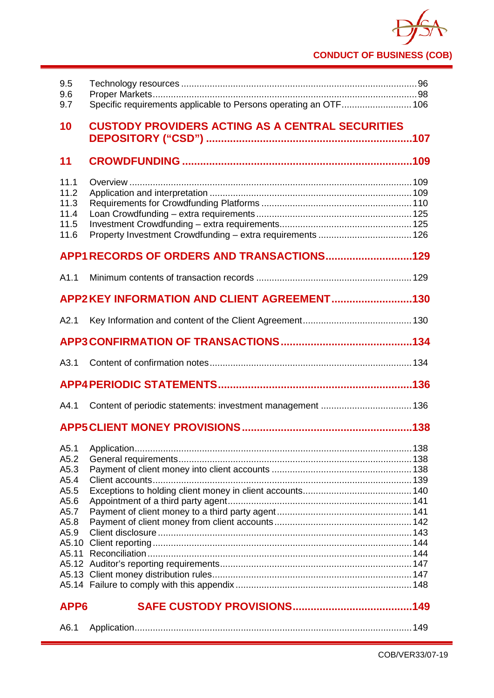# **CONDUCT OF BUSINESS (COB)**

| 9.5<br>9.6<br>9.7                                                                      | Specific requirements applicable to Persons operating an OTF 106 |
|----------------------------------------------------------------------------------------|------------------------------------------------------------------|
| 10                                                                                     | <b>CUSTODY PROVIDERS ACTING AS A CENTRAL SECURITIES</b>          |
| 11                                                                                     |                                                                  |
| 11.1<br>11.2<br>11.3<br>11.4<br>11.5<br>11.6                                           |                                                                  |
|                                                                                        | APP1 RECORDS OF ORDERS AND TRANSACTIONS129                       |
| A1.1                                                                                   |                                                                  |
|                                                                                        | APP2KEY INFORMATION AND CLIENT AGREEMENT130                      |
| A2.1                                                                                   |                                                                  |
|                                                                                        |                                                                  |
| A3.1                                                                                   |                                                                  |
|                                                                                        |                                                                  |
| A4.1                                                                                   |                                                                  |
|                                                                                        |                                                                  |
| A5.1<br>A5.2<br>A5.3<br>A5.4<br>A5.5<br>A5.6<br>A5.7<br>A5.8<br>A5.9<br>A5.10<br>A5.11 |                                                                  |
| APP <sub>6</sub>                                                                       |                                                                  |

| A6. $\cdot$ |  |  |  |
|-------------|--|--|--|
|-------------|--|--|--|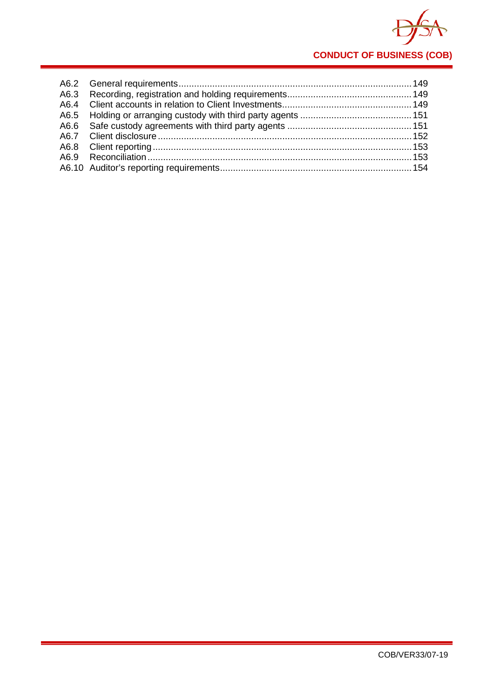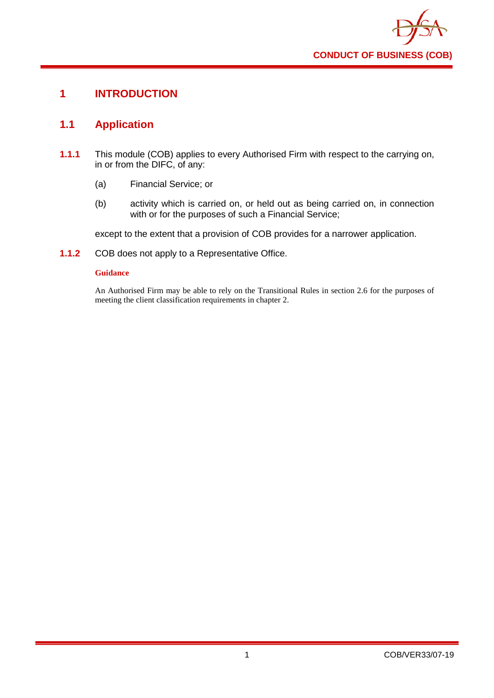

# <span id="page-5-0"></span>**1 INTRODUCTION**

# <span id="page-5-1"></span>**1.1 Application**

- **1.1.1** This module (COB) applies to every Authorised Firm with respect to the carrying on, in or from the DIFC, of any:
	- (a) Financial Service; or
	- (b) activity which is carried on, or held out as being carried on, in connection with or for the purposes of such a Financial Service;

except to the extent that a provision of COB provides for a narrower application.

**1.1.2** COB does not apply to a Representative Office.

# **Guidance**

An Authorised Firm may be able to rely on the Transitional Rules in section 2.6 for the purposes of meeting the client classification requirements in chapter 2.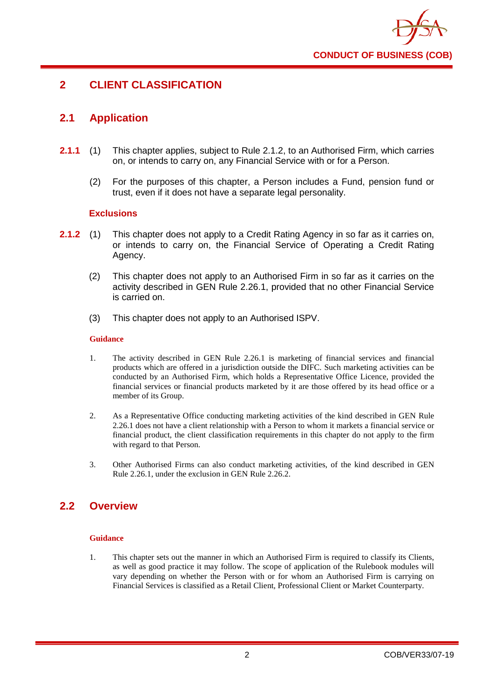

# <span id="page-6-0"></span>**2 CLIENT CLASSIFICATION**

# <span id="page-6-1"></span>**2.1 Application**

- **2.1.1** (1) This chapter applies, subject to Rule 2.1.2, to an Authorised Firm, which carries on, or intends to carry on, any Financial Service with or for a Person.
	- (2) For the purposes of this chapter, a Person includes a Fund, pension fund or trust, even if it does not have a separate legal personality.

# **Exclusions**

- **2.1.2** (1) This chapter does not apply to a Credit Rating Agency in so far as it carries on, or intends to carry on, the Financial Service of Operating a Credit Rating Agency.
	- (2) This chapter does not apply to an Authorised Firm in so far as it carries on the activity described in GEN Rule 2.26.1, provided that no other Financial Service is carried on.
	- (3) This chapter does not apply to an Authorised ISPV.

### **Guidance**

- 1. The activity described in GEN Rule 2.26.1 is marketing of financial services and financial products which are offered in a jurisdiction outside the DIFC. Such marketing activities can be conducted by an Authorised Firm, which holds a Representative Office Licence, provided the financial services or financial products marketed by it are those offered by its head office or a member of its Group.
- 2. As a Representative Office conducting marketing activities of the kind described in GEN Rule 2.26.1 does not have a client relationship with a Person to whom it markets a financial service or financial product, the client classification requirements in this chapter do not apply to the firm with regard to that Person.
- 3. Other Authorised Firms can also conduct marketing activities, of the kind described in GEN Rule 2.26.1, under the exclusion in GEN Rule 2.26.2.

# <span id="page-6-2"></span>**2.2 Overview**

# **Guidance**

1. This chapter sets out the manner in which an Authorised Firm is required to classify its Clients, as well as good practice it may follow. The scope of application of the Rulebook modules will vary depending on whether the Person with or for whom an Authorised Firm is carrying on Financial Services is classified as a Retail Client, Professional Client or Market Counterparty.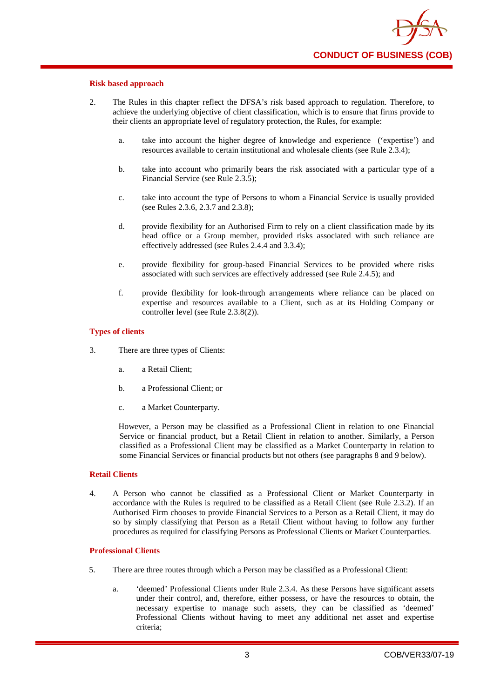

#### **Risk based approach**

- 2. The Rules in this chapter reflect the DFSA's risk based approach to regulation. Therefore, to achieve the underlying objective of client classification, which is to ensure that firms provide to their clients an appropriate level of regulatory protection, the Rules, for example:
	- a. take into account the higher degree of knowledge and experience ('expertise') and resources available to certain institutional and wholesale clients (see Rule 2.3.4);
	- b. take into account who primarily bears the risk associated with a particular type of a Financial Service (see Rule 2.3.5);
	- c. take into account the type of Persons to whom a Financial Service is usually provided (see Rules 2.3.6, 2.3.7 and 2.3.8);
	- d. provide flexibility for an Authorised Firm to rely on a client classification made by its head office or a Group member, provided risks associated with such reliance are effectively addressed (see Rules 2.4.4 and 3.3.4);
	- e. provide flexibility for group-based Financial Services to be provided where risks associated with such services are effectively addressed (see Rule 2.4.5); and
	- f. provide flexibility for look-through arrangements where reliance can be placed on expertise and resources available to a Client, such as at its Holding Company or controller level (see Rule 2.3.8(2)).

#### **Types of clients**

- 3. There are three types of Clients:
	- a. a Retail Client;
	- b. a Professional Client; or
	- c. a Market Counterparty.

However, a Person may be classified as a Professional Client in relation to one Financial Service or financial product, but a Retail Client in relation to another. Similarly, a Person classified as a Professional Client may be classified as a Market Counterparty in relation to some Financial Services or financial products but not others (see paragraphs 8 and 9 below).

#### **Retail Clients**

4. A Person who cannot be classified as a Professional Client or Market Counterparty in accordance with the Rules is required to be classified as a Retail Client (see Rule 2.3.2). If an Authorised Firm chooses to provide Financial Services to a Person as a Retail Client, it may do so by simply classifying that Person as a Retail Client without having to follow any further procedures as required for classifying Persons as Professional Clients or Market Counterparties.

#### **Professional Clients**

- 5. There are three routes through which a Person may be classified as a Professional Client:
	- a. 'deemed' Professional Clients under Rule 2.3.4. As these Persons have significant assets under their control, and, therefore, either possess, or have the resources to obtain, the necessary expertise to manage such assets, they can be classified as 'deemed' Professional Clients without having to meet any additional net asset and expertise criteria;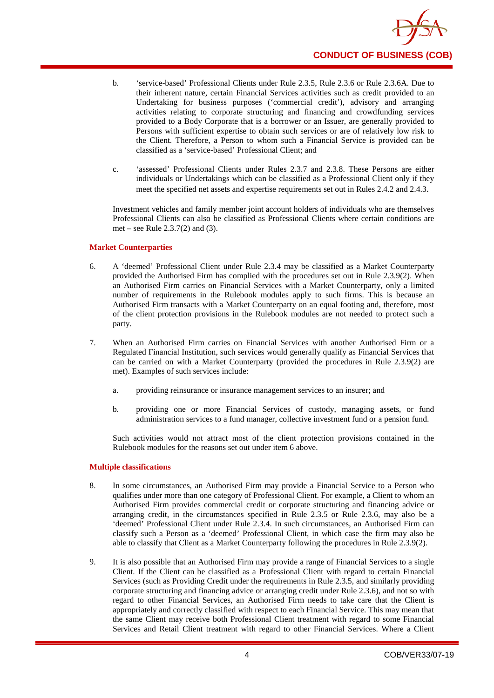

- b. 'service-based' Professional Clients under Rule 2.3.5, Rule 2.3.6 or Rule 2.3.6A. Due to their inherent nature, certain Financial Services activities such as credit provided to an Undertaking for business purposes ('commercial credit'), advisory and arranging activities relating to corporate structuring and financing and crowdfunding services provided to a Body Corporate that is a borrower or an Issuer, are generally provided to Persons with sufficient expertise to obtain such services or are of relatively low risk to the Client. Therefore, a Person to whom such a Financial Service is provided can be classified as a 'service-based' Professional Client; and
- c. 'assessed' Professional Clients under Rules 2.3.7 and 2.3.8. These Persons are either individuals or Undertakings which can be classified as a Professional Client only if they meet the specified net assets and expertise requirements set out in Rules 2.4.2 and 2.4.3.

Investment vehicles and family member joint account holders of individuals who are themselves Professional Clients can also be classified as Professional Clients where certain conditions are met – see Rule 2.3.7(2) and (3).

### **Market Counterparties**

- 6. A 'deemed' Professional Client under Rule 2.3.4 may be classified as a Market Counterparty provided the Authorised Firm has complied with the procedures set out in Rule 2.3.9(2). When an Authorised Firm carries on Financial Services with a Market Counterparty, only a limited number of requirements in the Rulebook modules apply to such firms. This is because an Authorised Firm transacts with a Market Counterparty on an equal footing and, therefore, most of the client protection provisions in the Rulebook modules are not needed to protect such a party.
- 7. When an Authorised Firm carries on Financial Services with another Authorised Firm or a Regulated Financial Institution, such services would generally qualify as Financial Services that can be carried on with a Market Counterparty (provided the procedures in Rule 2.3.9(2) are met). Examples of such services include:
	- a. providing reinsurance or insurance management services to an insurer; and
	- b. providing one or more Financial Services of custody, managing assets, or fund administration services to a fund manager, collective investment fund or a pension fund.

Such activities would not attract most of the client protection provisions contained in the Rulebook modules for the reasons set out under item 6 above.

#### **Multiple classifications**

- 8. In some circumstances, an Authorised Firm may provide a Financial Service to a Person who qualifies under more than one category of Professional Client. For example, a Client to whom an Authorised Firm provides commercial credit or corporate structuring and financing advice or arranging credit, in the circumstances specified in Rule 2.3.5 or Rule 2.3.6, may also be a 'deemed' Professional Client under Rule 2.3.4. In such circumstances, an Authorised Firm can classify such a Person as a 'deemed' Professional Client, in which case the firm may also be able to classify that Client as a Market Counterparty following the procedures in Rule 2.3.9(2).
- 9. It is also possible that an Authorised Firm may provide a range of Financial Services to a single Client. If the Client can be classified as a Professional Client with regard to certain Financial Services (such as Providing Credit under the requirements in Rule 2.3.5, and similarly providing corporate structuring and financing advice or arranging credit under Rule 2.3.6), and not so with regard to other Financial Services, an Authorised Firm needs to take care that the Client is appropriately and correctly classified with respect to each Financial Service. This may mean that the same Client may receive both Professional Client treatment with regard to some Financial Services and Retail Client treatment with regard to other Financial Services. Where a Client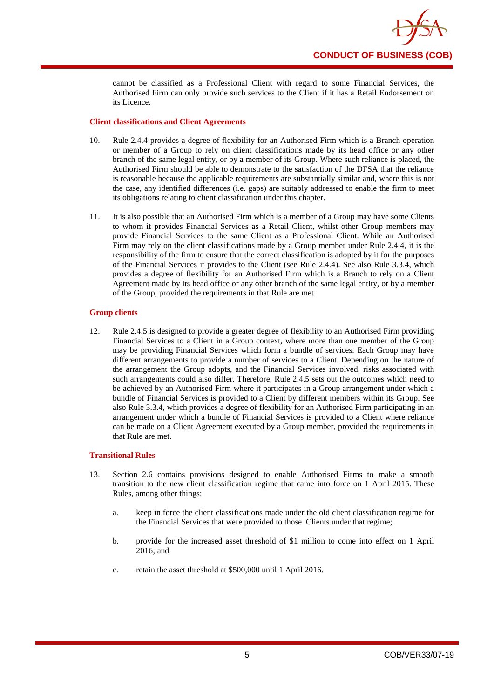

cannot be classified as a Professional Client with regard to some Financial Services, the Authorised Firm can only provide such services to the Client if it has a Retail Endorsement on its Licence.

# **Client classifications and Client Agreements**

- 10. Rule 2.4.4 provides a degree of flexibility for an Authorised Firm which is a Branch operation or member of a Group to rely on client classifications made by its head office or any other branch of the same legal entity, or by a member of its Group. Where such reliance is placed, the Authorised Firm should be able to demonstrate to the satisfaction of the DFSA that the reliance is reasonable because the applicable requirements are substantially similar and, where this is not the case, any identified differences (i.e. gaps) are suitably addressed to enable the firm to meet its obligations relating to client classification under this chapter.
- 11. It is also possible that an Authorised Firm which is a member of a Group may have some Clients to whom it provides Financial Services as a Retail Client, whilst other Group members may provide Financial Services to the same Client as a Professional Client. While an Authorised Firm may rely on the client classifications made by a Group member under Rule 2.4.4, it is the responsibility of the firm to ensure that the correct classification is adopted by it for the purposes of the Financial Services it provides to the Client (see Rule 2.4.4). See also Rule 3.3.4, which provides a degree of flexibility for an Authorised Firm which is a Branch to rely on a Client Agreement made by its head office or any other branch of the same legal entity, or by a member of the Group, provided the requirements in that Rule are met.

### **Group clients**

12. Rule 2.4.5 is designed to provide a greater degree of flexibility to an Authorised Firm providing Financial Services to a Client in a Group context, where more than one member of the Group may be providing Financial Services which form a bundle of services. Each Group may have different arrangements to provide a number of services to a Client. Depending on the nature of the arrangement the Group adopts, and the Financial Services involved, risks associated with such arrangements could also differ. Therefore, Rule 2.4.5 sets out the outcomes which need to be achieved by an Authorised Firm where it participates in a Group arrangement under which a bundle of Financial Services is provided to a Client by different members within its Group. See also Rule 3.3.4, which provides a degree of flexibility for an Authorised Firm participating in an arrangement under which a bundle of Financial Services is provided to a Client where reliance can be made on a Client Agreement executed by a Group member, provided the requirements in that Rule are met.

### **Transitional Rules**

- 13. Section 2.6 contains provisions designed to enable Authorised Firms to make a smooth transition to the new client classification regime that came into force on 1 April 2015. These Rules, among other things:
	- a. keep in force the client classifications made under the old client classification regime for the Financial Services that were provided to those Clients under that regime;
	- b. provide for the increased asset threshold of \$1 million to come into effect on 1 April 2016; and
	- c. retain the asset threshold at \$500,000 until 1 April 2016.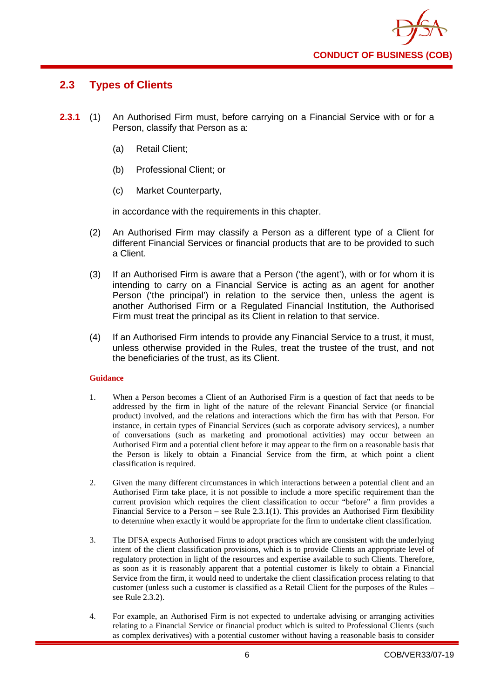

# <span id="page-10-0"></span>**2.3 Types of Clients**

- **2.3.1** (1) An Authorised Firm must, before carrying on a Financial Service with or for a Person, classify that Person as a:
	- (a) Retail Client;
	- (b) Professional Client; or
	- (c) Market Counterparty,

in accordance with the requirements in this chapter.

- (2) An Authorised Firm may classify a Person as a different type of a Client for different Financial Services or financial products that are to be provided to such a Client.
- (3) If an Authorised Firm is aware that a Person ('the agent'), with or for whom it is intending to carry on a Financial Service is acting as an agent for another Person ('the principal') in relation to the service then, unless the agent is another Authorised Firm or a Regulated Financial Institution, the Authorised Firm must treat the principal as its Client in relation to that service.
- (4) If an Authorised Firm intends to provide any Financial Service to a trust, it must, unless otherwise provided in the Rules, treat the trustee of the trust, and not the beneficiaries of the trust, as its Client.

# **Guidance**

- 1. When a Person becomes a Client of an Authorised Firm is a question of fact that needs to be addressed by the firm in light of the nature of the relevant Financial Service (or financial product) involved, and the relations and interactions which the firm has with that Person. For instance, in certain types of Financial Services (such as corporate advisory services), a number of conversations (such as marketing and promotional activities) may occur between an Authorised Firm and a potential client before it may appear to the firm on a reasonable basis that the Person is likely to obtain a Financial Service from the firm, at which point a client classification is required.
- 2. Given the many different circumstances in which interactions between a potential client and an Authorised Firm take place, it is not possible to include a more specific requirement than the current provision which requires the client classification to occur "before" a firm provides a Financial Service to a Person – see Rule 2.3.1(1). This provides an Authorised Firm flexibility to determine when exactly it would be appropriate for the firm to undertake client classification.
- 3. The DFSA expects Authorised Firms to adopt practices which are consistent with the underlying intent of the client classification provisions, which is to provide Clients an appropriate level of regulatory protection in light of the resources and expertise available to such Clients. Therefore, as soon as it is reasonably apparent that a potential customer is likely to obtain a Financial Service from the firm, it would need to undertake the client classification process relating to that customer (unless such a customer is classified as a Retail Client for the purposes of the Rules – see Rule 2.3.2).
- 4. For example, an Authorised Firm is not expected to undertake advising or arranging activities relating to a Financial Service or financial product which is suited to Professional Clients (such as complex derivatives) with a potential customer without having a reasonable basis to consider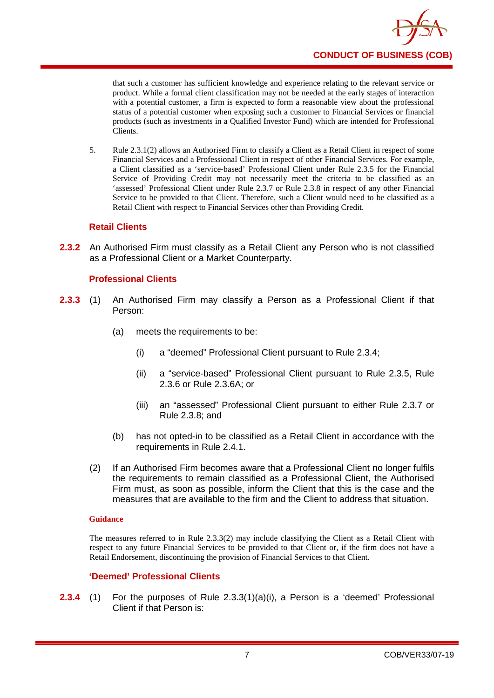

that such a customer has sufficient knowledge and experience relating to the relevant service or product. While a formal client classification may not be needed at the early stages of interaction with a potential customer, a firm is expected to form a reasonable view about the professional status of a potential customer when exposing such a customer to Financial Services or financial products (such as investments in a Qualified Investor Fund) which are intended for Professional Clients.

5. Rule 2.3.1(2) allows an Authorised Firm to classify a Client as a Retail Client in respect of some Financial Services and a Professional Client in respect of other Financial Services. For example, a Client classified as a 'service-based' Professional Client under Rule 2.3.5 for the Financial Service of Providing Credit may not necessarily meet the criteria to be classified as an 'assessed' Professional Client under Rule 2.3.7 or Rule 2.3.8 in respect of any other Financial Service to be provided to that Client. Therefore, such a Client would need to be classified as a Retail Client with respect to Financial Services other than Providing Credit.

# **Retail Clients**

**2.3.2** An Authorised Firm must classify as a Retail Client any Person who is not classified as a Professional Client or a Market Counterparty.

# **Professional Clients**

- **2.3.3** (1) An Authorised Firm may classify a Person as a Professional Client if that Person:
	- (a) meets the requirements to be:
		- (i) a "deemed" Professional Client pursuant to Rule 2.3.4;
		- (ii) a "service-based" Professional Client pursuant to Rule 2.3.5, Rule 2.3.6 or Rule 2.3.6A; or
		- (iii) an "assessed" Professional Client pursuant to either Rule 2.3.7 or Rule 2.3.8; and
	- (b) has not opted-in to be classified as a Retail Client in accordance with the requirements in Rule 2.4.1.
	- (2) If an Authorised Firm becomes aware that a Professional Client no longer fulfils the requirements to remain classified as a Professional Client, the Authorised Firm must, as soon as possible, inform the Client that this is the case and the measures that are available to the firm and the Client to address that situation.

### **Guidance**

The measures referred to in Rule 2.3.3(2) may include classifying the Client as a Retail Client with respect to any future Financial Services to be provided to that Client or, if the firm does not have a Retail Endorsement, discontinuing the provision of Financial Services to that Client.

# **'Deemed' Professional Clients**

**2.3.4** (1) For the purposes of Rule 2.3.3(1)(a)(i), a Person is a 'deemed' Professional Client if that Person is: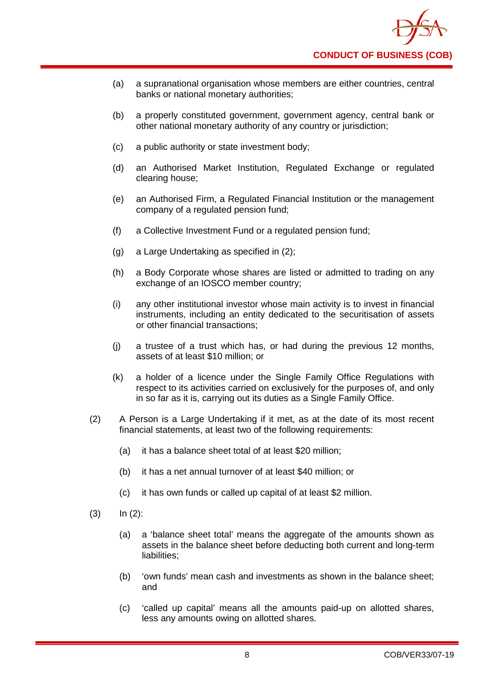

- (a) a supranational organisation whose members are either countries, central banks or national monetary authorities;
- (b) a properly constituted government, government agency, central bank or other national monetary authority of any country or jurisdiction;
- (c) a public authority or state investment body;
- (d) an Authorised Market Institution, Regulated Exchange or regulated clearing house;
- (e) an Authorised Firm, a Regulated Financial Institution or the management company of a regulated pension fund;
- (f) a Collective Investment Fund or a regulated pension fund;
- (g) a Large Undertaking as specified in (2);
- (h) a Body Corporate whose shares are listed or admitted to trading on any exchange of an IOSCO member country;
- (i) any other institutional investor whose main activity is to invest in financial instruments, including an entity dedicated to the securitisation of assets or other financial transactions;
- (j) a trustee of a trust which has, or had during the previous 12 months, assets of at least \$10 million; or
- (k) a holder of a licence under the Single Family Office Regulations with respect to its activities carried on exclusively for the purposes of, and only in so far as it is, carrying out its duties as a Single Family Office.
- (2) A Person is a Large Undertaking if it met, as at the date of its most recent financial statements, at least two of the following requirements:
	- (a) it has a balance sheet total of at least \$20 million;
	- (b) it has a net annual turnover of at least \$40 million; or
	- (c) it has own funds or called up capital of at least \$2 million.
- $(3)$   $\ln (2)$ :
	- (a) a 'balance sheet total' means the aggregate of the amounts shown as assets in the balance sheet before deducting both current and long-term liabilities;
	- (b) 'own funds' mean cash and investments as shown in the balance sheet; and
	- (c) 'called up capital' means all the amounts paid-up on allotted shares, less any amounts owing on allotted shares.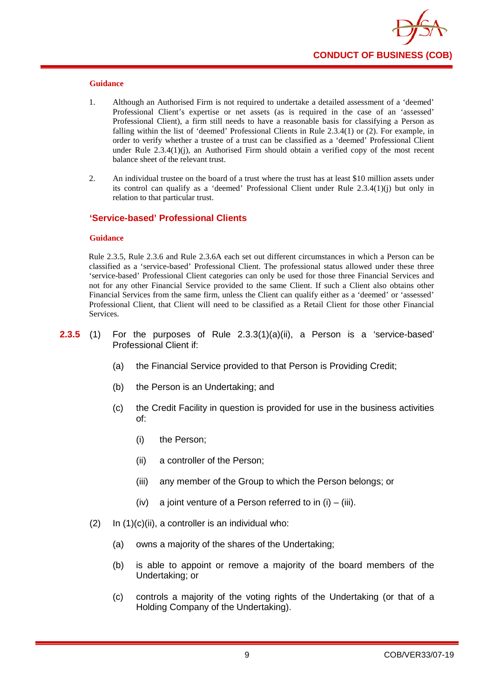

- 1. Although an Authorised Firm is not required to undertake a detailed assessment of a 'deemed' Professional Client's expertise or net assets (as is required in the case of an 'assessed' Professional Client), a firm still needs to have a reasonable basis for classifying a Person as falling within the list of 'deemed' Professional Clients in Rule 2.3.4(1) or (2). For example, in order to verify whether a trustee of a trust can be classified as a 'deemed' Professional Client under Rule  $2.3.4(1)(i)$ , an Authorised Firm should obtain a verified copy of the most recent balance sheet of the relevant trust.
- 2. An individual trustee on the board of a trust where the trust has at least \$10 million assets under its control can qualify as a 'deemed' Professional Client under Rule 2.3.4(1)(j) but only in relation to that particular trust.

# **'Service-based' Professional Clients**

#### **Guidance**

Rule 2.3.5, Rule 2.3.6 and Rule 2.3.6A each set out different circumstances in which a Person can be classified as a 'service-based' Professional Client. The professional status allowed under these three 'service-based' Professional Client categories can only be used for those three Financial Services and not for any other Financial Service provided to the same Client. If such a Client also obtains other Financial Services from the same firm, unless the Client can qualify either as a 'deemed' or 'assessed' Professional Client, that Client will need to be classified as a Retail Client for those other Financial Services.

- **2.3.5** (1) For the purposes of Rule 2.3.3(1)(a)(ii), a Person is a 'service-based' Professional Client if:
	- (a) the Financial Service provided to that Person is Providing Credit;
	- (b) the Person is an Undertaking; and
	- (c) the Credit Facility in question is provided for use in the business activities of:
		- (i) the Person;
		- (ii) a controller of the Person;
		- (iii) any member of the Group to which the Person belongs; or
		- $(iv)$  a joint venture of a Person referred to in  $(i) (iii)$ .
	- $(2)$  In  $(1)(c)(ii)$ , a controller is an individual who:
		- (a) owns a majority of the shares of the Undertaking;
		- (b) is able to appoint or remove a majority of the board members of the Undertaking; or
		- (c) controls a majority of the voting rights of the Undertaking (or that of a Holding Company of the Undertaking).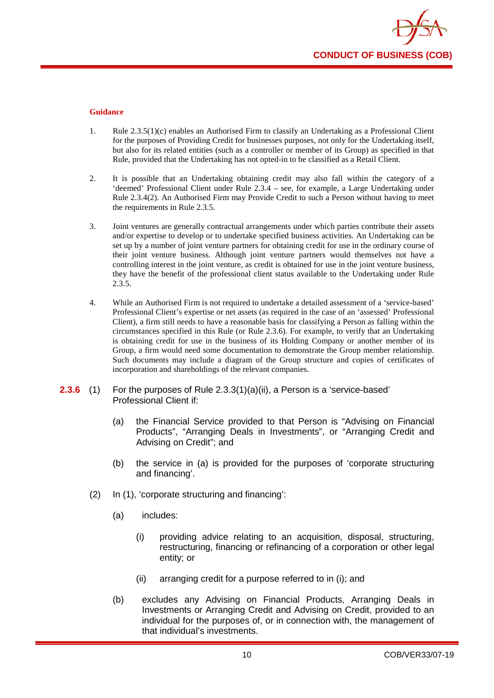

- 1. Rule 2.3.5(1)(c) enables an Authorised Firm to classify an Undertaking as a Professional Client for the purposes of Providing Credit for businesses purposes, not only for the Undertaking itself, but also for its related entities (such as a controller or member of its Group) as specified in that Rule, provided that the Undertaking has not opted-in to be classified as a Retail Client.
- 2. It is possible that an Undertaking obtaining credit may also fall within the category of a 'deemed' Professional Client under Rule 2.3.4 – see, for example, a Large Undertaking under Rule 2.3.4(2). An Authorised Firm may Provide Credit to such a Person without having to meet the requirements in Rule 2.3.5.
- 3. Joint ventures are generally contractual arrangements under which parties contribute their assets and/or expertise to develop or to undertake specified business activities. An Undertaking can be set up by a number of joint venture partners for obtaining credit for use in the ordinary course of their joint venture business. Although joint venture partners would themselves not have a controlling interest in the joint venture, as credit is obtained for use in the joint venture business, they have the benefit of the professional client status available to the Undertaking under Rule 2.3.5.
- 4. While an Authorised Firm is not required to undertake a detailed assessment of a 'service-based' Professional Client's expertise or net assets (as required in the case of an 'assessed' Professional Client), a firm still needs to have a reasonable basis for classifying a Person as falling within the circumstances specified in this Rule (or Rule 2.3.6). For example, to verify that an Undertaking is obtaining credit for use in the business of its Holding Company or another member of its Group, a firm would need some documentation to demonstrate the Group member relationship. Such documents may include a diagram of the Group structure and copies of certificates of incorporation and shareholdings of the relevant companies.
- **2.3.6** (1) For the purposes of Rule 2.3.3(1)(a)(ii), a Person is a 'service-based' Professional Client if:
	- (a) the Financial Service provided to that Person is "Advising on Financial Products", "Arranging Deals in Investments", or "Arranging Credit and Advising on Credit"; and
	- (b) the service in (a) is provided for the purposes of 'corporate structuring and financing'.
	- (2) In (1), 'corporate structuring and financing':
		- (a) includes:
			- (i) providing advice relating to an acquisition, disposal, structuring, restructuring, financing or refinancing of a corporation or other legal entity; or
			- (ii) arranging credit for a purpose referred to in (i); and
		- (b) excludes any Advising on Financial Products, Arranging Deals in Investments or Arranging Credit and Advising on Credit, provided to an individual for the purposes of, or in connection with, the management of that individual's investments.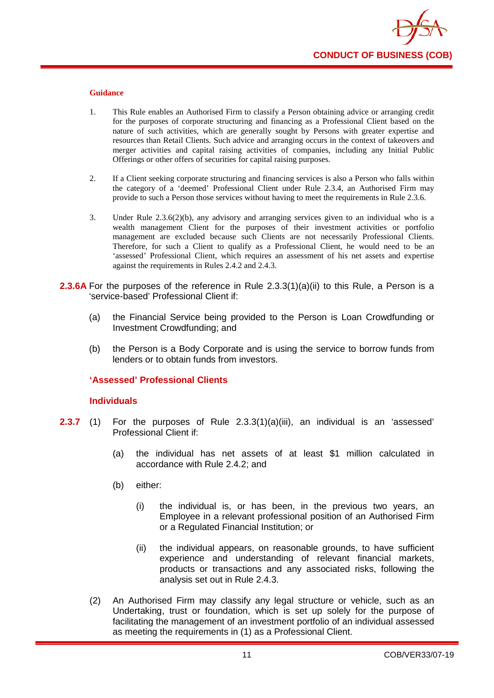

- 1. This Rule enables an Authorised Firm to classify a Person obtaining advice or arranging credit for the purposes of corporate structuring and financing as a Professional Client based on the nature of such activities, which are generally sought by Persons with greater expertise and resources than Retail Clients. Such advice and arranging occurs in the context of takeovers and merger activities and capital raising activities of companies, including any Initial Public Offerings or other offers of securities for capital raising purposes.
- 2. If a Client seeking corporate structuring and financing services is also a Person who falls within the category of a 'deemed' Professional Client under Rule 2.3.4, an Authorised Firm may provide to such a Person those services without having to meet the requirements in Rule 2.3.6.
- 3. Under Rule 2.3.6(2)(b), any advisory and arranging services given to an individual who is a wealth management Client for the purposes of their investment activities or portfolio management are excluded because such Clients are not necessarily Professional Clients. Therefore, for such a Client to qualify as a Professional Client, he would need to be an 'assessed' Professional Client, which requires an assessment of his net assets and expertise against the requirements in Rules 2.4.2 and 2.4.3.
- **2.3.6A** For the purposes of the reference in Rule 2.3.3(1)(a)(ii) to this Rule, a Person is a 'service-based' Professional Client if:
	- (a) the Financial Service being provided to the Person is Loan Crowdfunding or Investment Crowdfunding; and
	- (b) the Person is a Body Corporate and is using the service to borrow funds from lenders or to obtain funds from investors.

# **'Assessed' Professional Clients**

# **Individuals**

- **2.3.7** (1) For the purposes of Rule 2.3.3(1)(a)(iii), an individual is an 'assessed' Professional Client if:
	- (a) the individual has net assets of at least \$1 million calculated in accordance with Rule 2.4.2; and
	- (b) either:
		- (i) the individual is, or has been, in the previous two years, an Employee in a relevant professional position of an Authorised Firm or a Regulated Financial Institution; or
		- (ii) the individual appears, on reasonable grounds, to have sufficient experience and understanding of relevant financial markets, products or transactions and any associated risks, following the analysis set out in Rule 2.4.3.
	- (2) An Authorised Firm may classify any legal structure or vehicle, such as an Undertaking, trust or foundation, which is set up solely for the purpose of facilitating the management of an investment portfolio of an individual assessed as meeting the requirements in (1) as a Professional Client.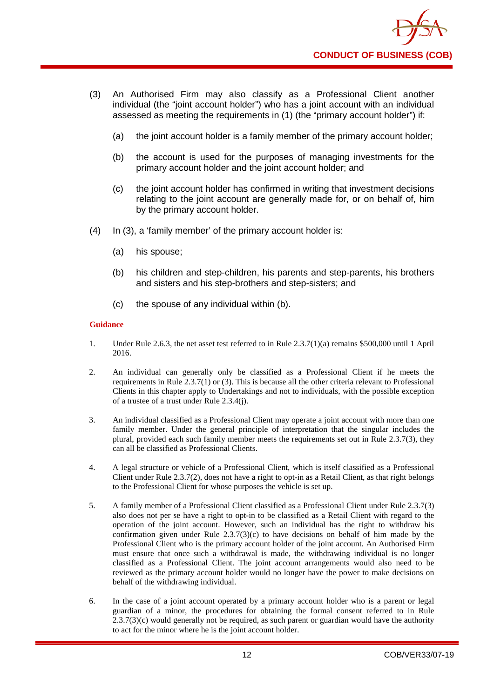

- (3) An Authorised Firm may also classify as a Professional Client another individual (the "joint account holder") who has a joint account with an individual assessed as meeting the requirements in (1) (the "primary account holder") if:
	- (a) the joint account holder is a family member of the primary account holder;
	- (b) the account is used for the purposes of managing investments for the primary account holder and the joint account holder; and
	- (c) the joint account holder has confirmed in writing that investment decisions relating to the joint account are generally made for, or on behalf of, him by the primary account holder.
- (4) In (3), a 'family member' of the primary account holder is:
	- (a) his spouse;
	- (b) his children and step-children, his parents and step-parents, his brothers and sisters and his step-brothers and step-sisters; and
	- (c) the spouse of any individual within (b).

- 1. Under Rule 2.6.3, the net asset test referred to in Rule 2.3.7(1)(a) remains \$500,000 until 1 April 2016.
- 2. An individual can generally only be classified as a Professional Client if he meets the requirements in Rule 2.3.7(1) or (3). This is because all the other criteria relevant to Professional Clients in this chapter apply to Undertakings and not to individuals, with the possible exception of a trustee of a trust under Rule 2.3.4(j).
- 3. An individual classified as a Professional Client may operate a joint account with more than one family member. Under the general principle of interpretation that the singular includes the plural, provided each such family member meets the requirements set out in Rule 2.3.7(3), they can all be classified as Professional Clients.
- 4. A legal structure or vehicle of a Professional Client, which is itself classified as a Professional Client under Rule 2.3.7(2), does not have a right to opt-in as a Retail Client, as that right belongs to the Professional Client for whose purposes the vehicle is set up.
- 5. A family member of a Professional Client classified as a Professional Client under Rule 2.3.7(3) also does not per se have a right to opt-in to be classified as a Retail Client with regard to the operation of the joint account. However, such an individual has the right to withdraw his confirmation given under Rule  $2.3.7(3)(c)$  to have decisions on behalf of him made by the Professional Client who is the primary account holder of the joint account. An Authorised Firm must ensure that once such a withdrawal is made, the withdrawing individual is no longer classified as a Professional Client. The joint account arrangements would also need to be reviewed as the primary account holder would no longer have the power to make decisions on behalf of the withdrawing individual.
- 6. In the case of a joint account operated by a primary account holder who is a parent or legal guardian of a minor, the procedures for obtaining the formal consent referred to in Rule  $2.3.7(3)$ (c) would generally not be required, as such parent or guardian would have the authority to act for the minor where he is the joint account holder.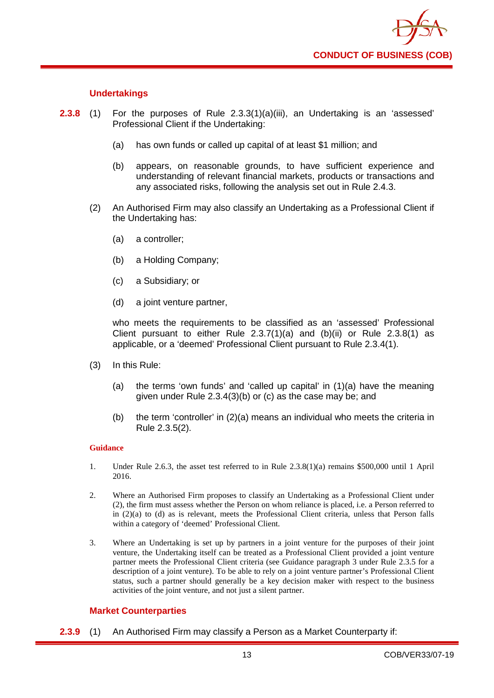

# **Undertakings**

- **2.3.8** (1) For the purposes of Rule 2.3.3(1)(a)(iii), an Undertaking is an 'assessed' Professional Client if the Undertaking:
	- (a) has own funds or called up capital of at least \$1 million; and
	- (b) appears, on reasonable grounds, to have sufficient experience and understanding of relevant financial markets, products or transactions and any associated risks, following the analysis set out in Rule 2.4.3.
	- (2) An Authorised Firm may also classify an Undertaking as a Professional Client if the Undertaking has:
		- (a) a controller;
		- (b) a Holding Company;
		- (c) a Subsidiary; or
		- (d) a joint venture partner,

who meets the requirements to be classified as an 'assessed' Professional Client pursuant to either Rule  $2.3.7(1)(a)$  and  $(b)(ii)$  or Rule  $2.3.8(1)$  as applicable, or a 'deemed' Professional Client pursuant to Rule 2.3.4(1).

- (3) In this Rule:
	- (a) the terms 'own funds' and 'called up capital' in (1)(a) have the meaning given under Rule 2.3.4(3)(b) or (c) as the case may be; and
	- (b) the term 'controller' in (2)(a) means an individual who meets the criteria in Rule 2.3.5(2).

### **Guidance**

- 1. Under Rule 2.6.3, the asset test referred to in Rule 2.3.8(1)(a) remains \$500,000 until 1 April 2016.
- 2. Where an Authorised Firm proposes to classify an Undertaking as a Professional Client under (2), the firm must assess whether the Person on whom reliance is placed, i.e. a Person referred to in (2)(a) to (d) as is relevant, meets the Professional Client criteria, unless that Person falls within a category of 'deemed' Professional Client.
- 3. Where an Undertaking is set up by partners in a joint venture for the purposes of their joint venture, the Undertaking itself can be treated as a Professional Client provided a joint venture partner meets the Professional Client criteria (see Guidance paragraph 3 under Rule 2.3.5 for a description of a joint venture). To be able to rely on a joint venture partner's Professional Client status, such a partner should generally be a key decision maker with respect to the business activities of the joint venture, and not just a silent partner.

# **Market Counterparties**

**2.3.9** (1) An Authorised Firm may classify a Person as a Market Counterparty if: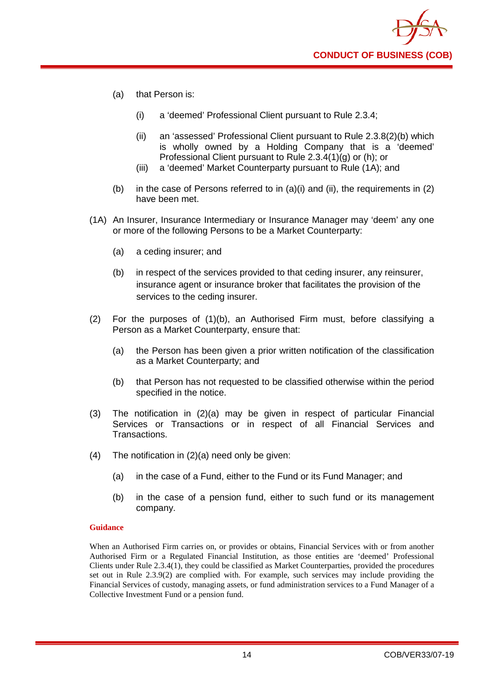- (a) that Person is:
	- (i) a 'deemed' Professional Client pursuant to Rule 2.3.4;
	- (ii) an 'assessed' Professional Client pursuant to Rule 2.3.8(2)(b) which is wholly owned by a Holding Company that is a 'deemed' Professional Client pursuant to Rule 2.3.4(1)(g) or (h); or
	- (iii) a 'deemed' Market Counterparty pursuant to Rule (1A); and
- (b) in the case of Persons referred to in  $(a)(i)$  and  $(ii)$ , the requirements in  $(2)$ have been met.
- (1A) An Insurer, Insurance Intermediary or Insurance Manager may 'deem' any one or more of the following Persons to be a Market Counterparty:
	- (a) a ceding insurer; and
	- (b) in respect of the services provided to that ceding insurer, any reinsurer, insurance agent or insurance broker that facilitates the provision of the services to the ceding insurer.
- (2) For the purposes of (1)(b), an Authorised Firm must, before classifying a Person as a Market Counterparty, ensure that:
	- (a) the Person has been given a prior written notification of the classification as a Market Counterparty; and
	- (b) that Person has not requested to be classified otherwise within the period specified in the notice.
- (3) The notification in (2)(a) may be given in respect of particular Financial Services or Transactions or in respect of all Financial Services and Transactions.
- (4) The notification in (2)(a) need only be given:
	- (a) in the case of a Fund, either to the Fund or its Fund Manager; and
	- (b) in the case of a pension fund, either to such fund or its management company.

When an Authorised Firm carries on, or provides or obtains, Financial Services with or from another Authorised Firm or a Regulated Financial Institution, as those entities are 'deemed' Professional Clients under Rule 2.3.4(1), they could be classified as Market Counterparties, provided the procedures set out in Rule 2.3.9(2) are complied with. For example, such services may include providing the Financial Services of custody, managing assets, or fund administration services to a Fund Manager of a Collective Investment Fund or a pension fund.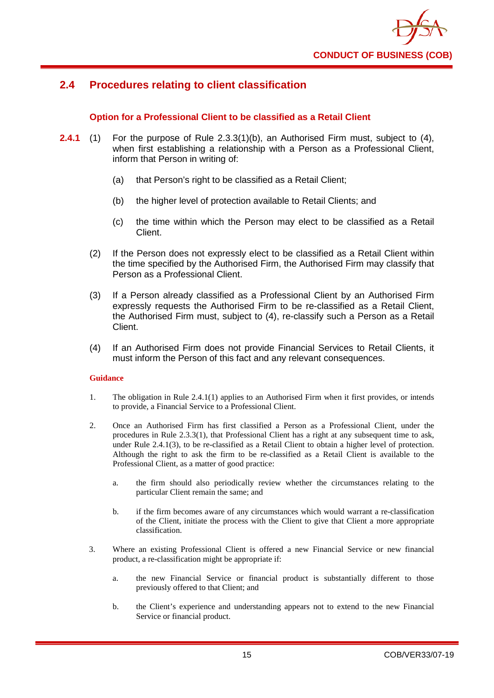# <span id="page-19-0"></span>**2.4 Procedures relating to client classification**

# **Option for a Professional Client to be classified as a Retail Client**

- **2.4.1** (1) For the purpose of Rule 2.3.3(1)(b), an Authorised Firm must, subject to (4), when first establishing a relationship with a Person as a Professional Client, inform that Person in writing of:
	- (a) that Person's right to be classified as a Retail Client;
	- (b) the higher level of protection available to Retail Clients; and
	- (c) the time within which the Person may elect to be classified as a Retail Client.
	- (2) If the Person does not expressly elect to be classified as a Retail Client within the time specified by the Authorised Firm, the Authorised Firm may classify that Person as a Professional Client.
	- (3) If a Person already classified as a Professional Client by an Authorised Firm expressly requests the Authorised Firm to be re-classified as a Retail Client, the Authorised Firm must, subject to (4), re-classify such a Person as a Retail Client.
	- (4) If an Authorised Firm does not provide Financial Services to Retail Clients, it must inform the Person of this fact and any relevant consequences.

# **Guidance**

- 1. The obligation in Rule 2.4.1(1) applies to an Authorised Firm when it first provides, or intends to provide, a Financial Service to a Professional Client.
- 2. Once an Authorised Firm has first classified a Person as a Professional Client, under the procedures in Rule 2.3.3(1), that Professional Client has a right at any subsequent time to ask, under Rule 2.4.1(3), to be re-classified as a Retail Client to obtain a higher level of protection. Although the right to ask the firm to be re-classified as a Retail Client is available to the Professional Client, as a matter of good practice:
	- a. the firm should also periodically review whether the circumstances relating to the particular Client remain the same; and
	- b. if the firm becomes aware of any circumstances which would warrant a re-classification of the Client, initiate the process with the Client to give that Client a more appropriate classification.
- 3. Where an existing Professional Client is offered a new Financial Service or new financial product, a re-classification might be appropriate if:
	- a. the new Financial Service or financial product is substantially different to those previously offered to that Client; and
	- b. the Client's experience and understanding appears not to extend to the new Financial Service or financial product.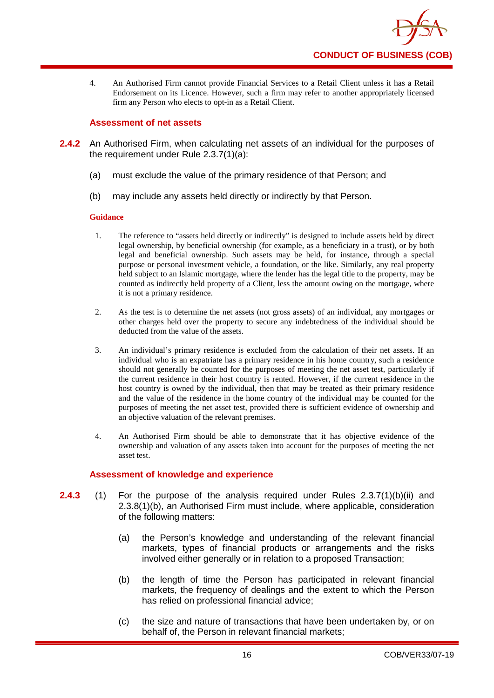

4. An Authorised Firm cannot provide Financial Services to a Retail Client unless it has a Retail Endorsement on its Licence. However, such a firm may refer to another appropriately licensed firm any Person who elects to opt-in as a Retail Client.

# **Assessment of net assets**

- **2.4.2** An Authorised Firm, when calculating net assets of an individual for the purposes of the requirement under Rule 2.3.7(1)(a):
	- (a) must exclude the value of the primary residence of that Person; and
	- (b) may include any assets held directly or indirectly by that Person.

# **Guidance**

- 1. The reference to "assets held directly or indirectly" is designed to include assets held by direct legal ownership, by beneficial ownership (for example, as a beneficiary in a trust), or by both legal and beneficial ownership. Such assets may be held, for instance, through a special purpose or personal investment vehicle, a foundation, or the like. Similarly, any real property held subject to an Islamic mortgage, where the lender has the legal title to the property, may be counted as indirectly held property of a Client, less the amount owing on the mortgage, where it is not a primary residence.
- 2. As the test is to determine the net assets (not gross assets) of an individual, any mortgages or other charges held over the property to secure any indebtedness of the individual should be deducted from the value of the assets.
- 3. An individual's primary residence is excluded from the calculation of their net assets. If an individual who is an expatriate has a primary residence in his home country, such a residence should not generally be counted for the purposes of meeting the net asset test, particularly if the current residence in their host country is rented. However, if the current residence in the host country is owned by the individual, then that may be treated as their primary residence and the value of the residence in the home country of the individual may be counted for the purposes of meeting the net asset test, provided there is sufficient evidence of ownership and an objective valuation of the relevant premises.
- 4. An Authorised Firm should be able to demonstrate that it has objective evidence of the ownership and valuation of any assets taken into account for the purposes of meeting the net asset test.

# **Assessment of knowledge and experience**

- **2.4.3** (1) For the purpose of the analysis required under Rules 2.3.7(1)(b)(ii) and 2.3.8(1)(b), an Authorised Firm must include, where applicable, consideration of the following matters:
	- (a) the Person's knowledge and understanding of the relevant financial markets, types of financial products or arrangements and the risks involved either generally or in relation to a proposed Transaction;
	- (b) the length of time the Person has participated in relevant financial markets, the frequency of dealings and the extent to which the Person has relied on professional financial advice;
	- (c) the size and nature of transactions that have been undertaken by, or on behalf of, the Person in relevant financial markets;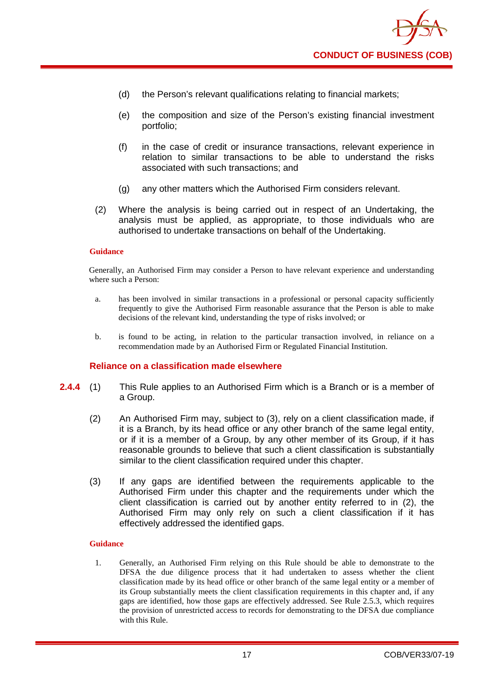

- (d) the Person's relevant qualifications relating to financial markets;
- (e) the composition and size of the Person's existing financial investment portfolio;
- (f) in the case of credit or insurance transactions, relevant experience in relation to similar transactions to be able to understand the risks associated with such transactions; and
- (g) any other matters which the Authorised Firm considers relevant.
- (2) Where the analysis is being carried out in respect of an Undertaking, the analysis must be applied, as appropriate, to those individuals who are authorised to undertake transactions on behalf of the Undertaking.

Generally, an Authorised Firm may consider a Person to have relevant experience and understanding where such a Person:

- a. has been involved in similar transactions in a professional or personal capacity sufficiently frequently to give the Authorised Firm reasonable assurance that the Person is able to make decisions of the relevant kind, understanding the type of risks involved; or
- b. is found to be acting, in relation to the particular transaction involved, in reliance on a recommendation made by an Authorised Firm or Regulated Financial Institution.

# **Reliance on a classification made elsewhere**

- **2.4.4** (1) This Rule applies to an Authorised Firm which is a Branch or is a member of a Group.
	- (2) An Authorised Firm may, subject to (3), rely on a client classification made, if it is a Branch, by its head office or any other branch of the same legal entity, or if it is a member of a Group, by any other member of its Group, if it has reasonable grounds to believe that such a client classification is substantially similar to the client classification required under this chapter.
	- (3) If any gaps are identified between the requirements applicable to the Authorised Firm under this chapter and the requirements under which the client classification is carried out by another entity referred to in (2), the Authorised Firm may only rely on such a client classification if it has effectively addressed the identified gaps.

### **Guidance**

1. Generally, an Authorised Firm relying on this Rule should be able to demonstrate to the DFSA the due diligence process that it had undertaken to assess whether the client classification made by its head office or other branch of the same legal entity or a member of its Group substantially meets the client classification requirements in this chapter and, if any gaps are identified, how those gaps are effectively addressed. See Rule 2.5.3, which requires the provision of unrestricted access to records for demonstrating to the DFSA due compliance with this Rule.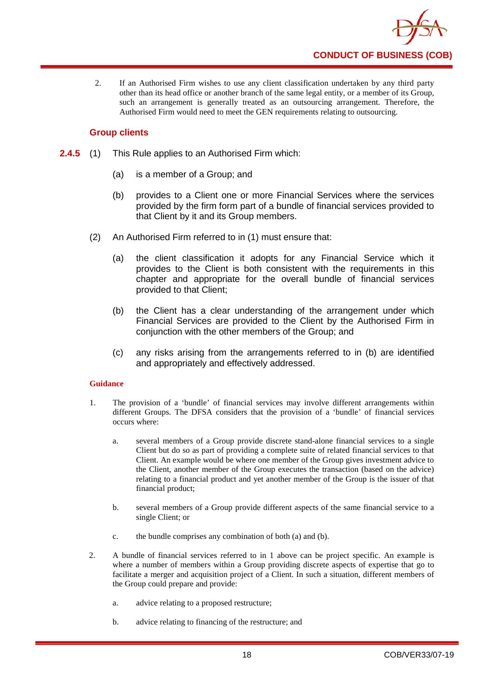

2. If an Authorised Firm wishes to use any client classification undertaken by any third party other than its head office or another branch of the same legal entity, or a member of its Group, such an arrangement is generally treated as an outsourcing arrangement. Therefore, the Authorised Firm would need to meet the GEN requirements relating to outsourcing.

# **Group clients**

- **2.4.5** (1) This Rule applies to an Authorised Firm which:
	- (a) is a member of a Group; and
	- (b) provides to a Client one or more Financial Services where the services provided by the firm form part of a bundle of financial services provided to that Client by it and its Group members.
	- (2) An Authorised Firm referred to in (1) must ensure that:
		- (a) the client classification it adopts for any Financial Service which it provides to the Client is both consistent with the requirements in this chapter and appropriate for the overall bundle of financial services provided to that Client;
		- (b) the Client has a clear understanding of the arrangement under which Financial Services are provided to the Client by the Authorised Firm in conjunction with the other members of the Group; and
		- (c) any risks arising from the arrangements referred to in (b) are identified and appropriately and effectively addressed.

# **Guidance**

- 1. The provision of a 'bundle' of financial services may involve different arrangements within different Groups. The DFSA considers that the provision of a 'bundle' of financial services occurs where:
	- a. several members of a Group provide discrete stand-alone financial services to a single Client but do so as part of providing a complete suite of related financial services to that Client. An example would be where one member of the Group gives investment advice to the Client, another member of the Group executes the transaction (based on the advice) relating to a financial product and yet another member of the Group is the issuer of that financial product;
	- b. several members of a Group provide different aspects of the same financial service to a single Client; or
	- c. the bundle comprises any combination of both (a) and (b).
- 2. A bundle of financial services referred to in 1 above can be project specific. An example is where a number of members within a Group providing discrete aspects of expertise that go to facilitate a merger and acquisition project of a Client. In such a situation, different members of the Group could prepare and provide:
	- a. advice relating to a proposed restructure;
	- b. advice relating to financing of the restructure; and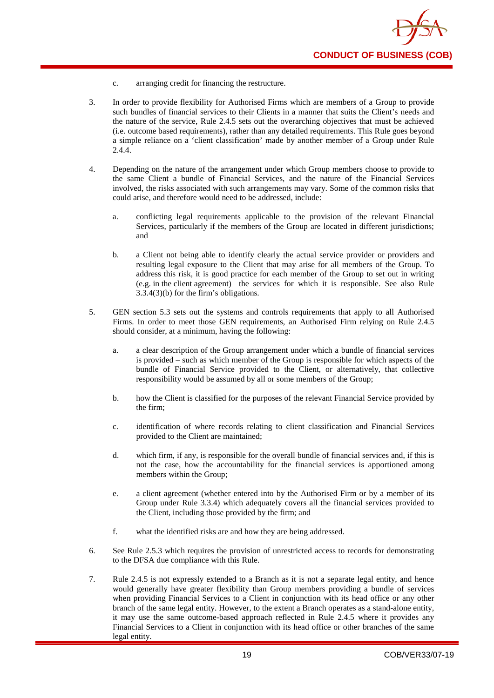- c. arranging credit for financing the restructure.
- 3. In order to provide flexibility for Authorised Firms which are members of a Group to provide such bundles of financial services to their Clients in a manner that suits the Client's needs and the nature of the service, Rule 2.4.5 sets out the overarching objectives that must be achieved (i.e. outcome based requirements), rather than any detailed requirements. This Rule goes beyond a simple reliance on a 'client classification' made by another member of a Group under Rule 2.4.4.
- 4. Depending on the nature of the arrangement under which Group members choose to provide to the same Client a bundle of Financial Services, and the nature of the Financial Services involved, the risks associated with such arrangements may vary. Some of the common risks that could arise, and therefore would need to be addressed, include:
	- a. conflicting legal requirements applicable to the provision of the relevant Financial Services, particularly if the members of the Group are located in different jurisdictions; and
	- b. a Client not being able to identify clearly the actual service provider or providers and resulting legal exposure to the Client that may arise for all members of the Group. To address this risk, it is good practice for each member of the Group to set out in writing (e.g. in the client agreement) the services for which it is responsible. See also Rule 3.3.4(3)(b) for the firm's obligations.
- 5. GEN section 5.3 sets out the systems and controls requirements that apply to all Authorised Firms. In order to meet those GEN requirements, an Authorised Firm relying on Rule 2.4.5 should consider, at a minimum, having the following:
	- a. a clear description of the Group arrangement under which a bundle of financial services is provided – such as which member of the Group is responsible for which aspects of the bundle of Financial Service provided to the Client, or alternatively, that collective responsibility would be assumed by all or some members of the Group;
	- b. how the Client is classified for the purposes of the relevant Financial Service provided by the firm;
	- c. identification of where records relating to client classification and Financial Services provided to the Client are maintained;
	- d. which firm, if any, is responsible for the overall bundle of financial services and, if this is not the case, how the accountability for the financial services is apportioned among members within the Group;
	- e. a client agreement (whether entered into by the Authorised Firm or by a member of its Group under Rule 3.3.4) which adequately covers all the financial services provided to the Client, including those provided by the firm; and
	- f. what the identified risks are and how they are being addressed.
- 6. See Rule 2.5.3 which requires the provision of unrestricted access to records for demonstrating to the DFSA due compliance with this Rule.
- 7. Rule 2.4.5 is not expressly extended to a Branch as it is not a separate legal entity, and hence would generally have greater flexibility than Group members providing a bundle of services when providing Financial Services to a Client in conjunction with its head office or any other branch of the same legal entity. However, to the extent a Branch operates as a stand-alone entity, it may use the same outcome-based approach reflected in Rule 2.4.5 where it provides any Financial Services to a Client in conjunction with its head office or other branches of the same legal entity.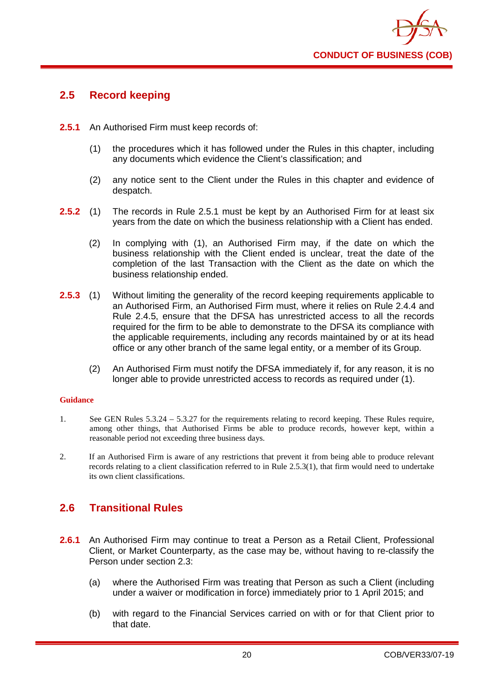

# <span id="page-24-0"></span>**2.5 Record keeping**

- **2.5.1** An Authorised Firm must keep records of:
	- (1) the procedures which it has followed under the Rules in this chapter, including any documents which evidence the Client's classification; and
	- (2) any notice sent to the Client under the Rules in this chapter and evidence of despatch.
- **2.5.2** (1) The records in Rule 2.5.1 must be kept by an Authorised Firm for at least six years from the date on which the business relationship with a Client has ended.
	- (2) In complying with (1), an Authorised Firm may, if the date on which the business relationship with the Client ended is unclear, treat the date of the completion of the last Transaction with the Client as the date on which the business relationship ended.
- **2.5.3** (1) Without limiting the generality of the record keeping requirements applicable to an Authorised Firm, an Authorised Firm must, where it relies on Rule 2.4.4 and Rule 2.4.5, ensure that the DFSA has unrestricted access to all the records required for the firm to be able to demonstrate to the DFSA its compliance with the applicable requirements, including any records maintained by or at its head office or any other branch of the same legal entity, or a member of its Group.
	- (2) An Authorised Firm must notify the DFSA immediately if, for any reason, it is no longer able to provide unrestricted access to records as required under (1).

# **Guidance**

- 1. See GEN Rules 5.3.24 5.3.27 for the requirements relating to record keeping. These Rules require, among other things, that Authorised Firms be able to produce records, however kept, within a reasonable period not exceeding three business days.
- 2. If an Authorised Firm is aware of any restrictions that prevent it from being able to produce relevant records relating to a client classification referred to in Rule 2.5.3(1), that firm would need to undertake its own client classifications.

# <span id="page-24-1"></span>**2.6 Transitional Rules**

- **2.6.1** An Authorised Firm may continue to treat a Person as a Retail Client, Professional Client, or Market Counterparty, as the case may be, without having to re-classify the Person under section 2.3:
	- (a) where the Authorised Firm was treating that Person as such a Client (including under a waiver or modification in force) immediately prior to 1 April 2015; and
	- (b) with regard to the Financial Services carried on with or for that Client prior to that date.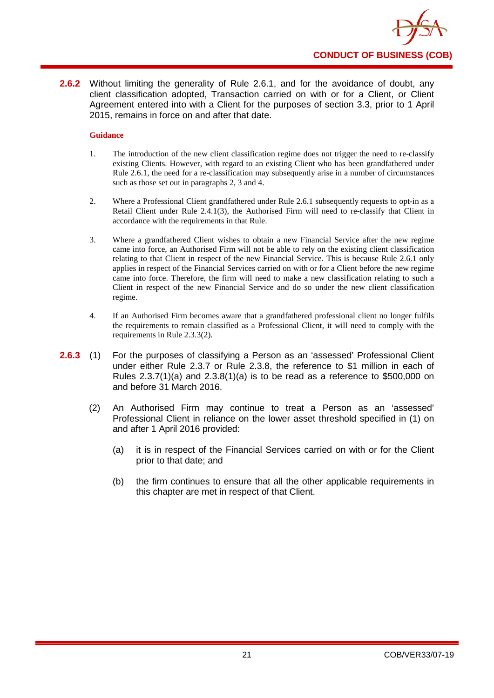

**2.6.2** Without limiting the generality of Rule 2.6.1, and for the avoidance of doubt, any client classification adopted, Transaction carried on with or for a Client, or Client Agreement entered into with a Client for the purposes of section 3.3, prior to 1 April 2015, remains in force on and after that date.

# **Guidance**

- 1. The introduction of the new client classification regime does not trigger the need to re-classify existing Clients. However, with regard to an existing Client who has been grandfathered under Rule 2.6.1, the need for a re-classification may subsequently arise in a number of circumstances such as those set out in paragraphs 2, 3 and 4.
- 2. Where a Professional Client grandfathered under Rule 2.6.1 subsequently requests to opt-in as a Retail Client under Rule 2.4.1(3), the Authorised Firm will need to re-classify that Client in accordance with the requirements in that Rule.
- 3. Where a grandfathered Client wishes to obtain a new Financial Service after the new regime came into force, an Authorised Firm will not be able to rely on the existing client classification relating to that Client in respect of the new Financial Service. This is because Rule 2.6.1 only applies in respect of the Financial Services carried on with or for a Client before the new regime came into force. Therefore, the firm will need to make a new classification relating to such a Client in respect of the new Financial Service and do so under the new client classification regime.
- 4. If an Authorised Firm becomes aware that a grandfathered professional client no longer fulfils the requirements to remain classified as a Professional Client, it will need to comply with the requirements in Rule 2.3.3(2).
- **2.6.3** (1) For the purposes of classifying a Person as an 'assessed' Professional Client under either Rule 2.3.7 or Rule 2.3.8, the reference to \$1 million in each of Rules  $2.3.7(1)(a)$  and  $2.3.8(1)(a)$  is to be read as a reference to \$500,000 on and before 31 March 2016.
	- (2) An Authorised Firm may continue to treat a Person as an 'assessed' Professional Client in reliance on the lower asset threshold specified in (1) on and after 1 April 2016 provided:
		- (a) it is in respect of the Financial Services carried on with or for the Client prior to that date; and
		- (b) the firm continues to ensure that all the other applicable requirements in this chapter are met in respect of that Client.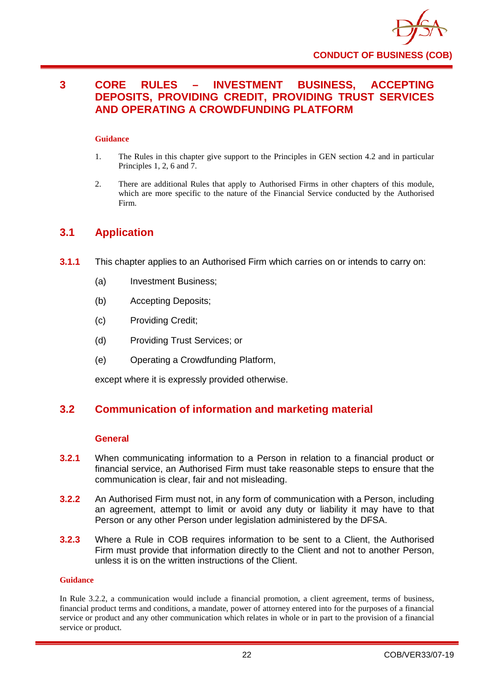

# <span id="page-26-0"></span>**3 CORE RULES – INVESTMENT BUSINESS, ACCEPTING DEPOSITS, PROVIDING CREDIT, PROVIDING TRUST SERVICES AND OPERATING A CROWDFUNDING PLATFORM**

# **Guidance**

- 1. The Rules in this chapter give support to the Principles in GEN section 4.2 and in particular Principles 1, 2, 6 and 7.
- 2. There are additional Rules that apply to Authorised Firms in other chapters of this module, which are more specific to the nature of the Financial Service conducted by the Authorised Firm.

# <span id="page-26-1"></span>**3.1 Application**

- **3.1.1** This chapter applies to an Authorised Firm which carries on or intends to carry on:
	- (a) Investment Business;
	- (b) Accepting Deposits;
	- (c) Providing Credit;
	- (d) Providing Trust Services; or
	- (e) Operating a Crowdfunding Platform,

except where it is expressly provided otherwise.

# <span id="page-26-2"></span>**3.2 Communication of information and marketing material**

# **General**

- **3.2.1** When communicating information to a Person in relation to a financial product or financial service, an Authorised Firm must take reasonable steps to ensure that the communication is clear, fair and not misleading.
- **3.2.2** An Authorised Firm must not, in any form of communication with a Person, including an agreement, attempt to limit or avoid any duty or liability it may have to that Person or any other Person under legislation administered by the DFSA.
- **3.2.3** Where a Rule in COB requires information to be sent to a Client, the Authorised Firm must provide that information directly to the Client and not to another Person, unless it is on the written instructions of the Client.

# **Guidance**

In Rule 3.2.2, a communication would include a financial promotion, a client agreement, terms of business, financial product terms and conditions, a mandate, power of attorney entered into for the purposes of a financial service or product and any other communication which relates in whole or in part to the provision of a financial service or product.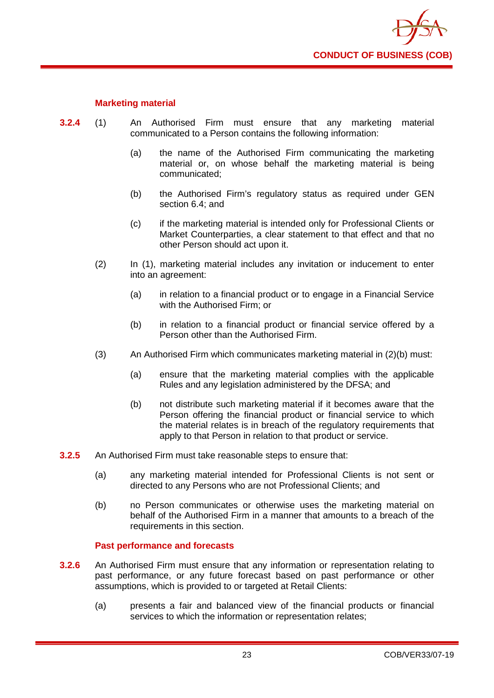

# **Marketing material**

- **3.2.4** (1) An Authorised Firm must ensure that any marketing material communicated to a Person contains the following information:
	- (a) the name of the Authorised Firm communicating the marketing material or, on whose behalf the marketing material is being communicated;
	- (b) the Authorised Firm's regulatory status as required under GEN section 6.4; and
	- (c) if the marketing material is intended only for Professional Clients or Market Counterparties, a clear statement to that effect and that no other Person should act upon it.
	- (2) In (1), marketing material includes any invitation or inducement to enter into an agreement:
		- (a) in relation to a financial product or to engage in a Financial Service with the Authorised Firm; or
		- (b) in relation to a financial product or financial service offered by a Person other than the Authorised Firm.
	- (3) An Authorised Firm which communicates marketing material in (2)(b) must:
		- (a) ensure that the marketing material complies with the applicable Rules and any legislation administered by the DFSA; and
		- (b) not distribute such marketing material if it becomes aware that the Person offering the financial product or financial service to which the material relates is in breach of the regulatory requirements that apply to that Person in relation to that product or service.
- **3.2.5** An Authorised Firm must take reasonable steps to ensure that:
	- (a) any marketing material intended for Professional Clients is not sent or directed to any Persons who are not Professional Clients; and
	- (b) no Person communicates or otherwise uses the marketing material on behalf of the Authorised Firm in a manner that amounts to a breach of the requirements in this section.

# **Past performance and forecasts**

- **3.2.6** An Authorised Firm must ensure that any information or representation relating to past performance, or any future forecast based on past performance or other assumptions, which is provided to or targeted at Retail Clients:
	- (a) presents a fair and balanced view of the financial products or financial services to which the information or representation relates;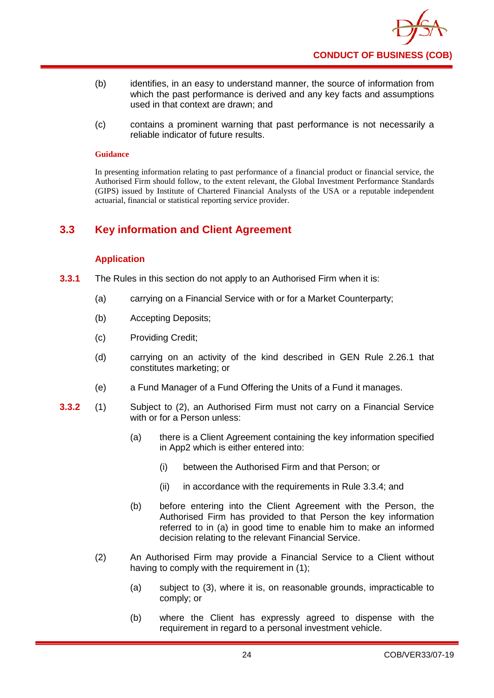

- (b) identifies, in an easy to understand manner, the source of information from which the past performance is derived and any key facts and assumptions used in that context are drawn; and
- (c) contains a prominent warning that past performance is not necessarily a reliable indicator of future results.

In presenting information relating to past performance of a financial product or financial service, the Authorised Firm should follow, to the extent relevant, the Global Investment Performance Standards (GIPS) issued by Institute of Chartered Financial Analysts of the USA or a reputable independent actuarial, financial or statistical reporting service provider.

# <span id="page-28-0"></span>**3.3 Key information and Client Agreement**

# **Application**

- **3.3.1** The Rules in this section do not apply to an Authorised Firm when it is:
	- (a) carrying on a Financial Service with or for a Market Counterparty;
	- (b) Accepting Deposits;
	- (c) Providing Credit;
	- (d) carrying on an activity of the kind described in GEN Rule 2.26.1 that constitutes marketing; or
	- (e) a Fund Manager of a Fund Offering the Units of a Fund it manages.
- **3.3.2** (1) Subject to (2), an Authorised Firm must not carry on a Financial Service with or for a Person unless:
	- (a) there is a Client Agreement containing the key information specified in App2 which is either entered into:
		- (i) between the Authorised Firm and that Person; or
		- (ii) in accordance with the requirements in Rule 3.3.4; and
	- (b) before entering into the Client Agreement with the Person, the Authorised Firm has provided to that Person the key information referred to in (a) in good time to enable him to make an informed decision relating to the relevant Financial Service.
	- (2) An Authorised Firm may provide a Financial Service to a Client without having to comply with the requirement in (1);
		- (a) subject to (3), where it is, on reasonable grounds, impracticable to comply; or
		- (b) where the Client has expressly agreed to dispense with the requirement in regard to a personal investment vehicle.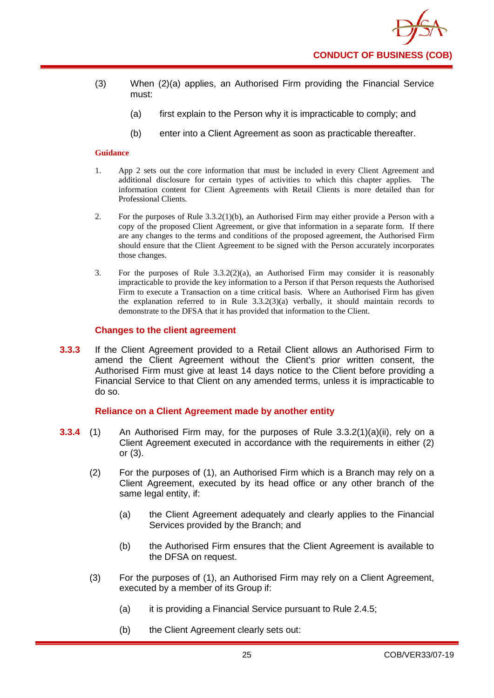- (3) When (2)(a) applies, an Authorised Firm providing the Financial Service must:
	- (a) first explain to the Person why it is impracticable to comply; and
	- (b) enter into a Client Agreement as soon as practicable thereafter.

- 1. App 2 sets out the core information that must be included in every Client Agreement and additional disclosure for certain types of activities to which this chapter applies. The information content for Client Agreements with Retail Clients is more detailed than for Professional Clients.
- 2. For the purposes of Rule 3.3.2(1)(b), an Authorised Firm may either provide a Person with a copy of the proposed Client Agreement, or give that information in a separate form. If there are any changes to the terms and conditions of the proposed agreement, the Authorised Firm should ensure that the Client Agreement to be signed with the Person accurately incorporates those changes.
- 3. For the purposes of Rule  $3.3.2(2)(a)$ , an Authorised Firm may consider it is reasonably impracticable to provide the key information to a Person if that Person requests the Authorised Firm to execute a Transaction on a time critical basis. Where an Authorised Firm has given the explanation referred to in Rule 3.3.2(3)(a) verbally, it should maintain records to demonstrate to the DFSA that it has provided that information to the Client.

# **Changes to the client agreement**

**3.3.3** If the Client Agreement provided to a Retail Client allows an Authorised Firm to amend the Client Agreement without the Client's prior written consent, the Authorised Firm must give at least 14 days notice to the Client before providing a Financial Service to that Client on any amended terms, unless it is impracticable to do so.

# **Reliance on a Client Agreement made by another entity**

- **3.3.4** (1) An Authorised Firm may, for the purposes of Rule 3.3.2(1)(a)(ii), rely on a Client Agreement executed in accordance with the requirements in either (2) or (3).
	- (2) For the purposes of (1), an Authorised Firm which is a Branch may rely on a Client Agreement, executed by its head office or any other branch of the same legal entity, if:
		- (a) the Client Agreement adequately and clearly applies to the Financial Services provided by the Branch; and
		- (b) the Authorised Firm ensures that the Client Agreement is available to the DFSA on request.
	- (3) For the purposes of (1), an Authorised Firm may rely on a Client Agreement, executed by a member of its Group if:
		- (a) it is providing a Financial Service pursuant to Rule 2.4.5;
		- (b) the Client Agreement clearly sets out: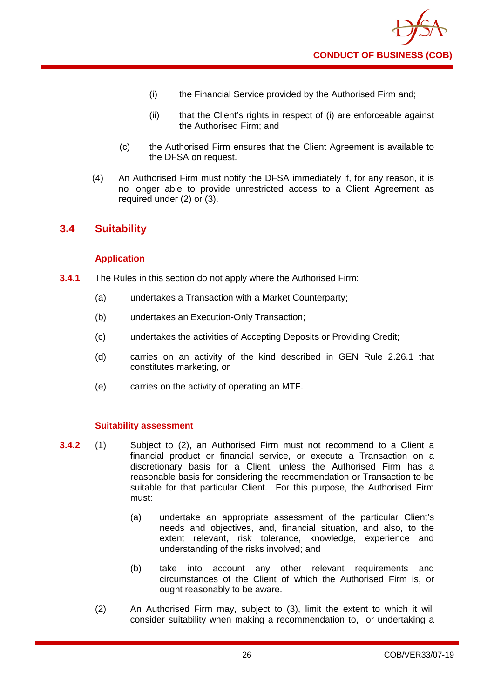

- (i) the Financial Service provided by the Authorised Firm and;
- (ii) that the Client's rights in respect of (i) are enforceable against the Authorised Firm; and
- (c) the Authorised Firm ensures that the Client Agreement is available to the DFSA on request.
- (4) An Authorised Firm must notify the DFSA immediately if, for any reason, it is no longer able to provide unrestricted access to a Client Agreement as required under (2) or (3).

# <span id="page-30-0"></span>**3.4 Suitability**

# **Application**

- **3.4.1** The Rules in this section do not apply where the Authorised Firm:
	- (a) undertakes a Transaction with a Market Counterparty;
	- (b) undertakes an Execution-Only Transaction;
	- (c) undertakes the activities of Accepting Deposits or Providing Credit;
	- (d) carries on an activity of the kind described in GEN Rule 2.26.1 that constitutes marketing, or
	- (e) carries on the activity of operating an MTF.

# **Suitability assessment**

- **3.4.2** (1) Subject to (2), an Authorised Firm must not recommend to a Client a financial product or financial service, or execute a Transaction on a discretionary basis for a Client, unless the Authorised Firm has a reasonable basis for considering the recommendation or Transaction to be suitable for that particular Client. For this purpose, the Authorised Firm must:
	- (a) undertake an appropriate assessment of the particular Client's needs and objectives, and, financial situation, and also, to the extent relevant, risk tolerance, knowledge, experience and understanding of the risks involved; and
	- (b) take into account any other relevant requirements and circumstances of the Client of which the Authorised Firm is, or ought reasonably to be aware.
	- (2) An Authorised Firm may, subject to (3), limit the extent to which it will consider suitability when making a recommendation to, or undertaking a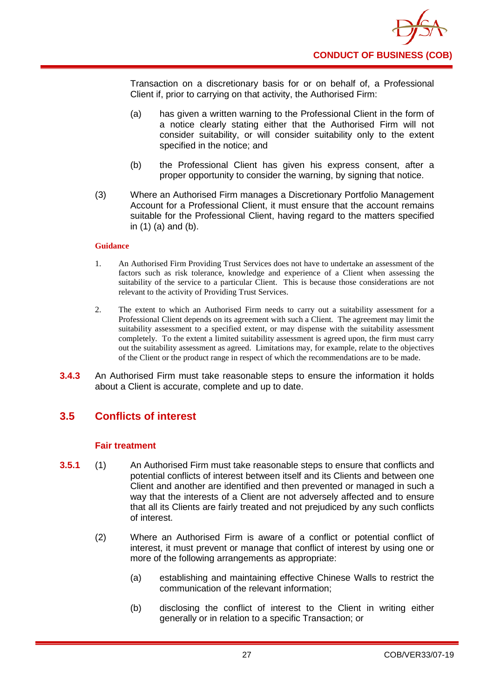

Transaction on a discretionary basis for or on behalf of, a Professional Client if, prior to carrying on that activity, the Authorised Firm:

- (a) has given a written warning to the Professional Client in the form of a notice clearly stating either that the Authorised Firm will not consider suitability, or will consider suitability only to the extent specified in the notice; and
- (b) the Professional Client has given his express consent, after a proper opportunity to consider the warning, by signing that notice.
- (3) Where an Authorised Firm manages a Discretionary Portfolio Management Account for a Professional Client, it must ensure that the account remains suitable for the Professional Client, having regard to the matters specified in (1) (a) and (b).

### **Guidance**

- 1. An Authorised Firm Providing Trust Services does not have to undertake an assessment of the factors such as risk tolerance, knowledge and experience of a Client when assessing the suitability of the service to a particular Client. This is because those considerations are not relevant to the activity of Providing Trust Services.
- 2. The extent to which an Authorised Firm needs to carry out a suitability assessment for a Professional Client depends on its agreement with such a Client. The agreement may limit the suitability assessment to a specified extent, or may dispense with the suitability assessment completely. To the extent a limited suitability assessment is agreed upon, the firm must carry out the suitability assessment as agreed. Limitations may, for example, relate to the objectives of the Client or the product range in respect of which the recommendations are to be made.
- **3.4.3** An Authorised Firm must take reasonable steps to ensure the information it holds about a Client is accurate, complete and up to date.

# <span id="page-31-0"></span>**3.5 Conflicts of interest**

# **Fair treatment**

- **3.5.1** (1) An Authorised Firm must take reasonable steps to ensure that conflicts and potential conflicts of interest between itself and its Clients and between one Client and another are identified and then prevented or managed in such a way that the interests of a Client are not adversely affected and to ensure that all its Clients are fairly treated and not prejudiced by any such conflicts of interest.
	- (2) Where an Authorised Firm is aware of a conflict or potential conflict of interest, it must prevent or manage that conflict of interest by using one or more of the following arrangements as appropriate:
		- (a) establishing and maintaining effective Chinese Walls to restrict the communication of the relevant information;
		- (b) disclosing the conflict of interest to the Client in writing either generally or in relation to a specific Transaction; or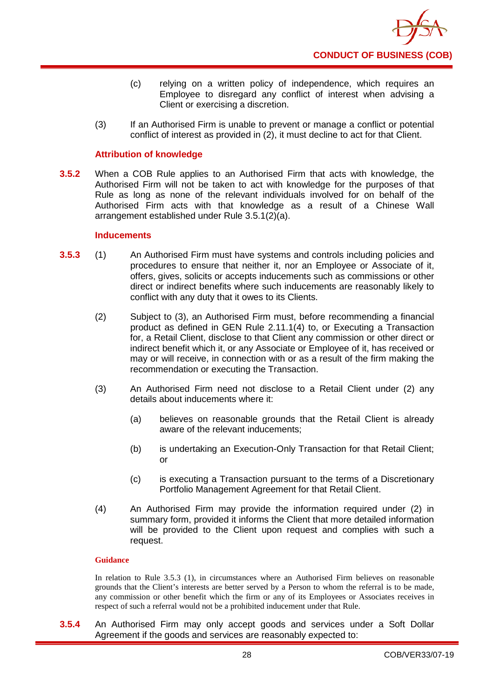

- (c) relying on a written policy of independence, which requires an Employee to disregard any conflict of interest when advising a Client or exercising a discretion.
- (3) If an Authorised Firm is unable to prevent or manage a conflict or potential conflict of interest as provided in (2), it must decline to act for that Client.

# **Attribution of knowledge**

**3.5.2** When a COB Rule applies to an Authorised Firm that acts with knowledge, the Authorised Firm will not be taken to act with knowledge for the purposes of that Rule as long as none of the relevant individuals involved for on behalf of the Authorised Firm acts with that knowledge as a result of a Chinese Wall arrangement established under Rule 3.5.1(2)(a).

# **Inducements**

- **3.5.3** (1) An Authorised Firm must have systems and controls including policies and procedures to ensure that neither it, nor an Employee or Associate of it, offers, gives, solicits or accepts inducements such as commissions or other direct or indirect benefits where such inducements are reasonably likely to conflict with any duty that it owes to its Clients.
	- (2) Subject to (3), an Authorised Firm must, before recommending a financial product as defined in GEN Rule 2.11.1(4) to, or Executing a Transaction for, a Retail Client, disclose to that Client any commission or other direct or indirect benefit which it, or any Associate or Employee of it, has received or may or will receive, in connection with or as a result of the firm making the recommendation or executing the Transaction.
	- (3) An Authorised Firm need not disclose to a Retail Client under (2) any details about inducements where it:
		- (a) believes on reasonable grounds that the Retail Client is already aware of the relevant inducements;
		- (b) is undertaking an Execution-Only Transaction for that Retail Client; or
		- (c) is executing a Transaction pursuant to the terms of a Discretionary Portfolio Management Agreement for that Retail Client.
	- (4) An Authorised Firm may provide the information required under (2) in summary form, provided it informs the Client that more detailed information will be provided to the Client upon request and complies with such a request.

# **Guidance**

In relation to Rule 3.5.3 (1), in circumstances where an Authorised Firm believes on reasonable grounds that the Client's interests are better served by a Person to whom the referral is to be made, any commission or other benefit which the firm or any of its Employees or Associates receives in respect of such a referral would not be a prohibited inducement under that Rule.

**3.5.4** An Authorised Firm may only accept goods and services under a Soft Dollar Agreement if the goods and services are reasonably expected to: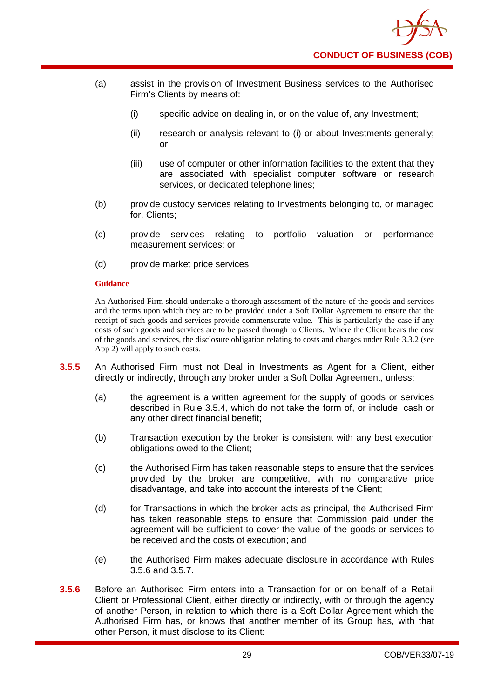

- (a) assist in the provision of Investment Business services to the Authorised Firm's Clients by means of:
	- (i) specific advice on dealing in, or on the value of, any Investment;
	- (ii) research or analysis relevant to (i) or about Investments generally; or
	- (iii) use of computer or other information facilities to the extent that they are associated with specialist computer software or research services, or dedicated telephone lines;
- (b) provide custody services relating to Investments belonging to, or managed for, Clients;
- (c) provide services relating to portfolio valuation or performance measurement services; or
- (d) provide market price services.

An Authorised Firm should undertake a thorough assessment of the nature of the goods and services and the terms upon which they are to be provided under a Soft Dollar Agreement to ensure that the receipt of such goods and services provide commensurate value. This is particularly the case if any costs of such goods and services are to be passed through to Clients. Where the Client bears the cost of the goods and services, the disclosure obligation relating to costs and charges under Rule 3.3.2 (see App 2) will apply to such costs.

- **3.5.5** An Authorised Firm must not Deal in Investments as Agent for a Client, either directly or indirectly, through any broker under a Soft Dollar Agreement, unless:
	- (a) the agreement is a written agreement for the supply of goods or services described in Rule 3.5.4, which do not take the form of, or include, cash or any other direct financial benefit;
	- (b) Transaction execution by the broker is consistent with any best execution obligations owed to the Client;
	- (c) the Authorised Firm has taken reasonable steps to ensure that the services provided by the broker are competitive, with no comparative price disadvantage, and take into account the interests of the Client;
	- (d) for Transactions in which the broker acts as principal, the Authorised Firm has taken reasonable steps to ensure that Commission paid under the agreement will be sufficient to cover the value of the goods or services to be received and the costs of execution; and
	- (e) the Authorised Firm makes adequate disclosure in accordance with Rules 3.5.6 and 3.5.7.
- **3.5.6** Before an Authorised Firm enters into a Transaction for or on behalf of a Retail Client or Professional Client, either directly or indirectly, with or through the agency of another Person, in relation to which there is a Soft Dollar Agreement which the Authorised Firm has, or knows that another member of its Group has, with that other Person, it must disclose to its Client: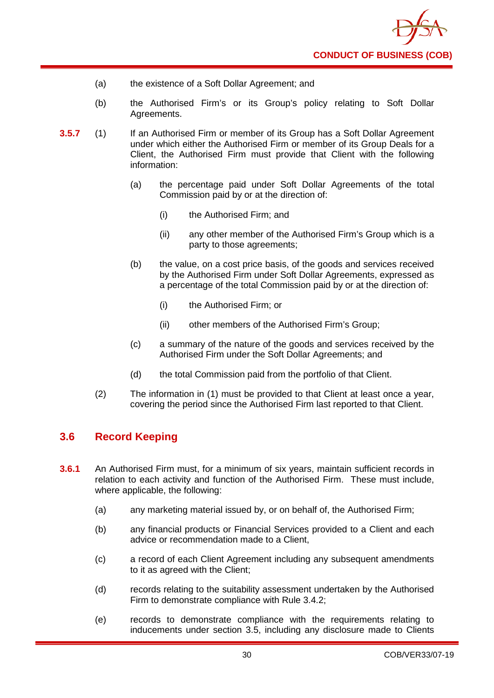

- (a) the existence of a Soft Dollar Agreement; and
- (b) the Authorised Firm's or its Group's policy relating to Soft Dollar Agreements.
- **3.5.7** (1) If an Authorised Firm or member of its Group has a Soft Dollar Agreement under which either the Authorised Firm or member of its Group Deals for a Client, the Authorised Firm must provide that Client with the following information:
	- (a) the percentage paid under Soft Dollar Agreements of the total Commission paid by or at the direction of:
		- (i) the Authorised Firm; and
		- (ii) any other member of the Authorised Firm's Group which is a party to those agreements;
	- (b) the value, on a cost price basis, of the goods and services received by the Authorised Firm under Soft Dollar Agreements, expressed as a percentage of the total Commission paid by or at the direction of:
		- (i) the Authorised Firm; or
		- (ii) other members of the Authorised Firm's Group;
	- (c) a summary of the nature of the goods and services received by the Authorised Firm under the Soft Dollar Agreements; and
	- (d) the total Commission paid from the portfolio of that Client.
	- (2) The information in (1) must be provided to that Client at least once a year, covering the period since the Authorised Firm last reported to that Client.

# <span id="page-34-0"></span>**3.6 Record Keeping**

- **3.6.1** An Authorised Firm must, for a minimum of six years, maintain sufficient records in relation to each activity and function of the Authorised Firm. These must include, where applicable, the following:
	- (a) any marketing material issued by, or on behalf of, the Authorised Firm;
	- (b) any financial products or Financial Services provided to a Client and each advice or recommendation made to a Client,
	- (c) a record of each Client Agreement including any subsequent amendments to it as agreed with the Client;
	- (d) records relating to the suitability assessment undertaken by the Authorised Firm to demonstrate compliance with Rule 3.4.2;
	- (e) records to demonstrate compliance with the requirements relating to inducements under section 3.5, including any disclosure made to Clients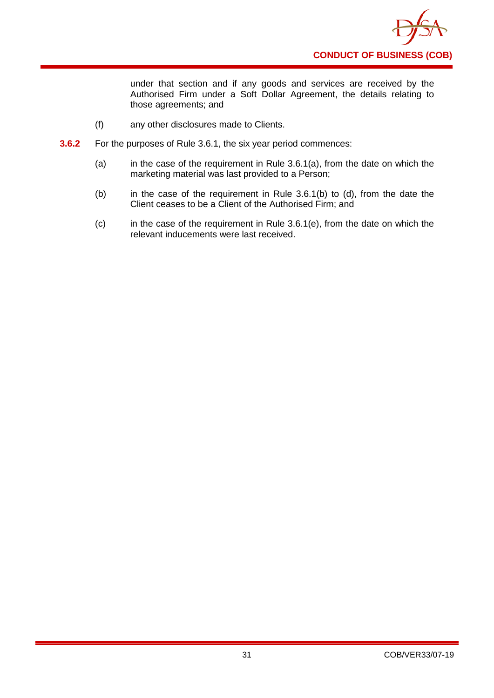

under that section and if any goods and services are received by the Authorised Firm under a Soft Dollar Agreement, the details relating to those agreements; and

- (f) any other disclosures made to Clients.
- **3.6.2** For the purposes of Rule 3.6.1, the six year period commences:
	- (a) in the case of the requirement in Rule  $3.6.1(a)$ , from the date on which the marketing material was last provided to a Person;
	- (b) in the case of the requirement in Rule 3.6.1(b) to (d), from the date the Client ceases to be a Client of the Authorised Firm; and
	- (c) in the case of the requirement in Rule 3.6.1(e), from the date on which the relevant inducements were last received.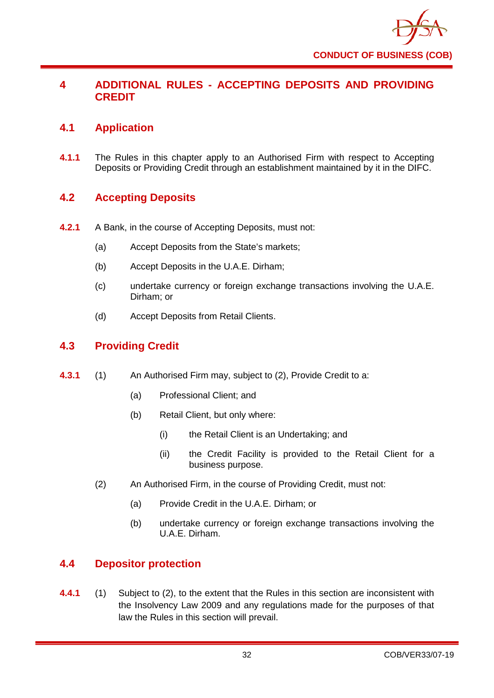

# **4 ADDITIONAL RULES - ACCEPTING DEPOSITS AND PROVIDING CREDIT**

## **4.1 Application**

**4.1.1** The Rules in this chapter apply to an Authorised Firm with respect to Accepting Deposits or Providing Credit through an establishment maintained by it in the DIFC.

# **4.2 Accepting Deposits**

- **4.2.1** A Bank, in the course of Accepting Deposits, must not:
	- (a) Accept Deposits from the State's markets;
	- (b) Accept Deposits in the U.A.E. Dirham;
	- (c) undertake currency or foreign exchange transactions involving the U.A.E. Dirham; or
	- (d) Accept Deposits from Retail Clients.

## **4.3 Providing Credit**

- **4.3.1** (1) An Authorised Firm may, subject to (2), Provide Credit to a:
	- (a) Professional Client; and
	- (b) Retail Client, but only where:
		- (i) the Retail Client is an Undertaking; and
		- (ii) the Credit Facility is provided to the Retail Client for a business purpose.
	- (2) An Authorised Firm, in the course of Providing Credit, must not:
		- (a) Provide Credit in the U.A.E. Dirham; or
		- (b) undertake currency or foreign exchange transactions involving the U.A.E. Dirham.

## **4.4 Depositor protection**

**4.4.1** (1) Subject to (2), to the extent that the Rules in this section are inconsistent with the Insolvency Law 2009 and any regulations made for the purposes of that law the Rules in this section will prevail.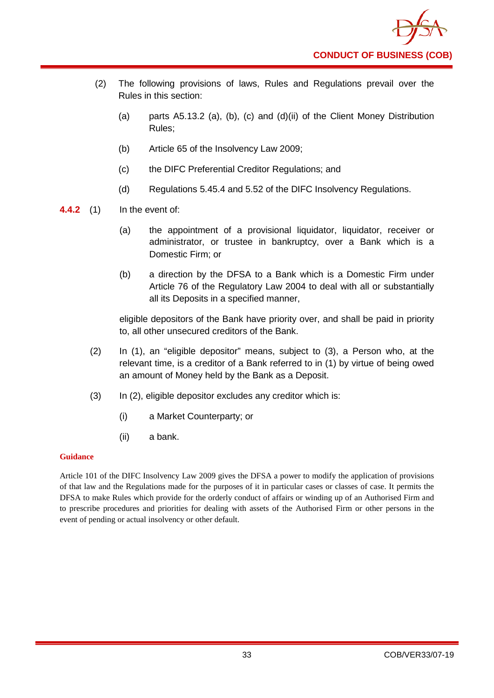- (2) The following provisions of laws, Rules and Regulations prevail over the Rules in this section:
	- (a) parts A5.13.2 (a), (b), (c) and (d)(ii) of the Client Money Distribution Rules;
	- (b) Article 65 of the Insolvency Law 2009;
	- (c) the DIFC Preferential Creditor Regulations; and
	- (d) Regulations 5.45.4 and 5.52 of the DIFC Insolvency Regulations.
- **4.4.2** (1) In the event of:
	- (a) the appointment of a provisional liquidator, liquidator, receiver or administrator, or trustee in bankruptcy, over a Bank which is a Domestic Firm; or
	- (b) a direction by the DFSA to a Bank which is a Domestic Firm under Article 76 of the Regulatory Law 2004 to deal with all or substantially all its Deposits in a specified manner,

eligible depositors of the Bank have priority over, and shall be paid in priority to, all other unsecured creditors of the Bank.

- (2) In (1), an "eligible depositor" means, subject to (3), a Person who, at the relevant time, is a creditor of a Bank referred to in (1) by virtue of being owed an amount of Money held by the Bank as a Deposit.
- (3) In (2), eligible depositor excludes any creditor which is:
	- (i) a Market Counterparty; or
	- (ii) a bank.

### **Guidance**

Article 101 of the DIFC Insolvency Law 2009 gives the DFSA a power to modify the application of provisions of that law and the Regulations made for the purposes of it in particular cases or classes of case. It permits the DFSA to make Rules which provide for the orderly conduct of affairs or winding up of an Authorised Firm and to prescribe procedures and priorities for dealing with assets of the Authorised Firm or other persons in the event of pending or actual insolvency or other default.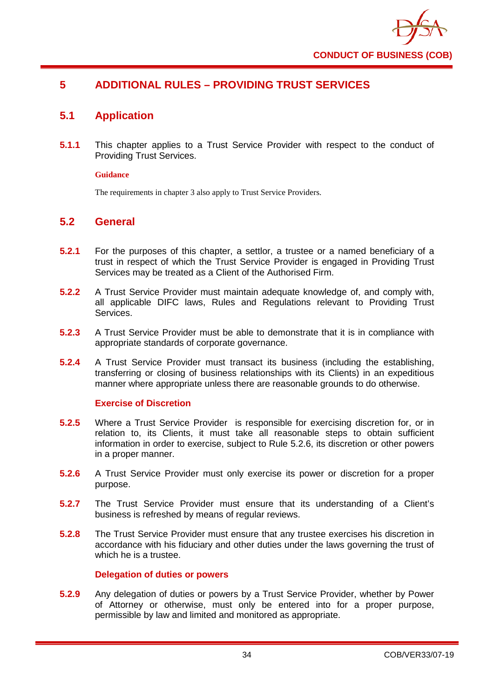

## **5 ADDITIONAL RULES – PROVIDING TRUST SERVICES**

## **5.1 Application**

**5.1.1** This chapter applies to a Trust Service Provider with respect to the conduct of Providing Trust Services.

### **Guidance**

The requirements in chapter 3 also apply to Trust Service Providers.

## **5.2 General**

- **5.2.1** For the purposes of this chapter, a settlor, a trustee or a named beneficiary of a trust in respect of which the Trust Service Provider is engaged in Providing Trust Services may be treated as a Client of the Authorised Firm.
- **5.2.2** A Trust Service Provider must maintain adequate knowledge of, and comply with, all applicable DIFC laws, Rules and Regulations relevant to Providing Trust Services.
- **5.2.3** A Trust Service Provider must be able to demonstrate that it is in compliance with appropriate standards of corporate governance.
- **5.2.4** A Trust Service Provider must transact its business (including the establishing, transferring or closing of business relationships with its Clients) in an expeditious manner where appropriate unless there are reasonable grounds to do otherwise.

### **Exercise of Discretion**

- **5.2.5** Where a Trust Service Provider is responsible for exercising discretion for, or in relation to, its Clients, it must take all reasonable steps to obtain sufficient information in order to exercise, subject to Rule 5.2.6, its discretion or other powers in a proper manner.
- **5.2.6** A Trust Service Provider must only exercise its power or discretion for a proper purpose.
- **5.2.7** The Trust Service Provider must ensure that its understanding of a Client's business is refreshed by means of regular reviews.
- **5.2.8** The Trust Service Provider must ensure that any trustee exercises his discretion in accordance with his fiduciary and other duties under the laws governing the trust of which he is a trustee.

### **Delegation of duties or powers**

**5.2.9** Any delegation of duties or powers by a Trust Service Provider, whether by Power of Attorney or otherwise, must only be entered into for a proper purpose, permissible by law and limited and monitored as appropriate.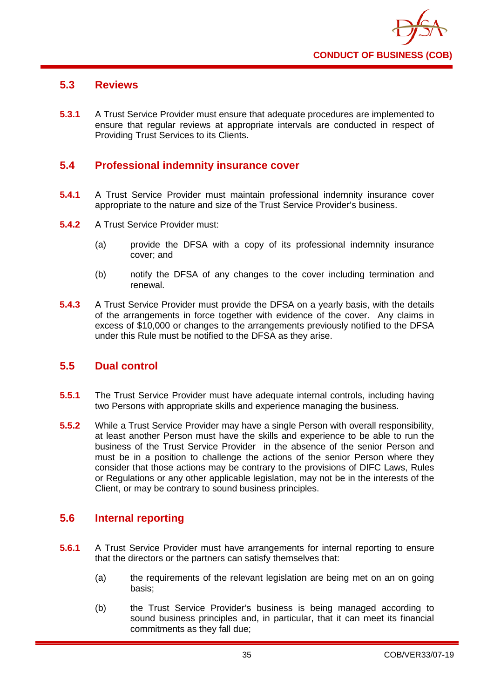

## **5.3 Reviews**

**5.3.1** A Trust Service Provider must ensure that adequate procedures are implemented to ensure that regular reviews at appropriate intervals are conducted in respect of Providing Trust Services to its Clients.

## **5.4 Professional indemnity insurance cover**

- **5.4.1** A Trust Service Provider must maintain professional indemnity insurance cover appropriate to the nature and size of the Trust Service Provider's business.
- **5.4.2** A Trust Service Provider must:
	- (a) provide the DFSA with a copy of its professional indemnity insurance cover; and
	- (b) notify the DFSA of any changes to the cover including termination and renewal.
- **5.4.3** A Trust Service Provider must provide the DFSA on a yearly basis, with the details of the arrangements in force together with evidence of the cover. Any claims in excess of \$10,000 or changes to the arrangements previously notified to the DFSA under this Rule must be notified to the DFSA as they arise.

## **5.5 Dual control**

- **5.5.1** The Trust Service Provider must have adequate internal controls, including having two Persons with appropriate skills and experience managing the business.
- **5.5.2** While a Trust Service Provider may have a single Person with overall responsibility, at least another Person must have the skills and experience to be able to run the business of the Trust Service Provider in the absence of the senior Person and must be in a position to challenge the actions of the senior Person where they consider that those actions may be contrary to the provisions of DIFC Laws, Rules or Regulations or any other applicable legislation, may not be in the interests of the Client, or may be contrary to sound business principles.

## **5.6 Internal reporting**

- **5.6.1** A Trust Service Provider must have arrangements for internal reporting to ensure that the directors or the partners can satisfy themselves that:
	- (a) the requirements of the relevant legislation are being met on an on going basis;
	- (b) the Trust Service Provider's business is being managed according to sound business principles and, in particular, that it can meet its financial commitments as they fall due;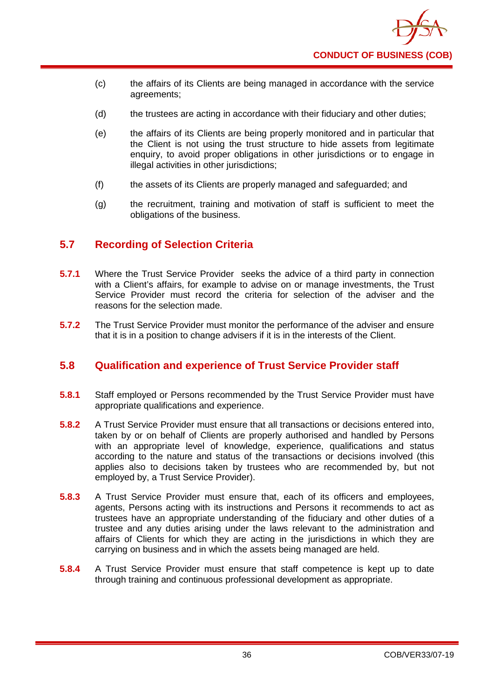

- (c) the affairs of its Clients are being managed in accordance with the service agreements;
- (d) the trustees are acting in accordance with their fiduciary and other duties;
- (e) the affairs of its Clients are being properly monitored and in particular that the Client is not using the trust structure to hide assets from legitimate enquiry, to avoid proper obligations in other jurisdictions or to engage in illegal activities in other jurisdictions:
- (f) the assets of its Clients are properly managed and safeguarded; and
- (g) the recruitment, training and motivation of staff is sufficient to meet the obligations of the business.

## **5.7 Recording of Selection Criteria**

- **5.7.1** Where the Trust Service Provider seeks the advice of a third party in connection with a Client's affairs, for example to advise on or manage investments, the Trust Service Provider must record the criteria for selection of the adviser and the reasons for the selection made.
- **5.7.2** The Trust Service Provider must monitor the performance of the adviser and ensure that it is in a position to change advisers if it is in the interests of the Client.

## **5.8 Qualification and experience of Trust Service Provider staff**

- **5.8.1** Staff employed or Persons recommended by the Trust Service Provider must have appropriate qualifications and experience.
- **5.8.2** A Trust Service Provider must ensure that all transactions or decisions entered into, taken by or on behalf of Clients are properly authorised and handled by Persons with an appropriate level of knowledge, experience, qualifications and status according to the nature and status of the transactions or decisions involved (this applies also to decisions taken by trustees who are recommended by, but not employed by, a Trust Service Provider).
- **5.8.3** A Trust Service Provider must ensure that, each of its officers and employees, agents, Persons acting with its instructions and Persons it recommends to act as trustees have an appropriate understanding of the fiduciary and other duties of a trustee and any duties arising under the laws relevant to the administration and affairs of Clients for which they are acting in the jurisdictions in which they are carrying on business and in which the assets being managed are held.
- **5.8.4** A Trust Service Provider must ensure that staff competence is kept up to date through training and continuous professional development as appropriate.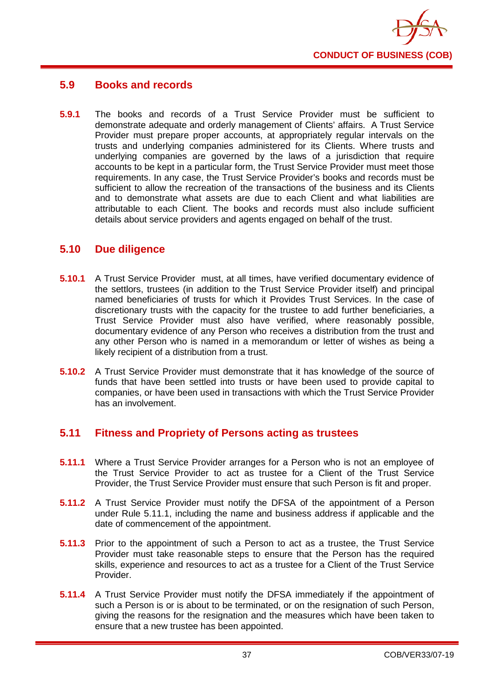

## **5.9 Books and records**

**5.9.1** The books and records of a Trust Service Provider must be sufficient to demonstrate adequate and orderly management of Clients' affairs. A Trust Service Provider must prepare proper accounts, at appropriately regular intervals on the trusts and underlying companies administered for its Clients. Where trusts and underlying companies are governed by the laws of a jurisdiction that require accounts to be kept in a particular form, the Trust Service Provider must meet those requirements. In any case, the Trust Service Provider's books and records must be sufficient to allow the recreation of the transactions of the business and its Clients and to demonstrate what assets are due to each Client and what liabilities are attributable to each Client. The books and records must also include sufficient details about service providers and agents engaged on behalf of the trust.

## **5.10 Due diligence**

- **5.10.1** A Trust Service Provider must, at all times, have verified documentary evidence of the settlors, trustees (in addition to the Trust Service Provider itself) and principal named beneficiaries of trusts for which it Provides Trust Services. In the case of discretionary trusts with the capacity for the trustee to add further beneficiaries, a Trust Service Provider must also have verified, where reasonably possible, documentary evidence of any Person who receives a distribution from the trust and any other Person who is named in a memorandum or letter of wishes as being a likely recipient of a distribution from a trust.
- **5.10.2** A Trust Service Provider must demonstrate that it has knowledge of the source of funds that have been settled into trusts or have been used to provide capital to companies, or have been used in transactions with which the Trust Service Provider has an involvement.

## **5.11 Fitness and Propriety of Persons acting as trustees**

- **5.11.1** Where a Trust Service Provider arranges for a Person who is not an employee of the Trust Service Provider to act as trustee for a Client of the Trust Service Provider, the Trust Service Provider must ensure that such Person is fit and proper.
- **5.11.2** A Trust Service Provider must notify the DFSA of the appointment of a Person under Rule 5.11.1, including the name and business address if applicable and the date of commencement of the appointment.
- **5.11.3** Prior to the appointment of such a Person to act as a trustee, the Trust Service Provider must take reasonable steps to ensure that the Person has the required skills, experience and resources to act as a trustee for a Client of the Trust Service Provider.
- **5.11.4** A Trust Service Provider must notify the DFSA immediately if the appointment of such a Person is or is about to be terminated, or on the resignation of such Person, giving the reasons for the resignation and the measures which have been taken to ensure that a new trustee has been appointed.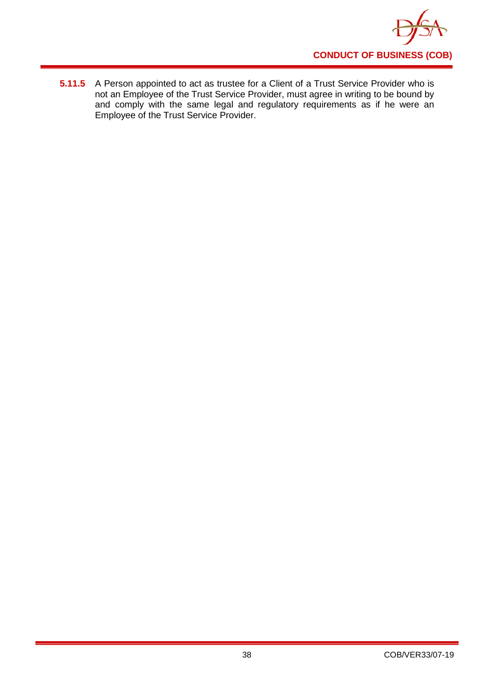

**5.11.5** A Person appointed to act as trustee for a Client of a Trust Service Provider who is not an Employee of the Trust Service Provider, must agree in writing to be bound by and comply with the same legal and regulatory requirements as if he were an Employee of the Trust Service Provider.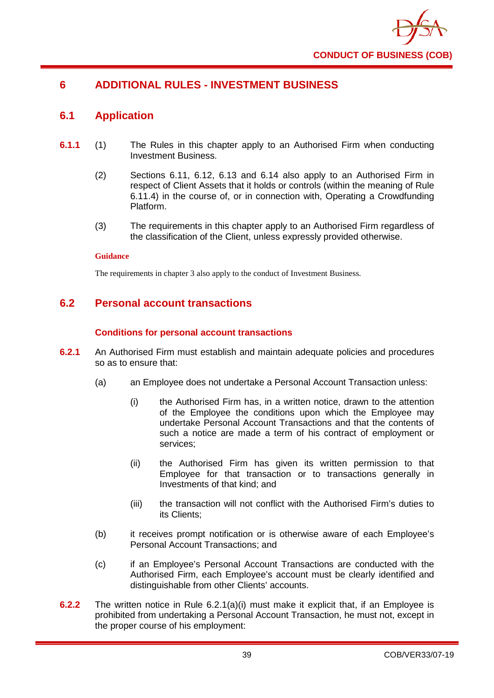

## **6 ADDITIONAL RULES - INVESTMENT BUSINESS**

## **6.1 Application**

- **6.1.1** (1) The Rules in this chapter apply to an Authorised Firm when conducting Investment Business.
	- (2) Sections 6.11, 6.12, 6.13 and 6.14 also apply to an Authorised Firm in respect of Client Assets that it holds or controls (within the meaning of Rule 6.11.4) in the course of, or in connection with, Operating a Crowdfunding Platform.
	- (3) The requirements in this chapter apply to an Authorised Firm regardless of the classification of the Client, unless expressly provided otherwise.

### **Guidance**

The requirements in chapter 3 also apply to the conduct of Investment Business.

## **6.2 Personal account transactions**

### **Conditions for personal account transactions**

- **6.2.1** An Authorised Firm must establish and maintain adequate policies and procedures so as to ensure that:
	- (a) an Employee does not undertake a Personal Account Transaction unless:
		- (i) the Authorised Firm has, in a written notice, drawn to the attention of the Employee the conditions upon which the Employee may undertake Personal Account Transactions and that the contents of such a notice are made a term of his contract of employment or services;
		- (ii) the Authorised Firm has given its written permission to that Employee for that transaction or to transactions generally in Investments of that kind; and
		- (iii) the transaction will not conflict with the Authorised Firm's duties to its Clients;
	- (b) it receives prompt notification or is otherwise aware of each Employee's Personal Account Transactions; and
	- (c) if an Employee's Personal Account Transactions are conducted with the Authorised Firm, each Employee's account must be clearly identified and distinguishable from other Clients' accounts.
- **6.2.2** The written notice in Rule 6.2.1(a)(i) must make it explicit that, if an Employee is prohibited from undertaking a Personal Account Transaction, he must not, except in the proper course of his employment: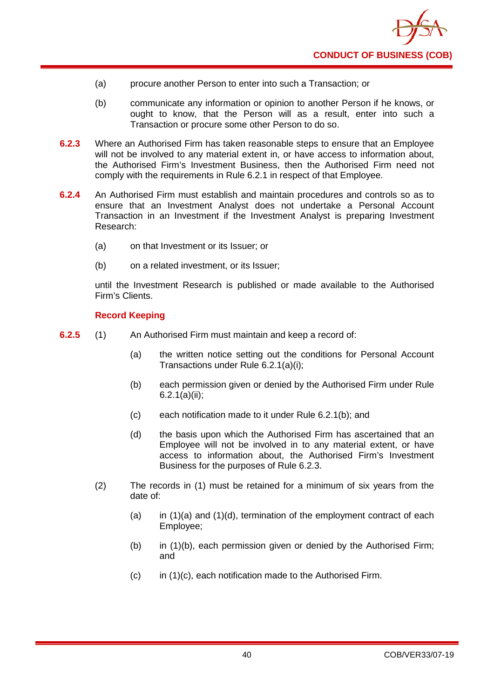

- (a) procure another Person to enter into such a Transaction; or
- (b) communicate any information or opinion to another Person if he knows, or ought to know, that the Person will as a result, enter into such a Transaction or procure some other Person to do so.
- **6.2.3** Where an Authorised Firm has taken reasonable steps to ensure that an Employee will not be involved to any material extent in, or have access to information about, the Authorised Firm's Investment Business, then the Authorised Firm need not comply with the requirements in Rule 6.2.1 in respect of that Employee.
- **6.2.4** An Authorised Firm must establish and maintain procedures and controls so as to ensure that an Investment Analyst does not undertake a Personal Account Transaction in an Investment if the Investment Analyst is preparing Investment Research:
	- (a) on that Investment or its Issuer; or
	- (b) on a related investment, or its Issuer;

until the Investment Research is published or made available to the Authorised Firm's Clients.

### **Record Keeping**

- **6.2.5** (1) An Authorised Firm must maintain and keep a record of:
	- (a) the written notice setting out the conditions for Personal Account Transactions under Rule 6.2.1(a)(i);
	- (b) each permission given or denied by the Authorised Firm under Rule 6.2.1(a)(ii);
	- (c) each notification made to it under Rule 6.2.1(b); and
	- (d) the basis upon which the Authorised Firm has ascertained that an Employee will not be involved in to any material extent, or have access to information about, the Authorised Firm's Investment Business for the purposes of Rule 6.2.3.
	- (2) The records in (1) must be retained for a minimum of six years from the date of:
		- (a) in  $(1)(a)$  and  $(1)(d)$ , termination of the employment contract of each Employee;
		- (b) in (1)(b), each permission given or denied by the Authorised Firm; and
		- (c) in (1)(c), each notification made to the Authorised Firm.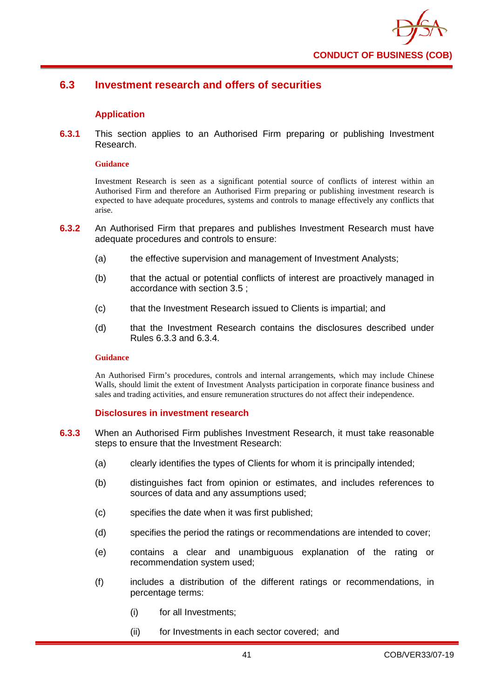

## **6.3 Investment research and offers of securities**

### **Application**

**6.3.1** This section applies to an Authorised Firm preparing or publishing Investment Research.

#### **Guidance**

Investment Research is seen as a significant potential source of conflicts of interest within an Authorised Firm and therefore an Authorised Firm preparing or publishing investment research is expected to have adequate procedures, systems and controls to manage effectively any conflicts that arise.

- **6.3.2** An Authorised Firm that prepares and publishes Investment Research must have adequate procedures and controls to ensure:
	- (a) the effective supervision and management of Investment Analysts;
	- (b) that the actual or potential conflicts of interest are proactively managed in accordance with section 3.5 ;
	- (c) that the Investment Research issued to Clients is impartial; and
	- (d) that the Investment Research contains the disclosures described under Rules 6.3.3 and 6.3.4.

#### **Guidance**

An Authorised Firm's procedures, controls and internal arrangements, which may include Chinese Walls, should limit the extent of Investment Analysts participation in corporate finance business and sales and trading activities, and ensure remuneration structures do not affect their independence.

### **Disclosures in investment research**

- **6.3.3** When an Authorised Firm publishes Investment Research, it must take reasonable steps to ensure that the Investment Research:
	- (a) clearly identifies the types of Clients for whom it is principally intended;
	- (b) distinguishes fact from opinion or estimates, and includes references to sources of data and any assumptions used;
	- (c) specifies the date when it was first published;
	- (d) specifies the period the ratings or recommendations are intended to cover;
	- (e) contains a clear and unambiguous explanation of the rating or recommendation system used;
	- (f) includes a distribution of the different ratings or recommendations, in percentage terms:
		- (i) for all Investments;
		- (ii) for Investments in each sector covered; and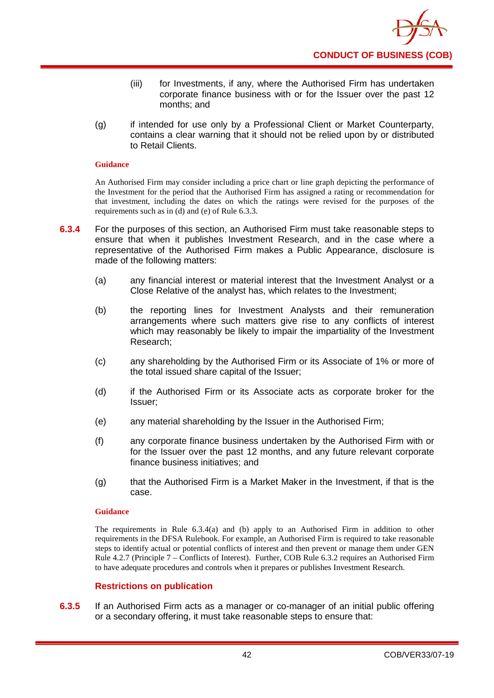

- (iii) for Investments, if any, where the Authorised Firm has undertaken corporate finance business with or for the Issuer over the past 12 months; and
- (g) if intended for use only by a Professional Client or Market Counterparty, contains a clear warning that it should not be relied upon by or distributed to Retail Clients.

An Authorised Firm may consider including a price chart or line graph depicting the performance of the Investment for the period that the Authorised Firm has assigned a rating or recommendation for that investment, including the dates on which the ratings were revised for the purposes of the requirements such as in (d) and (e) of Rule 6.3.3.

- **6.3.4** For the purposes of this section, an Authorised Firm must take reasonable steps to ensure that when it publishes Investment Research, and in the case where a representative of the Authorised Firm makes a Public Appearance, disclosure is made of the following matters:
	- (a) any financial interest or material interest that the Investment Analyst or a Close Relative of the analyst has, which relates to the Investment;
	- (b) the reporting lines for Investment Analysts and their remuneration arrangements where such matters give rise to any conflicts of interest which may reasonably be likely to impair the impartiality of the Investment Research;
	- (c) any shareholding by the Authorised Firm or its Associate of 1% or more of the total issued share capital of the Issuer;
	- (d) if the Authorised Firm or its Associate acts as corporate broker for the Issuer;
	- (e) any material shareholding by the Issuer in the Authorised Firm;
	- (f) any corporate finance business undertaken by the Authorised Firm with or for the Issuer over the past 12 months, and any future relevant corporate finance business initiatives; and
	- (g) that the Authorised Firm is a Market Maker in the Investment, if that is the case.

#### **Guidance**

The requirements in Rule 6.3.4(a) and (b) apply to an Authorised Firm in addition to other requirements in the DFSA Rulebook. For example, an Authorised Firm is required to take reasonable steps to identify actual or potential conflicts of interest and then prevent or manage them under GEN Rule 4.2.7 (Principle 7 – Conflicts of Interest). Further, COB Rule 6.3.2 requires an Authorised Firm to have adequate procedures and controls when it prepares or publishes Investment Research.

### **Restrictions on publication**

**6.3.5** If an Authorised Firm acts as a manager or co-manager of an initial public offering or a secondary offering, it must take reasonable steps to ensure that: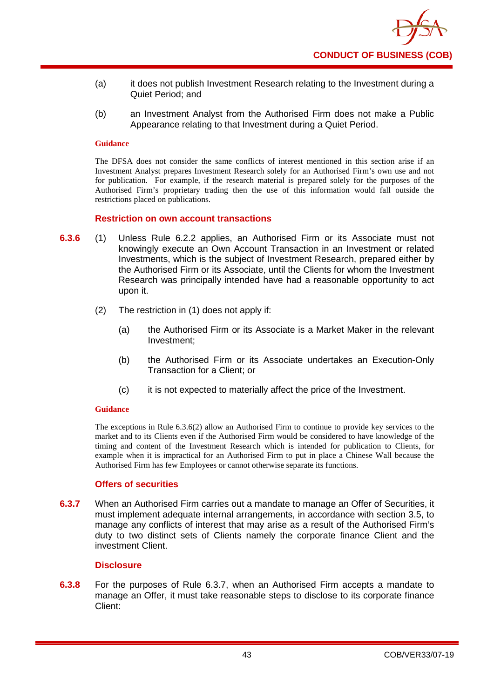

- (a) it does not publish Investment Research relating to the Investment during a Quiet Period; and
- (b) an Investment Analyst from the Authorised Firm does not make a Public Appearance relating to that Investment during a Quiet Period.

The DFSA does not consider the same conflicts of interest mentioned in this section arise if an Investment Analyst prepares Investment Research solely for an Authorised Firm's own use and not for publication. For example, if the research material is prepared solely for the purposes of the Authorised Firm's proprietary trading then the use of this information would fall outside the restrictions placed on publications.

#### **Restriction on own account transactions**

- **6.3.6** (1) Unless Rule 6.2.2 applies, an Authorised Firm or its Associate must not knowingly execute an Own Account Transaction in an Investment or related Investments, which is the subject of Investment Research, prepared either by the Authorised Firm or its Associate, until the Clients for whom the Investment Research was principally intended have had a reasonable opportunity to act upon it.
	- (2) The restriction in (1) does not apply if:
		- (a) the Authorised Firm or its Associate is a Market Maker in the relevant Investment;
		- (b) the Authorised Firm or its Associate undertakes an Execution-Only Transaction for a Client; or
		- (c) it is not expected to materially affect the price of the Investment.

### **Guidance**

The exceptions in Rule 6.3.6(2) allow an Authorised Firm to continue to provide key services to the market and to its Clients even if the Authorised Firm would be considered to have knowledge of the timing and content of the Investment Research which is intended for publication to Clients, for example when it is impractical for an Authorised Firm to put in place a Chinese Wall because the Authorised Firm has few Employees or cannot otherwise separate its functions.

### **Offers of securities**

**6.3.7** When an Authorised Firm carries out a mandate to manage an Offer of Securities, it must implement adequate internal arrangements, in accordance with section 3.5, to manage any conflicts of interest that may arise as a result of the Authorised Firm's duty to two distinct sets of Clients namely the corporate finance Client and the investment Client.

### **Disclosure**

**6.3.8** For the purposes of Rule 6.3.7, when an Authorised Firm accepts a mandate to manage an Offer, it must take reasonable steps to disclose to its corporate finance Client: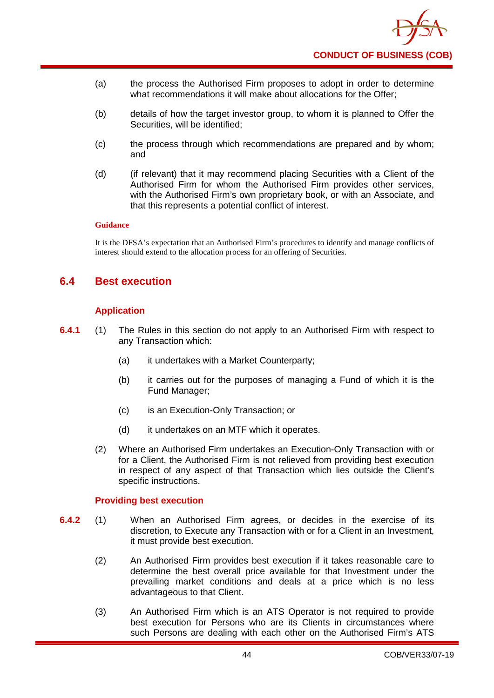

- (a) the process the Authorised Firm proposes to adopt in order to determine what recommendations it will make about allocations for the Offer;
- (b) details of how the target investor group, to whom it is planned to Offer the Securities, will be identified;
- (c) the process through which recommendations are prepared and by whom; and
- (d) (if relevant) that it may recommend placing Securities with a Client of the Authorised Firm for whom the Authorised Firm provides other services, with the Authorised Firm's own proprietary book, or with an Associate, and that this represents a potential conflict of interest.

It is the DFSA's expectation that an Authorised Firm's procedures to identify and manage conflicts of interest should extend to the allocation process for an offering of Securities.

## **6.4 Best execution**

### **Application**

- **6.4.1** (1) The Rules in this section do not apply to an Authorised Firm with respect to any Transaction which:
	- (a) it undertakes with a Market Counterparty;
	- (b) it carries out for the purposes of managing a Fund of which it is the Fund Manager;
	- (c) is an Execution-Only Transaction; or
	- (d) it undertakes on an MTF which it operates.
	- (2) Where an Authorised Firm undertakes an Execution-Only Transaction with or for a Client, the Authorised Firm is not relieved from providing best execution in respect of any aspect of that Transaction which lies outside the Client's specific instructions.

#### **Providing best execution**

- **6.4.2** (1) When an Authorised Firm agrees, or decides in the exercise of its discretion, to Execute any Transaction with or for a Client in an Investment, it must provide best execution.
	- (2) An Authorised Firm provides best execution if it takes reasonable care to determine the best overall price available for that Investment under the prevailing market conditions and deals at a price which is no less advantageous to that Client.
	- (3) An Authorised Firm which is an ATS Operator is not required to provide best execution for Persons who are its Clients in circumstances where such Persons are dealing with each other on the Authorised Firm's ATS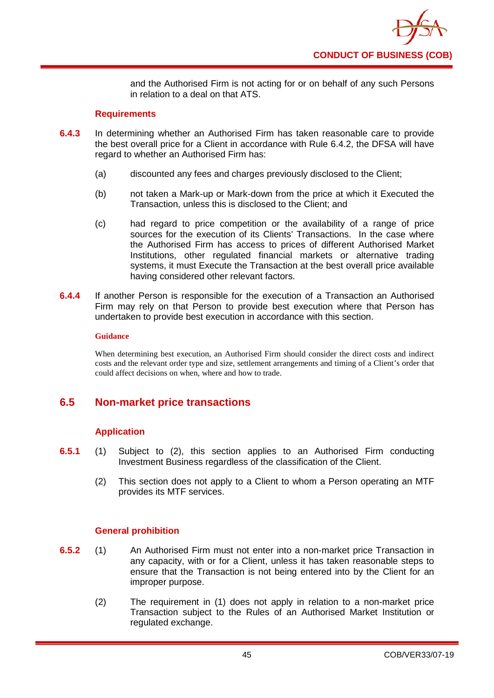

and the Authorised Firm is not acting for or on behalf of any such Persons in relation to a deal on that ATS.

### **Requirements**

- **6.4.3** In determining whether an Authorised Firm has taken reasonable care to provide the best overall price for a Client in accordance with Rule 6.4.2, the DFSA will have regard to whether an Authorised Firm has:
	- (a) discounted any fees and charges previously disclosed to the Client;
	- (b) not taken a Mark-up or Mark-down from the price at which it Executed the Transaction, unless this is disclosed to the Client; and
	- (c) had regard to price competition or the availability of a range of price sources for the execution of its Clients' Transactions. In the case where the Authorised Firm has access to prices of different Authorised Market Institutions, other regulated financial markets or alternative trading systems, it must Execute the Transaction at the best overall price available having considered other relevant factors.
- **6.4.4** If another Person is responsible for the execution of a Transaction an Authorised Firm may rely on that Person to provide best execution where that Person has undertaken to provide best execution in accordance with this section.

#### **Guidance**

When determining best execution, an Authorised Firm should consider the direct costs and indirect costs and the relevant order type and size, settlement arrangements and timing of a Client's order that could affect decisions on when, where and how to trade.

## **6.5 Non-market price transactions**

### **Application**

- **6.5.1** (1) Subject to (2), this section applies to an Authorised Firm conducting Investment Business regardless of the classification of the Client.
	- (2) This section does not apply to a Client to whom a Person operating an MTF provides its MTF services.

### **General prohibition**

- **6.5.2** (1) An Authorised Firm must not enter into a non-market price Transaction in any capacity, with or for a Client, unless it has taken reasonable steps to ensure that the Transaction is not being entered into by the Client for an improper purpose.
	- (2) The requirement in (1) does not apply in relation to a non-market price Transaction subject to the Rules of an Authorised Market Institution or regulated exchange.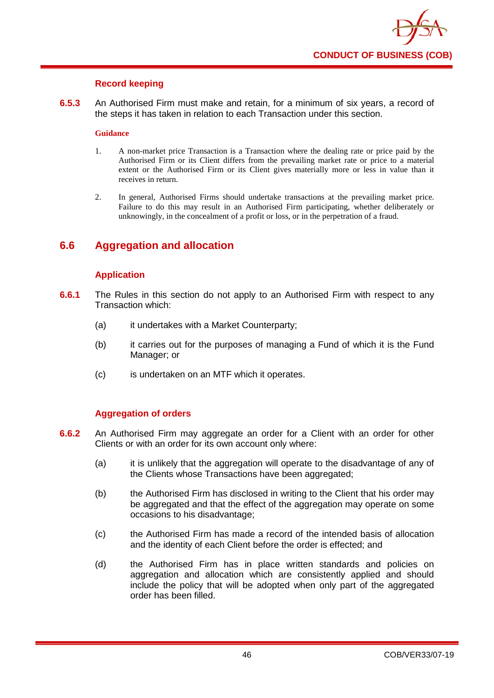

### **Record keeping**

**6.5.3** An Authorised Firm must make and retain, for a minimum of six years, a record of the steps it has taken in relation to each Transaction under this section.

#### **Guidance**

- 1. A non-market price Transaction is a Transaction where the dealing rate or price paid by the Authorised Firm or its Client differs from the prevailing market rate or price to a material extent or the Authorised Firm or its Client gives materially more or less in value than it receives in return.
- 2. In general, Authorised Firms should undertake transactions at the prevailing market price. Failure to do this may result in an Authorised Firm participating, whether deliberately or unknowingly, in the concealment of a profit or loss, or in the perpetration of a fraud.

## **6.6 Aggregation and allocation**

### **Application**

- **6.6.1** The Rules in this section do not apply to an Authorised Firm with respect to any Transaction which:
	- (a) it undertakes with a Market Counterparty;
	- (b) it carries out for the purposes of managing a Fund of which it is the Fund Manager; or
	- (c) is undertaken on an MTF which it operates.

### **Aggregation of orders**

- **6.6.2** An Authorised Firm may aggregate an order for a Client with an order for other Clients or with an order for its own account only where:
	- (a) it is unlikely that the aggregation will operate to the disadvantage of any of the Clients whose Transactions have been aggregated;
	- (b) the Authorised Firm has disclosed in writing to the Client that his order may be aggregated and that the effect of the aggregation may operate on some occasions to his disadvantage;
	- (c) the Authorised Firm has made a record of the intended basis of allocation and the identity of each Client before the order is effected; and
	- (d) the Authorised Firm has in place written standards and policies on aggregation and allocation which are consistently applied and should include the policy that will be adopted when only part of the aggregated order has been filled.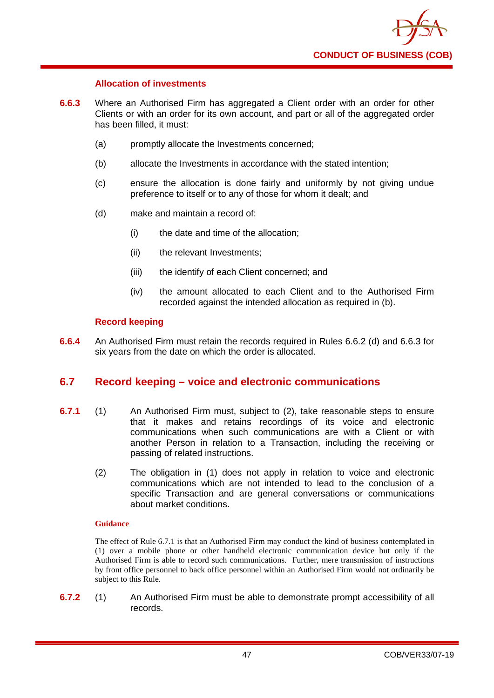

### **Allocation of investments**

- **6.6.3** Where an Authorised Firm has aggregated a Client order with an order for other Clients or with an order for its own account, and part or all of the aggregated order has been filled, it must:
	- (a) promptly allocate the Investments concerned;
	- (b) allocate the Investments in accordance with the stated intention;
	- (c) ensure the allocation is done fairly and uniformly by not giving undue preference to itself or to any of those for whom it dealt; and
	- (d) make and maintain a record of:
		- (i) the date and time of the allocation;
		- (ii) the relevant Investments;
		- (iii) the identify of each Client concerned; and
		- (iv) the amount allocated to each Client and to the Authorised Firm recorded against the intended allocation as required in (b).

### **Record keeping**

**6.6.4** An Authorised Firm must retain the records required in Rules 6.6.2 (d) and 6.6.3 for six years from the date on which the order is allocated.

## **6.7 Record keeping – voice and electronic communications**

- **6.7.1** (1) An Authorised Firm must, subject to (2), take reasonable steps to ensure that it makes and retains recordings of its voice and electronic communications when such communications are with a Client or with another Person in relation to a Transaction, including the receiving or passing of related instructions.
	- (2) The obligation in (1) does not apply in relation to voice and electronic communications which are not intended to lead to the conclusion of a specific Transaction and are general conversations or communications about market conditions.

#### **Guidance**

The effect of Rule 6.7.1 is that an Authorised Firm may conduct the kind of business contemplated in (1) over a mobile phone or other handheld electronic communication device but only if the Authorised Firm is able to record such communications. Further, mere transmission of instructions by front office personnel to back office personnel within an Authorised Firm would not ordinarily be subject to this Rule.

**6.7.2** (1) An Authorised Firm must be able to demonstrate prompt accessibility of all records.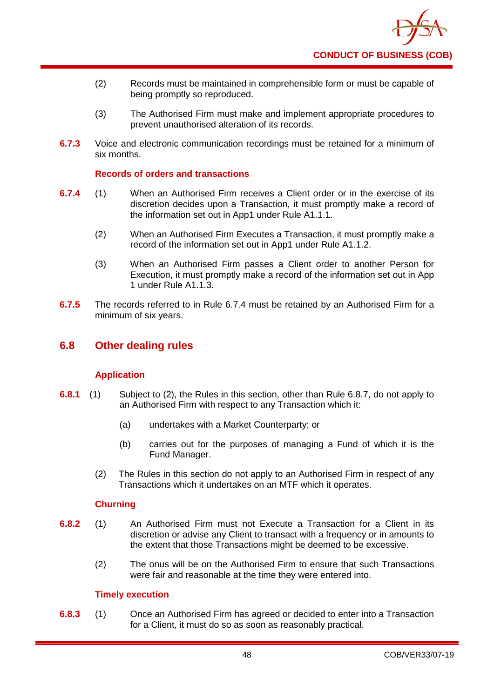

- (2) Records must be maintained in comprehensible form or must be capable of being promptly so reproduced.
- (3) The Authorised Firm must make and implement appropriate procedures to prevent unauthorised alteration of its records.
- **6.7.3** Voice and electronic communication recordings must be retained for a minimum of six months.

### **Records of orders and transactions**

- **6.7.4** (1) When an Authorised Firm receives a Client order or in the exercise of its discretion decides upon a Transaction, it must promptly make a record of the information set out in App1 under Rule A1.1.1.
	- (2) When an Authorised Firm Executes a Transaction, it must promptly make a record of the information set out in App1 under Rule A1.1.2.
	- (3) When an Authorised Firm passes a Client order to another Person for Execution, it must promptly make a record of the information set out in App 1 under Rule A1.1.3.
- **6.7.5** The records referred to in Rule 6.7.4 must be retained by an Authorised Firm for a minimum of six years.

## **6.8 Other dealing rules**

### **Application**

- **6.8.1** (1) Subject to (2), the Rules in this section, other than Rule 6.8.7, do not apply to an Authorised Firm with respect to any Transaction which it:
	- (a) undertakes with a Market Counterparty; or
	- (b) carries out for the purposes of managing a Fund of which it is the Fund Manager.
	- (2) The Rules in this section do not apply to an Authorised Firm in respect of any Transactions which it undertakes on an MTF which it operates.

### **Churning**

- **6.8.2** (1) An Authorised Firm must not Execute a Transaction for a Client in its discretion or advise any Client to transact with a frequency or in amounts to the extent that those Transactions might be deemed to be excessive.
	- (2) The onus will be on the Authorised Firm to ensure that such Transactions were fair and reasonable at the time they were entered into.

### **Timely execution**

**6.8.3** (1) Once an Authorised Firm has agreed or decided to enter into a Transaction for a Client, it must do so as soon as reasonably practical.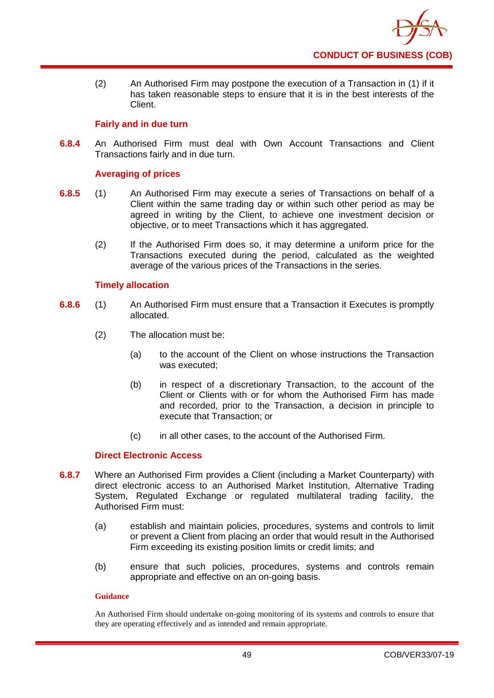

(2) An Authorised Firm may postpone the execution of a Transaction in (1) if it has taken reasonable steps to ensure that it is in the best interests of the Client.

### **Fairly and in due turn**

**6.8.4** An Authorised Firm must deal with Own Account Transactions and Client Transactions fairly and in due turn.

### **Averaging of prices**

- **6.8.5** (1) An Authorised Firm may execute a series of Transactions on behalf of a Client within the same trading day or within such other period as may be agreed in writing by the Client, to achieve one investment decision or objective, or to meet Transactions which it has aggregated.
	- (2) If the Authorised Firm does so, it may determine a uniform price for the Transactions executed during the period, calculated as the weighted average of the various prices of the Transactions in the series.

### **Timely allocation**

- **6.8.6** (1) An Authorised Firm must ensure that a Transaction it Executes is promptly allocated.
	- (2) The allocation must be:
		- (a) to the account of the Client on whose instructions the Transaction was executed;
		- (b) in respect of a discretionary Transaction, to the account of the Client or Clients with or for whom the Authorised Firm has made and recorded, prior to the Transaction, a decision in principle to execute that Transaction; or
		- (c) in all other cases, to the account of the Authorised Firm.

### **Direct Electronic Access**

- **6.8.7** Where an Authorised Firm provides a Client (including a Market Counterparty) with direct electronic access to an Authorised Market Institution, Alternative Trading System, Regulated Exchange or regulated multilateral trading facility, the Authorised Firm must:
	- (a) establish and maintain policies, procedures, systems and controls to limit or prevent a Client from placing an order that would result in the Authorised Firm exceeding its existing position limits or credit limits; and
	- (b) ensure that such policies, procedures, systems and controls remain appropriate and effective on an on-going basis.

### **Guidance**

An Authorised Firm should undertake on-going monitoring of its systems and controls to ensure that they are operating effectively and as intended and remain appropriate.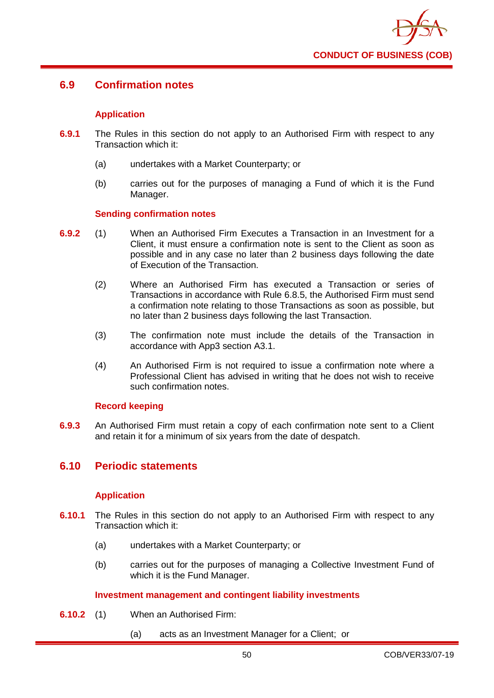

## **6.9 Confirmation notes**

### **Application**

- **6.9.1** The Rules in this section do not apply to an Authorised Firm with respect to any Transaction which it:
	- (a) undertakes with a Market Counterparty; or
	- (b) carries out for the purposes of managing a Fund of which it is the Fund Manager.

### **Sending confirmation notes**

- **6.9.2** (1) When an Authorised Firm Executes a Transaction in an Investment for a Client, it must ensure a confirmation note is sent to the Client as soon as possible and in any case no later than 2 business days following the date of Execution of the Transaction.
	- (2) Where an Authorised Firm has executed a Transaction or series of Transactions in accordance with Rule 6.8.5, the Authorised Firm must send a confirmation note relating to those Transactions as soon as possible, but no later than 2 business days following the last Transaction.
	- (3) The confirmation note must include the details of the Transaction in accordance with App3 section A3.1.
	- (4) An Authorised Firm is not required to issue a confirmation note where a Professional Client has advised in writing that he does not wish to receive such confirmation notes.

### **Record keeping**

**6.9.3** An Authorised Firm must retain a copy of each confirmation note sent to a Client and retain it for a minimum of six years from the date of despatch.

## **6.10 Periodic statements**

### **Application**

- **6.10.1** The Rules in this section do not apply to an Authorised Firm with respect to any Transaction which it:
	- (a) undertakes with a Market Counterparty; or
	- (b) carries out for the purposes of managing a Collective Investment Fund of which it is the Fund Manager.

### **Investment management and contingent liability investments**

- **6.10.2** (1) When an Authorised Firm:
	- (a) acts as an Investment Manager for a Client; or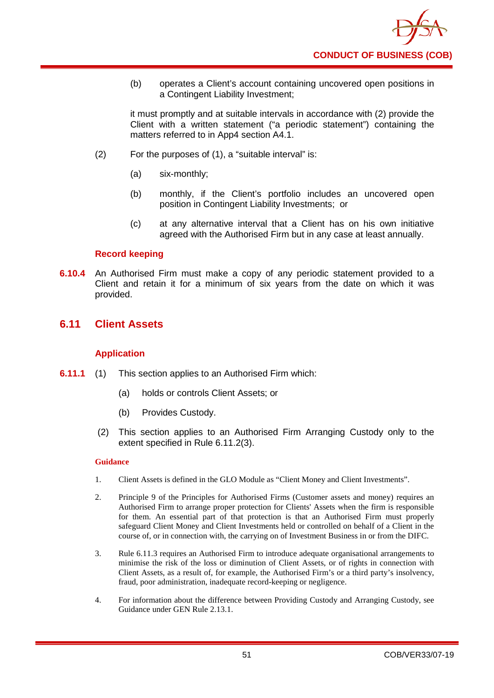

(b) operates a Client's account containing uncovered open positions in a Contingent Liability Investment;

it must promptly and at suitable intervals in accordance with (2) provide the Client with a written statement ("a periodic statement") containing the matters referred to in App4 section A4.1.

- (2) For the purposes of (1), a "suitable interval" is:
	- (a) six-monthly;
	- (b) monthly, if the Client's portfolio includes an uncovered open position in Contingent Liability Investments; or
	- (c) at any alternative interval that a Client has on his own initiative agreed with the Authorised Firm but in any case at least annually.

### **Record keeping**

**6.10.4** An Authorised Firm must make a copy of any periodic statement provided to a Client and retain it for a minimum of six years from the date on which it was provided.

## **6.11 Client Assets**

### **Application**

- **6.11.1** (1) This section applies to an Authorised Firm which:
	- (a) holds or controls Client Assets; or
	- (b) Provides Custody.
	- (2) This section applies to an Authorised Firm Arranging Custody only to the extent specified in Rule 6.11.2(3).

### **Guidance**

- 1. Client Assets is defined in the GLO Module as "Client Money and Client Investments".
- 2. Principle 9 of the Principles for Authorised Firms (Customer assets and money) requires an Authorised Firm to arrange proper protection for Clients' Assets when the firm is responsible for them. An essential part of that protection is that an Authorised Firm must properly safeguard Client Money and Client Investments held or controlled on behalf of a Client in the course of, or in connection with, the carrying on of Investment Business in or from the DIFC.
- 3. Rule 6.11.3 requires an Authorised Firm to introduce adequate organisational arrangements to minimise the risk of the loss or diminution of Client Assets, or of rights in connection with Client Assets, as a result of, for example, the Authorised Firm's or a third party's insolvency, fraud, poor administration, inadequate record-keeping or negligence.
- 4. For information about the difference between Providing Custody and Arranging Custody, see Guidance under GEN Rule 2.13.1.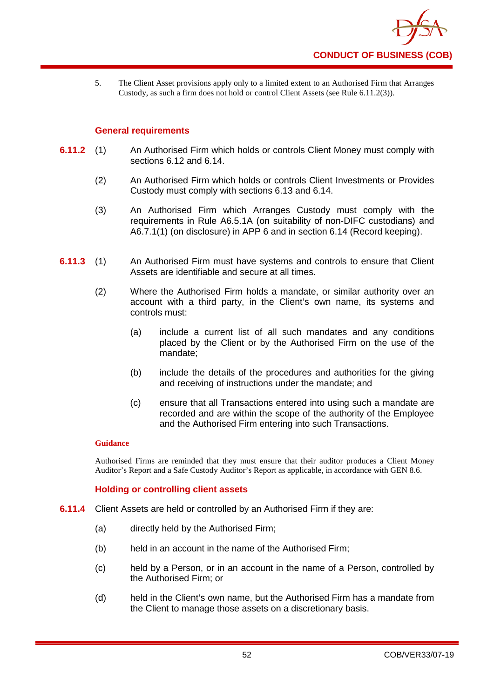

5. The Client Asset provisions apply only to a limited extent to an Authorised Firm that Arranges Custody, as such a firm does not hold or control Client Assets (see Rule 6.11.2(3)).

### **General requirements**

- **6.11.2** (1) An Authorised Firm which holds or controls Client Money must comply with sections 6.12 and 6.14.
	- (2) An Authorised Firm which holds or controls Client Investments or Provides Custody must comply with sections 6.13 and 6.14.
	- (3) An Authorised Firm which Arranges Custody must comply with the requirements in Rule A6.5.1A (on suitability of non-DIFC custodians) and A6.7.1(1) (on disclosure) in APP 6 and in section 6.14 (Record keeping).
- **6.11.3** (1) An Authorised Firm must have systems and controls to ensure that Client Assets are identifiable and secure at all times.
	- (2) Where the Authorised Firm holds a mandate, or similar authority over an account with a third party, in the Client's own name, its systems and controls must:
		- (a) include a current list of all such mandates and any conditions placed by the Client or by the Authorised Firm on the use of the mandate;
		- (b) include the details of the procedures and authorities for the giving and receiving of instructions under the mandate; and
		- (c) ensure that all Transactions entered into using such a mandate are recorded and are within the scope of the authority of the Employee and the Authorised Firm entering into such Transactions.

#### **Guidance**

Authorised Firms are reminded that they must ensure that their auditor produces a Client Money Auditor's Report and a Safe Custody Auditor's Report as applicable, in accordance with GEN 8.6.

### **Holding or controlling client assets**

- **6.11.4** Client Assets are held or controlled by an Authorised Firm if they are:
	- (a) directly held by the Authorised Firm;
	- (b) held in an account in the name of the Authorised Firm;
	- (c) held by a Person, or in an account in the name of a Person, controlled by the Authorised Firm; or
	- (d) held in the Client's own name, but the Authorised Firm has a mandate from the Client to manage those assets on a discretionary basis.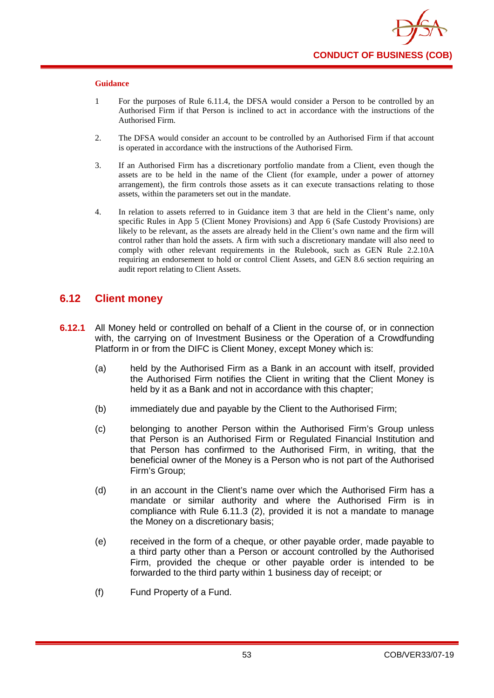- 1 For the purposes of Rule 6.11.4, the DFSA would consider a Person to be controlled by an Authorised Firm if that Person is inclined to act in accordance with the instructions of the Authorised Firm.
- 2. The DFSA would consider an account to be controlled by an Authorised Firm if that account is operated in accordance with the instructions of the Authorised Firm.
- 3. If an Authorised Firm has a discretionary portfolio mandate from a Client, even though the assets are to be held in the name of the Client (for example, under a power of attorney arrangement), the firm controls those assets as it can execute transactions relating to those assets, within the parameters set out in the mandate.
- 4. In relation to assets referred to in Guidance item 3 that are held in the Client's name, only specific Rules in App 5 (Client Money Provisions) and App 6 (Safe Custody Provisions) are likely to be relevant, as the assets are already held in the Client's own name and the firm will control rather than hold the assets. A firm with such a discretionary mandate will also need to comply with other relevant requirements in the Rulebook, such as GEN Rule 2.2.10A requiring an endorsement to hold or control Client Assets, and GEN 8.6 section requiring an audit report relating to Client Assets.

## **6.12 Client money**

- **6.12.1** All Money held or controlled on behalf of a Client in the course of, or in connection with, the carrying on of Investment Business or the Operation of a Crowdfunding Platform in or from the DIFC is Client Money, except Money which is:
	- (a) held by the Authorised Firm as a Bank in an account with itself, provided the Authorised Firm notifies the Client in writing that the Client Money is held by it as a Bank and not in accordance with this chapter;
	- (b) immediately due and payable by the Client to the Authorised Firm;
	- (c) belonging to another Person within the Authorised Firm's Group unless that Person is an Authorised Firm or Regulated Financial Institution and that Person has confirmed to the Authorised Firm, in writing, that the beneficial owner of the Money is a Person who is not part of the Authorised Firm's Group;
	- (d) in an account in the Client's name over which the Authorised Firm has a mandate or similar authority and where the Authorised Firm is in compliance with Rule 6.11.3 (2), provided it is not a mandate to manage the Money on a discretionary basis;
	- (e) received in the form of a cheque, or other payable order, made payable to a third party other than a Person or account controlled by the Authorised Firm, provided the cheque or other payable order is intended to be forwarded to the third party within 1 business day of receipt; or
	- (f) Fund Property of a Fund.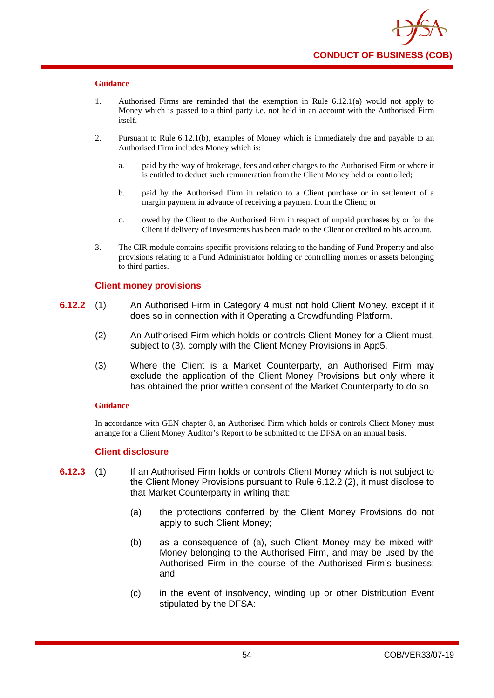- 1. Authorised Firms are reminded that the exemption in Rule 6.12.1(a) would not apply to Money which is passed to a third party i.e. not held in an account with the Authorised Firm itself.
- 2. Pursuant to Rule 6.12.1(b), examples of Money which is immediately due and payable to an Authorised Firm includes Money which is:
	- a. paid by the way of brokerage, fees and other charges to the Authorised Firm or where it is entitled to deduct such remuneration from the Client Money held or controlled;
	- b. paid by the Authorised Firm in relation to a Client purchase or in settlement of a margin payment in advance of receiving a payment from the Client; or
	- c. owed by the Client to the Authorised Firm in respect of unpaid purchases by or for the Client if delivery of Investments has been made to the Client or credited to his account.
- 3. The CIR module contains specific provisions relating to the handing of Fund Property and also provisions relating to a Fund Administrator holding or controlling monies or assets belonging to third parties.

### **Client money provisions**

- **6.12.2** (1) An Authorised Firm in Category 4 must not hold Client Money, except if it does so in connection with it Operating a Crowdfunding Platform.
	- (2) An Authorised Firm which holds or controls Client Money for a Client must, subject to (3), comply with the Client Money Provisions in App5.
	- (3) Where the Client is a Market Counterparty, an Authorised Firm may exclude the application of the Client Money Provisions but only where it has obtained the prior written consent of the Market Counterparty to do so.

#### **Guidance**

In accordance with GEN chapter 8, an Authorised Firm which holds or controls Client Money must arrange for a Client Money Auditor's Report to be submitted to the DFSA on an annual basis.

### **Client disclosure**

- **6.12.3** (1) If an Authorised Firm holds or controls Client Money which is not subject to the Client Money Provisions pursuant to Rule 6.12.2 (2), it must disclose to that Market Counterparty in writing that:
	- (a) the protections conferred by the Client Money Provisions do not apply to such Client Money;
	- (b) as a consequence of (a), such Client Money may be mixed with Money belonging to the Authorised Firm, and may be used by the Authorised Firm in the course of the Authorised Firm's business; and
	- (c) in the event of insolvency, winding up or other Distribution Event stipulated by the DFSA: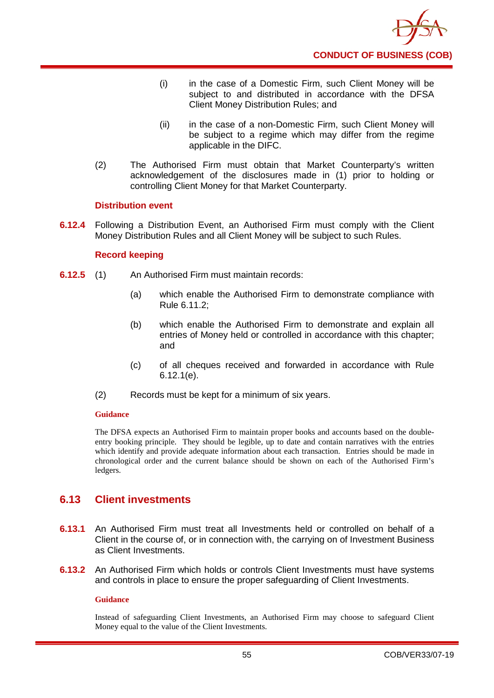

- (i) in the case of a Domestic Firm, such Client Money will be subject to and distributed in accordance with the DFSA Client Money Distribution Rules; and
- (ii) in the case of a non-Domestic Firm, such Client Money will be subject to a regime which may differ from the regime applicable in the DIFC.
- (2) The Authorised Firm must obtain that Market Counterparty's written acknowledgement of the disclosures made in (1) prior to holding or controlling Client Money for that Market Counterparty.

### **Distribution event**

**6.12.4** Following a Distribution Event, an Authorised Firm must comply with the Client Money Distribution Rules and all Client Money will be subject to such Rules.

### **Record keeping**

- **6.12.5** (1) An Authorised Firm must maintain records:
	- (a) which enable the Authorised Firm to demonstrate compliance with Rule 6.11.2;
	- (b) which enable the Authorised Firm to demonstrate and explain all entries of Money held or controlled in accordance with this chapter; and
	- (c) of all cheques received and forwarded in accordance with Rule 6.12.1(e).
	- (2) Records must be kept for a minimum of six years.

#### **Guidance**

The DFSA expects an Authorised Firm to maintain proper books and accounts based on the doubleentry booking principle. They should be legible, up to date and contain narratives with the entries which identify and provide adequate information about each transaction. Entries should be made in chronological order and the current balance should be shown on each of the Authorised Firm's ledgers.

## **6.13 Client investments**

- **6.13.1** An Authorised Firm must treat all Investments held or controlled on behalf of a Client in the course of, or in connection with, the carrying on of Investment Business as Client Investments.
- **6.13.2** An Authorised Firm which holds or controls Client Investments must have systems and controls in place to ensure the proper safeguarding of Client Investments.

### **Guidance**

Instead of safeguarding Client Investments, an Authorised Firm may choose to safeguard Client Money equal to the value of the Client Investments.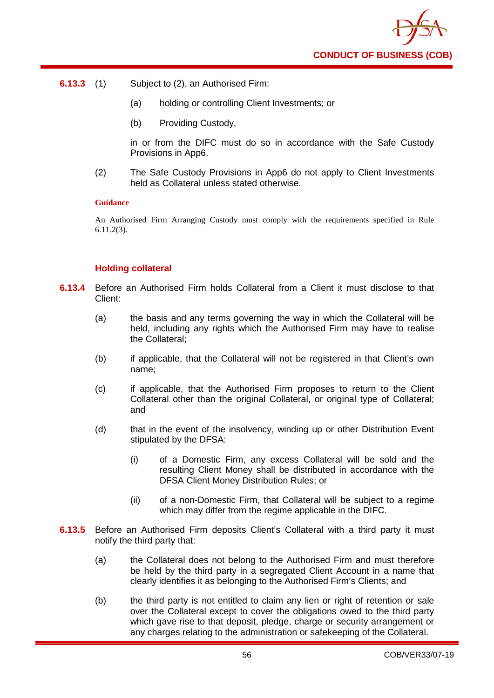

- **6.13.3** (1) Subject to (2), an Authorised Firm:
	- (a) holding or controlling Client Investments; or
	- (b) Providing Custody,

in or from the DIFC must do so in accordance with the Safe Custody Provisions in App6.

(2) The Safe Custody Provisions in App6 do not apply to Client Investments held as Collateral unless stated otherwise.

#### **Guidance**

An Authorised Firm Arranging Custody must comply with the requirements specified in Rule 6.11.2(3).

### **Holding collateral**

- **6.13.4** Before an Authorised Firm holds Collateral from a Client it must disclose to that Client:
	- (a) the basis and any terms governing the way in which the Collateral will be held, including any rights which the Authorised Firm may have to realise the Collateral;
	- (b) if applicable, that the Collateral will not be registered in that Client's own name;
	- (c) if applicable, that the Authorised Firm proposes to return to the Client Collateral other than the original Collateral, or original type of Collateral; and
	- (d) that in the event of the insolvency, winding up or other Distribution Event stipulated by the DFSA:
		- (i) of a Domestic Firm, any excess Collateral will be sold and the resulting Client Money shall be distributed in accordance with the DFSA Client Money Distribution Rules; or
		- (ii) of a non-Domestic Firm, that Collateral will be subject to a regime which may differ from the regime applicable in the DIFC.
- **6.13.5** Before an Authorised Firm deposits Client's Collateral with a third party it must notify the third party that:
	- (a) the Collateral does not belong to the Authorised Firm and must therefore be held by the third party in a segregated Client Account in a name that clearly identifies it as belonging to the Authorised Firm's Clients; and
	- (b) the third party is not entitled to claim any lien or right of retention or sale over the Collateral except to cover the obligations owed to the third party which gave rise to that deposit, pledge, charge or security arrangement or any charges relating to the administration or safekeeping of the Collateral.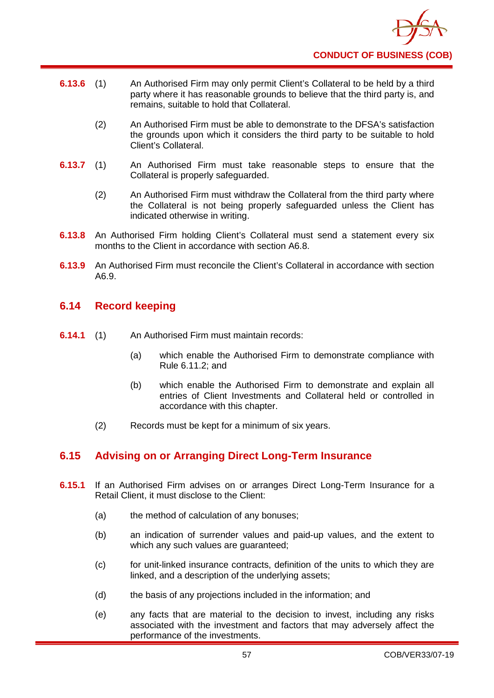

- **6.13.6** (1) An Authorised Firm may only permit Client's Collateral to be held by a third party where it has reasonable grounds to believe that the third party is, and remains, suitable to hold that Collateral.
	- (2) An Authorised Firm must be able to demonstrate to the DFSA's satisfaction the grounds upon which it considers the third party to be suitable to hold Client's Collateral.
- **6.13.7** (1) An Authorised Firm must take reasonable steps to ensure that the Collateral is properly safeguarded.
	- (2) An Authorised Firm must withdraw the Collateral from the third party where the Collateral is not being properly safeguarded unless the Client has indicated otherwise in writing.
- **6.13.8** An Authorised Firm holding Client's Collateral must send a statement every six months to the Client in accordance with section A6.8.
- **6.13.9** An Authorised Firm must reconcile the Client's Collateral in accordance with section A6.9.

## **6.14 Record keeping**

- **6.14.1** (1) An Authorised Firm must maintain records:
	- (a) which enable the Authorised Firm to demonstrate compliance with Rule 6.11.2; and
	- (b) which enable the Authorised Firm to demonstrate and explain all entries of Client Investments and Collateral held or controlled in accordance with this chapter.
	- (2) Records must be kept for a minimum of six years.

## **6.15 Advising on or Arranging Direct Long-Term Insurance**

- **6.15.1** If an Authorised Firm advises on or arranges Direct Long-Term Insurance for a Retail Client, it must disclose to the Client:
	- (a) the method of calculation of any bonuses;
	- (b) an indication of surrender values and paid-up values, and the extent to which any such values are guaranteed;
	- (c) for unit-linked insurance contracts, definition of the units to which they are linked, and a description of the underlying assets;
	- (d) the basis of any projections included in the information; and
	- (e) any facts that are material to the decision to invest, including any risks associated with the investment and factors that may adversely affect the performance of the investments.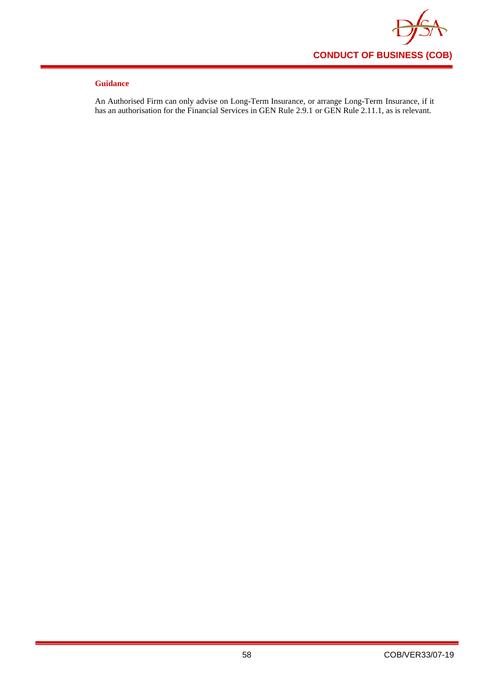

An Authorised Firm can only advise on Long-Term Insurance, or arrange Long-Term Insurance, if it has an authorisation for the Financial Services in GEN Rule 2.9.1 or GEN Rule 2.11.1, as is relevant.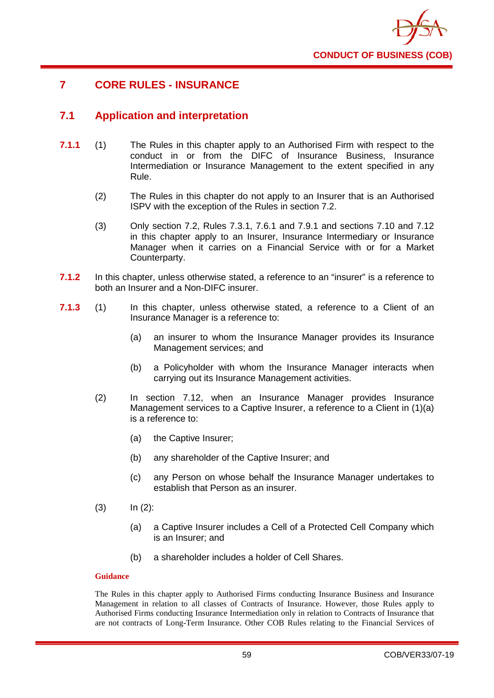

## **7 CORE RULES - INSURANCE**

## **7.1 Application and interpretation**

- **7.1.1** (1) The Rules in this chapter apply to an Authorised Firm with respect to the conduct in or from the DIFC of Insurance Business, Insurance Intermediation or Insurance Management to the extent specified in any Rule.
	- (2) The Rules in this chapter do not apply to an Insurer that is an Authorised ISPV with the exception of the Rules in section 7.2.
	- (3) Only section 7.2, Rules 7.3.1, 7.6.1 and 7.9.1 and sections 7.10 and 7.12 in this chapter apply to an Insurer, Insurance Intermediary or Insurance Manager when it carries on a Financial Service with or for a Market Counterparty.
- **7.1.2** In this chapter, unless otherwise stated, a reference to an "insurer" is a reference to both an Insurer and a Non-DIFC insurer.
- **7.1.3** (1) In this chapter, unless otherwise stated, a reference to a Client of an Insurance Manager is a reference to:
	- (a) an insurer to whom the Insurance Manager provides its Insurance Management services; and
	- (b) a Policyholder with whom the Insurance Manager interacts when carrying out its Insurance Management activities.
	- (2) In section 7.12, when an Insurance Manager provides Insurance Management services to a Captive Insurer, a reference to a Client in (1)(a) is a reference to:
		- (a) the Captive Insurer;
		- (b) any shareholder of the Captive Insurer; and
		- (c) any Person on whose behalf the Insurance Manager undertakes to establish that Person as an insurer.
	- $(3)$   $\ln (2)$ :
		- (a) a Captive Insurer includes a Cell of a Protected Cell Company which is an Insurer; and
		- (b) a shareholder includes a holder of Cell Shares.

#### **Guidance**

The Rules in this chapter apply to Authorised Firms conducting Insurance Business and Insurance Management in relation to all classes of Contracts of Insurance. However, those Rules apply to Authorised Firms conducting Insurance Intermediation only in relation to Contracts of Insurance that are not contracts of Long-Term Insurance. Other COB Rules relating to the Financial Services of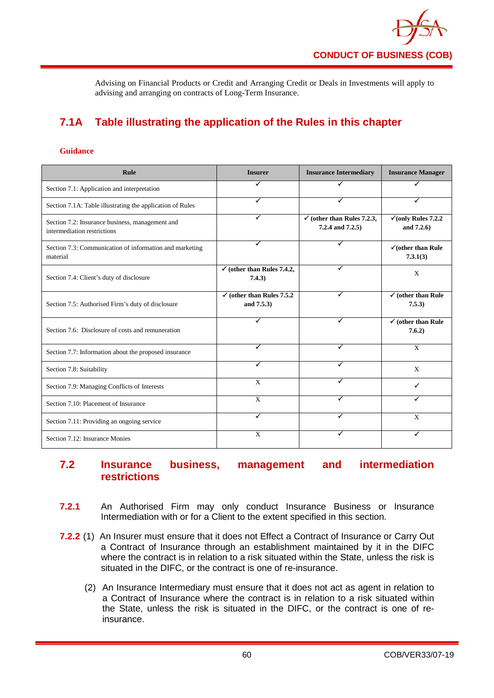

Advising on Financial Products or Credit and Arranging Credit or Deals in Investments will apply to advising and arranging on contracts of Long-Term Insurance.

# **7.1A Table illustrating the application of the Rules in this chapter**

#### **Guidance**

| <b>Rule</b>                                                                    | <b>Insurer</b>                                      | <b>Insurance Intermediary</b>                             | <b>Insurance Manager</b>                      |
|--------------------------------------------------------------------------------|-----------------------------------------------------|-----------------------------------------------------------|-----------------------------------------------|
| Section 7.1: Application and interpretation                                    |                                                     |                                                           |                                               |
| Section 7.1A: Table illustrating the application of Rules                      | ✓                                                   | ✓                                                         |                                               |
| Section 7.2: Insurance business, management and<br>intermediation restrictions | ✓                                                   | $\checkmark$ (other than Rules 7.2.3,<br>7.2.4 and 7.2.5) | $\checkmark$ (only Rules 7.2.2)<br>and 7.2.6) |
| Section 7.3: Communication of information and marketing<br>material            |                                                     |                                                           | $\checkmark$ (other than Rule<br>7.3.1(3)     |
| Section 7.4: Client's duty of disclosure                                       | $\checkmark$ (other than Rules 7.4.2,<br>7.4.3)     | ✓                                                         | X                                             |
| Section 7.5: Authorised Firm's duty of disclosure                              | $\checkmark$ (other than Rules 7.5.2)<br>and 7.5.3) | ✓                                                         | $\checkmark$ (other than Rule<br>7.5.3)       |
| Section 7.6: Disclosure of costs and remuneration                              |                                                     | ✓                                                         | $\checkmark$ (other than Rule<br>7.6.2)       |
| Section 7.7: Information about the proposed insurance                          | ✓                                                   | ✓                                                         | $\mathbf{X}$                                  |
| Section 7.8: Suitability                                                       | ✓                                                   |                                                           | X                                             |
| Section 7.9: Managing Conflicts of Interests                                   | X                                                   |                                                           | ✓                                             |
| Section 7.10: Placement of Insurance                                           | $\overline{X}$                                      |                                                           |                                               |
| Section 7.11: Providing an ongoing service                                     | ✓                                                   |                                                           | X                                             |
| Section 7.12: Insurance Monies                                                 | X                                                   |                                                           | ✓                                             |

## **7.2 Insurance business, management and intermediation restrictions**

- **7.2.1** An Authorised Firm may only conduct Insurance Business or Insurance Intermediation with or for a Client to the extent specified in this section.
- **7.2.2** (1) An Insurer must ensure that it does not Effect a Contract of Insurance or Carry Out a Contract of Insurance through an establishment maintained by it in the DIFC where the contract is in relation to a risk situated within the State, unless the risk is situated in the DIFC, or the contract is one of re-insurance.
	- (2) An Insurance Intermediary must ensure that it does not act as agent in relation to a Contract of Insurance where the contract is in relation to a risk situated within the State, unless the risk is situated in the DIFC, or the contract is one of reinsurance.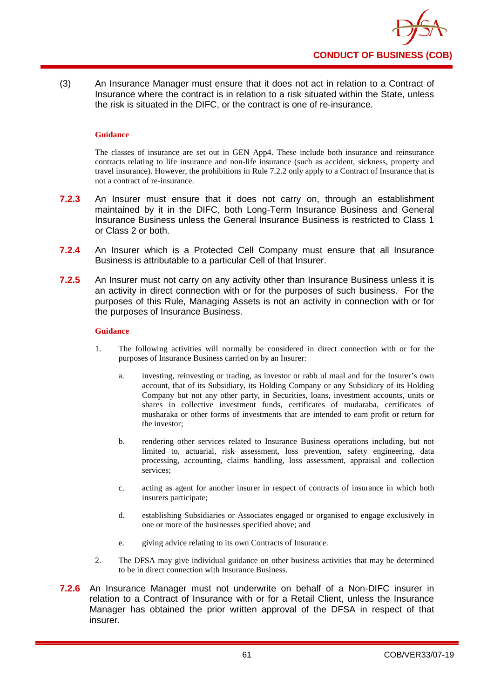

(3) An Insurance Manager must ensure that it does not act in relation to a Contract of Insurance where the contract is in relation to a risk situated within the State, unless the risk is situated in the DIFC, or the contract is one of re-insurance.

#### **Guidance**

The classes of insurance are set out in GEN App4. These include both insurance and reinsurance contracts relating to life insurance and non-life insurance (such as accident, sickness, property and travel insurance). However, the prohibitions in Rule 7.2.2 only apply to a Contract of Insurance that is not a contract of re-insurance.

- **7.2.3** An Insurer must ensure that it does not carry on, through an establishment maintained by it in the DIFC, both Long-Term Insurance Business and General Insurance Business unless the General Insurance Business is restricted to Class 1 or Class 2 or both.
- **7.2.4** An Insurer which is a Protected Cell Company must ensure that all Insurance Business is attributable to a particular Cell of that Insurer.
- **7.2.5** An Insurer must not carry on any activity other than Insurance Business unless it is an activity in direct connection with or for the purposes of such business. For the purposes of this Rule, Managing Assets is not an activity in connection with or for the purposes of Insurance Business.

#### **Guidance**

- 1. The following activities will normally be considered in direct connection with or for the purposes of Insurance Business carried on by an Insurer:
	- a. investing, reinvesting or trading, as investor or rabb ul maal and for the Insurer's own account, that of its Subsidiary, its Holding Company or any Subsidiary of its Holding Company but not any other party, in Securities, loans, investment accounts, units or shares in collective investment funds, certificates of mudaraba, certificates of musharaka or other forms of investments that are intended to earn profit or return for the investor;
	- b. rendering other services related to Insurance Business operations including, but not limited to, actuarial, risk assessment, loss prevention, safety engineering, data processing, accounting, claims handling, loss assessment, appraisal and collection services;
	- c. acting as agent for another insurer in respect of contracts of insurance in which both insurers participate;
	- d. establishing Subsidiaries or Associates engaged or organised to engage exclusively in one or more of the businesses specified above; and
	- e. giving advice relating to its own Contracts of Insurance.
- 2. The DFSA may give individual guidance on other business activities that may be determined to be in direct connection with Insurance Business.
- **7.2.6** An Insurance Manager must not underwrite on behalf of a Non-DIFC insurer in relation to a Contract of Insurance with or for a Retail Client, unless the Insurance Manager has obtained the prior written approval of the DFSA in respect of that insurer.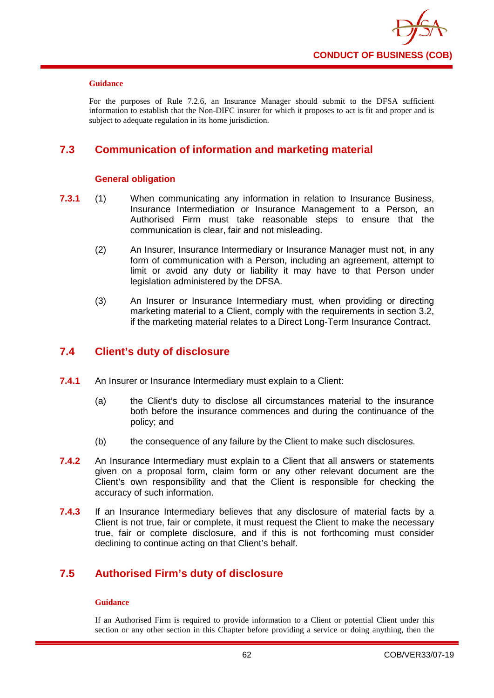

For the purposes of Rule 7.2.6, an Insurance Manager should submit to the DFSA sufficient information to establish that the Non-DIFC insurer for which it proposes to act is fit and proper and is subject to adequate regulation in its home jurisdiction.

## **7.3 Communication of information and marketing material**

### **General obligation**

- **7.3.1** (1) When communicating any information in relation to Insurance Business, Insurance Intermediation or Insurance Management to a Person, an Authorised Firm must take reasonable steps to ensure that the communication is clear, fair and not misleading.
	- (2) An Insurer, Insurance Intermediary or Insurance Manager must not, in any form of communication with a Person, including an agreement, attempt to limit or avoid any duty or liability it may have to that Person under legislation administered by the DFSA.
	- (3) An Insurer or Insurance Intermediary must, when providing or directing marketing material to a Client, comply with the requirements in section 3.2, if the marketing material relates to a Direct Long-Term Insurance Contract.

## **7.4 Client's duty of disclosure**

- **7.4.1** An Insurer or Insurance Intermediary must explain to a Client:
	- (a) the Client's duty to disclose all circumstances material to the insurance both before the insurance commences and during the continuance of the policy; and
	- (b) the consequence of any failure by the Client to make such disclosures.
- **7.4.2** An Insurance Intermediary must explain to a Client that all answers or statements given on a proposal form, claim form or any other relevant document are the Client's own responsibility and that the Client is responsible for checking the accuracy of such information.
- **7.4.3** If an Insurance Intermediary believes that any disclosure of material facts by a Client is not true, fair or complete, it must request the Client to make the necessary true, fair or complete disclosure, and if this is not forthcoming must consider declining to continue acting on that Client's behalf.

# **7.5 Authorised Firm's duty of disclosure**

### **Guidance**

If an Authorised Firm is required to provide information to a Client or potential Client under this section or any other section in this Chapter before providing a service or doing anything, then the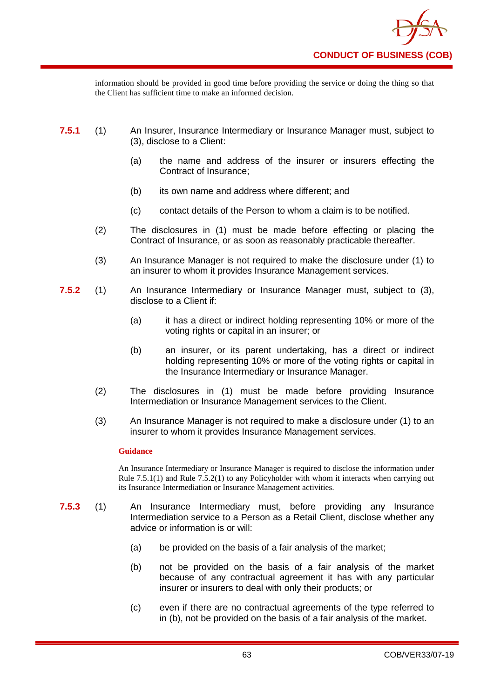

information should be provided in good time before providing the service or doing the thing so that the Client has sufficient time to make an informed decision.

- **7.5.1** (1) An Insurer, Insurance Intermediary or Insurance Manager must, subject to (3), disclose to a Client:
	- (a) the name and address of the insurer or insurers effecting the Contract of Insurance;
	- (b) its own name and address where different; and
	- (c) contact details of the Person to whom a claim is to be notified.
	- (2) The disclosures in (1) must be made before effecting or placing the Contract of Insurance, or as soon as reasonably practicable thereafter.
	- (3) An Insurance Manager is not required to make the disclosure under (1) to an insurer to whom it provides Insurance Management services.
- **7.5.2** (1) An Insurance Intermediary or Insurance Manager must, subject to (3), disclose to a Client if:
	- (a) it has a direct or indirect holding representing 10% or more of the voting rights or capital in an insurer; or
	- (b) an insurer, or its parent undertaking, has a direct or indirect holding representing 10% or more of the voting rights or capital in the Insurance Intermediary or Insurance Manager.
	- (2) The disclosures in (1) must be made before providing Insurance Intermediation or Insurance Management services to the Client.
	- (3) An Insurance Manager is not required to make a disclosure under (1) to an insurer to whom it provides Insurance Management services.

### **Guidance**

An Insurance Intermediary or Insurance Manager is required to disclose the information under Rule 7.5.1(1) and Rule 7.5.2(1) to any Policyholder with whom it interacts when carrying out its Insurance Intermediation or Insurance Management activities.

- **7.5.3** (1) An Insurance Intermediary must, before providing any Insurance Intermediation service to a Person as a Retail Client, disclose whether any advice or information is or will:
	- (a) be provided on the basis of a fair analysis of the market;
	- (b) not be provided on the basis of a fair analysis of the market because of any contractual agreement it has with any particular insurer or insurers to deal with only their products; or
	- (c) even if there are no contractual agreements of the type referred to in (b), not be provided on the basis of a fair analysis of the market.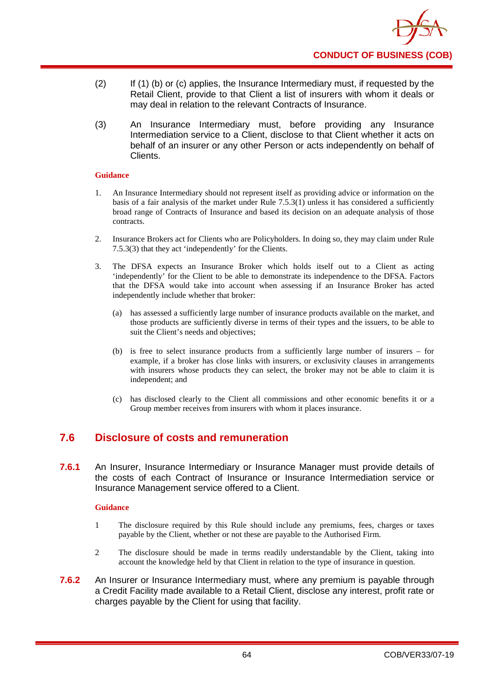

- (2) If (1) (b) or (c) applies, the Insurance Intermediary must, if requested by the Retail Client, provide to that Client a list of insurers with whom it deals or may deal in relation to the relevant Contracts of Insurance.
- (3) An Insurance Intermediary must, before providing any Insurance Intermediation service to a Client, disclose to that Client whether it acts on behalf of an insurer or any other Person or acts independently on behalf of Clients.

- 1. An Insurance Intermediary should not represent itself as providing advice or information on the basis of a fair analysis of the market under Rule 7.5.3(1) unless it has considered a sufficiently broad range of Contracts of Insurance and based its decision on an adequate analysis of those contracts.
- 2. Insurance Brokers act for Clients who are Policyholders. In doing so, they may claim under Rule 7.5.3(3) that they act 'independently' for the Clients.
- 3. The DFSA expects an Insurance Broker which holds itself out to a Client as acting 'independently' for the Client to be able to demonstrate its independence to the DFSA. Factors that the DFSA would take into account when assessing if an Insurance Broker has acted independently include whether that broker:
	- (a) has assessed a sufficiently large number of insurance products available on the market, and those products are sufficiently diverse in terms of their types and the issuers, to be able to suit the Client's needs and objectives;
	- (b) is free to select insurance products from a sufficiently large number of insurers for example, if a broker has close links with insurers, or exclusivity clauses in arrangements with insurers whose products they can select, the broker may not be able to claim it is independent; and
	- (c) has disclosed clearly to the Client all commissions and other economic benefits it or a Group member receives from insurers with whom it places insurance.

## **7.6 Disclosure of costs and remuneration**

**7.6.1** An Insurer, Insurance Intermediary or Insurance Manager must provide details of the costs of each Contract of Insurance or Insurance Intermediation service or Insurance Management service offered to a Client.

### **Guidance**

- 1 The disclosure required by this Rule should include any premiums, fees, charges or taxes payable by the Client, whether or not these are payable to the Authorised Firm.
- 2 The disclosure should be made in terms readily understandable by the Client, taking into account the knowledge held by that Client in relation to the type of insurance in question.
- **7.6.2** An Insurer or Insurance Intermediary must, where any premium is payable through a Credit Facility made available to a Retail Client, disclose any interest, profit rate or charges payable by the Client for using that facility.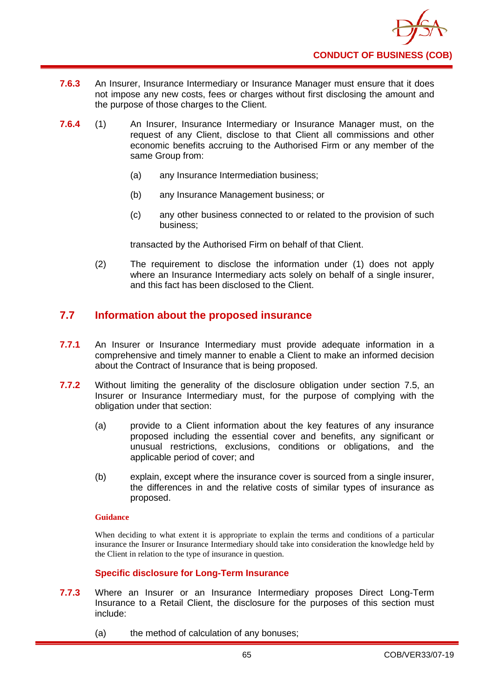

- **7.6.3** An Insurer, Insurance Intermediary or Insurance Manager must ensure that it does not impose any new costs, fees or charges without first disclosing the amount and the purpose of those charges to the Client.
- **7.6.4** (1) An Insurer, Insurance Intermediary or Insurance Manager must, on the request of any Client, disclose to that Client all commissions and other economic benefits accruing to the Authorised Firm or any member of the same Group from:
	- (a) any Insurance Intermediation business;
	- (b) any Insurance Management business; or
	- (c) any other business connected to or related to the provision of such business;

transacted by the Authorised Firm on behalf of that Client.

(2) The requirement to disclose the information under (1) does not apply where an Insurance Intermediary acts solely on behalf of a single insurer, and this fact has been disclosed to the Client.

# **7.7 Information about the proposed insurance**

- **7.7.1** An Insurer or Insurance Intermediary must provide adequate information in a comprehensive and timely manner to enable a Client to make an informed decision about the Contract of Insurance that is being proposed.
- **7.7.2** Without limiting the generality of the disclosure obligation under section 7.5, an Insurer or Insurance Intermediary must, for the purpose of complying with the obligation under that section:
	- (a) provide to a Client information about the key features of any insurance proposed including the essential cover and benefits, any significant or unusual restrictions, exclusions, conditions or obligations, and the applicable period of cover; and
	- (b) explain, except where the insurance cover is sourced from a single insurer, the differences in and the relative costs of similar types of insurance as proposed.

### **Guidance**

When deciding to what extent it is appropriate to explain the terms and conditions of a particular insurance the Insurer or Insurance Intermediary should take into consideration the knowledge held by the Client in relation to the type of insurance in question.

### **Specific disclosure for Long-Term Insurance**

- **7.7.3** Where an Insurer or an Insurance Intermediary proposes Direct Long-Term Insurance to a Retail Client, the disclosure for the purposes of this section must include:
	- (a) the method of calculation of any bonuses;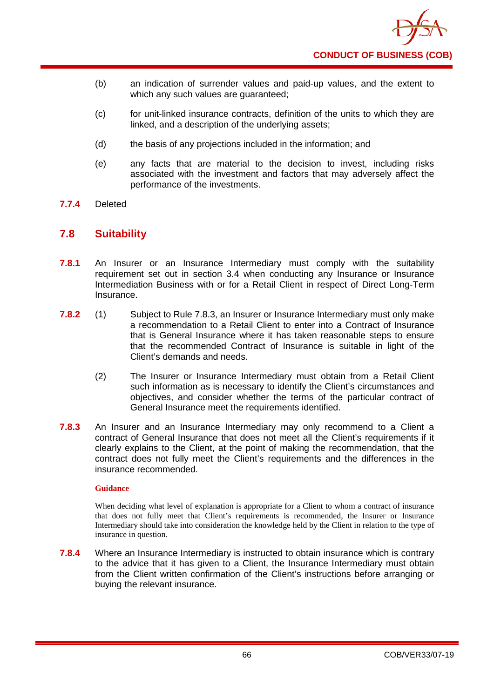- (b) an indication of surrender values and paid-up values, and the extent to which any such values are guaranteed;
- (c) for unit-linked insurance contracts, definition of the units to which they are linked, and a description of the underlying assets;
- (d) the basis of any projections included in the information; and
- (e) any facts that are material to the decision to invest, including risks associated with the investment and factors that may adversely affect the performance of the investments.
- **7.7.4** Deleted

## **7.8 Suitability**

- **7.8.1** An Insurer or an Insurance Intermediary must comply with the suitability requirement set out in section 3.4 when conducting any Insurance or Insurance Intermediation Business with or for a Retail Client in respect of Direct Long-Term Insurance.
- **7.8.2** (1) Subject to Rule 7.8.3, an Insurer or Insurance Intermediary must only make a recommendation to a Retail Client to enter into a Contract of Insurance that is General Insurance where it has taken reasonable steps to ensure that the recommended Contract of Insurance is suitable in light of the Client's demands and needs.
	- (2) The Insurer or Insurance Intermediary must obtain from a Retail Client such information as is necessary to identify the Client's circumstances and objectives, and consider whether the terms of the particular contract of General Insurance meet the requirements identified.
- **7.8.3** An Insurer and an Insurance Intermediary may only recommend to a Client a contract of General Insurance that does not meet all the Client's requirements if it clearly explains to the Client, at the point of making the recommendation, that the contract does not fully meet the Client's requirements and the differences in the insurance recommended.

### **Guidance**

When deciding what level of explanation is appropriate for a Client to whom a contract of insurance that does not fully meet that Client's requirements is recommended, the Insurer or Insurance Intermediary should take into consideration the knowledge held by the Client in relation to the type of insurance in question.

**7.8.4** Where an Insurance Intermediary is instructed to obtain insurance which is contrary to the advice that it has given to a Client, the Insurance Intermediary must obtain from the Client written confirmation of the Client's instructions before arranging or buying the relevant insurance.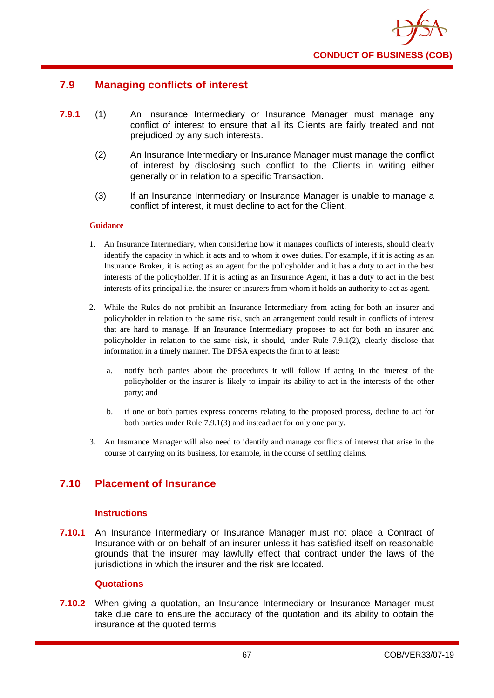

## **7.9 Managing conflicts of interest**

- **7.9.1** (1) An Insurance Intermediary or Insurance Manager must manage any conflict of interest to ensure that all its Clients are fairly treated and not prejudiced by any such interests.
	- (2) An Insurance Intermediary or Insurance Manager must manage the conflict of interest by disclosing such conflict to the Clients in writing either generally or in relation to a specific Transaction.
	- (3) If an Insurance Intermediary or Insurance Manager is unable to manage a conflict of interest, it must decline to act for the Client.

### **Guidance**

- 1. An Insurance Intermediary, when considering how it manages conflicts of interests, should clearly identify the capacity in which it acts and to whom it owes duties. For example, if it is acting as an Insurance Broker, it is acting as an agent for the policyholder and it has a duty to act in the best interests of the policyholder. If it is acting as an Insurance Agent, it has a duty to act in the best interests of its principal i.e. the insurer or insurers from whom it holds an authority to act as agent.
- 2. While the Rules do not prohibit an Insurance Intermediary from acting for both an insurer and policyholder in relation to the same risk, such an arrangement could result in conflicts of interest that are hard to manage. If an Insurance Intermediary proposes to act for both an insurer and policyholder in relation to the same risk, it should, under Rule 7.9.1(2), clearly disclose that information in a timely manner. The DFSA expects the firm to at least:
	- a. notify both parties about the procedures it will follow if acting in the interest of the policyholder or the insurer is likely to impair its ability to act in the interests of the other party; and
	- b. if one or both parties express concerns relating to the proposed process, decline to act for both parties under Rule 7.9.1(3) and instead act for only one party.
- 3. An Insurance Manager will also need to identify and manage conflicts of interest that arise in the course of carrying on its business, for example, in the course of settling claims.

## **7.10 Placement of Insurance**

### **Instructions**

**7.10.1** An Insurance Intermediary or Insurance Manager must not place a Contract of Insurance with or on behalf of an insurer unless it has satisfied itself on reasonable grounds that the insurer may lawfully effect that contract under the laws of the jurisdictions in which the insurer and the risk are located.

### **Quotations**

**7.10.2** When giving a quotation, an Insurance Intermediary or Insurance Manager must take due care to ensure the accuracy of the quotation and its ability to obtain the insurance at the quoted terms.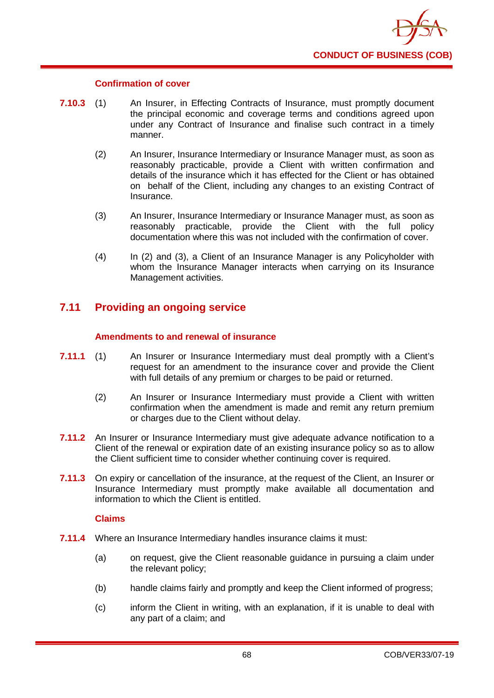

### **Confirmation of cover**

- **7.10.3** (1) An Insurer, in Effecting Contracts of Insurance, must promptly document the principal economic and coverage terms and conditions agreed upon under any Contract of Insurance and finalise such contract in a timely manner.
	- (2) An Insurer, Insurance Intermediary or Insurance Manager must, as soon as reasonably practicable, provide a Client with written confirmation and details of the insurance which it has effected for the Client or has obtained on behalf of the Client, including any changes to an existing Contract of Insurance.
	- (3) An Insurer, Insurance Intermediary or Insurance Manager must, as soon as reasonably practicable, provide the Client with the full policy documentation where this was not included with the confirmation of cover.
	- (4) In (2) and (3), a Client of an Insurance Manager is any Policyholder with whom the Insurance Manager interacts when carrying on its Insurance Management activities.

# **7.11 Providing an ongoing service**

## **Amendments to and renewal of insurance**

- **7.11.1** (1) An Insurer or Insurance Intermediary must deal promptly with a Client's request for an amendment to the insurance cover and provide the Client with full details of any premium or charges to be paid or returned.
	- (2) An Insurer or Insurance Intermediary must provide a Client with written confirmation when the amendment is made and remit any return premium or charges due to the Client without delay.
- **7.11.2** An Insurer or Insurance Intermediary must give adequate advance notification to a Client of the renewal or expiration date of an existing insurance policy so as to allow the Client sufficient time to consider whether continuing cover is required.
- **7.11.3** On expiry or cancellation of the insurance, at the request of the Client, an Insurer or Insurance Intermediary must promptly make available all documentation and information to which the Client is entitled.

## **Claims**

- **7.11.4** Where an Insurance Intermediary handles insurance claims it must:
	- (a) on request, give the Client reasonable guidance in pursuing a claim under the relevant policy;
	- (b) handle claims fairly and promptly and keep the Client informed of progress;
	- (c) inform the Client in writing, with an explanation, if it is unable to deal with any part of a claim; and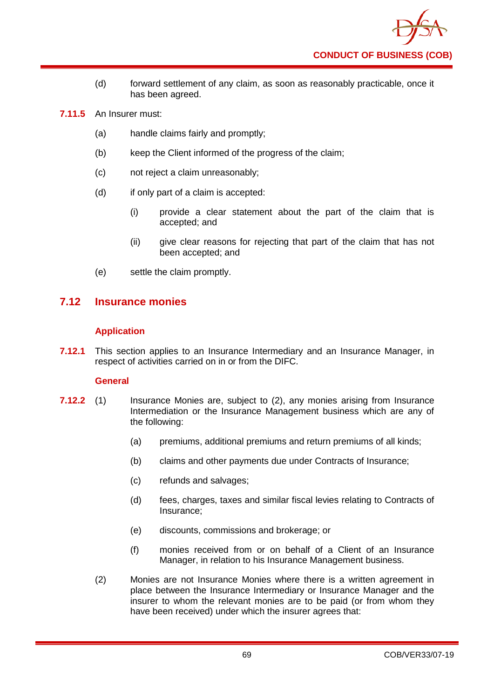

- (d) forward settlement of any claim, as soon as reasonably practicable, once it has been agreed.
- **7.11.5** An Insurer must:
	- (a) handle claims fairly and promptly;
	- (b) keep the Client informed of the progress of the claim;
	- (c) not reject a claim unreasonably;
	- (d) if only part of a claim is accepted:
		- (i) provide a clear statement about the part of the claim that is accepted; and
		- (ii) give clear reasons for rejecting that part of the claim that has not been accepted; and
	- (e) settle the claim promptly.

## **7.12 Insurance monies**

## **Application**

**7.12.1** This section applies to an Insurance Intermediary and an Insurance Manager, in respect of activities carried on in or from the DIFC.

## **General**

- **7.12.2** (1) Insurance Monies are, subject to (2), any monies arising from Insurance Intermediation or the Insurance Management business which are any of the following:
	- (a) premiums, additional premiums and return premiums of all kinds;
	- (b) claims and other payments due under Contracts of Insurance;
	- (c) refunds and salvages;
	- (d) fees, charges, taxes and similar fiscal levies relating to Contracts of Insurance;
	- (e) discounts, commissions and brokerage; or
	- (f) monies received from or on behalf of a Client of an Insurance Manager, in relation to his Insurance Management business.
	- (2) Monies are not Insurance Monies where there is a written agreement in place between the Insurance Intermediary or Insurance Manager and the insurer to whom the relevant monies are to be paid (or from whom they have been received) under which the insurer agrees that: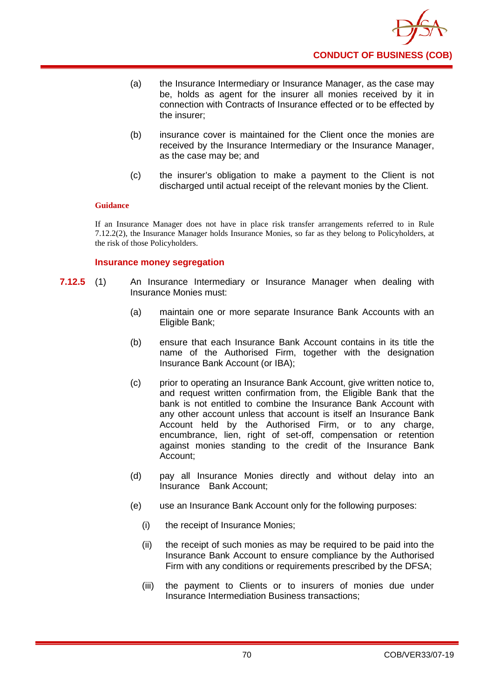

- (a) the Insurance Intermediary or Insurance Manager, as the case may be, holds as agent for the insurer all monies received by it in connection with Contracts of Insurance effected or to be effected by the insurer;
- (b) insurance cover is maintained for the Client once the monies are received by the Insurance Intermediary or the Insurance Manager, as the case may be; and
- (c) the insurer's obligation to make a payment to the Client is not discharged until actual receipt of the relevant monies by the Client.

If an Insurance Manager does not have in place risk transfer arrangements referred to in Rule 7.12.2(2), the Insurance Manager holds Insurance Monies, so far as they belong to Policyholders, at the risk of those Policyholders.

### **Insurance money segregation**

- **7.12.5** (1) An Insurance Intermediary or Insurance Manager when dealing with Insurance Monies must:
	- (a) maintain one or more separate Insurance Bank Accounts with an Eligible Bank;
	- (b) ensure that each Insurance Bank Account contains in its title the name of the Authorised Firm, together with the designation Insurance Bank Account (or IBA);
	- (c) prior to operating an Insurance Bank Account, give written notice to, and request written confirmation from, the Eligible Bank that the bank is not entitled to combine the Insurance Bank Account with any other account unless that account is itself an Insurance Bank Account held by the Authorised Firm, or to any charge, encumbrance, lien, right of set-off, compensation or retention against monies standing to the credit of the Insurance Bank Account;
	- (d) pay all Insurance Monies directly and without delay into an Insurance Bank Account;
	- (e) use an Insurance Bank Account only for the following purposes:
		- (i) the receipt of Insurance Monies;
		- (ii) the receipt of such monies as may be required to be paid into the Insurance Bank Account to ensure compliance by the Authorised Firm with any conditions or requirements prescribed by the DFSA;
		- (iii) the payment to Clients or to insurers of monies due under Insurance Intermediation Business transactions;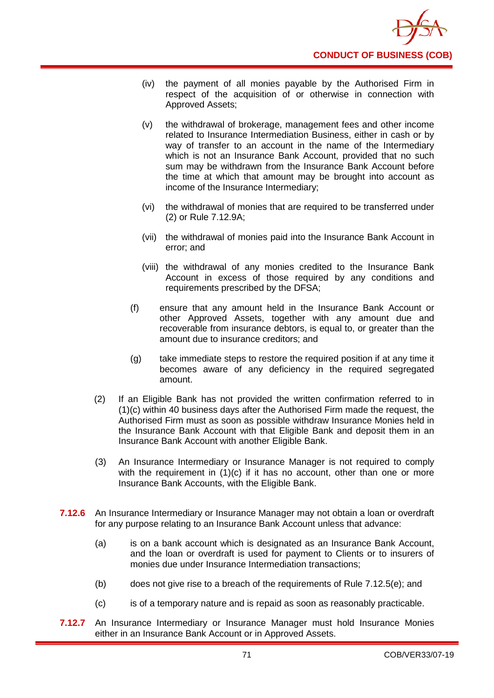

- (iv) the payment of all monies payable by the Authorised Firm in respect of the acquisition of or otherwise in connection with Approved Assets;
- (v) the withdrawal of brokerage, management fees and other income related to Insurance Intermediation Business, either in cash or by way of transfer to an account in the name of the Intermediary which is not an Insurance Bank Account, provided that no such sum may be withdrawn from the Insurance Bank Account before the time at which that amount may be brought into account as income of the Insurance Intermediary;
- (vi) the withdrawal of monies that are required to be transferred under (2) or Rule 7.12.9A;
- (vii) the withdrawal of monies paid into the Insurance Bank Account in error; and
- (viii) the withdrawal of any monies credited to the Insurance Bank Account in excess of those required by any conditions and requirements prescribed by the DFSA;
- (f) ensure that any amount held in the Insurance Bank Account or other Approved Assets, together with any amount due and recoverable from insurance debtors, is equal to, or greater than the amount due to insurance creditors; and
- (g) take immediate steps to restore the required position if at any time it becomes aware of any deficiency in the required segregated amount.
- (2) If an Eligible Bank has not provided the written confirmation referred to in (1)(c) within 40 business days after the Authorised Firm made the request, the Authorised Firm must as soon as possible withdraw Insurance Monies held in the Insurance Bank Account with that Eligible Bank and deposit them in an Insurance Bank Account with another Eligible Bank.
- (3) An Insurance Intermediary or Insurance Manager is not required to comply with the requirement in (1)(c) if it has no account, other than one or more Insurance Bank Accounts, with the Eligible Bank.
- **7.12.6** An Insurance Intermediary or Insurance Manager may not obtain a loan or overdraft for any purpose relating to an Insurance Bank Account unless that advance:
	- (a) is on a bank account which is designated as an Insurance Bank Account, and the loan or overdraft is used for payment to Clients or to insurers of monies due under Insurance Intermediation transactions;
	- (b) does not give rise to a breach of the requirements of Rule 7.12.5(e); and
	- (c) is of a temporary nature and is repaid as soon as reasonably practicable.
- **7.12.7** An Insurance Intermediary or Insurance Manager must hold Insurance Monies either in an Insurance Bank Account or in Approved Assets.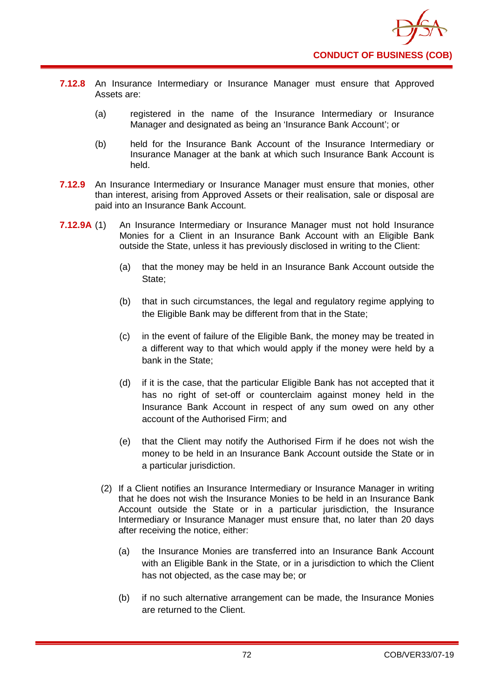

- **7.12.8** An Insurance Intermediary or Insurance Manager must ensure that Approved Assets are:
	- (a) registered in the name of the Insurance Intermediary or Insurance Manager and designated as being an 'Insurance Bank Account'; or
	- (b) held for the Insurance Bank Account of the Insurance Intermediary or Insurance Manager at the bank at which such Insurance Bank Account is held.
- **7.12.9** An Insurance Intermediary or Insurance Manager must ensure that monies, other than interest, arising from Approved Assets or their realisation, sale or disposal are paid into an Insurance Bank Account.
- **7.12.9A** (1) An Insurance Intermediary or Insurance Manager must not hold Insurance Monies for a Client in an Insurance Bank Account with an Eligible Bank outside the State, unless it has previously disclosed in writing to the Client:
	- (a) that the money may be held in an Insurance Bank Account outside the State;
	- (b) that in such circumstances, the legal and regulatory regime applying to the Eligible Bank may be different from that in the State;
	- (c) in the event of failure of the Eligible Bank, the money may be treated in a different way to that which would apply if the money were held by a bank in the State;
	- (d) if it is the case, that the particular Eligible Bank has not accepted that it has no right of set-off or counterclaim against money held in the Insurance Bank Account in respect of any sum owed on any other account of the Authorised Firm; and
	- (e) that the Client may notify the Authorised Firm if he does not wish the money to be held in an Insurance Bank Account outside the State or in a particular jurisdiction.
	- (2) If a Client notifies an Insurance Intermediary or Insurance Manager in writing that he does not wish the Insurance Monies to be held in an Insurance Bank Account outside the State or in a particular jurisdiction, the Insurance Intermediary or Insurance Manager must ensure that, no later than 20 days after receiving the notice, either:
		- (a) the Insurance Monies are transferred into an Insurance Bank Account with an Eligible Bank in the State, or in a jurisdiction to which the Client has not objected, as the case may be; or
		- (b) if no such alternative arrangement can be made, the Insurance Monies are returned to the Client.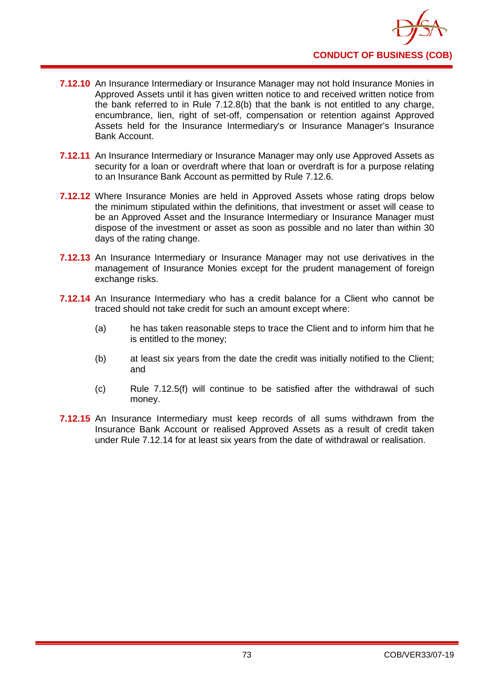

- **7.12.10** An Insurance Intermediary or Insurance Manager may not hold Insurance Monies in Approved Assets until it has given written notice to and received written notice from the bank referred to in Rule 7.12.8(b) that the bank is not entitled to any charge, encumbrance, lien, right of set-off, compensation or retention against Approved Assets held for the Insurance Intermediary's or Insurance Manager's Insurance Bank Account.
- **7.12.11** An Insurance Intermediary or Insurance Manager may only use Approved Assets as security for a loan or overdraft where that loan or overdraft is for a purpose relating to an Insurance Bank Account as permitted by Rule 7.12.6.
- **7.12.12** Where Insurance Monies are held in Approved Assets whose rating drops below the minimum stipulated within the definitions, that investment or asset will cease to be an Approved Asset and the Insurance Intermediary or Insurance Manager must dispose of the investment or asset as soon as possible and no later than within 30 days of the rating change.
- **7.12.13** An Insurance Intermediary or Insurance Manager may not use derivatives in the management of Insurance Monies except for the prudent management of foreign exchange risks.
- **7.12.14** An Insurance Intermediary who has a credit balance for a Client who cannot be traced should not take credit for such an amount except where:
	- (a) he has taken reasonable steps to trace the Client and to inform him that he is entitled to the money;
	- (b) at least six years from the date the credit was initially notified to the Client; and
	- (c) Rule 7.12.5(f) will continue to be satisfied after the withdrawal of such money.
- **7.12.15** An Insurance Intermediary must keep records of all sums withdrawn from the Insurance Bank Account or realised Approved Assets as a result of credit taken under Rule 7.12.14 for at least six years from the date of withdrawal or realisation.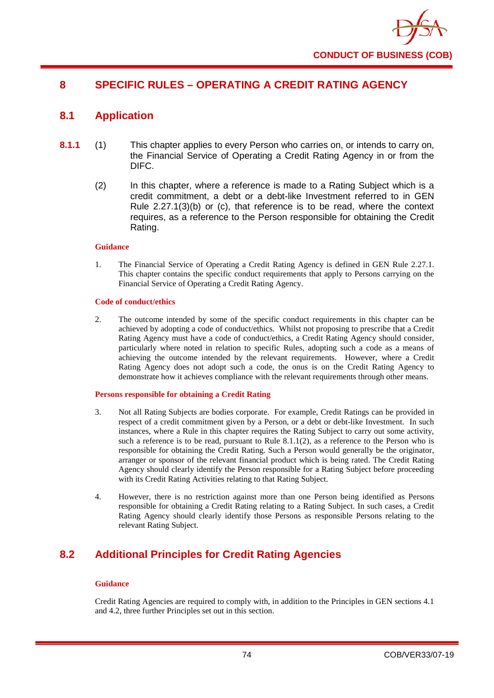

# **8 SPECIFIC RULES – OPERATING A CREDIT RATING AGENCY**

# **8.1 Application**

- **8.1.1** (1) This chapter applies to every Person who carries on, or intends to carry on, the Financial Service of Operating a Credit Rating Agency in or from the DIFC.
	- (2) In this chapter, where a reference is made to a Rating Subject which is a credit commitment, a debt or a debt-like Investment referred to in GEN Rule 2.27.1(3)(b) or (c), that reference is to be read, where the context requires, as a reference to the Person responsible for obtaining the Credit Rating.

#### **Guidance**

1. The Financial Service of Operating a Credit Rating Agency is defined in GEN Rule 2.27.1. This chapter contains the specific conduct requirements that apply to Persons carrying on the Financial Service of Operating a Credit Rating Agency.

#### **Code of conduct/ethics**

2. The outcome intended by some of the specific conduct requirements in this chapter can be achieved by adopting a code of conduct/ethics. Whilst not proposing to prescribe that a Credit Rating Agency must have a code of conduct/ethics, a Credit Rating Agency should consider, particularly where noted in relation to specific Rules, adopting such a code as a means of achieving the outcome intended by the relevant requirements. However, where a Credit Rating Agency does not adopt such a code, the onus is on the Credit Rating Agency to demonstrate how it achieves compliance with the relevant requirements through other means.

#### **Persons responsible for obtaining a Credit Rating**

- 3. Not all Rating Subjects are bodies corporate. For example, Credit Ratings can be provided in respect of a credit commitment given by a Person, or a debt or debt-like Investment. In such instances, where a Rule in this chapter requires the Rating Subject to carry out some activity, such a reference is to be read, pursuant to Rule  $8.1.1(2)$ , as a reference to the Person who is responsible for obtaining the Credit Rating. Such a Person would generally be the originator, arranger or sponsor of the relevant financial product which is being rated. The Credit Rating Agency should clearly identify the Person responsible for a Rating Subject before proceeding with its Credit Rating Activities relating to that Rating Subject.
- 4. However, there is no restriction against more than one Person being identified as Persons responsible for obtaining a Credit Rating relating to a Rating Subject. In such cases, a Credit Rating Agency should clearly identify those Persons as responsible Persons relating to the relevant Rating Subject.

# **8.2 Additional Principles for Credit Rating Agencies**

#### **Guidance**

Credit Rating Agencies are required to comply with, in addition to the Principles in GEN sections 4.1 and 4.2, three further Principles set out in this section.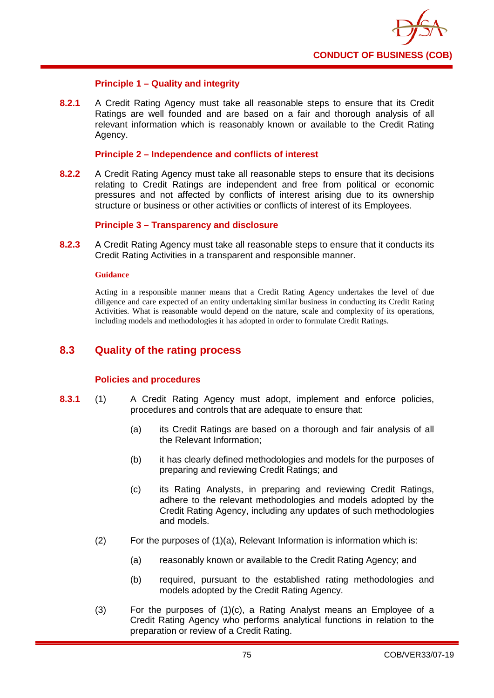

## **Principle 1 – Quality and integrity**

**8.2.1** A Credit Rating Agency must take all reasonable steps to ensure that its Credit Ratings are well founded and are based on a fair and thorough analysis of all relevant information which is reasonably known or available to the Credit Rating Agency.

### **Principle 2 – Independence and conflicts of interest**

**8.2.2** A Credit Rating Agency must take all reasonable steps to ensure that its decisions relating to Credit Ratings are independent and free from political or economic pressures and not affected by conflicts of interest arising due to its ownership structure or business or other activities or conflicts of interest of its Employees.

### **Principle 3 – Transparency and disclosure**

**8.2.3** A Credit Rating Agency must take all reasonable steps to ensure that it conducts its Credit Rating Activities in a transparent and responsible manner.

#### **Guidance**

Acting in a responsible manner means that a Credit Rating Agency undertakes the level of due diligence and care expected of an entity undertaking similar business in conducting its Credit Rating Activities. What is reasonable would depend on the nature, scale and complexity of its operations, including models and methodologies it has adopted in order to formulate Credit Ratings.

## **8.3 Quality of the rating process**

#### **Policies and procedures**

- **8.3.1** (1) A Credit Rating Agency must adopt, implement and enforce policies, procedures and controls that are adequate to ensure that:
	- (a) its Credit Ratings are based on a thorough and fair analysis of all the Relevant Information;
	- (b) it has clearly defined methodologies and models for the purposes of preparing and reviewing Credit Ratings; and
	- (c) its Rating Analysts, in preparing and reviewing Credit Ratings, adhere to the relevant methodologies and models adopted by the Credit Rating Agency, including any updates of such methodologies and models.
	- (2) For the purposes of (1)(a), Relevant Information is information which is:
		- (a) reasonably known or available to the Credit Rating Agency; and
		- (b) required, pursuant to the established rating methodologies and models adopted by the Credit Rating Agency.
	- (3) For the purposes of (1)(c), a Rating Analyst means an Employee of a Credit Rating Agency who performs analytical functions in relation to the preparation or review of a Credit Rating.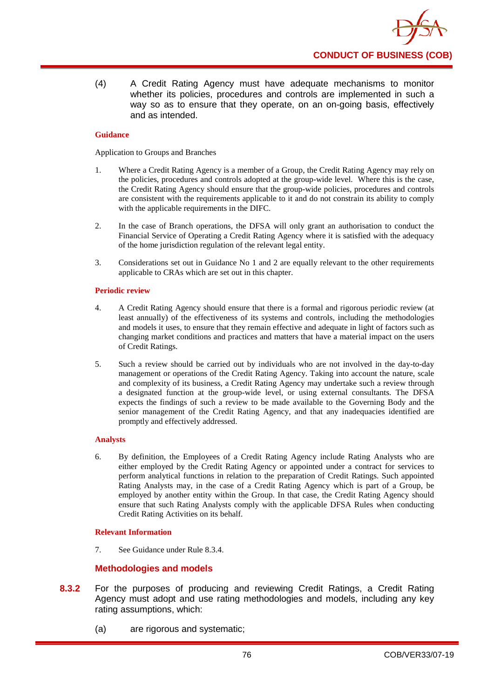

(4) A Credit Rating Agency must have adequate mechanisms to monitor whether its policies, procedures and controls are implemented in such a way so as to ensure that they operate, on an on-going basis, effectively and as intended.

### **Guidance**

Application to Groups and Branches

- 1. Where a Credit Rating Agency is a member of a Group, the Credit Rating Agency may rely on the policies, procedures and controls adopted at the group-wide level. Where this is the case, the Credit Rating Agency should ensure that the group-wide policies, procedures and controls are consistent with the requirements applicable to it and do not constrain its ability to comply with the applicable requirements in the DIFC.
- 2. In the case of Branch operations, the DFSA will only grant an authorisation to conduct the Financial Service of Operating a Credit Rating Agency where it is satisfied with the adequacy of the home jurisdiction regulation of the relevant legal entity.
- 3. Considerations set out in Guidance No 1 and 2 are equally relevant to the other requirements applicable to CRAs which are set out in this chapter.

### **Periodic review**

- 4. A Credit Rating Agency should ensure that there is a formal and rigorous periodic review (at least annually) of the effectiveness of its systems and controls, including the methodologies and models it uses, to ensure that they remain effective and adequate in light of factors such as changing market conditions and practices and matters that have a material impact on the users of Credit Ratings.
- 5. Such a review should be carried out by individuals who are not involved in the day-to-day management or operations of the Credit Rating Agency. Taking into account the nature, scale and complexity of its business, a Credit Rating Agency may undertake such a review through a designated function at the group-wide level, or using external consultants. The DFSA expects the findings of such a review to be made available to the Governing Body and the senior management of the Credit Rating Agency, and that any inadequacies identified are promptly and effectively addressed.

## **Analysts**

6. By definition, the Employees of a Credit Rating Agency include Rating Analysts who are either employed by the Credit Rating Agency or appointed under a contract for services to perform analytical functions in relation to the preparation of Credit Ratings. Such appointed Rating Analysts may, in the case of a Credit Rating Agency which is part of a Group, be employed by another entity within the Group. In that case, the Credit Rating Agency should ensure that such Rating Analysts comply with the applicable DFSA Rules when conducting Credit Rating Activities on its behalf.

## **Relevant Information**

7. See Guidance under Rule 8.3.4.

## **Methodologies and models**

- **8.3.2** For the purposes of producing and reviewing Credit Ratings, a Credit Rating Agency must adopt and use rating methodologies and models, including any key rating assumptions, which:
	- (a) are rigorous and systematic;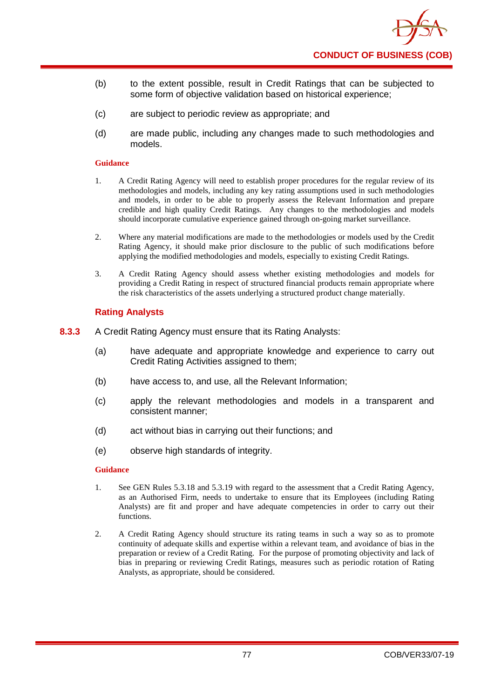

- (b) to the extent possible, result in Credit Ratings that can be subjected to some form of objective validation based on historical experience;
- (c) are subject to periodic review as appropriate; and
- (d) are made public, including any changes made to such methodologies and models.

- 1. A Credit Rating Agency will need to establish proper procedures for the regular review of its methodologies and models, including any key rating assumptions used in such methodologies and models, in order to be able to properly assess the Relevant Information and prepare credible and high quality Credit Ratings. Any changes to the methodologies and models should incorporate cumulative experience gained through on-going market surveillance.
- 2. Where any material modifications are made to the methodologies or models used by the Credit Rating Agency, it should make prior disclosure to the public of such modifications before applying the modified methodologies and models, especially to existing Credit Ratings.
- 3. A Credit Rating Agency should assess whether existing methodologies and models for providing a Credit Rating in respect of structured financial products remain appropriate where the risk characteristics of the assets underlying a structured product change materially.

## **Rating Analysts**

- **8.3.3** A Credit Rating Agency must ensure that its Rating Analysts:
	- (a) have adequate and appropriate knowledge and experience to carry out Credit Rating Activities assigned to them;
	- (b) have access to, and use, all the Relevant Information;
	- (c) apply the relevant methodologies and models in a transparent and consistent manner;
	- (d) act without bias in carrying out their functions; and
	- (e) observe high standards of integrity.

## **Guidance**

- 1. See GEN Rules 5.3.18 and 5.3.19 with regard to the assessment that a Credit Rating Agency, as an Authorised Firm, needs to undertake to ensure that its Employees (including Rating Analysts) are fit and proper and have adequate competencies in order to carry out their functions.
- 2. A Credit Rating Agency should structure its rating teams in such a way so as to promote continuity of adequate skills and expertise within a relevant team, and avoidance of bias in the preparation or review of a Credit Rating. For the purpose of promoting objectivity and lack of bias in preparing or reviewing Credit Ratings, measures such as periodic rotation of Rating Analysts, as appropriate, should be considered.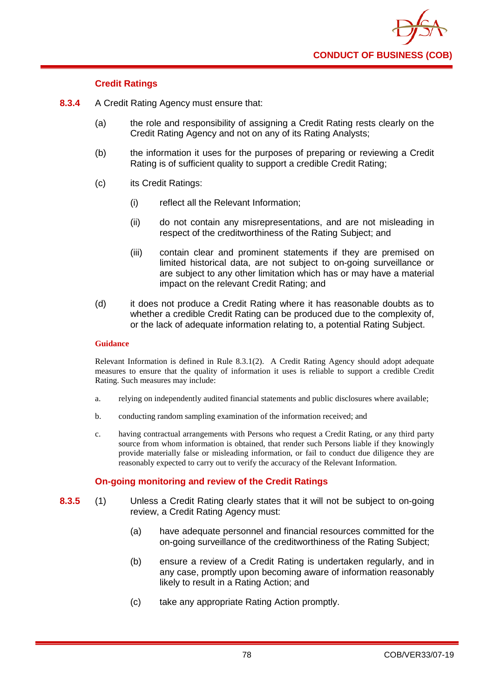

## **Credit Ratings**

- **8.3.4** A Credit Rating Agency must ensure that:
	- (a) the role and responsibility of assigning a Credit Rating rests clearly on the Credit Rating Agency and not on any of its Rating Analysts;
	- (b) the information it uses for the purposes of preparing or reviewing a Credit Rating is of sufficient quality to support a credible Credit Rating;
	- (c) its Credit Ratings:
		- (i) reflect all the Relevant Information;
		- (ii) do not contain any misrepresentations, and are not misleading in respect of the creditworthiness of the Rating Subject; and
		- (iii) contain clear and prominent statements if they are premised on limited historical data, are not subject to on-going surveillance or are subject to any other limitation which has or may have a material impact on the relevant Credit Rating; and
	- (d) it does not produce a Credit Rating where it has reasonable doubts as to whether a credible Credit Rating can be produced due to the complexity of, or the lack of adequate information relating to, a potential Rating Subject.

### **Guidance**

Relevant Information is defined in Rule 8.3.1(2). A Credit Rating Agency should adopt adequate measures to ensure that the quality of information it uses is reliable to support a credible Credit Rating. Such measures may include:

- a. relying on independently audited financial statements and public disclosures where available;
- b. conducting random sampling examination of the information received; and
- c. having contractual arrangements with Persons who request a Credit Rating, or any third party source from whom information is obtained, that render such Persons liable if they knowingly provide materially false or misleading information, or fail to conduct due diligence they are reasonably expected to carry out to verify the accuracy of the Relevant Information.

## **On-going monitoring and review of the Credit Ratings**

- **8.3.5** (1) Unless a Credit Rating clearly states that it will not be subject to on-going review, a Credit Rating Agency must:
	- (a) have adequate personnel and financial resources committed for the on-going surveillance of the creditworthiness of the Rating Subject;
	- (b) ensure a review of a Credit Rating is undertaken regularly, and in any case, promptly upon becoming aware of information reasonably likely to result in a Rating Action; and
	- (c) take any appropriate Rating Action promptly.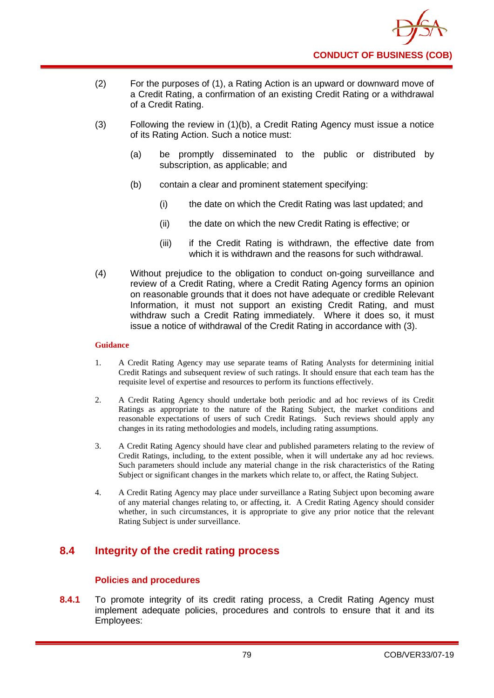

- (2) For the purposes of (1), a Rating Action is an upward or downward move of a Credit Rating, a confirmation of an existing Credit Rating or a withdrawal of a Credit Rating.
- (3) Following the review in (1)(b), a Credit Rating Agency must issue a notice of its Rating Action. Such a notice must:
	- (a) be promptly disseminated to the public or distributed by subscription, as applicable; and
	- (b) contain a clear and prominent statement specifying:
		- (i) the date on which the Credit Rating was last updated; and
		- (ii) the date on which the new Credit Rating is effective; or
		- (iii) if the Credit Rating is withdrawn, the effective date from which it is withdrawn and the reasons for such withdrawal.
- (4) Without prejudice to the obligation to conduct on-going surveillance and review of a Credit Rating, where a Credit Rating Agency forms an opinion on reasonable grounds that it does not have adequate or credible Relevant Information, it must not support an existing Credit Rating, and must withdraw such a Credit Rating immediately. Where it does so, it must issue a notice of withdrawal of the Credit Rating in accordance with (3).

- 1. A Credit Rating Agency may use separate teams of Rating Analysts for determining initial Credit Ratings and subsequent review of such ratings. It should ensure that each team has the requisite level of expertise and resources to perform its functions effectively.
- 2. A Credit Rating Agency should undertake both periodic and ad hoc reviews of its Credit Ratings as appropriate to the nature of the Rating Subject, the market conditions and reasonable expectations of users of such Credit Ratings. Such reviews should apply any changes in its rating methodologies and models, including rating assumptions.
- 3. A Credit Rating Agency should have clear and published parameters relating to the review of Credit Ratings, including, to the extent possible, when it will undertake any ad hoc reviews. Such parameters should include any material change in the risk characteristics of the Rating Subject or significant changes in the markets which relate to, or affect, the Rating Subject.
- 4. A Credit Rating Agency may place under surveillance a Rating Subject upon becoming aware of any material changes relating to, or affecting, it. A Credit Rating Agency should consider whether, in such circumstances, it is appropriate to give any prior notice that the relevant Rating Subject is under surveillance.

# **8.4 Integrity of the credit rating process**

## **Polic**i**es and procedures**

**8.4.1** To promote integrity of its credit rating process, a Credit Rating Agency must implement adequate policies, procedures and controls to ensure that it and its Employees: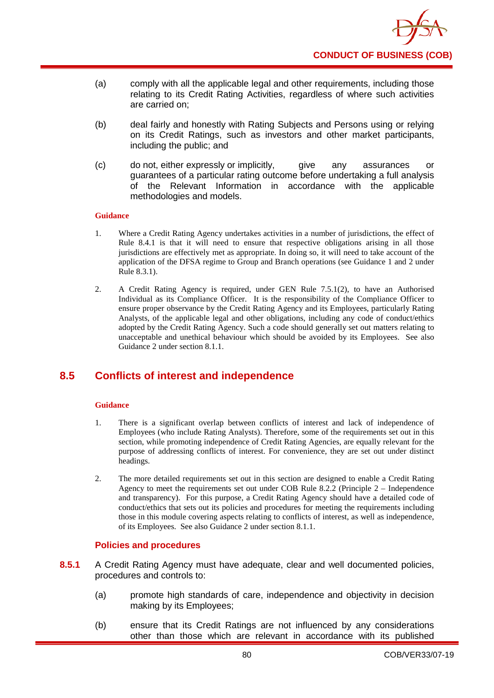

- (a) comply with all the applicable legal and other requirements, including those relating to its Credit Rating Activities, regardless of where such activities are carried on;
- (b) deal fairly and honestly with Rating Subjects and Persons using or relying on its Credit Ratings, such as investors and other market participants, including the public; and
- (c) do not, either expressly or implicitly, give any assurances or guarantees of a particular rating outcome before undertaking a full analysis of the Relevant Information in accordance with the applicable methodologies and models.

- 1. Where a Credit Rating Agency undertakes activities in a number of jurisdictions, the effect of Rule 8.4.1 is that it will need to ensure that respective obligations arising in all those jurisdictions are effectively met as appropriate. In doing so, it will need to take account of the application of the DFSA regime to Group and Branch operations (see Guidance 1 and 2 under Rule 8.3.1).
- 2. A Credit Rating Agency is required, under GEN Rule 7.5.1(2), to have an Authorised Individual as its Compliance Officer. It is the responsibility of the Compliance Officer to ensure proper observance by the Credit Rating Agency and its Employees, particularly Rating Analysts, of the applicable legal and other obligations, including any code of conduct/ethics adopted by the Credit Rating Agency. Such a code should generally set out matters relating to unacceptable and unethical behaviour which should be avoided by its Employees. See also Guidance 2 under section 8.1.1.

# **8.5 Conflicts of interest and independence**

## **Guidance**

- 1. There is a significant overlap between conflicts of interest and lack of independence of Employees (who include Rating Analysts). Therefore, some of the requirements set out in this section, while promoting independence of Credit Rating Agencies, are equally relevant for the purpose of addressing conflicts of interest. For convenience, they are set out under distinct headings.
- 2. The more detailed requirements set out in this section are designed to enable a Credit Rating Agency to meet the requirements set out under COB Rule 8.2.2 (Principle 2 – Independence and transparency). For this purpose, a Credit Rating Agency should have a detailed code of conduct/ethics that sets out its policies and procedures for meeting the requirements including those in this module covering aspects relating to conflicts of interest, as well as independence, of its Employees. See also Guidance 2 under section 8.1.1.

## **Policies and procedures**

- **8.5.1** A Credit Rating Agency must have adequate, clear and well documented policies, procedures and controls to:
	- (a) promote high standards of care, independence and objectivity in decision making by its Employees;
	- (b) ensure that its Credit Ratings are not influenced by any considerations other than those which are relevant in accordance with its published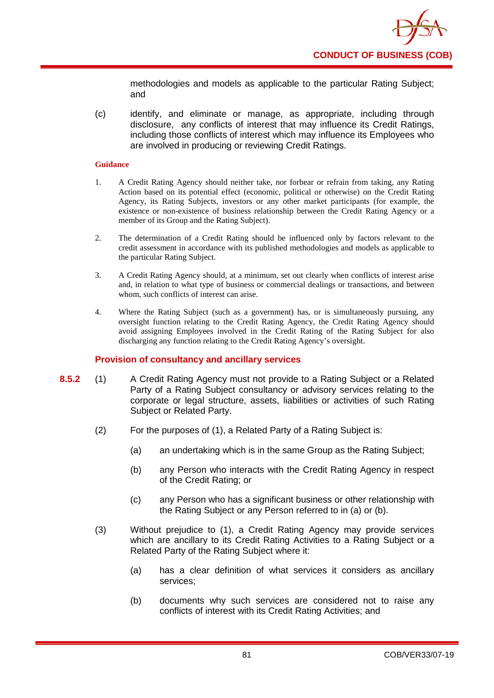

methodologies and models as applicable to the particular Rating Subject; and

(c) identify, and eliminate or manage, as appropriate, including through disclosure, any conflicts of interest that may influence its Credit Ratings, including those conflicts of interest which may influence its Employees who are involved in producing or reviewing Credit Ratings.

#### **Guidance**

- 1. A Credit Rating Agency should neither take, nor forbear or refrain from taking, any Rating Action based on its potential effect (economic, political or otherwise) on the Credit Rating Agency, its Rating Subjects, investors or any other market participants (for example, the existence or non-existence of business relationship between the Credit Rating Agency or a member of its Group and the Rating Subject).
- 2. The determination of a Credit Rating should be influenced only by factors relevant to the credit assessment in accordance with its published methodologies and models as applicable to the particular Rating Subject.
- 3. A Credit Rating Agency should, at a minimum, set out clearly when conflicts of interest arise and, in relation to what type of business or commercial dealings or transactions, and between whom, such conflicts of interest can arise.
- 4. Where the Rating Subject (such as a government) has, or is simultaneously pursuing, any oversight function relating to the Credit Rating Agency, the Credit Rating Agency should avoid assigning Employees involved in the Credit Rating of the Rating Subject for also discharging any function relating to the Credit Rating Agency's oversight.

## **Provision of consultancy and ancillary services**

- **8.5.2** (1) A Credit Rating Agency must not provide to a Rating Subject or a Related Party of a Rating Subject consultancy or advisory services relating to the corporate or legal structure, assets, liabilities or activities of such Rating Subject or Related Party.
	- (2) For the purposes of (1), a Related Party of a Rating Subject is:
		- (a) an undertaking which is in the same Group as the Rating Subject;
		- (b) any Person who interacts with the Credit Rating Agency in respect of the Credit Rating; or
		- (c) any Person who has a significant business or other relationship with the Rating Subject or any Person referred to in (a) or (b).
	- (3) Without prejudice to (1), a Credit Rating Agency may provide services which are ancillary to its Credit Rating Activities to a Rating Subject or a Related Party of the Rating Subject where it:
		- (a) has a clear definition of what services it considers as ancillary services;
		- (b) documents why such services are considered not to raise any conflicts of interest with its Credit Rating Activities; and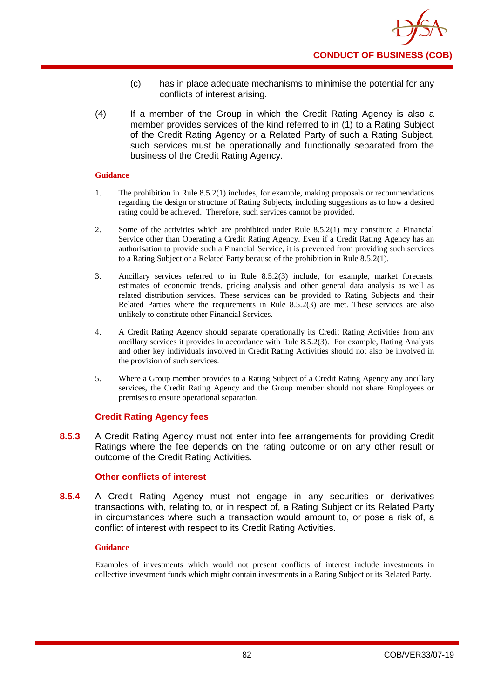

- (c) has in place adequate mechanisms to minimise the potential for any conflicts of interest arising.
- (4) If a member of the Group in which the Credit Rating Agency is also a member provides services of the kind referred to in (1) to a Rating Subject of the Credit Rating Agency or a Related Party of such a Rating Subject, such services must be operationally and functionally separated from the business of the Credit Rating Agency.

- 1. The prohibition in Rule 8.5.2(1) includes, for example, making proposals or recommendations regarding the design or structure of Rating Subjects, including suggestions as to how a desired rating could be achieved. Therefore, such services cannot be provided.
- 2. Some of the activities which are prohibited under Rule 8.5.2(1) may constitute a Financial Service other than Operating a Credit Rating Agency. Even if a Credit Rating Agency has an authorisation to provide such a Financial Service, it is prevented from providing such services to a Rating Subject or a Related Party because of the prohibition in Rule 8.5.2(1).
- 3. Ancillary services referred to in Rule 8.5.2(3) include, for example, market forecasts, estimates of economic trends, pricing analysis and other general data analysis as well as related distribution services. These services can be provided to Rating Subjects and their Related Parties where the requirements in Rule 8.5.2(3) are met. These services are also unlikely to constitute other Financial Services.
- 4. A Credit Rating Agency should separate operationally its Credit Rating Activities from any ancillary services it provides in accordance with Rule 8.5.2(3). For example, Rating Analysts and other key individuals involved in Credit Rating Activities should not also be involved in the provision of such services.
- 5. Where a Group member provides to a Rating Subject of a Credit Rating Agency any ancillary services, the Credit Rating Agency and the Group member should not share Employees or premises to ensure operational separation.

## **Credit Rating Agency fees**

**8.5.3** A Credit Rating Agency must not enter into fee arrangements for providing Credit Ratings where the fee depends on the rating outcome or on any other result or outcome of the Credit Rating Activities.

## **Other conflicts of interest**

**8.5.4** A Credit Rating Agency must not engage in any securities or derivatives transactions with, relating to, or in respect of, a Rating Subject or its Related Party in circumstances where such a transaction would amount to, or pose a risk of, a conflict of interest with respect to its Credit Rating Activities.

#### **Guidance**

Examples of investments which would not present conflicts of interest include investments in collective investment funds which might contain investments in a Rating Subject or its Related Party.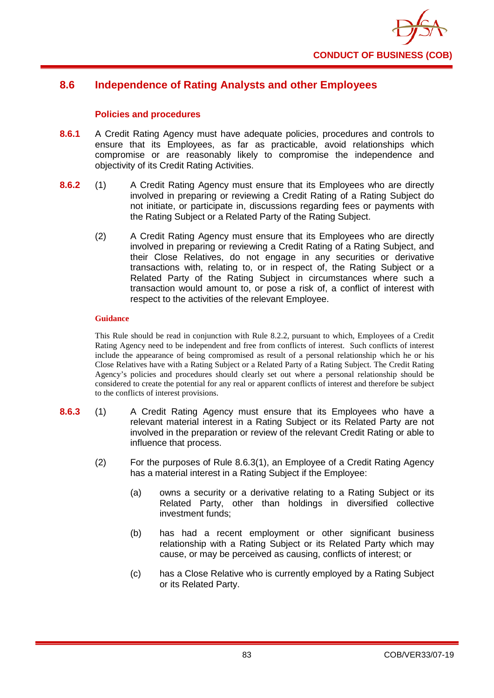

# **8.6 Independence of Rating Analysts and other Employees**

## **Policies and procedures**

- **8.6.1** A Credit Rating Agency must have adequate policies, procedures and controls to ensure that its Employees, as far as practicable, avoid relationships which compromise or are reasonably likely to compromise the independence and objectivity of its Credit Rating Activities.
- **8.6.2** (1) A Credit Rating Agency must ensure that its Employees who are directly involved in preparing or reviewing a Credit Rating of a Rating Subject do not initiate, or participate in, discussions regarding fees or payments with the Rating Subject or a Related Party of the Rating Subject.
	- (2) A Credit Rating Agency must ensure that its Employees who are directly involved in preparing or reviewing a Credit Rating of a Rating Subject, and their Close Relatives, do not engage in any securities or derivative transactions with, relating to, or in respect of, the Rating Subject or a Related Party of the Rating Subject in circumstances where such a transaction would amount to, or pose a risk of, a conflict of interest with respect to the activities of the relevant Employee.

### **Guidance**

This Rule should be read in conjunction with Rule 8.2.2, pursuant to which, Employees of a Credit Rating Agency need to be independent and free from conflicts of interest. Such conflicts of interest include the appearance of being compromised as result of a personal relationship which he or his Close Relatives have with a Rating Subject or a Related Party of a Rating Subject. The Credit Rating Agency's policies and procedures should clearly set out where a personal relationship should be considered to create the potential for any real or apparent conflicts of interest and therefore be subject to the conflicts of interest provisions.

- **8.6.3** (1) A Credit Rating Agency must ensure that its Employees who have a relevant material interest in a Rating Subject or its Related Party are not involved in the preparation or review of the relevant Credit Rating or able to influence that process.
	- (2) For the purposes of Rule 8.6.3(1), an Employee of a Credit Rating Agency has a material interest in a Rating Subject if the Employee:
		- (a) owns a security or a derivative relating to a Rating Subject or its Related Party, other than holdings in diversified collective investment funds;
		- (b) has had a recent employment or other significant business relationship with a Rating Subject or its Related Party which may cause, or may be perceived as causing, conflicts of interest; or
		- (c) has a Close Relative who is currently employed by a Rating Subject or its Related Party.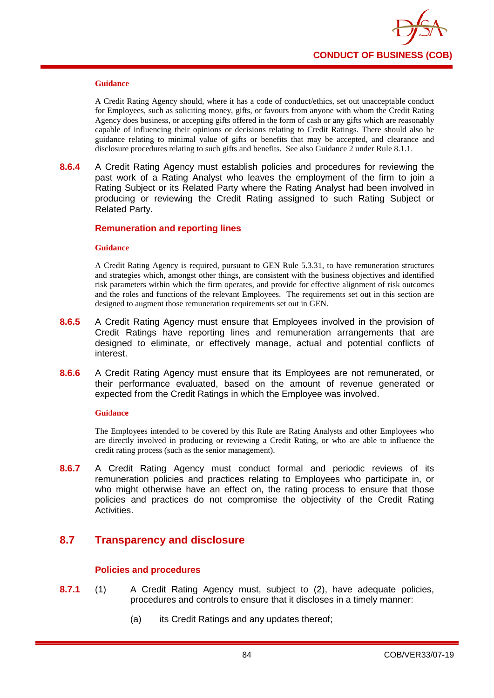

A Credit Rating Agency should, where it has a code of conduct/ethics, set out unacceptable conduct for Employees, such as soliciting money, gifts, or favours from anyone with whom the Credit Rating Agency does business, or accepting gifts offered in the form of cash or any gifts which are reasonably capable of influencing their opinions or decisions relating to Credit Ratings. There should also be guidance relating to minimal value of gifts or benefits that may be accepted, and clearance and disclosure procedures relating to such gifts and benefits. See also Guidance 2 under Rule 8.1.1.

**8.6.4** A Credit Rating Agency must establish policies and procedures for reviewing the past work of a Rating Analyst who leaves the employment of the firm to join a Rating Subject or its Related Party where the Rating Analyst had been involved in producing or reviewing the Credit Rating assigned to such Rating Subject or Related Party.

### **Remuneration and reporting lines**

#### **Guidance**

A Credit Rating Agency is required, pursuant to GEN Rule 5.3.31, to have remuneration structures and strategies which, amongst other things, are consistent with the business objectives and identified risk parameters within which the firm operates, and provide for effective alignment of risk outcomes and the roles and functions of the relevant Employees. The requirements set out in this section are designed to augment those remuneration requirements set out in GEN.

- **8.6.5** A Credit Rating Agency must ensure that Employees involved in the provision of Credit Ratings have reporting lines and remuneration arrangements that are designed to eliminate, or effectively manage, actual and potential conflicts of interest.
- **8.6.6** A Credit Rating Agency must ensure that its Employees are not remunerated, or their performance evaluated, based on the amount of revenue generated or expected from the Credit Ratings in which the Employee was involved.

#### **Gui**d**ance**

The Employees intended to be covered by this Rule are Rating Analysts and other Employees who are directly involved in producing or reviewing a Credit Rating, or who are able to influence the credit rating process (such as the senior management).

**8.6.7** A Credit Rating Agency must conduct formal and periodic reviews of its remuneration policies and practices relating to Employees who participate in, or who might otherwise have an effect on, the rating process to ensure that those policies and practices do not compromise the objectivity of the Credit Rating Activities.

# **8.7 Transparency and disclosure**

## **Policies and procedures**

- **8.7.1** (1) A Credit Rating Agency must, subject to (2), have adequate policies, procedures and controls to ensure that it discloses in a timely manner:
	- (a) its Credit Ratings and any updates thereof;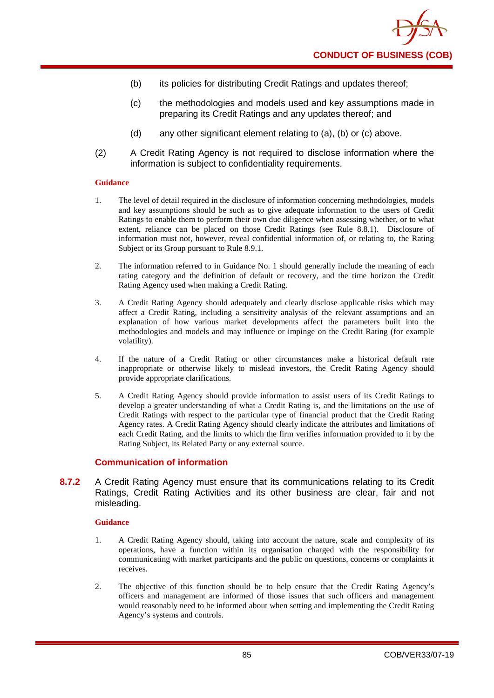- (b) its policies for distributing Credit Ratings and updates thereof;
- (c) the methodologies and models used and key assumptions made in preparing its Credit Ratings and any updates thereof; and
- (d) any other significant element relating to (a), (b) or (c) above.
- (2) A Credit Rating Agency is not required to disclose information where the information is subject to confidentiality requirements.

- 1. The level of detail required in the disclosure of information concerning methodologies, models and key assumptions should be such as to give adequate information to the users of Credit Ratings to enable them to perform their own due diligence when assessing whether, or to what extent, reliance can be placed on those Credit Ratings (see Rule 8.8.1). Disclosure of information must not, however, reveal confidential information of, or relating to, the Rating Subject or its Group pursuant to Rule 8.9.1.
- 2. The information referred to in Guidance No. 1 should generally include the meaning of each rating category and the definition of default or recovery, and the time horizon the Credit Rating Agency used when making a Credit Rating.
- 3. A Credit Rating Agency should adequately and clearly disclose applicable risks which may affect a Credit Rating, including a sensitivity analysis of the relevant assumptions and an explanation of how various market developments affect the parameters built into the methodologies and models and may influence or impinge on the Credit Rating (for example volatility).
- 4. If the nature of a Credit Rating or other circumstances make a historical default rate inappropriate or otherwise likely to mislead investors, the Credit Rating Agency should provide appropriate clarifications.
- 5. A Credit Rating Agency should provide information to assist users of its Credit Ratings to develop a greater understanding of what a Credit Rating is, and the limitations on the use of Credit Ratings with respect to the particular type of financial product that the Credit Rating Agency rates. A Credit Rating Agency should clearly indicate the attributes and limitations of each Credit Rating, and the limits to which the firm verifies information provided to it by the Rating Subject, its Related Party or any external source.

## **Communication of information**

**8.7.2** A Credit Rating Agency must ensure that its communications relating to its Credit Ratings, Credit Rating Activities and its other business are clear, fair and not misleading.

#### **Guidance**

- 1. A Credit Rating Agency should, taking into account the nature, scale and complexity of its operations, have a function within its organisation charged with the responsibility for communicating with market participants and the public on questions, concerns or complaints it receives.
- 2. The objective of this function should be to help ensure that the Credit Rating Agency's officers and management are informed of those issues that such officers and management would reasonably need to be informed about when setting and implementing the Credit Rating Agency's systems and controls.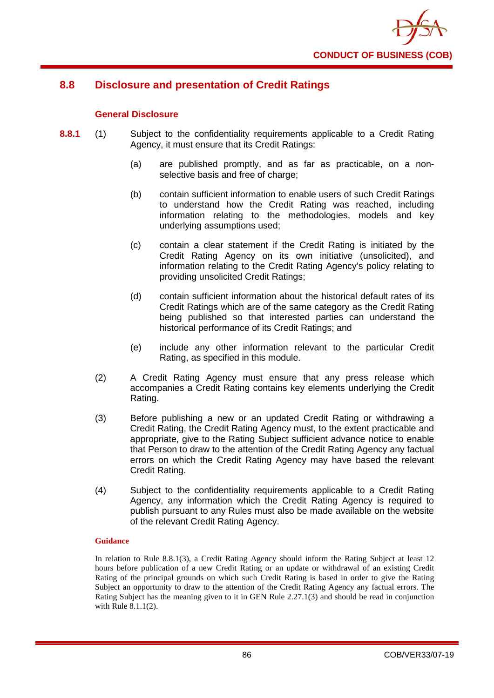

# **8.8 Disclosure and presentation of Credit Ratings**

## **General Disclosure**

- **8.8.1** (1) Subject to the confidentiality requirements applicable to a Credit Rating Agency, it must ensure that its Credit Ratings:
	- (a) are published promptly, and as far as practicable, on a nonselective basis and free of charge;
	- (b) contain sufficient information to enable users of such Credit Ratings to understand how the Credit Rating was reached, including information relating to the methodologies, models and key underlying assumptions used;
	- (c) contain a clear statement if the Credit Rating is initiated by the Credit Rating Agency on its own initiative (unsolicited), and information relating to the Credit Rating Agency's policy relating to providing unsolicited Credit Ratings;
	- (d) contain sufficient information about the historical default rates of its Credit Ratings which are of the same category as the Credit Rating being published so that interested parties can understand the historical performance of its Credit Ratings; and
	- (e) include any other information relevant to the particular Credit Rating, as specified in this module.
	- (2) A Credit Rating Agency must ensure that any press release which accompanies a Credit Rating contains key elements underlying the Credit Rating.
	- (3) Before publishing a new or an updated Credit Rating or withdrawing a Credit Rating, the Credit Rating Agency must, to the extent practicable and appropriate, give to the Rating Subject sufficient advance notice to enable that Person to draw to the attention of the Credit Rating Agency any factual errors on which the Credit Rating Agency may have based the relevant Credit Rating.
	- (4) Subject to the confidentiality requirements applicable to a Credit Rating Agency, any information which the Credit Rating Agency is required to publish pursuant to any Rules must also be made available on the website of the relevant Credit Rating Agency.

## **Guidance**

In relation to Rule 8.8.1(3), a Credit Rating Agency should inform the Rating Subject at least 12 hours before publication of a new Credit Rating or an update or withdrawal of an existing Credit Rating of the principal grounds on which such Credit Rating is based in order to give the Rating Subject an opportunity to draw to the attention of the Credit Rating Agency any factual errors. The Rating Subject has the meaning given to it in GEN Rule 2.27.1(3) and should be read in conjunction with Rule 8.1.1(2).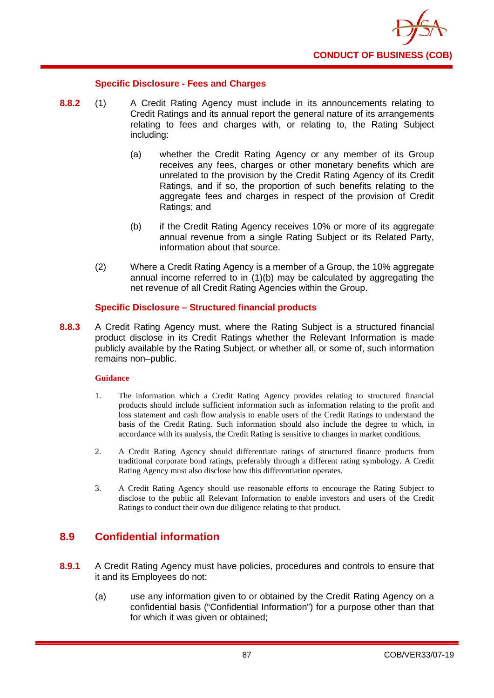

## **Specific Disclosure - Fees and Charges**

- **8.8.2** (1) A Credit Rating Agency must include in its announcements relating to Credit Ratings and its annual report the general nature of its arrangements relating to fees and charges with, or relating to, the Rating Subject including:
	- (a) whether the Credit Rating Agency or any member of its Group receives any fees, charges or other monetary benefits which are unrelated to the provision by the Credit Rating Agency of its Credit Ratings, and if so, the proportion of such benefits relating to the aggregate fees and charges in respect of the provision of Credit Ratings; and
	- (b) if the Credit Rating Agency receives 10% or more of its aggregate annual revenue from a single Rating Subject or its Related Party, information about that source.
	- (2) Where a Credit Rating Agency is a member of a Group, the 10% aggregate annual income referred to in (1)(b) may be calculated by aggregating the net revenue of all Credit Rating Agencies within the Group.

## **Specific Disclosure – Structured financial products**

**8.8.3** A Credit Rating Agency must, where the Rating Subject is a structured financial product disclose in its Credit Ratings whether the Relevant Information is made publicly available by the Rating Subject, or whether all, or some of, such information remains non–public.

### **Guidance**

- 1. The information which a Credit Rating Agency provides relating to structured financial products should include sufficient information such as information relating to the profit and loss statement and cash flow analysis to enable users of the Credit Ratings to understand the basis of the Credit Rating. Such information should also include the degree to which, in accordance with its analysis, the Credit Rating is sensitive to changes in market conditions.
- 2. A Credit Rating Agency should differentiate ratings of structured finance products from traditional corporate bond ratings, preferably through a different rating symbology. A Credit Rating Agency must also disclose how this differentiation operates.
- 3. A Credit Rating Agency should use reasonable efforts to encourage the Rating Subject to disclose to the public all Relevant Information to enable investors and users of the Credit Ratings to conduct their own due diligence relating to that product.

# **8.9 Confidential information**

- **8.9.1** A Credit Rating Agency must have policies, procedures and controls to ensure that it and its Employees do not:
	- (a) use any information given to or obtained by the Credit Rating Agency on a confidential basis ("Confidential Information") for a purpose other than that for which it was given or obtained;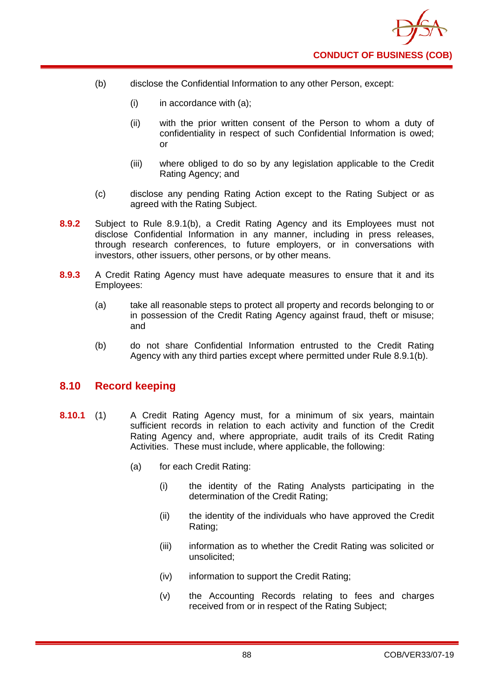

- (b) disclose the Confidential Information to any other Person, except:
	- $(i)$  in accordance with  $(a)$ ;
	- (ii) with the prior written consent of the Person to whom a duty of confidentiality in respect of such Confidential Information is owed; or
	- (iii) where obliged to do so by any legislation applicable to the Credit Rating Agency; and
- (c) disclose any pending Rating Action except to the Rating Subject or as agreed with the Rating Subject.
- **8.9.2** Subject to Rule 8.9.1(b), a Credit Rating Agency and its Employees must not disclose Confidential Information in any manner, including in press releases, through research conferences, to future employers, or in conversations with investors, other issuers, other persons, or by other means.
- **8.9.3** A Credit Rating Agency must have adequate measures to ensure that it and its Employees:
	- (a) take all reasonable steps to protect all property and records belonging to or in possession of the Credit Rating Agency against fraud, theft or misuse; and
	- (b) do not share Confidential Information entrusted to the Credit Rating Agency with any third parties except where permitted under Rule 8.9.1(b).

## **8.10 Record keeping**

- **8.10.1** (1) A Credit Rating Agency must, for a minimum of six years, maintain sufficient records in relation to each activity and function of the Credit Rating Agency and, where appropriate, audit trails of its Credit Rating Activities. These must include, where applicable, the following:
	- (a) for each Credit Rating:
		- (i) the identity of the Rating Analysts participating in the determination of the Credit Rating;
		- (ii) the identity of the individuals who have approved the Credit Rating;
		- (iii) information as to whether the Credit Rating was solicited or unsolicited;
		- (iv) information to support the Credit Rating;
		- (v) the Accounting Records relating to fees and charges received from or in respect of the Rating Subject;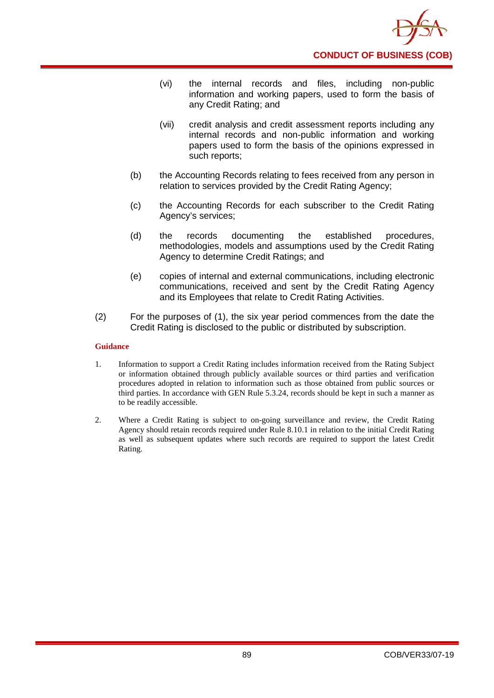

- (vi) the internal records and files, including non-public information and working papers, used to form the basis of any Credit Rating; and
- (vii) credit analysis and credit assessment reports including any internal records and non-public information and working papers used to form the basis of the opinions expressed in such reports;
- (b) the Accounting Records relating to fees received from any person in relation to services provided by the Credit Rating Agency;
- (c) the Accounting Records for each subscriber to the Credit Rating Agency's services;
- (d) the records documenting the established procedures, methodologies, models and assumptions used by the Credit Rating Agency to determine Credit Ratings; and
- (e) copies of internal and external communications, including electronic communications, received and sent by the Credit Rating Agency and its Employees that relate to Credit Rating Activities.
- (2) For the purposes of (1), the six year period commences from the date the Credit Rating is disclosed to the public or distributed by subscription.

- 1. Information to support a Credit Rating includes information received from the Rating Subject or information obtained through publicly available sources or third parties and verification procedures adopted in relation to information such as those obtained from public sources or third parties. In accordance with GEN Rule 5.3.24, records should be kept in such a manner as to be readily accessible.
- 2. Where a Credit Rating is subject to on-going surveillance and review, the Credit Rating Agency should retain records required under Rule 8.10.1 in relation to the initial Credit Rating as well as subsequent updates where such records are required to support the latest Credit Rating.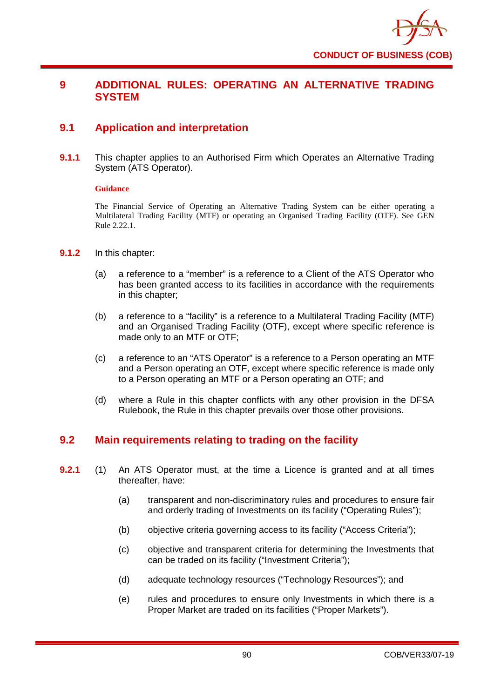

# **9 ADDITIONAL RULES: OPERATING AN ALTERNATIVE TRADING SYSTEM**

# **9.1 Application and interpretation**

**9.1.1** This chapter applies to an Authorised Firm which Operates an Alternative Trading System (ATS Operator).

## **Guidance**

The Financial Service of Operating an Alternative Trading System can be either operating a Multilateral Trading Facility (MTF) or operating an Organised Trading Facility (OTF). See GEN Rule 2.22.1.

- **9.1.2** In this chapter:
	- (a) a reference to a "member" is a reference to a Client of the ATS Operator who has been granted access to its facilities in accordance with the requirements in this chapter;
	- (b) a reference to a "facility" is a reference to a Multilateral Trading Facility (MTF) and an Organised Trading Facility (OTF), except where specific reference is made only to an MTF or OTF;
	- (c) a reference to an "ATS Operator" is a reference to a Person operating an MTF and a Person operating an OTF, except where specific reference is made only to a Person operating an MTF or a Person operating an OTF; and
	- (d) where a Rule in this chapter conflicts with any other provision in the DFSA Rulebook, the Rule in this chapter prevails over those other provisions.

# **9.2 Main requirements relating to trading on the facility**

- **9.2.1** (1) An ATS Operator must, at the time a Licence is granted and at all times thereafter, have:
	- (a) transparent and non-discriminatory rules and procedures to ensure fair and orderly trading of Investments on its facility ("Operating Rules");
	- (b) objective criteria governing access to its facility ("Access Criteria");
	- (c) objective and transparent criteria for determining the Investments that can be traded on its facility ("Investment Criteria");
	- (d) adequate technology resources ("Technology Resources"); and
	- (e) rules and procedures to ensure only Investments in which there is a Proper Market are traded on its facilities ("Proper Markets").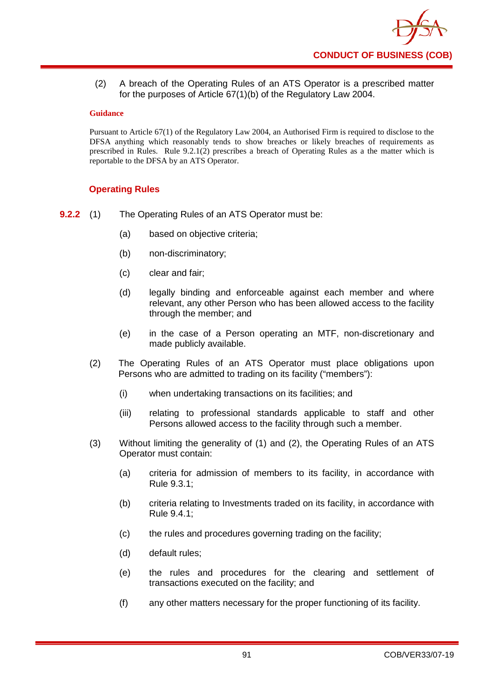

(2) A breach of the Operating Rules of an ATS Operator is a prescribed matter for the purposes of Article 67(1)(b) of the Regulatory Law 2004.

### **Guidance**

Pursuant to Article 67(1) of the Regulatory Law 2004, an Authorised Firm is required to disclose to the DFSA anything which reasonably tends to show breaches or likely breaches of requirements as prescribed in Rules. Rule 9.2.1(2) prescribes a breach of Operating Rules as a the matter which is reportable to the DFSA by an ATS Operator.

## **Operating Rules**

- **9.2.2** (1) The Operating Rules of an ATS Operator must be:
	- (a) based on objective criteria;
	- (b) non-discriminatory;
	- (c) clear and fair;
	- (d) legally binding and enforceable against each member and where relevant, any other Person who has been allowed access to the facility through the member; and
	- (e) in the case of a Person operating an MTF, non-discretionary and made publicly available.
	- (2) The Operating Rules of an ATS Operator must place obligations upon Persons who are admitted to trading on its facility ("members"):
		- (i) when undertaking transactions on its facilities; and
		- (iii) relating to professional standards applicable to staff and other Persons allowed access to the facility through such a member.
	- (3) Without limiting the generality of (1) and (2), the Operating Rules of an ATS Operator must contain:
		- (a) criteria for admission of members to its facility, in accordance with Rule 9.3.1;
		- (b) criteria relating to Investments traded on its facility, in accordance with Rule 9.4.1;
		- (c) the rules and procedures governing trading on the facility;
		- (d) default rules;
		- (e) the rules and procedures for the clearing and settlement of transactions executed on the facility; and
		- (f) any other matters necessary for the proper functioning of its facility.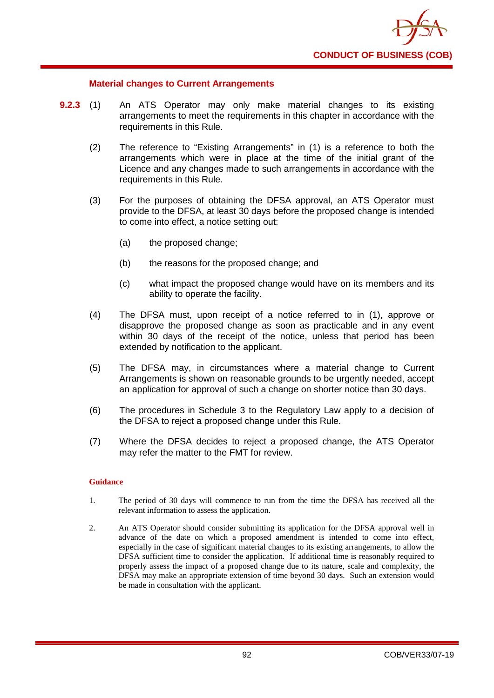

## **Material changes to Current Arrangements**

- **9.2.3** (1) An ATS Operator may only make material changes to its existing arrangements to meet the requirements in this chapter in accordance with the requirements in this Rule.
	- (2) The reference to "Existing Arrangements" in (1) is a reference to both the arrangements which were in place at the time of the initial grant of the Licence and any changes made to such arrangements in accordance with the requirements in this Rule.
	- (3) For the purposes of obtaining the DFSA approval, an ATS Operator must provide to the DFSA, at least 30 days before the proposed change is intended to come into effect, a notice setting out:
		- (a) the proposed change;
		- (b) the reasons for the proposed change; and
		- (c) what impact the proposed change would have on its members and its ability to operate the facility.
	- (4) The DFSA must, upon receipt of a notice referred to in (1), approve or disapprove the proposed change as soon as practicable and in any event within 30 days of the receipt of the notice, unless that period has been extended by notification to the applicant.
	- (5) The DFSA may, in circumstances where a material change to Current Arrangements is shown on reasonable grounds to be urgently needed, accept an application for approval of such a change on shorter notice than 30 days.
	- (6) The procedures in Schedule 3 to the Regulatory Law apply to a decision of the DFSA to reject a proposed change under this Rule.
	- (7) Where the DFSA decides to reject a proposed change, the ATS Operator may refer the matter to the FMT for review.

#### **Guidance**

- 1. The period of 30 days will commence to run from the time the DFSA has received all the relevant information to assess the application.
- 2. An ATS Operator should consider submitting its application for the DFSA approval well in advance of the date on which a proposed amendment is intended to come into effect, especially in the case of significant material changes to its existing arrangements, to allow the DFSA sufficient time to consider the application. If additional time is reasonably required to properly assess the impact of a proposed change due to its nature, scale and complexity, the DFSA may make an appropriate extension of time beyond 30 days. Such an extension would be made in consultation with the applicant.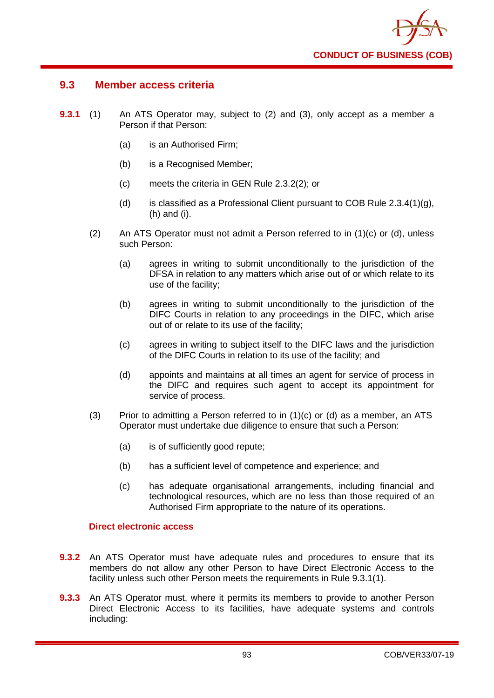

## **9.3 Member access criteria**

- **9.3.1** (1) An ATS Operator may, subject to (2) and (3), only accept as a member a Person if that Person:
	- (a) is an Authorised Firm;
	- (b) is a Recognised Member;
	- (c) meets the criteria in GEN Rule 2.3.2(2); or
	- (d) is classified as a Professional Client pursuant to COB Rule  $2.3.4(1)(g)$ , (h) and (i).
	- (2) An ATS Operator must not admit a Person referred to in (1)(c) or (d), unless such Person:
		- (a) agrees in writing to submit unconditionally to the jurisdiction of the DFSA in relation to any matters which arise out of or which relate to its use of the facility;
		- (b) agrees in writing to submit unconditionally to the jurisdiction of the DIFC Courts in relation to any proceedings in the DIFC, which arise out of or relate to its use of the facility;
		- (c) agrees in writing to subject itself to the DIFC laws and the jurisdiction of the DIFC Courts in relation to its use of the facility; and
		- (d) appoints and maintains at all times an agent for service of process in the DIFC and requires such agent to accept its appointment for service of process.
	- (3) Prior to admitting a Person referred to in  $(1)(c)$  or  $(d)$  as a member, an ATS Operator must undertake due diligence to ensure that such a Person:
		- (a) is of sufficiently good repute;
		- (b) has a sufficient level of competence and experience; and
		- (c) has adequate organisational arrangements, including financial and technological resources, which are no less than those required of an Authorised Firm appropriate to the nature of its operations.

## **Direct electronic access**

- **9.3.2** An ATS Operator must have adequate rules and procedures to ensure that its members do not allow any other Person to have Direct Electronic Access to the facility unless such other Person meets the requirements in Rule 9.3.1(1).
- **9.3.3** An ATS Operator must, where it permits its members to provide to another Person Direct Electronic Access to its facilities, have adequate systems and controls including: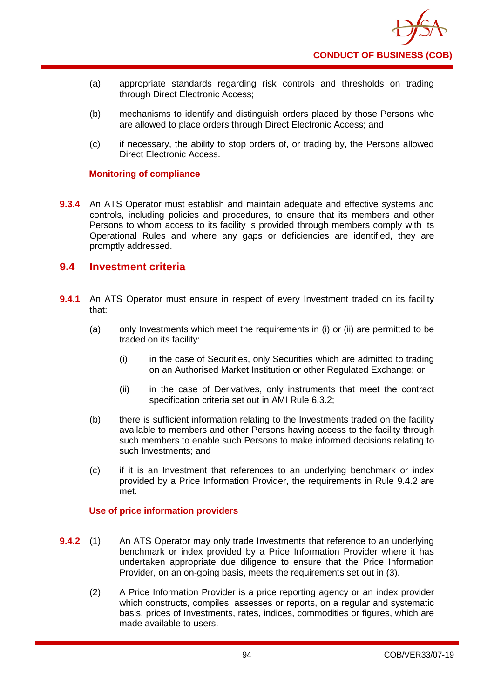

- (a) appropriate standards regarding risk controls and thresholds on trading through Direct Electronic Access;
- (b) mechanisms to identify and distinguish orders placed by those Persons who are allowed to place orders through Direct Electronic Access; and
- (c) if necessary, the ability to stop orders of, or trading by, the Persons allowed Direct Electronic Access.

## **Monitoring of compliance**

**9.3.4** An ATS Operator must establish and maintain adequate and effective systems and controls, including policies and procedures, to ensure that its members and other Persons to whom access to its facility is provided through members comply with its Operational Rules and where any gaps or deficiencies are identified, they are promptly addressed.

## **9.4 Investment criteria**

- **9.4.1** An ATS Operator must ensure in respect of every Investment traded on its facility that:
	- (a) only Investments which meet the requirements in (i) or (ii) are permitted to be traded on its facility:
		- (i) in the case of Securities, only Securities which are admitted to trading on an Authorised Market Institution or other Regulated Exchange; or
		- (ii) in the case of Derivatives, only instruments that meet the contract specification criteria set out in AMI Rule 6.3.2;
	- (b) there is sufficient information relating to the Investments traded on the facility available to members and other Persons having access to the facility through such members to enable such Persons to make informed decisions relating to such Investments; and
	- (c) if it is an Investment that references to an underlying benchmark or index provided by a Price Information Provider, the requirements in Rule 9.4.2 are met.

## **Use of price information providers**

- **9.4.2** (1) An ATS Operator may only trade Investments that reference to an underlying benchmark or index provided by a Price Information Provider where it has undertaken appropriate due diligence to ensure that the Price Information Provider, on an on-going basis, meets the requirements set out in (3).
	- (2) A Price Information Provider is a price reporting agency or an index provider which constructs, compiles, assesses or reports, on a regular and systematic basis, prices of Investments, rates, indices, commodities or figures, which are made available to users.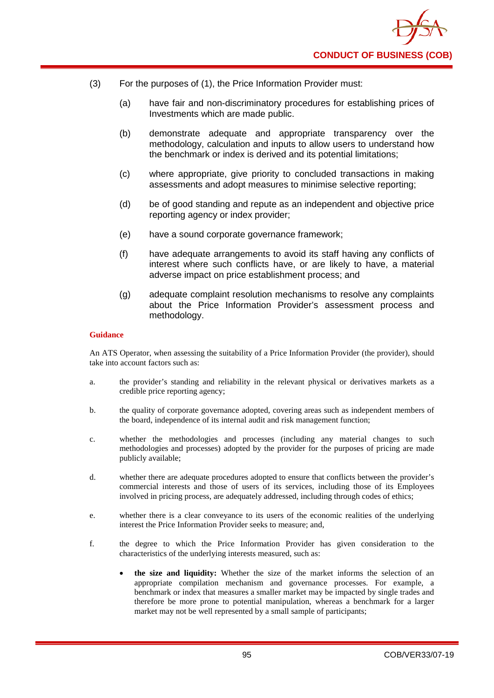

- (3) For the purposes of (1), the Price Information Provider must:
	- (a) have fair and non-discriminatory procedures for establishing prices of Investments which are made public.
	- (b) demonstrate adequate and appropriate transparency over the methodology, calculation and inputs to allow users to understand how the benchmark or index is derived and its potential limitations;
	- (c) where appropriate, give priority to concluded transactions in making assessments and adopt measures to minimise selective reporting;
	- (d) be of good standing and repute as an independent and objective price reporting agency or index provider;
	- (e) have a sound corporate governance framework;
	- (f) have adequate arrangements to avoid its staff having any conflicts of interest where such conflicts have, or are likely to have, a material adverse impact on price establishment process; and
	- (g) adequate complaint resolution mechanisms to resolve any complaints about the Price Information Provider's assessment process and methodology.

An ATS Operator, when assessing the suitability of a Price Information Provider (the provider), should take into account factors such as:

- a. the provider's standing and reliability in the relevant physical or derivatives markets as a credible price reporting agency;
- b. the quality of corporate governance adopted, covering areas such as independent members of the board, independence of its internal audit and risk management function;
- c. whether the methodologies and processes (including any material changes to such methodologies and processes) adopted by the provider for the purposes of pricing are made publicly available;
- d. whether there are adequate procedures adopted to ensure that conflicts between the provider's commercial interests and those of users of its services, including those of its Employees involved in pricing process, are adequately addressed, including through codes of ethics;
- e. whether there is a clear conveyance to its users of the economic realities of the underlying interest the Price Information Provider seeks to measure; and,
- f. the degree to which the Price Information Provider has given consideration to the characteristics of the underlying interests measured, such as:
	- **the size and liquidity:** Whether the size of the market informs the selection of an appropriate compilation mechanism and governance processes. For example, a benchmark or index that measures a smaller market may be impacted by single trades and therefore be more prone to potential manipulation, whereas a benchmark for a larger market may not be well represented by a small sample of participants;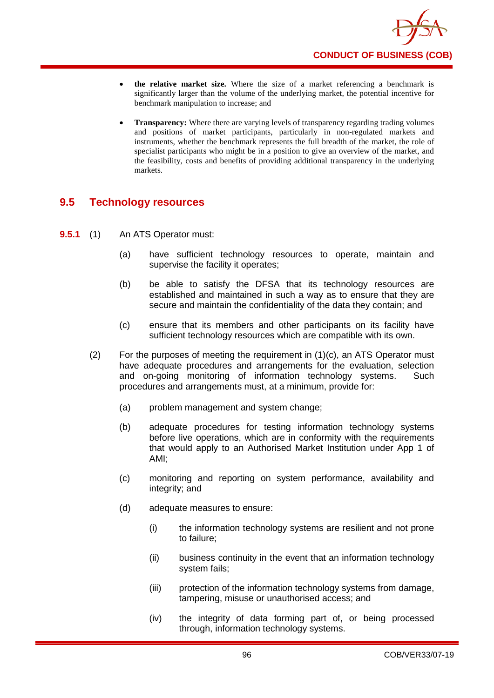

- **the relative market size.** Where the size of a market referencing a benchmark is significantly larger than the volume of the underlying market, the potential incentive for benchmark manipulation to increase; and
- **Transparency:** Where there are varying levels of transparency regarding trading volumes and positions of market participants, particularly in non-regulated markets and instruments, whether the benchmark represents the full breadth of the market, the role of specialist participants who might be in a position to give an overview of the market, and the feasibility, costs and benefits of providing additional transparency in the underlying markets.

# **9.5 Technology resources**

- **9.5.1** (1) An ATS Operator must:
	- (a) have sufficient technology resources to operate, maintain and supervise the facility it operates;
	- (b) be able to satisfy the DFSA that its technology resources are established and maintained in such a way as to ensure that they are secure and maintain the confidentiality of the data they contain; and
	- (c) ensure that its members and other participants on its facility have sufficient technology resources which are compatible with its own.
	- (2) For the purposes of meeting the requirement in (1)(c), an ATS Operator must have adequate procedures and arrangements for the evaluation, selection and on-going monitoring of information technology systems. Such procedures and arrangements must, at a minimum, provide for:
		- (a) problem management and system change;
		- (b) adequate procedures for testing information technology systems before live operations, which are in conformity with the requirements that would apply to an Authorised Market Institution under App 1 of AMI;
		- (c) monitoring and reporting on system performance, availability and integrity; and
		- (d) adequate measures to ensure:
			- (i) the information technology systems are resilient and not prone to failure;
			- (ii) business continuity in the event that an information technology system fails;
			- (iii) protection of the information technology systems from damage, tampering, misuse or unauthorised access; and
			- (iv) the integrity of data forming part of, or being processed through, information technology systems.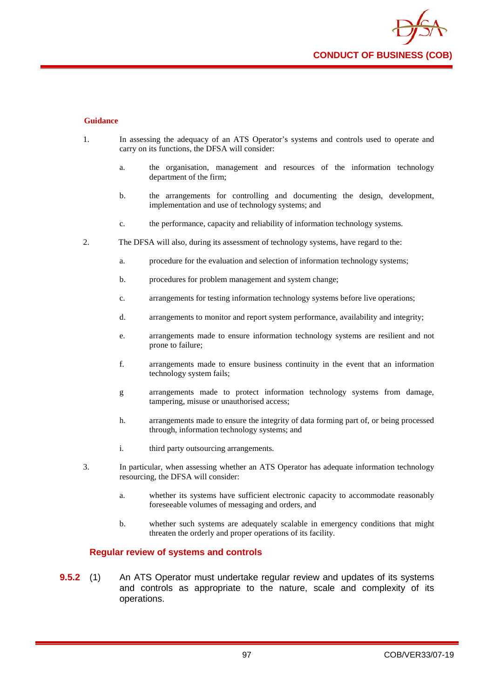

- 1. In assessing the adequacy of an ATS Operator's systems and controls used to operate and carry on its functions, the DFSA will consider:
	- a. the organisation, management and resources of the information technology department of the firm;
	- b. the arrangements for controlling and documenting the design, development, implementation and use of technology systems; and
	- c. the performance, capacity and reliability of information technology systems.
- 2. The DFSA will also, during its assessment of technology systems, have regard to the:
	- a. procedure for the evaluation and selection of information technology systems;
	- b. procedures for problem management and system change:
	- c. arrangements for testing information technology systems before live operations;
	- d. arrangements to monitor and report system performance, availability and integrity;
	- e. arrangements made to ensure information technology systems are resilient and not prone to failure;
	- f. arrangements made to ensure business continuity in the event that an information technology system fails;
	- g arrangements made to protect information technology systems from damage, tampering, misuse or unauthorised access;
	- h. arrangements made to ensure the integrity of data forming part of, or being processed through, information technology systems; and
	- i. third party outsourcing arrangements.
- 3. In particular, when assessing whether an ATS Operator has adequate information technology resourcing, the DFSA will consider:
	- a. whether its systems have sufficient electronic capacity to accommodate reasonably foreseeable volumes of messaging and orders, and
	- b. whether such systems are adequately scalable in emergency conditions that might threaten the orderly and proper operations of its facility.

#### **Regular review of systems and controls**

**9.5.2** (1) An ATS Operator must undertake regular review and updates of its systems and controls as appropriate to the nature, scale and complexity of its operations.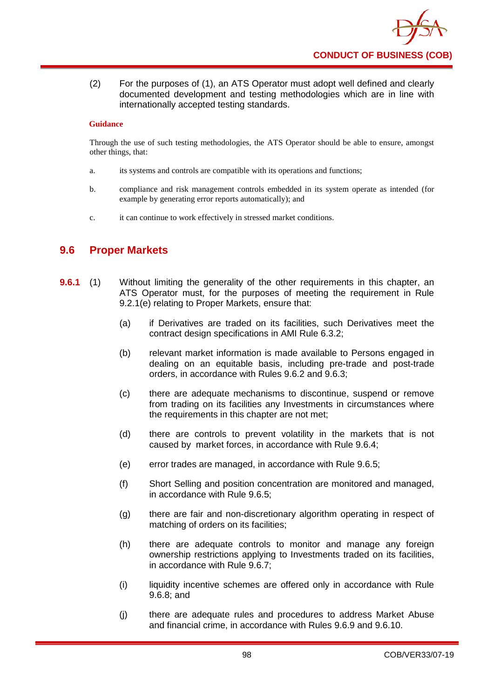

(2) For the purposes of (1), an ATS Operator must adopt well defined and clearly documented development and testing methodologies which are in line with internationally accepted testing standards.

### **Guidance**

Through the use of such testing methodologies, the ATS Operator should be able to ensure, amongst other things, that:

- a. its systems and controls are compatible with its operations and functions;
- b. compliance and risk management controls embedded in its system operate as intended (for example by generating error reports automatically); and
- c. it can continue to work effectively in stressed market conditions.

## **9.6 Proper Markets**

- **9.6.1** (1) Without limiting the generality of the other requirements in this chapter, an ATS Operator must, for the purposes of meeting the requirement in Rule 9.2.1(e) relating to Proper Markets, ensure that:
	- (a) if Derivatives are traded on its facilities, such Derivatives meet the contract design specifications in AMI Rule 6.3.2;
	- (b) relevant market information is made available to Persons engaged in dealing on an equitable basis, including pre-trade and post-trade orders, in accordance with Rules 9.6.2 and 9.6.3;
	- (c) there are adequate mechanisms to discontinue, suspend or remove from trading on its facilities any Investments in circumstances where the requirements in this chapter are not met;
	- (d) there are controls to prevent volatility in the markets that is not caused by market forces, in accordance with Rule 9.6.4;
	- (e) error trades are managed, in accordance with Rule 9.6.5;
	- (f) Short Selling and position concentration are monitored and managed, in accordance with Rule 9.6.5;
	- (g) there are fair and non-discretionary algorithm operating in respect of matching of orders on its facilities;
	- (h) there are adequate controls to monitor and manage any foreign ownership restrictions applying to Investments traded on its facilities, in accordance with Rule 9.6.7;
	- (i) liquidity incentive schemes are offered only in accordance with Rule 9.6.8; and
	- (j) there are adequate rules and procedures to address Market Abuse and financial crime, in accordance with Rules 9.6.9 and 9.6.10.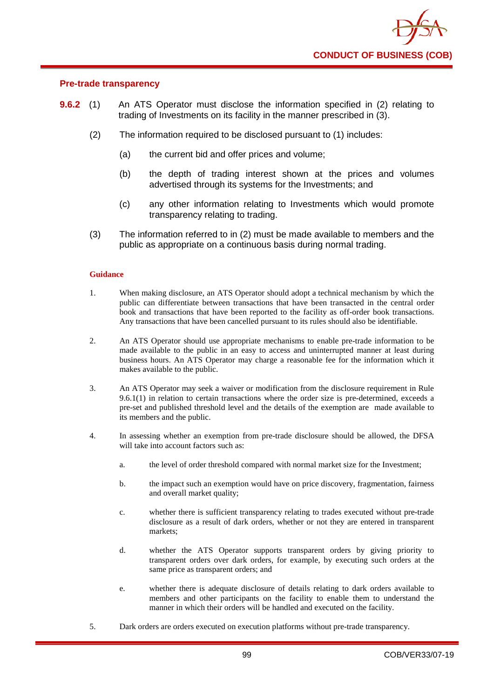

## **Pre-trade transparency**

- **9.6.2** (1) An ATS Operator must disclose the information specified in (2) relating to trading of Investments on its facility in the manner prescribed in (3).
	- (2) The information required to be disclosed pursuant to (1) includes:
		- (a) the current bid and offer prices and volume;
		- (b) the depth of trading interest shown at the prices and volumes advertised through its systems for the Investments; and
		- (c) any other information relating to Investments which would promote transparency relating to trading.
	- (3) The information referred to in (2) must be made available to members and the public as appropriate on a continuous basis during normal trading.

#### **Guidance**

- 1. When making disclosure, an ATS Operator should adopt a technical mechanism by which the public can differentiate between transactions that have been transacted in the central order book and transactions that have been reported to the facility as off-order book transactions. Any transactions that have been cancelled pursuant to its rules should also be identifiable.
- 2. An ATS Operator should use appropriate mechanisms to enable pre-trade information to be made available to the public in an easy to access and uninterrupted manner at least during business hours. An ATS Operator may charge a reasonable fee for the information which it makes available to the public.
- 3. An ATS Operator may seek a waiver or modification from the disclosure requirement in Rule 9.6.1(1) in relation to certain transactions where the order size is pre-determined, exceeds a pre-set and published threshold level and the details of the exemption are made available to its members and the public.
- 4. In assessing whether an exemption from pre-trade disclosure should be allowed, the DFSA will take into account factors such as:
	- a. the level of order threshold compared with normal market size for the Investment;
	- b. the impact such an exemption would have on price discovery, fragmentation, fairness and overall market quality;
	- c. whether there is sufficient transparency relating to trades executed without pre-trade disclosure as a result of dark orders, whether or not they are entered in transparent markets;
	- d. whether the ATS Operator supports transparent orders by giving priority to transparent orders over dark orders, for example, by executing such orders at the same price as transparent orders; and
	- e. whether there is adequate disclosure of details relating to dark orders available to members and other participants on the facility to enable them to understand the manner in which their orders will be handled and executed on the facility.
- 5. Dark orders are orders executed on execution platforms without pre-trade transparency.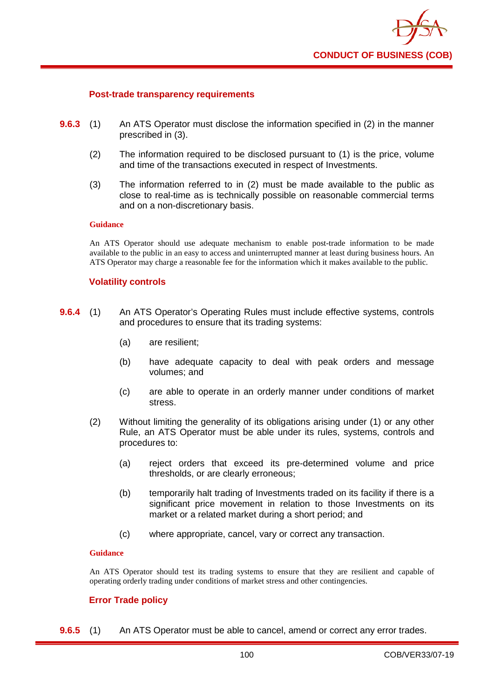

### **Post-trade transparency requirements**

- **9.6.3** (1) An ATS Operator must disclose the information specified in (2) in the manner prescribed in (3).
	- (2) The information required to be disclosed pursuant to (1) is the price, volume and time of the transactions executed in respect of Investments.
	- (3) The information referred to in (2) must be made available to the public as close to real-time as is technically possible on reasonable commercial terms and on a non-discretionary basis.

### **Guidance**

An ATS Operator should use adequate mechanism to enable post-trade information to be made available to the public in an easy to access and uninterrupted manner at least during business hours. An ATS Operator may charge a reasonable fee for the information which it makes available to the public.

### **Volatility controls**

- **9.6.4** (1) An ATS Operator's Operating Rules must include effective systems, controls and procedures to ensure that its trading systems:
	- (a) are resilient;
	- (b) have adequate capacity to deal with peak orders and message volumes; and
	- (c) are able to operate in an orderly manner under conditions of market stress.
	- (2) Without limiting the generality of its obligations arising under (1) or any other Rule, an ATS Operator must be able under its rules, systems, controls and procedures to:
		- (a) reject orders that exceed its pre-determined volume and price thresholds, or are clearly erroneous;
		- (b) temporarily halt trading of Investments traded on its facility if there is a significant price movement in relation to those Investments on its market or a related market during a short period; and
		- (c) where appropriate, cancel, vary or correct any transaction.

#### **Guidance**

An ATS Operator should test its trading systems to ensure that they are resilient and capable of operating orderly trading under conditions of market stress and other contingencies.

## **Error Trade policy**

**9.6.5** (1) An ATS Operator must be able to cancel, amend or correct any error trades.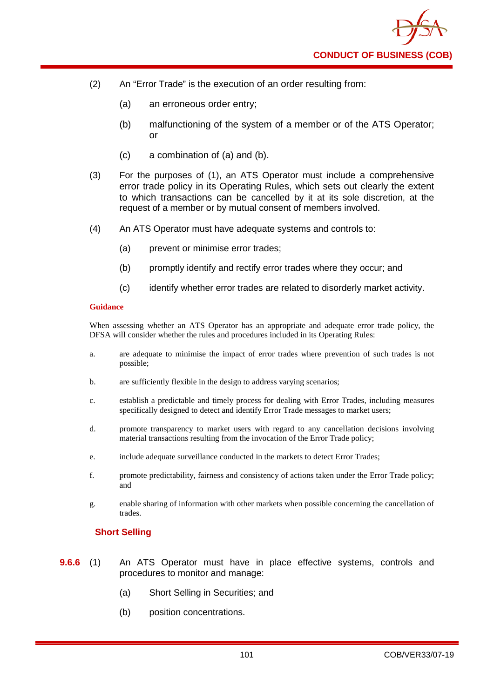- (2) An "Error Trade" is the execution of an order resulting from:
	- (a) an erroneous order entry;
	- (b) malfunctioning of the system of a member or of the ATS Operator; or
	- (c) a combination of (a) and (b).
- (3) For the purposes of (1), an ATS Operator must include a comprehensive error trade policy in its Operating Rules, which sets out clearly the extent to which transactions can be cancelled by it at its sole discretion, at the request of a member or by mutual consent of members involved.
- (4) An ATS Operator must have adequate systems and controls to:
	- (a) prevent or minimise error trades;
	- (b) promptly identify and rectify error trades where they occur; and
	- (c) identify whether error trades are related to disorderly market activity.

When assessing whether an ATS Operator has an appropriate and adequate error trade policy, the DFSA will consider whether the rules and procedures included in its Operating Rules:

- a. are adequate to minimise the impact of error trades where prevention of such trades is not possible;
- b. are sufficiently flexible in the design to address varying scenarios;
- c. establish a predictable and timely process for dealing with Error Trades, including measures specifically designed to detect and identify Error Trade messages to market users;
- d. promote transparency to market users with regard to any cancellation decisions involving material transactions resulting from the invocation of the Error Trade policy;
- e. include adequate surveillance conducted in the markets to detect Error Trades;
- f. promote predictability, fairness and consistency of actions taken under the Error Trade policy; and
- g. enable sharing of information with other markets when possible concerning the cancellation of trades.

## **Short Selling**

- **9.6.6** (1) An ATS Operator must have in place effective systems, controls and procedures to monitor and manage:
	- (a) Short Selling in Securities; and
	- (b) position concentrations.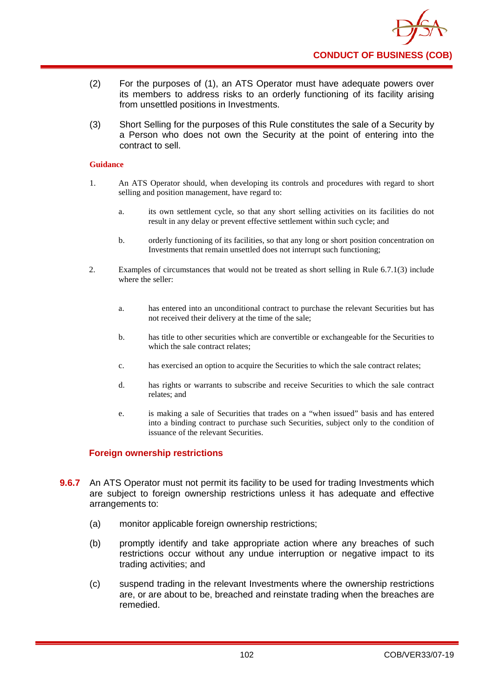

- (2) For the purposes of (1), an ATS Operator must have adequate powers over its members to address risks to an orderly functioning of its facility arising from unsettled positions in Investments.
- (3) Short Selling for the purposes of this Rule constitutes the sale of a Security by a Person who does not own the Security at the point of entering into the contract to sell.

- 1. An ATS Operator should, when developing its controls and procedures with regard to short selling and position management, have regard to:
	- a. its own settlement cycle, so that any short selling activities on its facilities do not result in any delay or prevent effective settlement within such cycle; and
	- b. orderly functioning of its facilities, so that any long or short position concentration on Investments that remain unsettled does not interrupt such functioning;
- 2. Examples of circumstances that would not be treated as short selling in Rule 6.7.1(3) include where the seller:
	- a. has entered into an unconditional contract to purchase the relevant Securities but has not received their delivery at the time of the sale;
	- b. has title to other securities which are convertible or exchangeable for the Securities to which the sale contract relates;
	- c. has exercised an option to acquire the Securities to which the sale contract relates;
	- d. has rights or warrants to subscribe and receive Securities to which the sale contract relates; and
	- e. is making a sale of Securities that trades on a "when issued" basis and has entered into a binding contract to purchase such Securities, subject only to the condition of issuance of the relevant Securities.

## **Foreign ownership restrictions**

- **9.6.7** An ATS Operator must not permit its facility to be used for trading Investments which are subject to foreign ownership restrictions unless it has adequate and effective arrangements to:
	- (a) monitor applicable foreign ownership restrictions;
	- (b) promptly identify and take appropriate action where any breaches of such restrictions occur without any undue interruption or negative impact to its trading activities; and
	- (c) suspend trading in the relevant Investments where the ownership restrictions are, or are about to be, breached and reinstate trading when the breaches are remedied.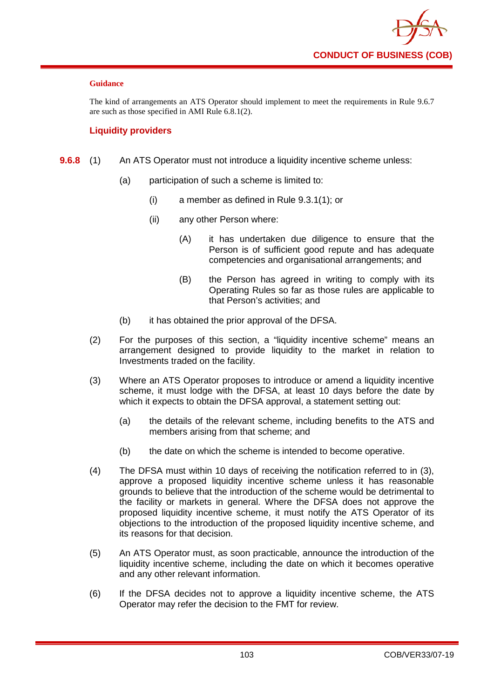

The kind of arrangements an ATS Operator should implement to meet the requirements in Rule 9.6.7 are such as those specified in AMI Rule 6.8.1(2).

## **Liquidity providers**

- **9.6.8** (1) An ATS Operator must not introduce a liquidity incentive scheme unless:
	- (a) participation of such a scheme is limited to:
		- (i) a member as defined in Rule 9.3.1(1); or
		- (ii) any other Person where:
			- (A) it has undertaken due diligence to ensure that the Person is of sufficient good repute and has adequate competencies and organisational arrangements; and
			- (B) the Person has agreed in writing to comply with its Operating Rules so far as those rules are applicable to that Person's activities; and
	- (b) it has obtained the prior approval of the DFSA.
	- (2) For the purposes of this section, a "liquidity incentive scheme" means an arrangement designed to provide liquidity to the market in relation to Investments traded on the facility.
	- (3) Where an ATS Operator proposes to introduce or amend a liquidity incentive scheme, it must lodge with the DFSA, at least 10 days before the date by which it expects to obtain the DFSA approval, a statement setting out:
		- (a) the details of the relevant scheme, including benefits to the ATS and members arising from that scheme; and
		- (b) the date on which the scheme is intended to become operative.
	- (4) The DFSA must within 10 days of receiving the notification referred to in (3), approve a proposed liquidity incentive scheme unless it has reasonable grounds to believe that the introduction of the scheme would be detrimental to the facility or markets in general. Where the DFSA does not approve the proposed liquidity incentive scheme, it must notify the ATS Operator of its objections to the introduction of the proposed liquidity incentive scheme, and its reasons for that decision.
	- (5) An ATS Operator must, as soon practicable, announce the introduction of the liquidity incentive scheme, including the date on which it becomes operative and any other relevant information.
	- (6) If the DFSA decides not to approve a liquidity incentive scheme, the ATS Operator may refer the decision to the FMT for review.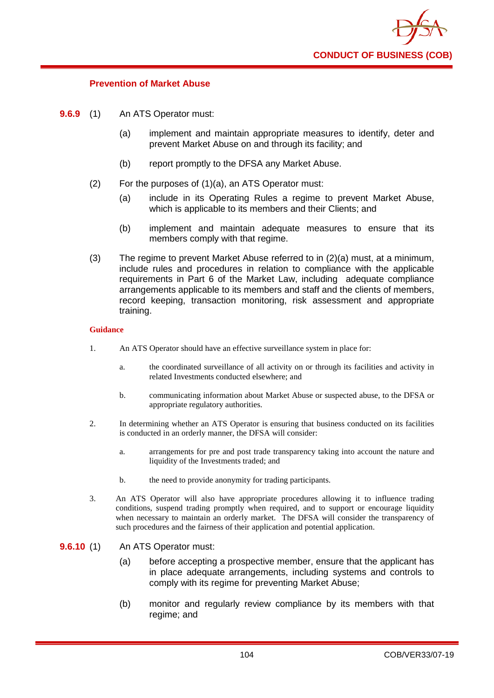

### **Prevention of Market Abuse**

- **9.6.9** (1) An ATS Operator must:
	- (a) implement and maintain appropriate measures to identify, deter and prevent Market Abuse on and through its facility; and
	- (b) report promptly to the DFSA any Market Abuse.
	- (2) For the purposes of (1)(a), an ATS Operator must:
		- (a) include in its Operating Rules a regime to prevent Market Abuse, which is applicable to its members and their Clients; and
		- (b) implement and maintain adequate measures to ensure that its members comply with that regime.
	- (3) The regime to prevent Market Abuse referred to in  $(2)(a)$  must, at a minimum, include rules and procedures in relation to compliance with the applicable requirements in Part 6 of the Market Law, including adequate compliance arrangements applicable to its members and staff and the clients of members, record keeping, transaction monitoring, risk assessment and appropriate training.

#### **Guidance**

- 1. An ATS Operator should have an effective surveillance system in place for:
	- a. the coordinated surveillance of all activity on or through its facilities and activity in related Investments conducted elsewhere; and
	- b. communicating information about Market Abuse or suspected abuse, to the DFSA or appropriate regulatory authorities.
- 2. In determining whether an ATS Operator is ensuring that business conducted on its facilities is conducted in an orderly manner, the DFSA will consider:
	- a. arrangements for pre and post trade transparency taking into account the nature and liquidity of the Investments traded; and
	- b. the need to provide anonymity for trading participants.
- 3. An ATS Operator will also have appropriate procedures allowing it to influence trading conditions, suspend trading promptly when required, and to support or encourage liquidity when necessary to maintain an orderly market. The DFSA will consider the transparency of such procedures and the fairness of their application and potential application.

### **9.6.10** (1) An ATS Operator must:

- (a) before accepting a prospective member, ensure that the applicant has in place adequate arrangements, including systems and controls to comply with its regime for preventing Market Abuse;
- (b) monitor and regularly review compliance by its members with that regime; and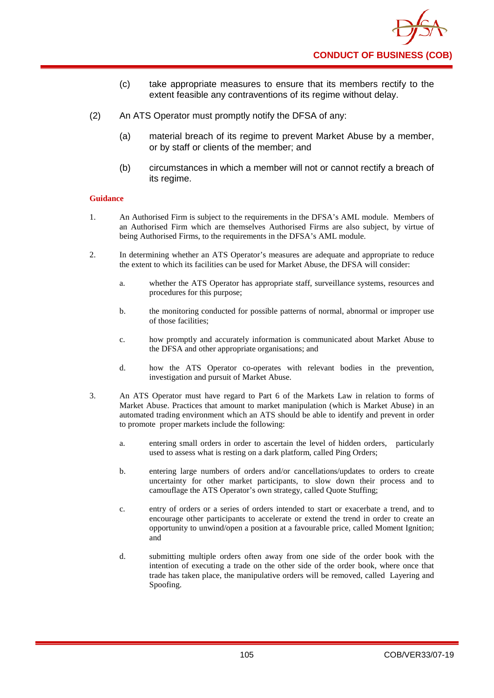

- (c) take appropriate measures to ensure that its members rectify to the extent feasible any contraventions of its regime without delay.
- (2) An ATS Operator must promptly notify the DFSA of any:
	- (a) material breach of its regime to prevent Market Abuse by a member, or by staff or clients of the member; and
	- (b) circumstances in which a member will not or cannot rectify a breach of its regime.

- 1. An Authorised Firm is subject to the requirements in the DFSA's AML module. Members of an Authorised Firm which are themselves Authorised Firms are also subject, by virtue of being Authorised Firms, to the requirements in the DFSA's AML module.
- 2. In determining whether an ATS Operator's measures are adequate and appropriate to reduce the extent to which its facilities can be used for Market Abuse, the DFSA will consider:
	- a. whether the ATS Operator has appropriate staff, surveillance systems, resources and procedures for this purpose;
	- b. the monitoring conducted for possible patterns of normal, abnormal or improper use of those facilities;
	- c. how promptly and accurately information is communicated about Market Abuse to the DFSA and other appropriate organisations; and
	- d. how the ATS Operator co-operates with relevant bodies in the prevention, investigation and pursuit of Market Abuse.
- 3. An ATS Operator must have regard to Part 6 of the Markets Law in relation to forms of Market Abuse. Practices that amount to market manipulation (which is Market Abuse) in an automated trading environment which an ATS should be able to identify and prevent in order to promote proper markets include the following:
	- a. entering small orders in order to ascertain the level of hidden orders, particularly used to assess what is resting on a dark platform, called Ping Orders;
	- b. entering large numbers of orders and/or cancellations/updates to orders to create uncertainty for other market participants, to slow down their process and to camouflage the ATS Operator's own strategy, called Quote Stuffing;
	- c. entry of orders or a series of orders intended to start or exacerbate a trend, and to encourage other participants to accelerate or extend the trend in order to create an opportunity to unwind/open a position at a favourable price, called Moment Ignition; and
	- d. submitting multiple orders often away from one side of the order book with the intention of executing a trade on the other side of the order book, where once that trade has taken place, the manipulative orders will be removed, called Layering and Spoofing.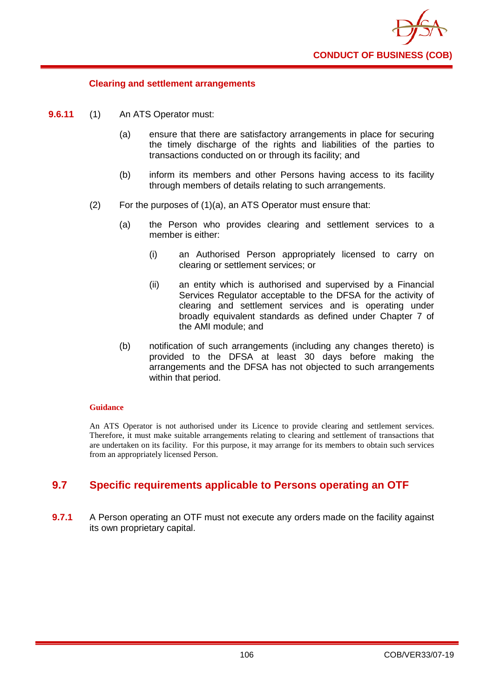

### **Clearing and settlement arrangements**

- **9.6.11** (1) An ATS Operator must:
	- (a) ensure that there are satisfactory arrangements in place for securing the timely discharge of the rights and liabilities of the parties to transactions conducted on or through its facility; and
	- (b) inform its members and other Persons having access to its facility through members of details relating to such arrangements.
	- (2) For the purposes of (1)(a), an ATS Operator must ensure that:
		- (a) the Person who provides clearing and settlement services to a member is either:
			- (i) an Authorised Person appropriately licensed to carry on clearing or settlement services; or
			- (ii) an entity which is authorised and supervised by a Financial Services Regulator acceptable to the DFSA for the activity of clearing and settlement services and is operating under broadly equivalent standards as defined under Chapter 7 of the AMI module; and
		- (b) notification of such arrangements (including any changes thereto) is provided to the DFSA at least 30 days before making the arrangements and the DFSA has not objected to such arrangements within that period.

#### **Guidance**

An ATS Operator is not authorised under its Licence to provide clearing and settlement services. Therefore, it must make suitable arrangements relating to clearing and settlement of transactions that are undertaken on its facility. For this purpose, it may arrange for its members to obtain such services from an appropriately licensed Person.

# **9.7 Specific requirements applicable to Persons operating an OTF**

**9.7.1** A Person operating an OTF must not execute any orders made on the facility against its own proprietary capital.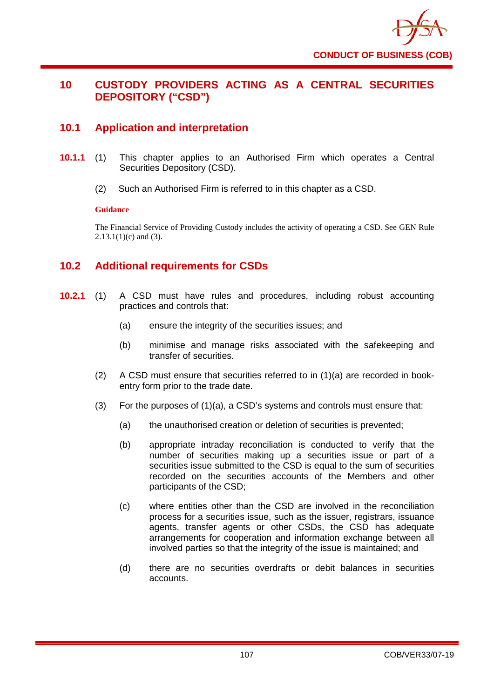

# **10 CUSTODY PROVIDERS ACTING AS A CENTRAL SECURITIES DEPOSITORY ("CSD")**

# **10.1 Application and interpretation**

- **10.1.1** (1) This chapter applies to an Authorised Firm which operates a Central Securities Depository (CSD).
	- (2) Such an Authorised Firm is referred to in this chapter as a CSD.

### **Guidance**

The Financial Service of Providing Custody includes the activity of operating a CSD. See GEN Rule  $2.13.1(1)(c)$  and (3).

# **10.2 Additional requirements for CSDs**

- **10.2.1** (1) A CSD must have rules and procedures, including robust accounting practices and controls that:
	- (a) ensure the integrity of the securities issues; and
	- (b) minimise and manage risks associated with the safekeeping and transfer of securities.
	- (2) A CSD must ensure that securities referred to in (1)(a) are recorded in bookentry form prior to the trade date.
	- (3) For the purposes of (1)(a), a CSD's systems and controls must ensure that:
		- (a) the unauthorised creation or deletion of securities is prevented;
		- (b) appropriate intraday reconciliation is conducted to verify that the number of securities making up a securities issue or part of a securities issue submitted to the CSD is equal to the sum of securities recorded on the securities accounts of the Members and other participants of the CSD;
		- (c) where entities other than the CSD are involved in the reconciliation process for a securities issue, such as the issuer, registrars, issuance agents, transfer agents or other CSDs, the CSD has adequate arrangements for cooperation and information exchange between all involved parties so that the integrity of the issue is maintained; and
		- (d) there are no securities overdrafts or debit balances in securities accounts.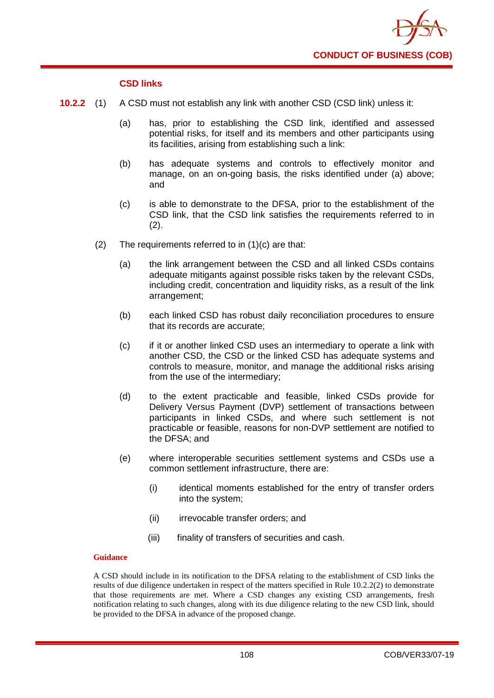

## **CSD links**

- **10.2.2** (1) A CSD must not establish any link with another CSD (CSD link) unless it:
	- (a) has, prior to establishing the CSD link, identified and assessed potential risks, for itself and its members and other participants using its facilities, arising from establishing such a link:
	- (b) has adequate systems and controls to effectively monitor and manage, on an on-going basis, the risks identified under (a) above; and
	- (c) is able to demonstrate to the DFSA, prior to the establishment of the CSD link, that the CSD link satisfies the requirements referred to in (2).
	- (2) The requirements referred to in (1)(c) are that:
		- (a) the link arrangement between the CSD and all linked CSDs contains adequate mitigants against possible risks taken by the relevant CSDs, including credit, concentration and liquidity risks, as a result of the link arrangement;
		- (b) each linked CSD has robust daily reconciliation procedures to ensure that its records are accurate;
		- (c) if it or another linked CSD uses an intermediary to operate a link with another CSD, the CSD or the linked CSD has adequate systems and controls to measure, monitor, and manage the additional risks arising from the use of the intermediary;
		- (d) to the extent practicable and feasible, linked CSDs provide for Delivery Versus Payment (DVP) settlement of transactions between participants in linked CSDs, and where such settlement is not practicable or feasible, reasons for non-DVP settlement are notified to the DFSA; and
		- (e) where interoperable securities settlement systems and CSDs use a common settlement infrastructure, there are:
			- (i) identical moments established for the entry of transfer orders into the system;
			- (ii) irrevocable transfer orders; and
			- (iii) finality of transfers of securities and cash.

## **Guidance**

A CSD should include in its notification to the DFSA relating to the establishment of CSD links the results of due diligence undertaken in respect of the matters specified in Rule 10.2.2(2) to demonstrate that those requirements are met. Where a CSD changes any existing CSD arrangements, fresh notification relating to such changes, along with its due diligence relating to the new CSD link, should be provided to the DFSA in advance of the proposed change.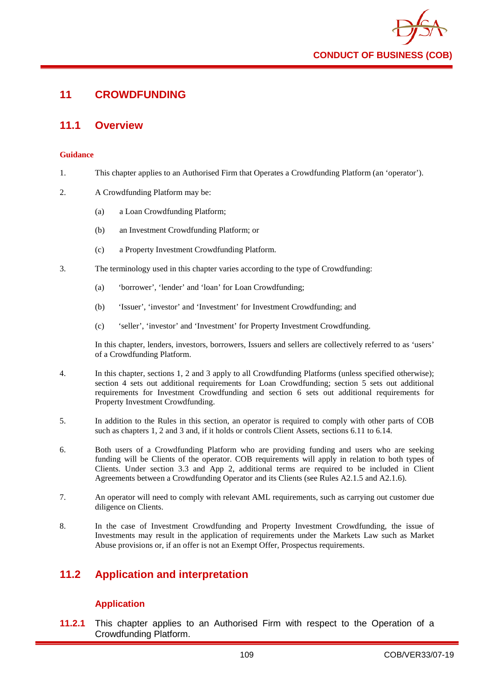

# **11 CROWDFUNDING**

# **11.1 Overview**

#### **Guidance**

- 1. This chapter applies to an Authorised Firm that Operates a Crowdfunding Platform (an 'operator').
- 2. A Crowdfunding Platform may be:
	- (a) a Loan Crowdfunding Platform;
	- (b) an Investment Crowdfunding Platform; or
	- (c) a Property Investment Crowdfunding Platform.
- 3. The terminology used in this chapter varies according to the type of Crowdfunding:
	- (a) 'borrower', 'lender' and 'loan' for Loan Crowdfunding;
	- (b) 'Issuer', 'investor' and 'Investment' for Investment Crowdfunding; and
	- (c) 'seller', 'investor' and 'Investment' for Property Investment Crowdfunding.

In this chapter, lenders, investors, borrowers, Issuers and sellers are collectively referred to as 'users' of a Crowdfunding Platform.

- 4. In this chapter, sections 1, 2 and 3 apply to all Crowdfunding Platforms (unless specified otherwise); section 4 sets out additional requirements for Loan Crowdfunding; section 5 sets out additional requirements for Investment Crowdfunding and section 6 sets out additional requirements for Property Investment Crowdfunding.
- 5. In addition to the Rules in this section, an operator is required to comply with other parts of COB such as chapters 1, 2 and 3 and, if it holds or controls Client Assets, sections 6.11 to 6.14.
- 6. Both users of a Crowdfunding Platform who are providing funding and users who are seeking funding will be Clients of the operator. COB requirements will apply in relation to both types of Clients. Under section 3.3 and App 2, additional terms are required to be included in Client Agreements between a Crowdfunding Operator and its Clients (see Rules A2.1.5 and A2.1.6).
- 7. An operator will need to comply with relevant AML requirements, such as carrying out customer due diligence on Clients.
- 8. In the case of Investment Crowdfunding and Property Investment Crowdfunding, the issue of Investments may result in the application of requirements under the Markets Law such as Market Abuse provisions or, if an offer is not an Exempt Offer, Prospectus requirements.

# **11.2 Application and interpretation**

# **Application**

**11.2.1** This chapter applies to an Authorised Firm with respect to the Operation of a Crowdfunding Platform.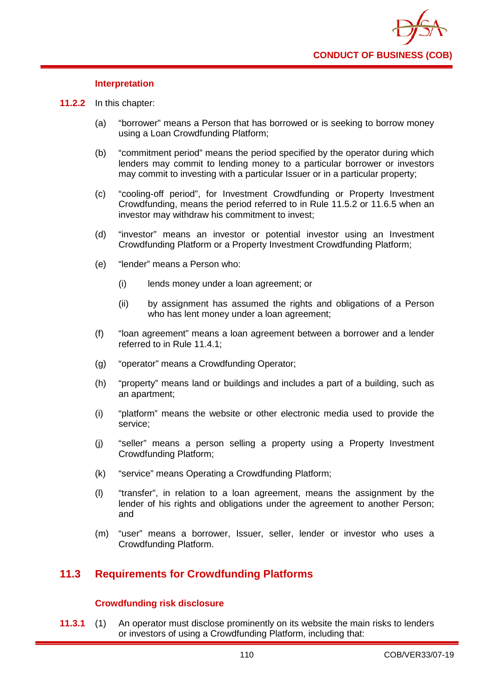### **Interpretation**

- **11.2.2** In this chapter:
	- (a) "borrower" means a Person that has borrowed or is seeking to borrow money using a Loan Crowdfunding Platform;
	- (b) "commitment period" means the period specified by the operator during which lenders may commit to lending money to a particular borrower or investors may commit to investing with a particular Issuer or in a particular property;
	- (c) "cooling-off period", for Investment Crowdfunding or Property Investment Crowdfunding, means the period referred to in Rule 11.5.2 or 11.6.5 when an investor may withdraw his commitment to invest;
	- (d) "investor" means an investor or potential investor using an Investment Crowdfunding Platform or a Property Investment Crowdfunding Platform;
	- (e) "lender" means a Person who:
		- (i) lends money under a loan agreement; or
		- (ii) by assignment has assumed the rights and obligations of a Person who has lent money under a loan agreement:
	- (f) "loan agreement" means a loan agreement between a borrower and a lender referred to in Rule 11.4.1;
	- (g) "operator" means a Crowdfunding Operator;
	- (h) "property" means land or buildings and includes a part of a building, such as an apartment;
	- (i) "platform" means the website or other electronic media used to provide the service;
	- (j) "seller" means a person selling a property using a Property Investment Crowdfunding Platform;
	- (k) "service" means Operating a Crowdfunding Platform;
	- (l) "transfer", in relation to a loan agreement, means the assignment by the lender of his rights and obligations under the agreement to another Person: and
	- (m) "user" means a borrower, Issuer, seller, lender or investor who uses a Crowdfunding Platform.

# **11.3 Requirements for Crowdfunding Platforms**

## **Crowdfunding risk disclosure**

**11.3.1** (1) An operator must disclose prominently on its website the main risks to lenders or investors of using a Crowdfunding Platform, including that: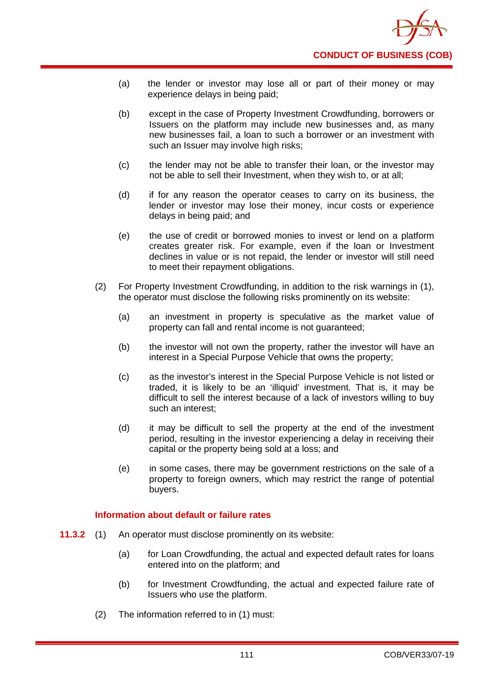- (a) the lender or investor may lose all or part of their money or may experience delays in being paid;
- (b) except in the case of Property Investment Crowdfunding, borrowers or Issuers on the platform may include new businesses and, as many new businesses fail, a loan to such a borrower or an investment with such an Issuer may involve high risks;
- (c) the lender may not be able to transfer their loan, or the investor may not be able to sell their Investment, when they wish to, or at all;
- (d) if for any reason the operator ceases to carry on its business, the lender or investor may lose their money, incur costs or experience delays in being paid; and
- (e) the use of credit or borrowed monies to invest or lend on a platform creates greater risk. For example, even if the loan or Investment declines in value or is not repaid, the lender or investor will still need to meet their repayment obligations.
- (2) For Property Investment Crowdfunding, in addition to the risk warnings in (1), the operator must disclose the following risks prominently on its website:
	- (a) an investment in property is speculative as the market value of property can fall and rental income is not guaranteed;
	- (b) the investor will not own the property, rather the investor will have an interest in a Special Purpose Vehicle that owns the property;
	- (c) as the investor's interest in the Special Purpose Vehicle is not listed or traded, it is likely to be an 'illiquid' investment. That is, it may be difficult to sell the interest because of a lack of investors willing to buy such an interest;
	- (d) it may be difficult to sell the property at the end of the investment period, resulting in the investor experiencing a delay in receiving their capital or the property being sold at a loss; and
	- (e) in some cases, there may be government restrictions on the sale of a property to foreign owners, which may restrict the range of potential buyers.

# **Information about default or failure rates**

- **11.3.2** (1) An operator must disclose prominently on its website:
	- (a) for Loan Crowdfunding, the actual and expected default rates for loans entered into on the platform; and
	- (b) for Investment Crowdfunding, the actual and expected failure rate of Issuers who use the platform.
	- (2) The information referred to in (1) must: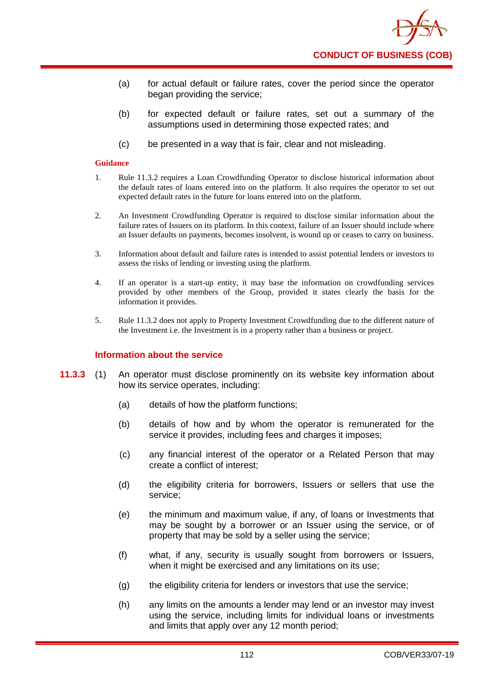

- (a) for actual default or failure rates, cover the period since the operator began providing the service;
- (b) for expected default or failure rates, set out a summary of the assumptions used in determining those expected rates; and
- (c) be presented in a way that is fair, clear and not misleading.

- 1. Rule 11.3.2 requires a Loan Crowdfunding Operator to disclose historical information about the default rates of loans entered into on the platform. It also requires the operator to set out expected default rates in the future for loans entered into on the platform.
- 2. An Investment Crowdfunding Operator is required to disclose similar information about the failure rates of Issuers on its platform. In this context, failure of an Issuer should include where an Issuer defaults on payments, becomes insolvent, is wound up or ceases to carry on business.
- 3. Information about default and failure rates is intended to assist potential lenders or investors to assess the risks of lending or investing using the platform.
- 4. If an operator is a start-up entity, it may base the information on crowdfunding services provided by other members of the Group, provided it states clearly the basis for the information it provides.
- 5. Rule 11.3.2 does not apply to Property Investment Crowdfunding due to the different nature of the Investment i.e. the Investment is in a property rather than a business or project.

#### **Information about the service**

- **11.3.3** (1) An operator must disclose prominently on its website key information about how its service operates, including:
	- (a) details of how the platform functions;
	- (b) details of how and by whom the operator is remunerated for the service it provides, including fees and charges it imposes;
	- (c) any financial interest of the operator or a Related Person that may create a conflict of interest;
	- (d) the eligibility criteria for borrowers, Issuers or sellers that use the service;
	- (e) the minimum and maximum value, if any, of loans or Investments that may be sought by a borrower or an Issuer using the service, or of property that may be sold by a seller using the service;
	- (f) what, if any, security is usually sought from borrowers or Issuers, when it might be exercised and any limitations on its use:
	- (g) the eligibility criteria for lenders or investors that use the service;
	- (h) any limits on the amounts a lender may lend or an investor may invest using the service, including limits for individual loans or investments and limits that apply over any 12 month period;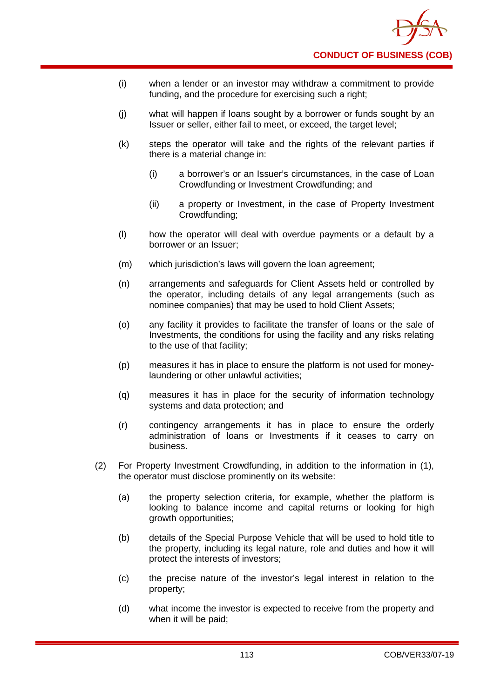- (i) when a lender or an investor may withdraw a commitment to provide funding, and the procedure for exercising such a right;
- (j) what will happen if loans sought by a borrower or funds sought by an Issuer or seller, either fail to meet, or exceed, the target level;
- (k) steps the operator will take and the rights of the relevant parties if there is a material change in:
	- (i) a borrower's or an Issuer's circumstances, in the case of Loan Crowdfunding or Investment Crowdfunding; and
	- (ii) a property or Investment, in the case of Property Investment Crowdfunding;
- (l) how the operator will deal with overdue payments or a default by a borrower or an Issuer;
- (m) which jurisdiction's laws will govern the loan agreement;
- (n) arrangements and safeguards for Client Assets held or controlled by the operator, including details of any legal arrangements (such as nominee companies) that may be used to hold Client Assets;
- (o) any facility it provides to facilitate the transfer of loans or the sale of Investments, the conditions for using the facility and any risks relating to the use of that facility;
- (p) measures it has in place to ensure the platform is not used for moneylaundering or other unlawful activities;
- (q) measures it has in place for the security of information technology systems and data protection; and
- (r) contingency arrangements it has in place to ensure the orderly administration of loans or Investments if it ceases to carry on business.
- (2) For Property Investment Crowdfunding, in addition to the information in (1), the operator must disclose prominently on its website:
	- (a) the property selection criteria, for example, whether the platform is looking to balance income and capital returns or looking for high growth opportunities;
	- (b) details of the Special Purpose Vehicle that will be used to hold title to the property, including its legal nature, role and duties and how it will protect the interests of investors;
	- (c) the precise nature of the investor's legal interest in relation to the property;
	- (d) what income the investor is expected to receive from the property and when it will be paid;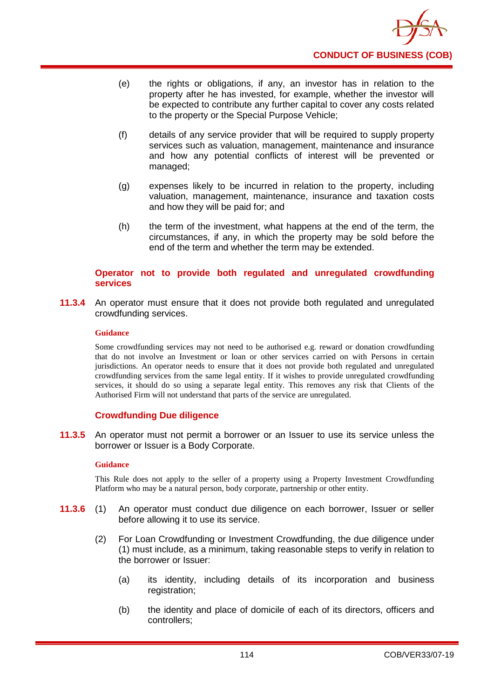

- (e) the rights or obligations, if any, an investor has in relation to the property after he has invested, for example, whether the investor will be expected to contribute any further capital to cover any costs related to the property or the Special Purpose Vehicle;
- (f) details of any service provider that will be required to supply property services such as valuation, management, maintenance and insurance and how any potential conflicts of interest will be prevented or managed;
- (g) expenses likely to be incurred in relation to the property, including valuation, management, maintenance, insurance and taxation costs and how they will be paid for; and
- (h) the term of the investment, what happens at the end of the term, the circumstances, if any, in which the property may be sold before the end of the term and whether the term may be extended.

### **Operator not to provide both regulated and unregulated crowdfunding services**

**11.3.4** An operator must ensure that it does not provide both regulated and unregulated crowdfunding services.

### **Guidance**

Some crowdfunding services may not need to be authorised e.g. reward or donation crowdfunding that do not involve an Investment or loan or other services carried on with Persons in certain jurisdictions. An operator needs to ensure that it does not provide both regulated and unregulated crowdfunding services from the same legal entity. If it wishes to provide unregulated crowdfunding services, it should do so using a separate legal entity. This removes any risk that Clients of the Authorised Firm will not understand that parts of the service are unregulated.

# **Crowdfunding Due diligence**

**11.3.5** An operator must not permit a borrower or an Issuer to use its service unless the borrower or Issuer is a Body Corporate.

#### **Guidance**

This Rule does not apply to the seller of a property using a Property Investment Crowdfunding Platform who may be a natural person, body corporate, partnership or other entity.

- **11.3.6** (1) An operator must conduct due diligence on each borrower, Issuer or seller before allowing it to use its service.
	- (2) For Loan Crowdfunding or Investment Crowdfunding, the due diligence under (1) must include, as a minimum, taking reasonable steps to verify in relation to the borrower or Issuer:
		- (a) its identity, including details of its incorporation and business registration;
		- (b) the identity and place of domicile of each of its directors, officers and controllers;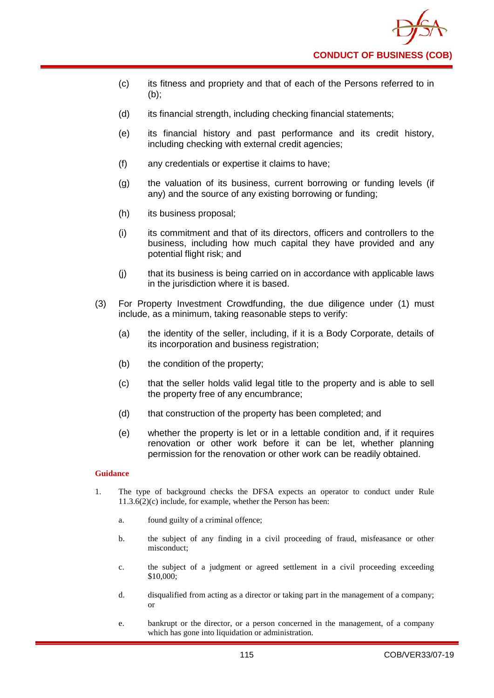

- (c) its fitness and propriety and that of each of the Persons referred to in (b);
- (d) its financial strength, including checking financial statements;
- (e) its financial history and past performance and its credit history, including checking with external credit agencies;
- (f) any credentials or expertise it claims to have;
- (g) the valuation of its business, current borrowing or funding levels (if any) and the source of any existing borrowing or funding;
- (h) its business proposal;
- (i) its commitment and that of its directors, officers and controllers to the business, including how much capital they have provided and any potential flight risk; and
- (j) that its business is being carried on in accordance with applicable laws in the jurisdiction where it is based.
- (3) For Property Investment Crowdfunding, the due diligence under (1) must include, as a minimum, taking reasonable steps to verify:
	- (a) the identity of the seller, including, if it is a Body Corporate, details of its incorporation and business registration;
	- (b) the condition of the property;
	- (c) that the seller holds valid legal title to the property and is able to sell the property free of any encumbrance;
	- (d) that construction of the property has been completed; and
	- (e) whether the property is let or in a lettable condition and, if it requires renovation or other work before it can be let, whether planning permission for the renovation or other work can be readily obtained.

- 1. The type of background checks the DFSA expects an operator to conduct under Rule 11.3.6(2)(c) include, for example, whether the Person has been:
	- a. found guilty of a criminal offence;
	- b. the subject of any finding in a civil proceeding of fraud, misfeasance or other misconduct;
	- c. the subject of a judgment or agreed settlement in a civil proceeding exceeding \$10,000;
	- d. disqualified from acting as a director or taking part in the management of a company; or
	- e. bankrupt or the director, or a person concerned in the management, of a company which has gone into liquidation or administration.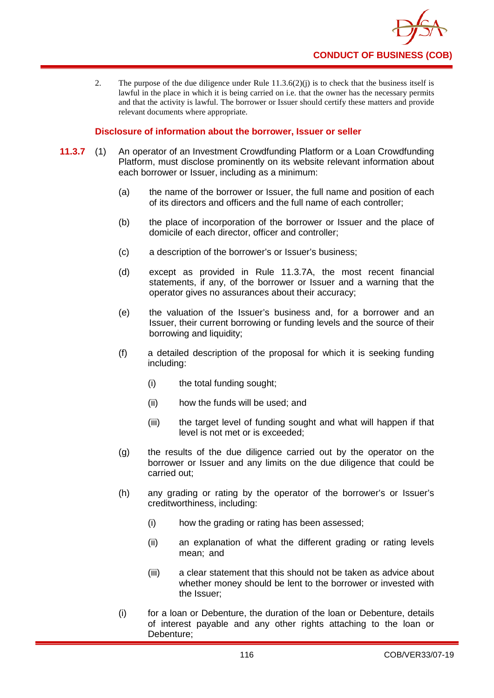

2. The purpose of the due diligence under Rule  $11.3.6(2)(i)$  is to check that the business itself is lawful in the place in which it is being carried on i.e. that the owner has the necessary permits and that the activity is lawful. The borrower or Issuer should certify these matters and provide relevant documents where appropriate.

### **Disclosure of information about the borrower, Issuer or seller**

- **11.3.7** (1) An operator of an Investment Crowdfunding Platform or a Loan Crowdfunding Platform, must disclose prominently on its website relevant information about each borrower or Issuer, including as a minimum:
	- (a) the name of the borrower or Issuer, the full name and position of each of its directors and officers and the full name of each controller;
	- (b) the place of incorporation of the borrower or Issuer and the place of domicile of each director, officer and controller;
	- (c) a description of the borrower's or Issuer's business;
	- (d) except as provided in Rule 11.3.7A, the most recent financial statements, if any, of the borrower or Issuer and a warning that the operator gives no assurances about their accuracy;
	- (e) the valuation of the Issuer's business and, for a borrower and an Issuer, their current borrowing or funding levels and the source of their borrowing and liquidity;
	- (f) a detailed description of the proposal for which it is seeking funding including:
		- (i) the total funding sought;
		- (ii) how the funds will be used; and
		- (iii) the target level of funding sought and what will happen if that level is not met or is exceeded;
	- (g) the results of the due diligence carried out by the operator on the borrower or Issuer and any limits on the due diligence that could be carried out;
	- (h) any grading or rating by the operator of the borrower's or Issuer's creditworthiness, including:
		- (i) how the grading or rating has been assessed;
		- (ii) an explanation of what the different grading or rating levels mean; and
		- (iii) a clear statement that this should not be taken as advice about whether money should be lent to the borrower or invested with the Issuer;
	- (i) for a loan or Debenture, the duration of the loan or Debenture, details of interest payable and any other rights attaching to the loan or Debenture;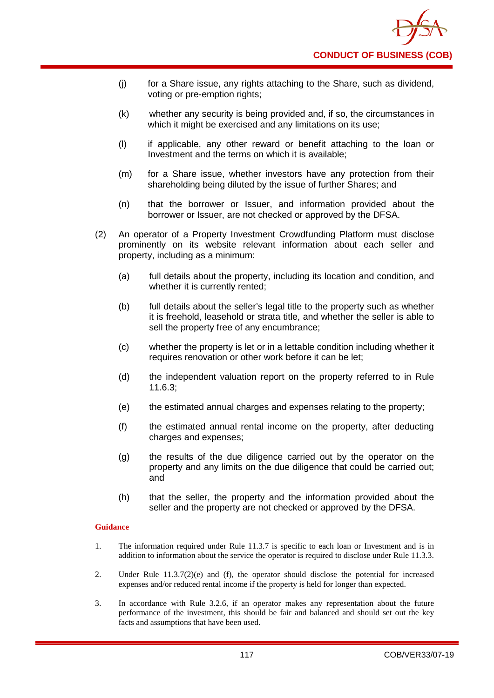- (j) for a Share issue, any rights attaching to the Share, such as dividend, voting or pre-emption rights;
- (k) whether any security is being provided and, if so, the circumstances in which it might be exercised and any limitations on its use;
- (l) if applicable, any other reward or benefit attaching to the loan or Investment and the terms on which it is available;
- (m) for a Share issue, whether investors have any protection from their shareholding being diluted by the issue of further Shares; and
- (n) that the borrower or Issuer, and information provided about the borrower or Issuer, are not checked or approved by the DFSA.
- (2) An operator of a Property Investment Crowdfunding Platform must disclose prominently on its website relevant information about each seller and property, including as a minimum:
	- (a) full details about the property, including its location and condition, and whether it is currently rented:
	- (b) full details about the seller's legal title to the property such as whether it is freehold, leasehold or strata title, and whether the seller is able to sell the property free of any encumbrance;
	- (c) whether the property is let or in a lettable condition including whether it requires renovation or other work before it can be let;
	- (d) the independent valuation report on the property referred to in Rule 11.6.3;
	- (e) the estimated annual charges and expenses relating to the property;
	- (f) the estimated annual rental income on the property, after deducting charges and expenses;
	- (g) the results of the due diligence carried out by the operator on the property and any limits on the due diligence that could be carried out; and
	- (h) that the seller, the property and the information provided about the seller and the property are not checked or approved by the DFSA.

- 1. The information required under Rule 11.3.7 is specific to each loan or Investment and is in addition to information about the service the operator is required to disclose under Rule 11.3.3.
- 2. Under Rule 11.3.7(2)(e) and (f), the operator should disclose the potential for increased expenses and/or reduced rental income if the property is held for longer than expected.
- 3. In accordance with Rule 3.2.6, if an operator makes any representation about the future performance of the investment, this should be fair and balanced and should set out the key facts and assumptions that have been used.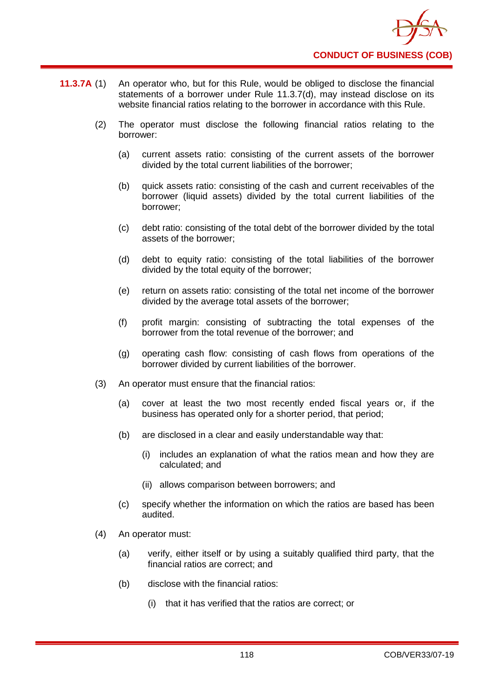- **11.3.7A** (1) An operator who, but for this Rule, would be obliged to disclose the financial statements of a borrower under Rule 11.3.7(d), may instead disclose on its website financial ratios relating to the borrower in accordance with this Rule.
	- (2) The operator must disclose the following financial ratios relating to the borrower:
		- (a) current assets ratio: consisting of the current assets of the borrower divided by the total current liabilities of the borrower;
		- (b) quick assets ratio: consisting of the cash and current receivables of the borrower (liquid assets) divided by the total current liabilities of the borrower;
		- (c) debt ratio: consisting of the total debt of the borrower divided by the total assets of the borrower;
		- (d) debt to equity ratio: consisting of the total liabilities of the borrower divided by the total equity of the borrower;
		- (e) return on assets ratio: consisting of the total net income of the borrower divided by the average total assets of the borrower;
		- (f) profit margin: consisting of subtracting the total expenses of the borrower from the total revenue of the borrower; and
		- (g) operating cash flow: consisting of cash flows from operations of the borrower divided by current liabilities of the borrower.
	- (3) An operator must ensure that the financial ratios:
		- (a) cover at least the two most recently ended fiscal years or, if the business has operated only for a shorter period, that period;
		- (b) are disclosed in a clear and easily understandable way that:
			- (i) includes an explanation of what the ratios mean and how they are calculated; and
			- (ii) allows comparison between borrowers; and
		- (c) specify whether the information on which the ratios are based has been audited.
	- (4) An operator must:
		- (a) verify, either itself or by using a suitably qualified third party, that the financial ratios are correct; and
		- (b) disclose with the financial ratios:
			- (i) that it has verified that the ratios are correct; or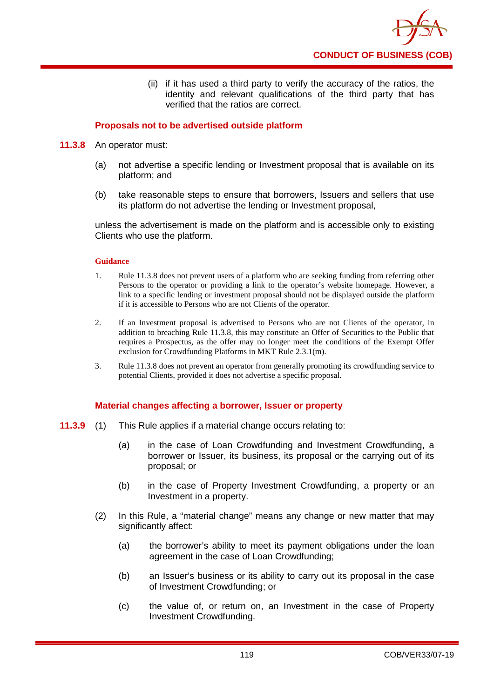

(ii) if it has used a third party to verify the accuracy of the ratios, the identity and relevant qualifications of the third party that has verified that the ratios are correct.

# **Proposals not to be advertised outside platform**

### **11.3.8** An operator must:

- (a) not advertise a specific lending or Investment proposal that is available on its platform; and
- (b) take reasonable steps to ensure that borrowers, Issuers and sellers that use its platform do not advertise the lending or Investment proposal,

unless the advertisement is made on the platform and is accessible only to existing Clients who use the platform.

### **Guidance**

- 1. Rule 11.3.8 does not prevent users of a platform who are seeking funding from referring other Persons to the operator or providing a link to the operator's website homepage. However, a link to a specific lending or investment proposal should not be displayed outside the platform if it is accessible to Persons who are not Clients of the operator.
- 2. If an Investment proposal is advertised to Persons who are not Clients of the operator, in addition to breaching Rule 11.3.8, this may constitute an Offer of Securities to the Public that requires a Prospectus, as the offer may no longer meet the conditions of the Exempt Offer exclusion for Crowdfunding Platforms in MKT Rule 2.3.1(m).
- 3. Rule 11.3.8 does not prevent an operator from generally promoting its crowdfunding service to potential Clients, provided it does not advertise a specific proposal.

# **Material changes affecting a borrower, Issuer or property**

- **11.3.9** (1) This Rule applies if a material change occurs relating to:
	- (a) in the case of Loan Crowdfunding and Investment Crowdfunding, a borrower or Issuer, its business, its proposal or the carrying out of its proposal; or
	- (b) in the case of Property Investment Crowdfunding, a property or an Investment in a property.
	- (2) In this Rule, a "material change" means any change or new matter that may significantly affect:
		- (a) the borrower's ability to meet its payment obligations under the loan agreement in the case of Loan Crowdfunding;
		- (b) an Issuer's business or its ability to carry out its proposal in the case of Investment Crowdfunding; or
		- (c) the value of, or return on, an Investment in the case of Property Investment Crowdfunding.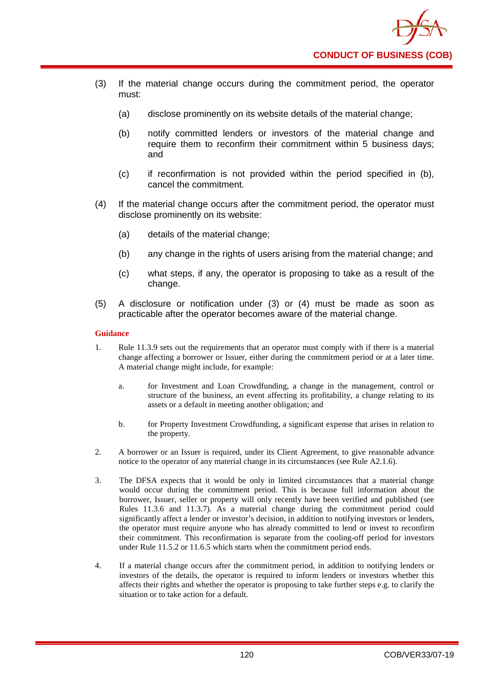

- (3) If the material change occurs during the commitment period, the operator must:
	- (a) disclose prominently on its website details of the material change:
	- (b) notify committed lenders or investors of the material change and require them to reconfirm their commitment within 5 business days; and
	- (c) if reconfirmation is not provided within the period specified in (b), cancel the commitment.
- (4) If the material change occurs after the commitment period, the operator must disclose prominently on its website:
	- (a) details of the material change;
	- (b) any change in the rights of users arising from the material change; and
	- (c) what steps, if any, the operator is proposing to take as a result of the change.
- (5) A disclosure or notification under (3) or (4) must be made as soon as practicable after the operator becomes aware of the material change.

- 1. Rule 11.3.9 sets out the requirements that an operator must comply with if there is a material change affecting a borrower or Issuer, either during the commitment period or at a later time. A material change might include, for example:
	- a. for Investment and Loan Crowdfunding, a change in the management, control or structure of the business, an event affecting its profitability, a change relating to its assets or a default in meeting another obligation; and
	- b. for Property Investment Crowdfunding, a significant expense that arises in relation to the property.
- 2. A borrower or an Issuer is required, under its Client Agreement, to give reasonable advance notice to the operator of any material change in its circumstances (see Rule A2.1.6).
- 3. The DFSA expects that it would be only in limited circumstances that a material change would occur during the commitment period. This is because full information about the borrower, Issuer, seller or property will only recently have been verified and published (see Rules 11.3.6 and 11.3.7). As a material change during the commitment period could significantly affect a lender or investor's decision, in addition to notifying investors or lenders, the operator must require anyone who has already committed to lend or invest to reconfirm their commitment. This reconfirmation is separate from the cooling-off period for investors under Rule 11.5.2 or 11.6.5 which starts when the commitment period ends.
- 4. If a material change occurs after the commitment period, in addition to notifying lenders or investors of the details, the operator is required to inform lenders or investors whether this affects their rights and whether the operator is proposing to take further steps e.g. to clarify the situation or to take action for a default.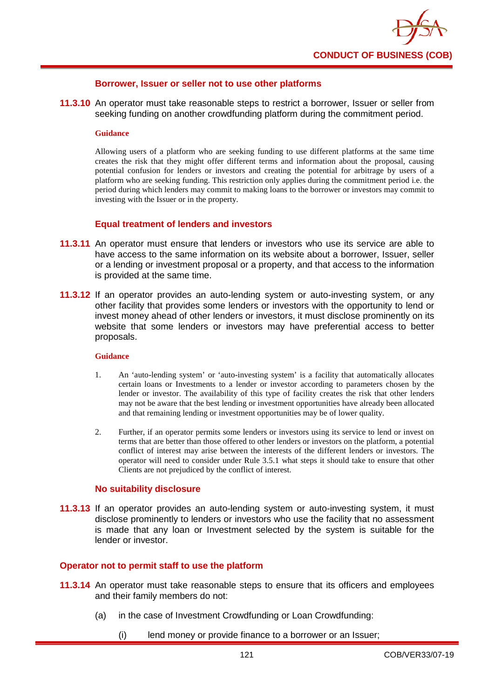

### **Borrower, Issuer or seller not to use other platforms**

**11.3.10** An operator must take reasonable steps to restrict a borrower, Issuer or seller from seeking funding on another crowdfunding platform during the commitment period.

#### **Guidance**

Allowing users of a platform who are seeking funding to use different platforms at the same time creates the risk that they might offer different terms and information about the proposal, causing potential confusion for lenders or investors and creating the potential for arbitrage by users of a platform who are seeking funding. This restriction only applies during the commitment period i.e. the period during which lenders may commit to making loans to the borrower or investors may commit to investing with the Issuer or in the property.

### **Equal treatment of lenders and investors**

- **11.3.11** An operator must ensure that lenders or investors who use its service are able to have access to the same information on its website about a borrower, Issuer, seller or a lending or investment proposal or a property, and that access to the information is provided at the same time.
- **11.3.12** If an operator provides an auto-lending system or auto-investing system, or any other facility that provides some lenders or investors with the opportunity to lend or invest money ahead of other lenders or investors, it must disclose prominently on its website that some lenders or investors may have preferential access to better proposals.

#### **Guidance**

- 1. An 'auto-lending system' or 'auto-investing system' is a facility that automatically allocates certain loans or Investments to a lender or investor according to parameters chosen by the lender or investor. The availability of this type of facility creates the risk that other lenders may not be aware that the best lending or investment opportunities have already been allocated and that remaining lending or investment opportunities may be of lower quality.
- 2. Further, if an operator permits some lenders or investors using its service to lend or invest on terms that are better than those offered to other lenders or investors on the platform, a potential conflict of interest may arise between the interests of the different lenders or investors. The operator will need to consider under Rule 3.5.1 what steps it should take to ensure that other Clients are not prejudiced by the conflict of interest.

#### **No suitability disclosure**

**11.3.13** If an operator provides an auto-lending system or auto-investing system, it must disclose prominently to lenders or investors who use the facility that no assessment is made that any loan or Investment selected by the system is suitable for the lender or investor.

### **Operator not to permit staff to use the platform**

- **11.3.14** An operator must take reasonable steps to ensure that its officers and employees and their family members do not:
	- (a) in the case of Investment Crowdfunding or Loan Crowdfunding:
		- (i) lend money or provide finance to a borrower or an Issuer;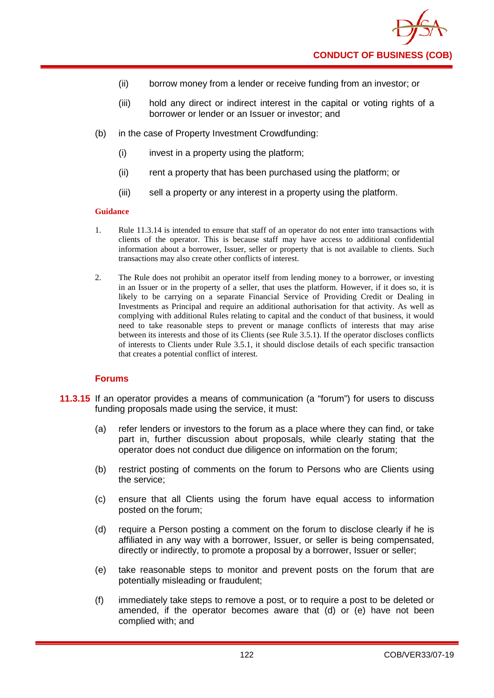

- (ii) borrow money from a lender or receive funding from an investor; or
- (iii) hold any direct or indirect interest in the capital or voting rights of a borrower or lender or an Issuer or investor; and
- (b) in the case of Property Investment Crowdfunding:
	- (i) invest in a property using the platform;
	- (ii) rent a property that has been purchased using the platform; or
	- (iii) sell a property or any interest in a property using the platform.

- 1. Rule 11.3.14 is intended to ensure that staff of an operator do not enter into transactions with clients of the operator. This is because staff may have access to additional confidential information about a borrower, Issuer, seller or property that is not available to clients. Such transactions may also create other conflicts of interest.
- 2. The Rule does not prohibit an operator itself from lending money to a borrower, or investing in an Issuer or in the property of a seller, that uses the platform. However, if it does so, it is likely to be carrying on a separate Financial Service of Providing Credit or Dealing in Investments as Principal and require an additional authorisation for that activity. As well as complying with additional Rules relating to capital and the conduct of that business, it would need to take reasonable steps to prevent or manage conflicts of interests that may arise between its interests and those of its Clients (see Rule 3.5.1). If the operator discloses conflicts of interests to Clients under Rule 3.5.1, it should disclose details of each specific transaction that creates a potential conflict of interest.

# **Forums**

- **11.3.15** If an operator provides a means of communication (a "forum") for users to discuss funding proposals made using the service, it must:
	- (a) refer lenders or investors to the forum as a place where they can find, or take part in, further discussion about proposals, while clearly stating that the operator does not conduct due diligence on information on the forum;
	- (b) restrict posting of comments on the forum to Persons who are Clients using the service;
	- (c) ensure that all Clients using the forum have equal access to information posted on the forum;
	- (d) require a Person posting a comment on the forum to disclose clearly if he is affiliated in any way with a borrower, Issuer, or seller is being compensated, directly or indirectly, to promote a proposal by a borrower, Issuer or seller;
	- (e) take reasonable steps to monitor and prevent posts on the forum that are potentially misleading or fraudulent;
	- (f) immediately take steps to remove a post, or to require a post to be deleted or amended, if the operator becomes aware that (d) or (e) have not been complied with; and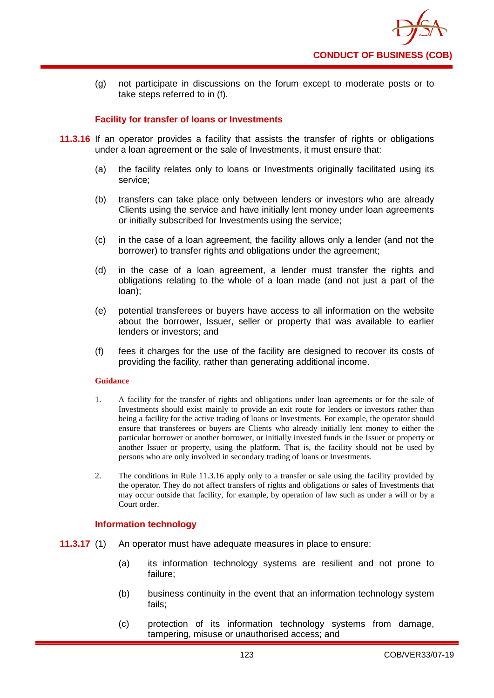

(g) not participate in discussions on the forum except to moderate posts or to take steps referred to in (f).

### **Facility for transfer of loans or Investments**

- **11.3.16** If an operator provides a facility that assists the transfer of rights or obligations under a loan agreement or the sale of Investments, it must ensure that:
	- (a) the facility relates only to loans or Investments originally facilitated using its service;
	- (b) transfers can take place only between lenders or investors who are already Clients using the service and have initially lent money under loan agreements or initially subscribed for Investments using the service;
	- (c) in the case of a loan agreement, the facility allows only a lender (and not the borrower) to transfer rights and obligations under the agreement;
	- (d) in the case of a loan agreement, a lender must transfer the rights and obligations relating to the whole of a loan made (and not just a part of the loan);
	- (e) potential transferees or buyers have access to all information on the website about the borrower, Issuer, seller or property that was available to earlier lenders or investors; and
	- (f) fees it charges for the use of the facility are designed to recover its costs of providing the facility, rather than generating additional income.

#### **Guidance**

- 1. A facility for the transfer of rights and obligations under loan agreements or for the sale of Investments should exist mainly to provide an exit route for lenders or investors rather than being a facility for the active trading of loans or Investments. For example, the operator should ensure that transferees or buyers are Clients who already initially lent money to either the particular borrower or another borrower, or initially invested funds in the Issuer or property or another Issuer or property, using the platform. That is, the facility should not be used by persons who are only involved in secondary trading of loans or Investments.
- 2. The conditions in Rule 11.3.16 apply only to a transfer or sale using the facility provided by the operator. They do not affect transfers of rights and obligations or sales of Investments that may occur outside that facility, for example, by operation of law such as under a will or by a Court order.

### **Information technology**

- **11.3.17** (1) An operator must have adequate measures in place to ensure:
	- (a) its information technology systems are resilient and not prone to failure;
	- (b) business continuity in the event that an information technology system fails;
	- (c) protection of its information technology systems from damage, tampering, misuse or unauthorised access; and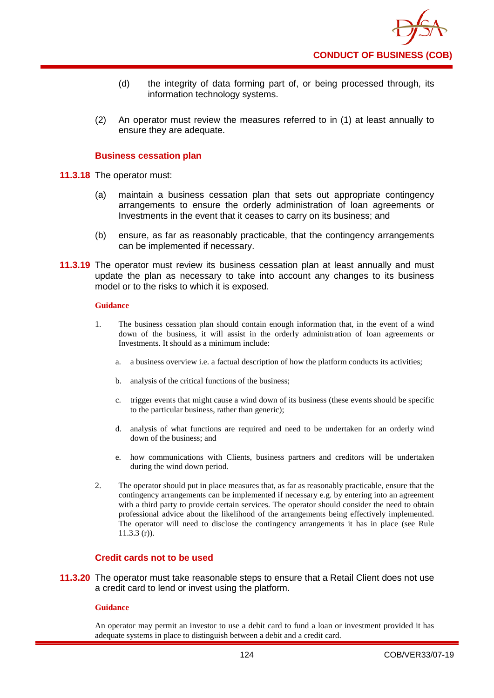

- (d) the integrity of data forming part of, or being processed through, its information technology systems.
- (2) An operator must review the measures referred to in (1) at least annually to ensure they are adequate.

### **Business cessation plan**

- **11.3.18** The operator must:
	- (a) maintain a business cessation plan that sets out appropriate contingency arrangements to ensure the orderly administration of loan agreements or Investments in the event that it ceases to carry on its business; and
	- (b) ensure, as far as reasonably practicable, that the contingency arrangements can be implemented if necessary.
- **11.3.19** The operator must review its business cessation plan at least annually and must update the plan as necessary to take into account any changes to its business model or to the risks to which it is exposed.

### **Guidance**

- 1. The business cessation plan should contain enough information that, in the event of a wind down of the business, it will assist in the orderly administration of loan agreements or Investments. It should as a minimum include:
	- a. a business overview i.e. a factual description of how the platform conducts its activities;
	- b. analysis of the critical functions of the business;
	- c. trigger events that might cause a wind down of its business (these events should be specific to the particular business, rather than generic);
	- d. analysis of what functions are required and need to be undertaken for an orderly wind down of the business; and
	- e. how communications with Clients, business partners and creditors will be undertaken during the wind down period.
- 2. The operator should put in place measures that, as far as reasonably practicable, ensure that the contingency arrangements can be implemented if necessary e.g. by entering into an agreement with a third party to provide certain services. The operator should consider the need to obtain professional advice about the likelihood of the arrangements being effectively implemented. The operator will need to disclose the contingency arrangements it has in place (see Rule  $11.3.3(r)$ .

# **Credit cards not to be used**

**11.3.20** The operator must take reasonable steps to ensure that a Retail Client does not use a credit card to lend or invest using the platform.

#### **Guidance**

An operator may permit an investor to use a debit card to fund a loan or investment provided it has adequate systems in place to distinguish between a debit and a credit card.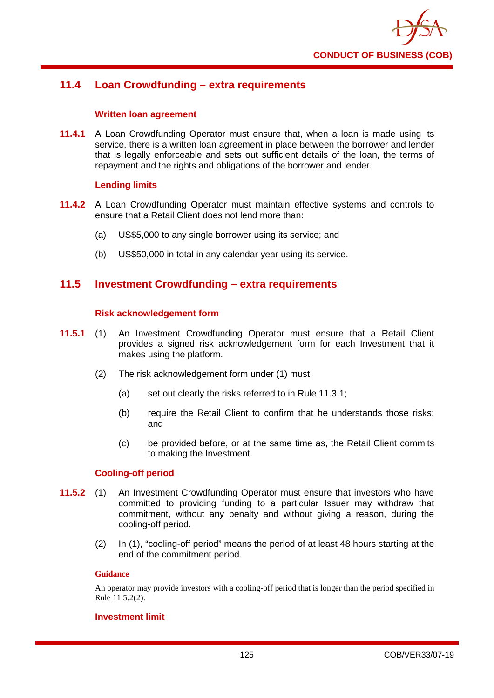

# **11.4 Loan Crowdfunding – extra requirements**

### **Written loan agreement**

**11.4.1** A Loan Crowdfunding Operator must ensure that, when a loan is made using its service, there is a written loan agreement in place between the borrower and lender that is legally enforceable and sets out sufficient details of the loan, the terms of repayment and the rights and obligations of the borrower and lender.

# **Lending limits**

- **11.4.2** A Loan Crowdfunding Operator must maintain effective systems and controls to ensure that a Retail Client does not lend more than:
	- (a) US\$5,000 to any single borrower using its service; and
	- (b) US\$50,000 in total in any calendar year using its service.

# **11.5 Investment Crowdfunding – extra requirements**

### **Risk acknowledgement form**

- **11.5.1** (1) An Investment Crowdfunding Operator must ensure that a Retail Client provides a signed risk acknowledgement form for each Investment that it makes using the platform.
	- (2) The risk acknowledgement form under (1) must:
		- (a) set out clearly the risks referred to in Rule 11.3.1;
		- (b) require the Retail Client to confirm that he understands those risks; and
		- (c) be provided before, or at the same time as, the Retail Client commits to making the Investment.

### **Cooling-off period**

- **11.5.2** (1) An Investment Crowdfunding Operator must ensure that investors who have committed to providing funding to a particular Issuer may withdraw that commitment, without any penalty and without giving a reason, during the cooling-off period.
	- (2) In (1), "cooling-off period" means the period of at least 48 hours starting at the end of the commitment period.

### **Guidance**

An operator may provide investors with a cooling-off period that is longer than the period specified in Rule 11.5.2(2).

### **Investment limit**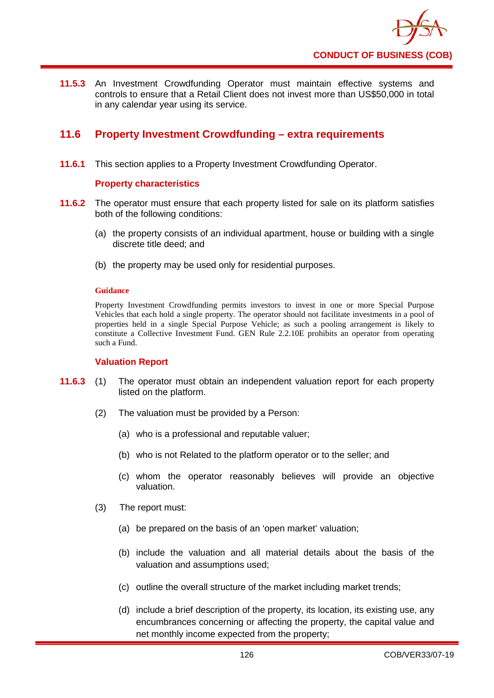

**11.5.3** An Investment Crowdfunding Operator must maintain effective systems and controls to ensure that a Retail Client does not invest more than US\$50,000 in total in any calendar year using its service.

# **11.6 Property Investment Crowdfunding – extra requirements**

**11.6.1** This section applies to a Property Investment Crowdfunding Operator.

# **Property characteristics**

- **11.6.2** The operator must ensure that each property listed for sale on its platform satisfies both of the following conditions:
	- (a) the property consists of an individual apartment, house or building with a single discrete title deed; and
	- (b) the property may be used only for residential purposes.

#### **Guidance**

Property Investment Crowdfunding permits investors to invest in one or more Special Purpose Vehicles that each hold a single property. The operator should not facilitate investments in a pool of properties held in a single Special Purpose Vehicle; as such a pooling arrangement is likely to constitute a Collective Investment Fund. GEN Rule 2.2.10E prohibits an operator from operating such a Fund.

### **Valuation Report**

- **11.6.3** (1) The operator must obtain an independent valuation report for each property listed on the platform.
	- (2) The valuation must be provided by a Person:
		- (a) who is a professional and reputable valuer;
		- (b) who is not Related to the platform operator or to the seller; and
		- (c) whom the operator reasonably believes will provide an objective valuation.
	- (3) The report must:
		- (a) be prepared on the basis of an 'open market' valuation;
		- (b) include the valuation and all material details about the basis of the valuation and assumptions used;
		- (c) outline the overall structure of the market including market trends;
		- (d) include a brief description of the property, its location, its existing use, any encumbrances concerning or affecting the property, the capital value and net monthly income expected from the property;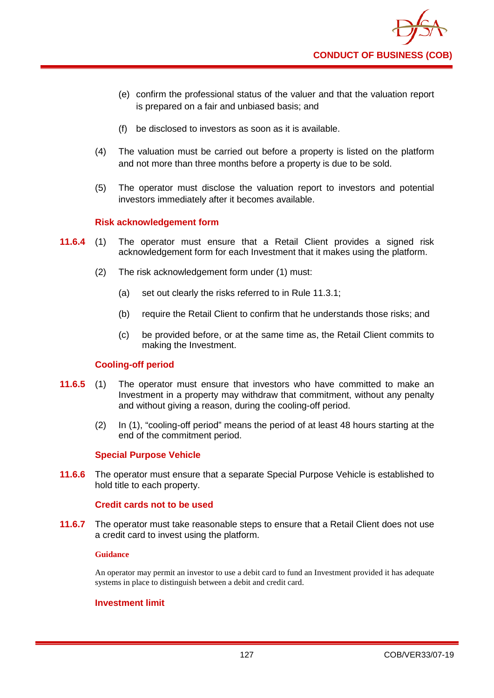- (e) confirm the professional status of the valuer and that the valuation report is prepared on a fair and unbiased basis; and
- (f) be disclosed to investors as soon as it is available.
- (4) The valuation must be carried out before a property is listed on the platform and not more than three months before a property is due to be sold.
- (5) The operator must disclose the valuation report to investors and potential investors immediately after it becomes available.

# **Risk acknowledgement form**

- **11.6.4** (1) The operator must ensure that a Retail Client provides a signed risk acknowledgement form for each Investment that it makes using the platform.
	- (2) The risk acknowledgement form under (1) must:
		- (a) set out clearly the risks referred to in Rule 11.3.1;
		- (b) require the Retail Client to confirm that he understands those risks; and
		- (c) be provided before, or at the same time as, the Retail Client commits to making the Investment.

### **Cooling-off period**

- **11.6.5** (1) The operator must ensure that investors who have committed to make an Investment in a property may withdraw that commitment, without any penalty and without giving a reason, during the cooling-off period.
	- (2) In (1), "cooling-off period" means the period of at least 48 hours starting at the end of the commitment period.

### **Special Purpose Vehicle**

**11.6.6** The operator must ensure that a separate Special Purpose Vehicle is established to hold title to each property.

### **Credit cards not to be used**

**11.6.7** The operator must take reasonable steps to ensure that a Retail Client does not use a credit card to invest using the platform.

### **Guidance**

An operator may permit an investor to use a debit card to fund an Investment provided it has adequate systems in place to distinguish between a debit and credit card.

### **Investment limit**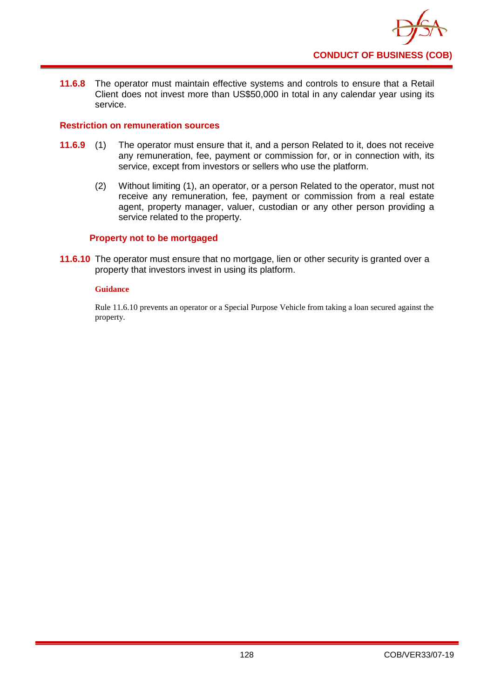

**11.6.8** The operator must maintain effective systems and controls to ensure that a Retail Client does not invest more than US\$50,000 in total in any calendar year using its service.

### **Restriction on remuneration sources**

- **11.6.9** (1) The operator must ensure that it, and a person Related to it, does not receive any remuneration, fee, payment or commission for, or in connection with, its service, except from investors or sellers who use the platform.
	- (2) Without limiting (1), an operator, or a person Related to the operator, must not receive any remuneration, fee, payment or commission from a real estate agent, property manager, valuer, custodian or any other person providing a service related to the property.

### **Property not to be mortgaged**

**11.6.10** The operator must ensure that no mortgage, lien or other security is granted over a property that investors invest in using its platform.

### **Guidance**

Rule 11.6.10 prevents an operator or a Special Purpose Vehicle from taking a loan secured against the property.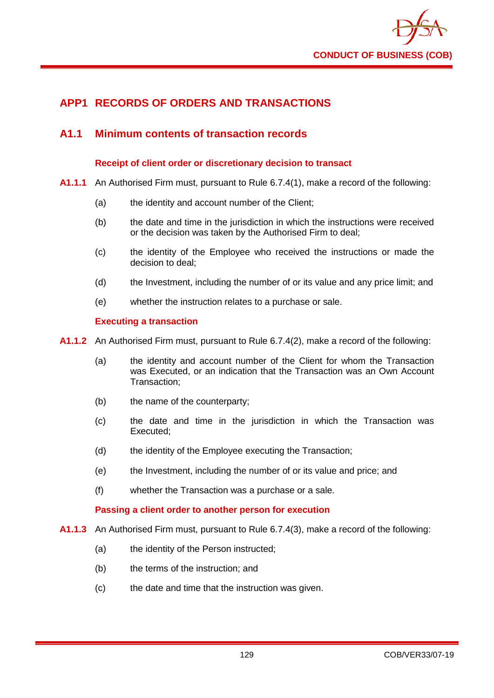

# **APP1 RECORDS OF ORDERS AND TRANSACTIONS**

# **A1.1 Minimum contents of transaction records**

### **Receipt of client order or discretionary decision to transact**

- **A1.1.1** An Authorised Firm must, pursuant to Rule 6.7.4(1), make a record of the following:
	- (a) the identity and account number of the Client;
	- (b) the date and time in the jurisdiction in which the instructions were received or the decision was taken by the Authorised Firm to deal;
	- (c) the identity of the Employee who received the instructions or made the decision to deal;
	- (d) the Investment, including the number of or its value and any price limit; and
	- (e) whether the instruction relates to a purchase or sale.

### **Executing a transaction**

- **A1.1.2** An Authorised Firm must, pursuant to Rule 6.7.4(2), make a record of the following:
	- (a) the identity and account number of the Client for whom the Transaction was Executed, or an indication that the Transaction was an Own Account Transaction;
	- (b) the name of the counterparty;
	- (c) the date and time in the jurisdiction in which the Transaction was Executed;
	- (d) the identity of the Employee executing the Transaction;
	- (e) the Investment, including the number of or its value and price; and
	- (f) whether the Transaction was a purchase or a sale.

### **Passing a client order to another person for execution**

- **A1.1.3** An Authorised Firm must, pursuant to Rule 6.7.4(3), make a record of the following:
	- (a) the identity of the Person instructed:
	- (b) the terms of the instruction; and
	- (c) the date and time that the instruction was given.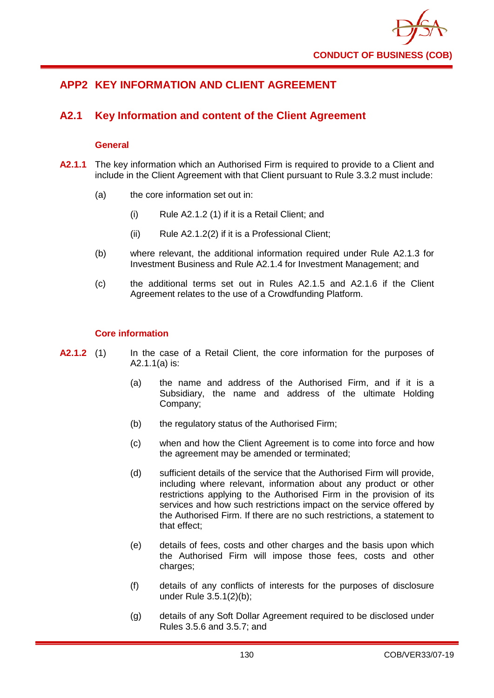

# **APP2 KEY INFORMATION AND CLIENT AGREEMENT**

# **A2.1 Key Information and content of the Client Agreement**

# **General**

- **A2.1.1** The key information which an Authorised Firm is required to provide to a Client and include in the Client Agreement with that Client pursuant to Rule 3.3.2 must include:
	- (a) the core information set out in:
		- (i) Rule A2.1.2 (1) if it is a Retail Client; and
		- (ii) Rule A2.1.2(2) if it is a Professional Client;
	- (b) where relevant, the additional information required under Rule A2.1.3 for Investment Business and Rule A2.1.4 for Investment Management; and
	- (c) the additional terms set out in Rules A2.1.5 and A2.1.6 if the Client Agreement relates to the use of a Crowdfunding Platform.

# **Core information**

- **A2.1.2** (1) In the case of a Retail Client, the core information for the purposes of A2.1.1(a) is:
	- (a) the name and address of the Authorised Firm, and if it is a Subsidiary, the name and address of the ultimate Holding Company;
	- (b) the regulatory status of the Authorised Firm;
	- (c) when and how the Client Agreement is to come into force and how the agreement may be amended or terminated;
	- (d) sufficient details of the service that the Authorised Firm will provide, including where relevant, information about any product or other restrictions applying to the Authorised Firm in the provision of its services and how such restrictions impact on the service offered by the Authorised Firm. If there are no such restrictions, a statement to that effect;
	- (e) details of fees, costs and other charges and the basis upon which the Authorised Firm will impose those fees, costs and other charges;
	- (f) details of any conflicts of interests for the purposes of disclosure under Rule 3.5.1(2)(b);
	- (g) details of any Soft Dollar Agreement required to be disclosed under Rules 3.5.6 and 3.5.7; and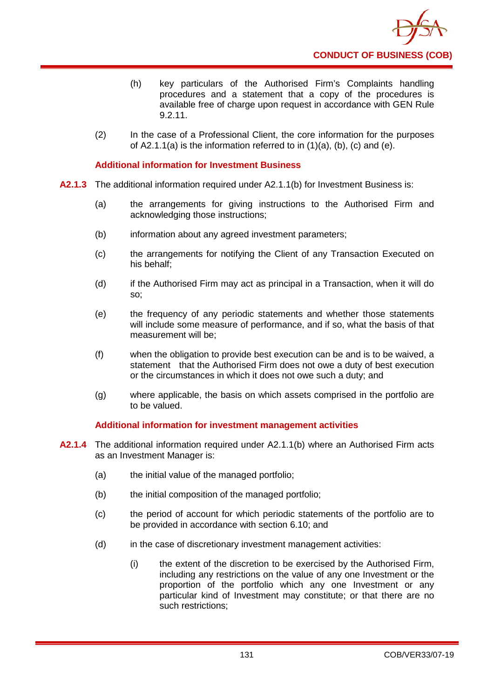

- (h) key particulars of the Authorised Firm's Complaints handling procedures and a statement that a copy of the procedures is available free of charge upon request in accordance with GEN Rule 9.2.11.
- (2) In the case of a Professional Client, the core information for the purposes of  $A2.1.1(a)$  is the information referred to in  $(1)(a)$ ,  $(b)$ ,  $(c)$  and  $(e)$ .

## **Additional information for Investment Business**

- **A2.1.3** The additional information required under A2.1.1(b) for Investment Business is:
	- (a) the arrangements for giving instructions to the Authorised Firm and acknowledging those instructions;
	- (b) information about any agreed investment parameters;
	- (c) the arrangements for notifying the Client of any Transaction Executed on his behalf;
	- (d) if the Authorised Firm may act as principal in a Transaction, when it will do so;
	- (e) the frequency of any periodic statements and whether those statements will include some measure of performance, and if so, what the basis of that measurement will be;
	- (f) when the obligation to provide best execution can be and is to be waived, a statement that the Authorised Firm does not owe a duty of best execution or the circumstances in which it does not owe such a duty; and
	- (g) where applicable, the basis on which assets comprised in the portfolio are to be valued.

### **Additional information for investment management activities**

- **A2.1.4** The additional information required under A2.1.1(b) where an Authorised Firm acts as an Investment Manager is:
	- (a) the initial value of the managed portfolio;
	- (b) the initial composition of the managed portfolio;
	- (c) the period of account for which periodic statements of the portfolio are to be provided in accordance with section 6.10; and
	- (d) in the case of discretionary investment management activities:
		- (i) the extent of the discretion to be exercised by the Authorised Firm, including any restrictions on the value of any one Investment or the proportion of the portfolio which any one Investment or any particular kind of Investment may constitute; or that there are no such restrictions;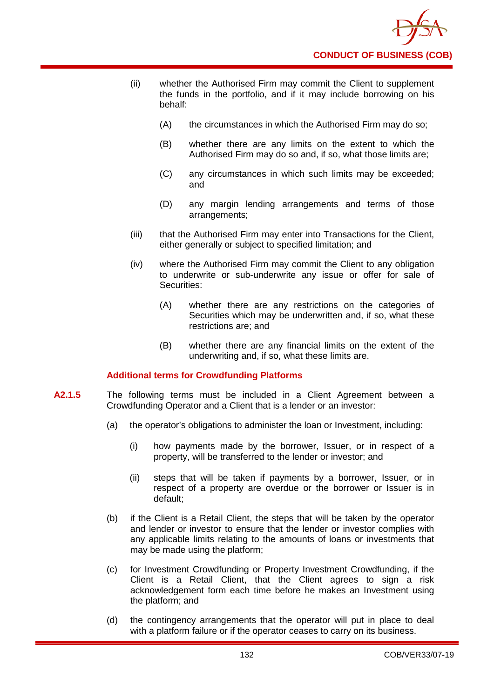

- (ii) whether the Authorised Firm may commit the Client to supplement the funds in the portfolio, and if it may include borrowing on his behalf:
	- (A) the circumstances in which the Authorised Firm may do so;
	- (B) whether there are any limits on the extent to which the Authorised Firm may do so and, if so, what those limits are;
	- (C) any circumstances in which such limits may be exceeded; and
	- (D) any margin lending arrangements and terms of those arrangements;
- (iii) that the Authorised Firm may enter into Transactions for the Client, either generally or subject to specified limitation; and
- (iv) where the Authorised Firm may commit the Client to any obligation to underwrite or sub-underwrite any issue or offer for sale of Securities:
	- (A) whether there are any restrictions on the categories of Securities which may be underwritten and, if so, what these restrictions are; and
	- (B) whether there are any financial limits on the extent of the underwriting and, if so, what these limits are.

# **Additional terms for Crowdfunding Platforms**

- **A2.1.5** The following terms must be included in a Client Agreement between a Crowdfunding Operator and a Client that is a lender or an investor:
	- (a) the operator's obligations to administer the loan or Investment, including:
		- (i) how payments made by the borrower, Issuer, or in respect of a property, will be transferred to the lender or investor; and
		- (ii) steps that will be taken if payments by a borrower, Issuer, or in respect of a property are overdue or the borrower or Issuer is in default;
	- (b) if the Client is a Retail Client, the steps that will be taken by the operator and lender or investor to ensure that the lender or investor complies with any applicable limits relating to the amounts of loans or investments that may be made using the platform;
	- (c) for Investment Crowdfunding or Property Investment Crowdfunding, if the Client is a Retail Client, that the Client agrees to sign a risk acknowledgement form each time before he makes an Investment using the platform; and
	- (d) the contingency arrangements that the operator will put in place to deal with a platform failure or if the operator ceases to carry on its business.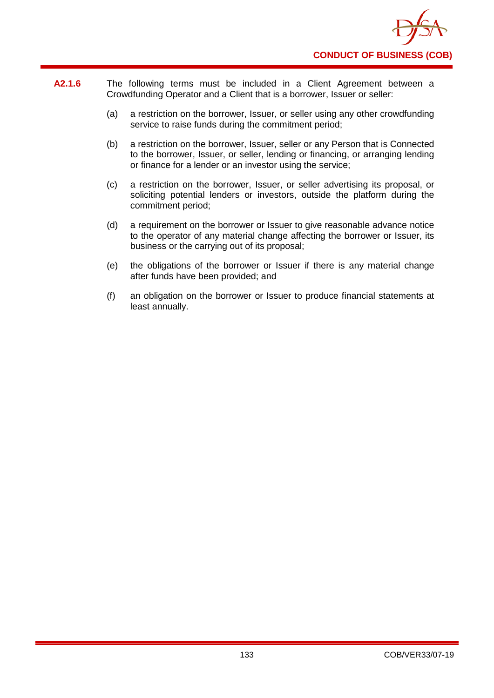

- **A2.1.6** The following terms must be included in a Client Agreement between a Crowdfunding Operator and a Client that is a borrower, Issuer or seller:
	- (a) a restriction on the borrower, Issuer, or seller using any other crowdfunding service to raise funds during the commitment period;
	- (b) a restriction on the borrower, Issuer, seller or any Person that is Connected to the borrower, Issuer, or seller, lending or financing, or arranging lending or finance for a lender or an investor using the service;
	- (c) a restriction on the borrower, Issuer, or seller advertising its proposal, or soliciting potential lenders or investors, outside the platform during the commitment period;
	- (d) a requirement on the borrower or Issuer to give reasonable advance notice to the operator of any material change affecting the borrower or Issuer, its business or the carrying out of its proposal;
	- (e) the obligations of the borrower or Issuer if there is any material change after funds have been provided; and
	- (f) an obligation on the borrower or Issuer to produce financial statements at least annually.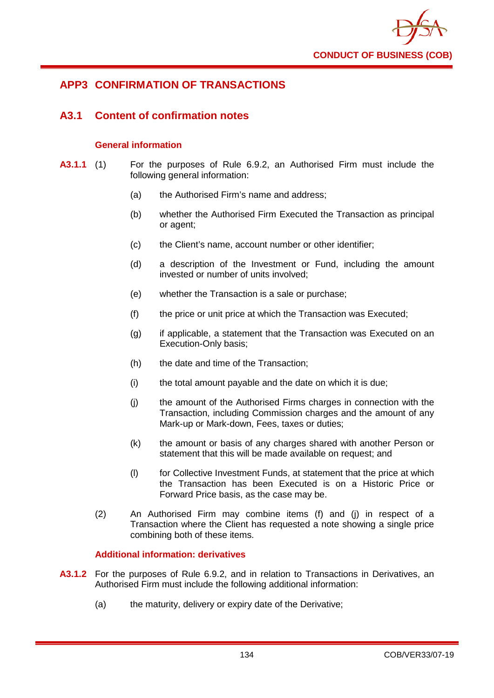

# **APP3 CONFIRMATION OF TRANSACTIONS**

# **A3.1 Content of confirmation notes**

# **General information**

- **A3.1.1** (1) For the purposes of Rule 6.9.2, an Authorised Firm must include the following general information:
	- (a) the Authorised Firm's name and address;
	- (b) whether the Authorised Firm Executed the Transaction as principal or agent;
	- (c) the Client's name, account number or other identifier;
	- (d) a description of the Investment or Fund, including the amount invested or number of units involved;
	- (e) whether the Transaction is a sale or purchase;
	- (f) the price or unit price at which the Transaction was Executed;
	- (g) if applicable, a statement that the Transaction was Executed on an Execution-Only basis;
	- (h) the date and time of the Transaction;
	- (i) the total amount payable and the date on which it is due;
	- (j) the amount of the Authorised Firms charges in connection with the Transaction, including Commission charges and the amount of any Mark-up or Mark-down, Fees, taxes or duties;
	- (k) the amount or basis of any charges shared with another Person or statement that this will be made available on request; and
	- (l) for Collective Investment Funds, at statement that the price at which the Transaction has been Executed is on a Historic Price or Forward Price basis, as the case may be.
	- (2) An Authorised Firm may combine items (f) and (j) in respect of a Transaction where the Client has requested a note showing a single price combining both of these items.

# **Additional information: derivatives**

- **A3.1.2** For the purposes of Rule 6.9.2, and in relation to Transactions in Derivatives, an Authorised Firm must include the following additional information:
	- (a) the maturity, delivery or expiry date of the Derivative;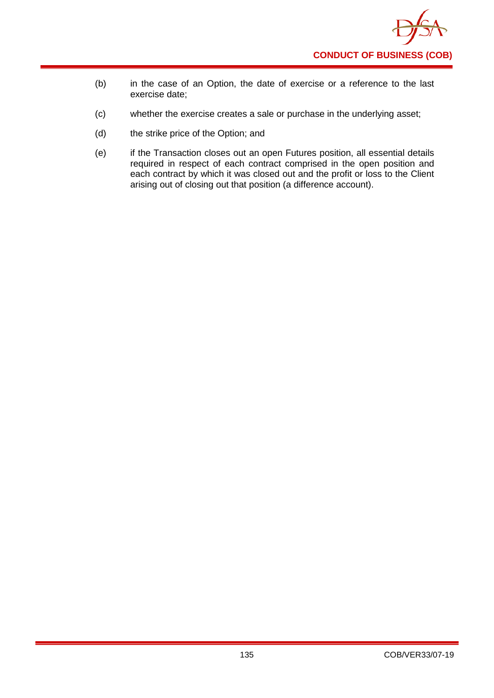

- (b) in the case of an Option, the date of exercise or a reference to the last exercise date;
- (c) whether the exercise creates a sale or purchase in the underlying asset;
- (d) the strike price of the Option; and
- (e) if the Transaction closes out an open Futures position, all essential details required in respect of each contract comprised in the open position and each contract by which it was closed out and the profit or loss to the Client arising out of closing out that position (a difference account).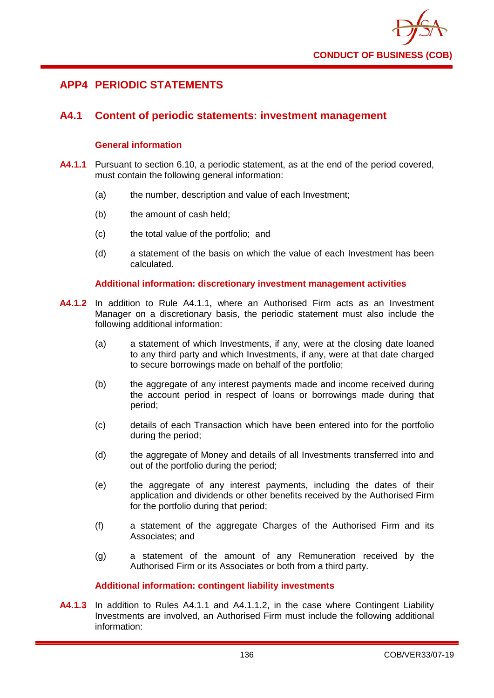

# **APP4 PERIODIC STATEMENTS**

# **A4.1 Content of periodic statements: investment management**

### **General information**

- **A4.1.1** Pursuant to section 6.10, a periodic statement, as at the end of the period covered, must contain the following general information:
	- (a) the number, description and value of each Investment;
	- (b) the amount of cash held:
	- (c) the total value of the portfolio; and
	- (d) a statement of the basis on which the value of each Investment has been calculated.

### **Additional information: discretionary investment management activities**

- **A4.1.2** In addition to Rule A4.1.1, where an Authorised Firm acts as an Investment Manager on a discretionary basis, the periodic statement must also include the following additional information:
	- (a) a statement of which Investments, if any, were at the closing date loaned to any third party and which Investments, if any, were at that date charged to secure borrowings made on behalf of the portfolio;
	- (b) the aggregate of any interest payments made and income received during the account period in respect of loans or borrowings made during that period;
	- (c) details of each Transaction which have been entered into for the portfolio during the period;
	- (d) the aggregate of Money and details of all Investments transferred into and out of the portfolio during the period;
	- (e) the aggregate of any interest payments, including the dates of their application and dividends or other benefits received by the Authorised Firm for the portfolio during that period;
	- (f) a statement of the aggregate Charges of the Authorised Firm and its Associates; and
	- (g) a statement of the amount of any Remuneration received by the Authorised Firm or its Associates or both from a third party.

### **Additional information: contingent liability investments**

**A4.1.3** In addition to Rules A4.1.1 and A4.1.1.2, in the case where Contingent Liability Investments are involved, an Authorised Firm must include the following additional information: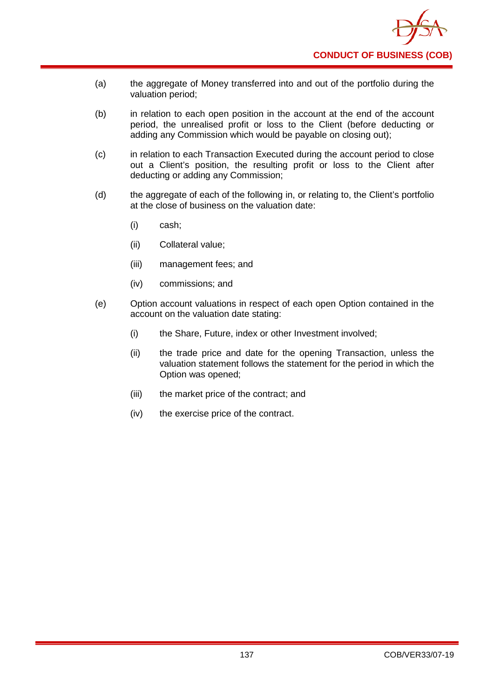

- (a) the aggregate of Money transferred into and out of the portfolio during the valuation period;
- (b) in relation to each open position in the account at the end of the account period, the unrealised profit or loss to the Client (before deducting or adding any Commission which would be payable on closing out);
- (c) in relation to each Transaction Executed during the account period to close out a Client's position, the resulting profit or loss to the Client after deducting or adding any Commission;
- (d) the aggregate of each of the following in, or relating to, the Client's portfolio at the close of business on the valuation date:
	- (i) cash;
	- (ii) Collateral value;
	- (iii) management fees; and
	- (iv) commissions; and
- (e) Option account valuations in respect of each open Option contained in the account on the valuation date stating:
	- (i) the Share, Future, index or other Investment involved;
	- (ii) the trade price and date for the opening Transaction, unless the valuation statement follows the statement for the period in which the Option was opened;
	- (iii) the market price of the contract; and
	- (iv) the exercise price of the contract.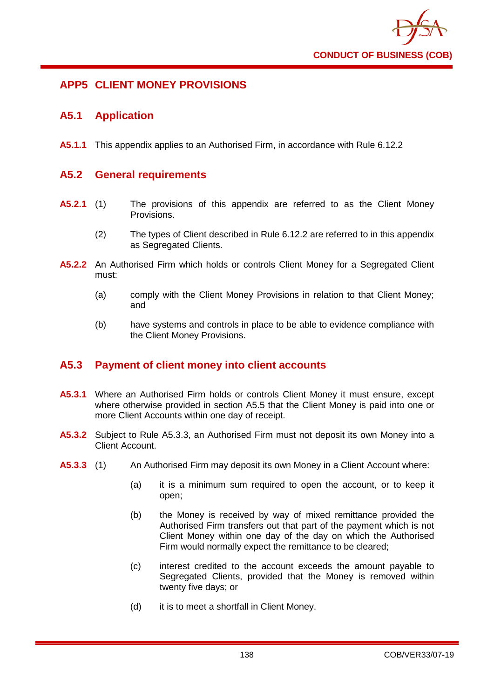

# **APP5 CLIENT MONEY PROVISIONS**

# **A5.1 Application**

**A5.1.1** This appendix applies to an Authorised Firm, in accordance with Rule 6.12.2

# **A5.2 General requirements**

- **A5.2.1** (1) The provisions of this appendix are referred to as the Client Money Provisions.
	- (2) The types of Client described in Rule 6.12.2 are referred to in this appendix as Segregated Clients.
- **A5.2.2** An Authorised Firm which holds or controls Client Money for a Segregated Client must:
	- (a) comply with the Client Money Provisions in relation to that Client Money; and
	- (b) have systems and controls in place to be able to evidence compliance with the Client Money Provisions.

# **A5.3 Payment of client money into client accounts**

- **A5.3.1** Where an Authorised Firm holds or controls Client Money it must ensure, except where otherwise provided in section A5.5 that the Client Money is paid into one or more Client Accounts within one day of receipt.
- **A5.3.2** Subject to Rule A5.3.3, an Authorised Firm must not deposit its own Money into a Client Account.
- **A5.3.3** (1) An Authorised Firm may deposit its own Money in a Client Account where:
	- (a) it is a minimum sum required to open the account, or to keep it open;
	- (b) the Money is received by way of mixed remittance provided the Authorised Firm transfers out that part of the payment which is not Client Money within one day of the day on which the Authorised Firm would normally expect the remittance to be cleared;
	- (c) interest credited to the account exceeds the amount payable to Segregated Clients, provided that the Money is removed within twenty five days; or
	- (d) it is to meet a shortfall in Client Money.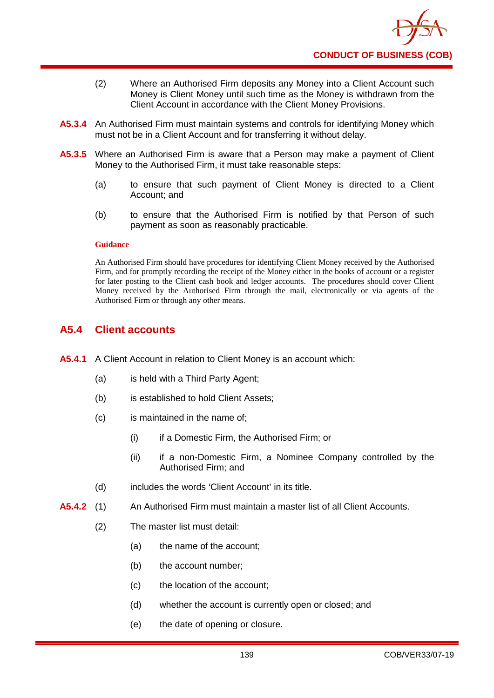

- (2) Where an Authorised Firm deposits any Money into a Client Account such Money is Client Money until such time as the Money is withdrawn from the Client Account in accordance with the Client Money Provisions.
- **A5.3.4** An Authorised Firm must maintain systems and controls for identifying Money which must not be in a Client Account and for transferring it without delay.
- **A5.3.5** Where an Authorised Firm is aware that a Person may make a payment of Client Money to the Authorised Firm, it must take reasonable steps:
	- (a) to ensure that such payment of Client Money is directed to a Client Account; and
	- (b) to ensure that the Authorised Firm is notified by that Person of such payment as soon as reasonably practicable.

An Authorised Firm should have procedures for identifying Client Money received by the Authorised Firm, and for promptly recording the receipt of the Money either in the books of account or a register for later posting to the Client cash book and ledger accounts. The procedures should cover Client Money received by the Authorised Firm through the mail, electronically or via agents of the Authorised Firm or through any other means.

# **A5.4 Client accounts**

- **A5.4.1** A Client Account in relation to Client Money is an account which:
	- (a) is held with a Third Party Agent;
	- (b) is established to hold Client Assets;
	- (c) is maintained in the name of;
		- (i) if a Domestic Firm, the Authorised Firm; or
		- (ii) if a non-Domestic Firm, a Nominee Company controlled by the Authorised Firm; and
	- (d) includes the words 'Client Account' in its title.
- **A5.4.2** (1) An Authorised Firm must maintain a master list of all Client Accounts.
	- (2) The master list must detail:
		- (a) the name of the account;
		- (b) the account number;
		- (c) the location of the account;
		- (d) whether the account is currently open or closed; and
		- (e) the date of opening or closure.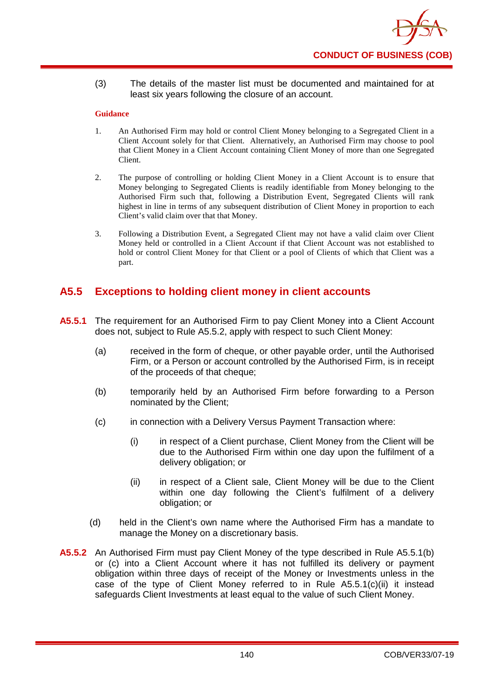

(3) The details of the master list must be documented and maintained for at least six years following the closure of an account.

### **Guidance**

- 1. An Authorised Firm may hold or control Client Money belonging to a Segregated Client in a Client Account solely for that Client. Alternatively, an Authorised Firm may choose to pool that Client Money in a Client Account containing Client Money of more than one Segregated Client.
- 2. The purpose of controlling or holding Client Money in a Client Account is to ensure that Money belonging to Segregated Clients is readily identifiable from Money belonging to the Authorised Firm such that, following a Distribution Event, Segregated Clients will rank highest in line in terms of any subsequent distribution of Client Money in proportion to each Client's valid claim over that that Money.
- 3. Following a Distribution Event, a Segregated Client may not have a valid claim over Client Money held or controlled in a Client Account if that Client Account was not established to hold or control Client Money for that Client or a pool of Clients of which that Client was a part.

## **A5.5 Exceptions to holding client money in client accounts**

- **A5.5.1** The requirement for an Authorised Firm to pay Client Money into a Client Account does not, subject to Rule A5.5.2, apply with respect to such Client Money:
	- (a) received in the form of cheque, or other payable order, until the Authorised Firm, or a Person or account controlled by the Authorised Firm, is in receipt of the proceeds of that cheque;
	- (b) temporarily held by an Authorised Firm before forwarding to a Person nominated by the Client;
	- (c) in connection with a Delivery Versus Payment Transaction where:
		- (i) in respect of a Client purchase, Client Money from the Client will be due to the Authorised Firm within one day upon the fulfilment of a delivery obligation; or
		- (ii) in respect of a Client sale, Client Money will be due to the Client within one day following the Client's fulfilment of a delivery obligation; or
	- (d) held in the Client's own name where the Authorised Firm has a mandate to manage the Money on a discretionary basis.
- **A5.5.2** An Authorised Firm must pay Client Money of the type described in Rule A5.5.1(b) or (c) into a Client Account where it has not fulfilled its delivery or payment obligation within three days of receipt of the Money or Investments unless in the case of the type of Client Money referred to in Rule A5.5.1(c)(ii) it instead safeguards Client Investments at least equal to the value of such Client Money.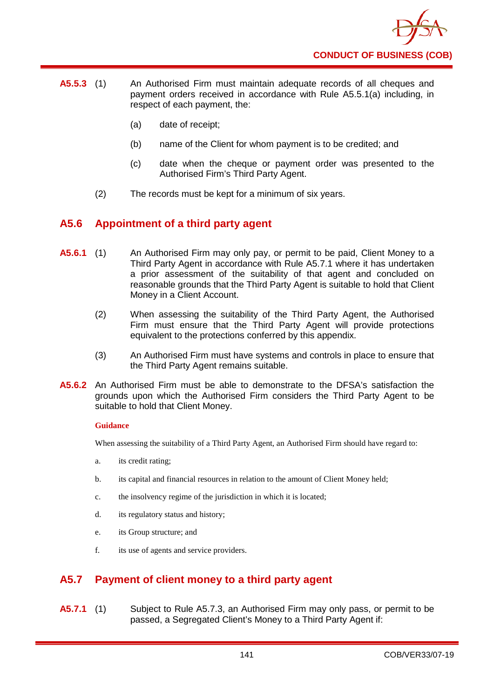

- **A5.5.3** (1) An Authorised Firm must maintain adequate records of all cheques and payment orders received in accordance with Rule A5.5.1(a) including, in respect of each payment, the:
	- (a) date of receipt;
	- (b) name of the Client for whom payment is to be credited; and
	- (c) date when the cheque or payment order was presented to the Authorised Firm's Third Party Agent.
	- (2) The records must be kept for a minimum of six years.

## **A5.6 Appointment of a third party agent**

- **A5.6.1** (1) An Authorised Firm may only pay, or permit to be paid, Client Money to a Third Party Agent in accordance with Rule A5.7.1 where it has undertaken a prior assessment of the suitability of that agent and concluded on reasonable grounds that the Third Party Agent is suitable to hold that Client Money in a Client Account.
	- (2) When assessing the suitability of the Third Party Agent, the Authorised Firm must ensure that the Third Party Agent will provide protections equivalent to the protections conferred by this appendix.
	- (3) An Authorised Firm must have systems and controls in place to ensure that the Third Party Agent remains suitable.
- **A5.6.2** An Authorised Firm must be able to demonstrate to the DFSA's satisfaction the grounds upon which the Authorised Firm considers the Third Party Agent to be suitable to hold that Client Money.

#### **Guidance**

When assessing the suitability of a Third Party Agent, an Authorised Firm should have regard to:

- a. its credit rating;
- b. its capital and financial resources in relation to the amount of Client Money held;
- c. the insolvency regime of the jurisdiction in which it is located;
- d. its regulatory status and history;
- e. its Group structure; and
- f. its use of agents and service providers.

## **A5.7 Payment of client money to a third party agent**

**A5.7.1** (1) Subject to Rule A5.7.3, an Authorised Firm may only pass, or permit to be passed, a Segregated Client's Money to a Third Party Agent if: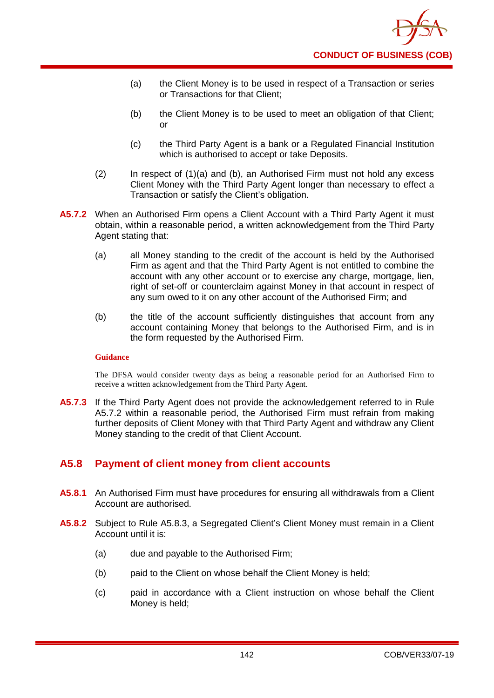- (a) the Client Money is to be used in respect of a Transaction or series or Transactions for that Client;
- (b) the Client Money is to be used to meet an obligation of that Client; or
- (c) the Third Party Agent is a bank or a Regulated Financial Institution which is authorised to accept or take Deposits.
- (2) In respect of (1)(a) and (b), an Authorised Firm must not hold any excess Client Money with the Third Party Agent longer than necessary to effect a Transaction or satisfy the Client's obligation.
- **A5.7.2** When an Authorised Firm opens a Client Account with a Third Party Agent it must obtain, within a reasonable period, a written acknowledgement from the Third Party Agent stating that:
	- (a) all Money standing to the credit of the account is held by the Authorised Firm as agent and that the Third Party Agent is not entitled to combine the account with any other account or to exercise any charge, mortgage, lien, right of set-off or counterclaim against Money in that account in respect of any sum owed to it on any other account of the Authorised Firm; and
	- (b) the title of the account sufficiently distinguishes that account from any account containing Money that belongs to the Authorised Firm, and is in the form requested by the Authorised Firm.

The DFSA would consider twenty days as being a reasonable period for an Authorised Firm to receive a written acknowledgement from the Third Party Agent.

**A5.7.3** If the Third Party Agent does not provide the acknowledgement referred to in Rule A5.7.2 within a reasonable period, the Authorised Firm must refrain from making further deposits of Client Money with that Third Party Agent and withdraw any Client Money standing to the credit of that Client Account.

## **A5.8 Payment of client money from client accounts**

- **A5.8.1** An Authorised Firm must have procedures for ensuring all withdrawals from a Client Account are authorised.
- **A5.8.2** Subject to Rule A5.8.3, a Segregated Client's Client Money must remain in a Client Account until it is:
	- (a) due and payable to the Authorised Firm;
	- (b) paid to the Client on whose behalf the Client Money is held;
	- (c) paid in accordance with a Client instruction on whose behalf the Client Money is held;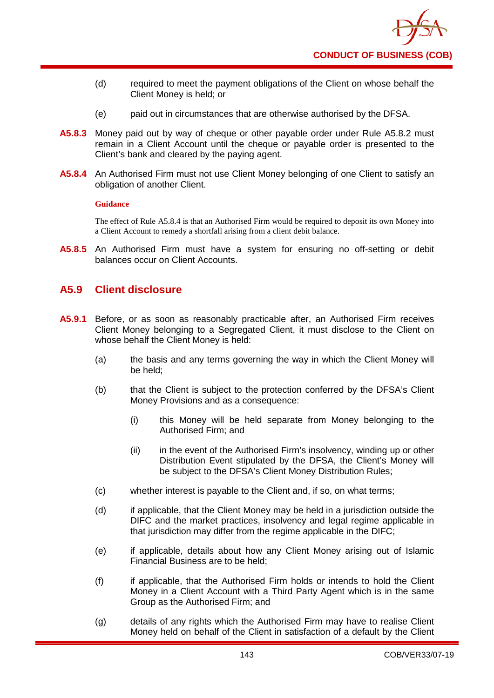

- (d) required to meet the payment obligations of the Client on whose behalf the Client Money is held; or
- (e) paid out in circumstances that are otherwise authorised by the DFSA.
- **A5.8.3** Money paid out by way of cheque or other payable order under Rule A5.8.2 must remain in a Client Account until the cheque or payable order is presented to the Client's bank and cleared by the paying agent.
- **A5.8.4** An Authorised Firm must not use Client Money belonging of one Client to satisfy an obligation of another Client.

The effect of Rule A5.8.4 is that an Authorised Firm would be required to deposit its own Money into a Client Account to remedy a shortfall arising from a client debit balance.

**A5.8.5** An Authorised Firm must have a system for ensuring no off-setting or debit balances occur on Client Accounts.

### **A5.9 Client disclosure**

- **A5.9.1** Before, or as soon as reasonably practicable after, an Authorised Firm receives Client Money belonging to a Segregated Client, it must disclose to the Client on whose behalf the Client Money is held:
	- (a) the basis and any terms governing the way in which the Client Money will be held;
	- (b) that the Client is subject to the protection conferred by the DFSA's Client Money Provisions and as a consequence:
		- (i) this Money will be held separate from Money belonging to the Authorised Firm; and
		- (ii) in the event of the Authorised Firm's insolvency, winding up or other Distribution Event stipulated by the DFSA, the Client's Money will be subject to the DFSA's Client Money Distribution Rules;
	- (c) whether interest is payable to the Client and, if so, on what terms;
	- (d) if applicable, that the Client Money may be held in a jurisdiction outside the DIFC and the market practices, insolvency and legal regime applicable in that jurisdiction may differ from the regime applicable in the DIFC;
	- (e) if applicable, details about how any Client Money arising out of Islamic Financial Business are to be held;
	- (f) if applicable, that the Authorised Firm holds or intends to hold the Client Money in a Client Account with a Third Party Agent which is in the same Group as the Authorised Firm; and
	- (g) details of any rights which the Authorised Firm may have to realise Client Money held on behalf of the Client in satisfaction of a default by the Client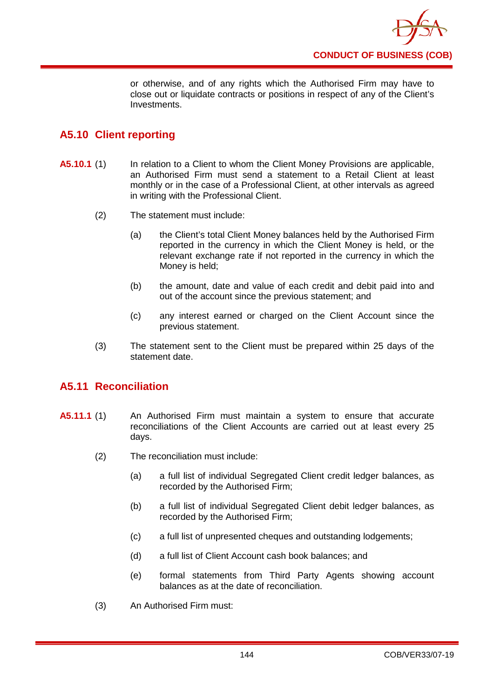

or otherwise, and of any rights which the Authorised Firm may have to close out or liquidate contracts or positions in respect of any of the Client's Investments.

# **A5.10 Client reporting**

- **A5.10.1** (1) In relation to a Client to whom the Client Money Provisions are applicable, an Authorised Firm must send a statement to a Retail Client at least monthly or in the case of a Professional Client, at other intervals as agreed in writing with the Professional Client.
	- (2) The statement must include:
		- (a) the Client's total Client Money balances held by the Authorised Firm reported in the currency in which the Client Money is held, or the relevant exchange rate if not reported in the currency in which the Money is held;
		- (b) the amount, date and value of each credit and debit paid into and out of the account since the previous statement; and
		- (c) any interest earned or charged on the Client Account since the previous statement.
	- (3) The statement sent to the Client must be prepared within 25 days of the statement date.

## **A5.11 Reconciliation**

- **A5.11.1** (1) An Authorised Firm must maintain a system to ensure that accurate reconciliations of the Client Accounts are carried out at least every 25 days.
	- (2) The reconciliation must include:
		- (a) a full list of individual Segregated Client credit ledger balances, as recorded by the Authorised Firm;
		- (b) a full list of individual Segregated Client debit ledger balances, as recorded by the Authorised Firm;
		- (c) a full list of unpresented cheques and outstanding lodgements;
		- (d) a full list of Client Account cash book balances; and
		- (e) formal statements from Third Party Agents showing account balances as at the date of reconciliation.
	- (3) An Authorised Firm must: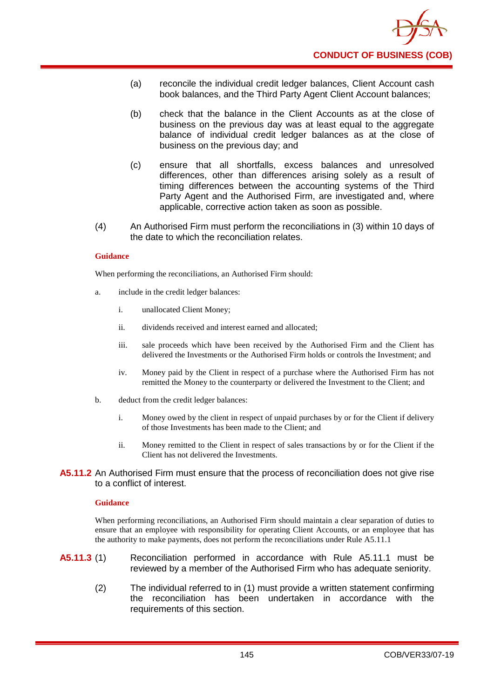- (a) reconcile the individual credit ledger balances, Client Account cash book balances, and the Third Party Agent Client Account balances;
- (b) check that the balance in the Client Accounts as at the close of business on the previous day was at least equal to the aggregate balance of individual credit ledger balances as at the close of business on the previous day; and
- (c) ensure that all shortfalls, excess balances and unresolved differences, other than differences arising solely as a result of timing differences between the accounting systems of the Third Party Agent and the Authorised Firm, are investigated and, where applicable, corrective action taken as soon as possible.
- (4) An Authorised Firm must perform the reconciliations in (3) within 10 days of the date to which the reconciliation relates.

When performing the reconciliations, an Authorised Firm should:

- a. include in the credit ledger balances:
	- i. unallocated Client Money;
	- ii. dividends received and interest earned and allocated;
	- iii. sale proceeds which have been received by the Authorised Firm and the Client has delivered the Investments or the Authorised Firm holds or controls the Investment; and
	- iv. Money paid by the Client in respect of a purchase where the Authorised Firm has not remitted the Money to the counterparty or delivered the Investment to the Client; and
- b. deduct from the credit ledger balances:
	- i. Money owed by the client in respect of unpaid purchases by or for the Client if delivery of those Investments has been made to the Client; and
	- ii. Money remitted to the Client in respect of sales transactions by or for the Client if the Client has not delivered the Investments.
- **A5.11.2** An Authorised Firm must ensure that the process of reconciliation does not give rise to a conflict of interest.

#### **Guidance**

When performing reconciliations, an Authorised Firm should maintain a clear separation of duties to ensure that an employee with responsibility for operating Client Accounts, or an employee that has the authority to make payments, does not perform the reconciliations under Rule A5.11.1

- **A5.11.3** (1) Reconciliation performed in accordance with Rule A5.11.1 must be reviewed by a member of the Authorised Firm who has adequate seniority.
	- (2) The individual referred to in (1) must provide a written statement confirming the reconciliation has been undertaken in accordance with the requirements of this section.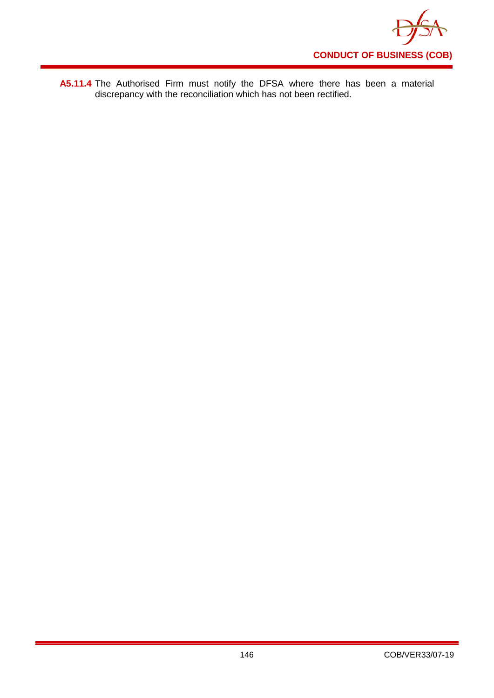

**A5.11.4** The Authorised Firm must notify the DFSA where there has been a material discrepancy with the reconciliation which has not been rectified.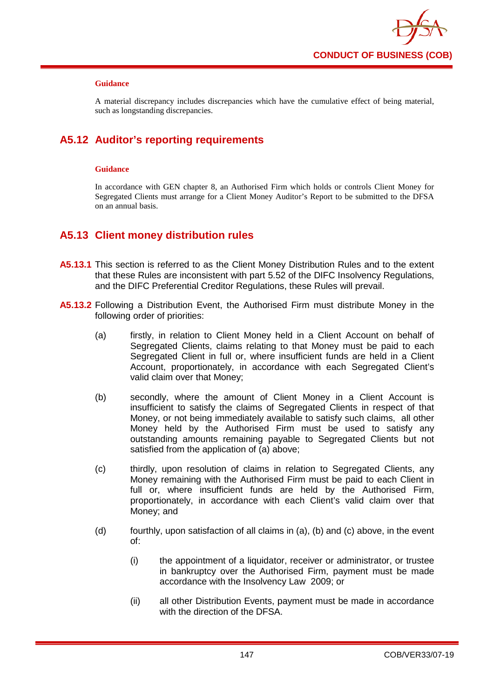

A material discrepancy includes discrepancies which have the cumulative effect of being material, such as longstanding discrepancies.

# **A5.12 Auditor's reporting requirements**

### **Guidance**

In accordance with GEN chapter 8, an Authorised Firm which holds or controls Client Money for Segregated Clients must arrange for a Client Money Auditor's Report to be submitted to the DFSA on an annual basis.

## **A5.13 Client money distribution rules**

- **A5.13.1** This section is referred to as the Client Money Distribution Rules and to the extent that these Rules are inconsistent with part 5.52 of the DIFC Insolvency Regulations, and the DIFC Preferential Creditor Regulations, these Rules will prevail.
- **A5.13.2** Following a Distribution Event, the Authorised Firm must distribute Money in the following order of priorities:
	- (a) firstly, in relation to Client Money held in a Client Account on behalf of Segregated Clients, claims relating to that Money must be paid to each Segregated Client in full or, where insufficient funds are held in a Client Account, proportionately, in accordance with each Segregated Client's valid claim over that Money;
	- (b) secondly, where the amount of Client Money in a Client Account is insufficient to satisfy the claims of Segregated Clients in respect of that Money, or not being immediately available to satisfy such claims, all other Money held by the Authorised Firm must be used to satisfy any outstanding amounts remaining payable to Segregated Clients but not satisfied from the application of (a) above;
	- (c) thirdly, upon resolution of claims in relation to Segregated Clients, any Money remaining with the Authorised Firm must be paid to each Client in full or, where insufficient funds are held by the Authorised Firm, proportionately, in accordance with each Client's valid claim over that Money; and
	- (d) fourthly, upon satisfaction of all claims in (a), (b) and (c) above, in the event of:
		- (i) the appointment of a liquidator, receiver or administrator, or trustee in bankruptcy over the Authorised Firm, payment must be made accordance with the Insolvency Law 2009; or
		- (ii) all other Distribution Events, payment must be made in accordance with the direction of the DFSA.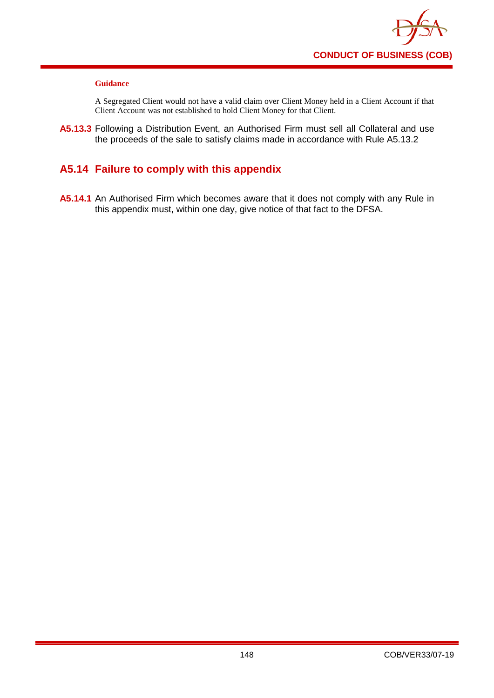

A Segregated Client would not have a valid claim over Client Money held in a Client Account if that Client Account was not established to hold Client Money for that Client.

**A5.13.3** Following a Distribution Event, an Authorised Firm must sell all Collateral and use the proceeds of the sale to satisfy claims made in accordance with Rule A5.13.2

# **A5.14 Failure to comply with this appendix**

**A5.14.1** An Authorised Firm which becomes aware that it does not comply with any Rule in this appendix must, within one day, give notice of that fact to the DFSA.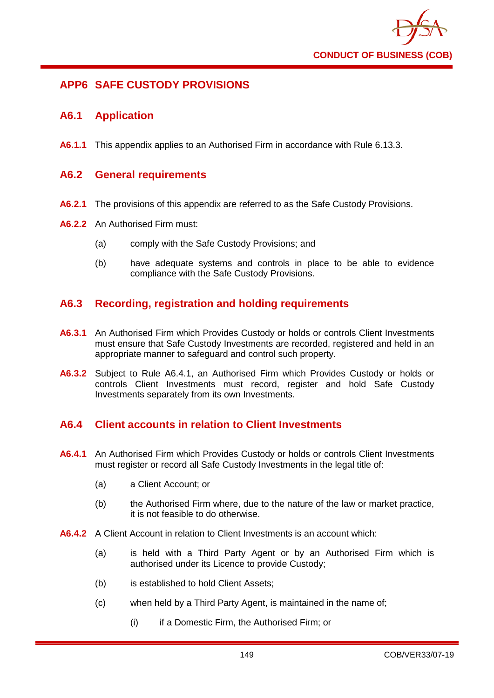

## **APP6 SAFE CUSTODY PROVISIONS**

### **A6.1 Application**

**A6.1.1** This appendix applies to an Authorised Firm in accordance with Rule 6.13.3.

### **A6.2 General requirements**

- **A6.2.1** The provisions of this appendix are referred to as the Safe Custody Provisions.
- **A6.2.2** An Authorised Firm must:
	- (a) comply with the Safe Custody Provisions; and
	- (b) have adequate systems and controls in place to be able to evidence compliance with the Safe Custody Provisions.

## **A6.3 Recording, registration and holding requirements**

- **A6.3.1** An Authorised Firm which Provides Custody or holds or controls Client Investments must ensure that Safe Custody Investments are recorded, registered and held in an appropriate manner to safeguard and control such property.
- **A6.3.2** Subject to Rule A6.4.1, an Authorised Firm which Provides Custody or holds or controls Client Investments must record, register and hold Safe Custody Investments separately from its own Investments.

### **A6.4 Client accounts in relation to Client Investments**

- **A6.4.1** An Authorised Firm which Provides Custody or holds or controls Client Investments must register or record all Safe Custody Investments in the legal title of:
	- (a) a Client Account; or
	- (b) the Authorised Firm where, due to the nature of the law or market practice, it is not feasible to do otherwise.
- **A6.4.2** A Client Account in relation to Client Investments is an account which:
	- (a) is held with a Third Party Agent or by an Authorised Firm which is authorised under its Licence to provide Custody;
	- (b) is established to hold Client Assets;
	- (c) when held by a Third Party Agent, is maintained in the name of;
		- (i) if a Domestic Firm, the Authorised Firm; or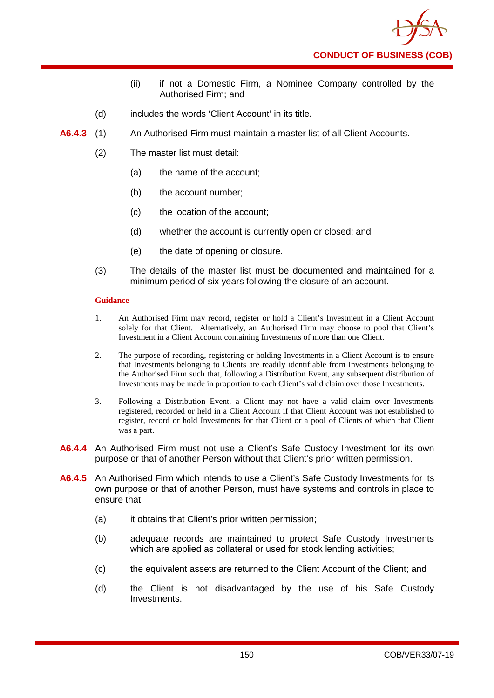

- (ii) if not a Domestic Firm, a Nominee Company controlled by the Authorised Firm; and
- (d) includes the words 'Client Account' in its title.
- **A6.4.3** (1) An Authorised Firm must maintain a master list of all Client Accounts.
	- (2) The master list must detail:
		- (a) the name of the account;
		- (b) the account number:
		- (c) the location of the account;
		- (d) whether the account is currently open or closed; and
		- (e) the date of opening or closure.
	- (3) The details of the master list must be documented and maintained for a minimum period of six years following the closure of an account.

- 1. An Authorised Firm may record, register or hold a Client's Investment in a Client Account solely for that Client. Alternatively, an Authorised Firm may choose to pool that Client's Investment in a Client Account containing Investments of more than one Client.
- 2. The purpose of recording, registering or holding Investments in a Client Account is to ensure that Investments belonging to Clients are readily identifiable from Investments belonging to the Authorised Firm such that, following a Distribution Event, any subsequent distribution of Investments may be made in proportion to each Client's valid claim over those Investments.
- 3. Following a Distribution Event, a Client may not have a valid claim over Investments registered, recorded or held in a Client Account if that Client Account was not established to register, record or hold Investments for that Client or a pool of Clients of which that Client was a part.
- **A6.4.4** An Authorised Firm must not use a Client's Safe Custody Investment for its own purpose or that of another Person without that Client's prior written permission.
- **A6.4.5** An Authorised Firm which intends to use a Client's Safe Custody Investments for its own purpose or that of another Person, must have systems and controls in place to ensure that:
	- (a) it obtains that Client's prior written permission;
	- (b) adequate records are maintained to protect Safe Custody Investments which are applied as collateral or used for stock lending activities;
	- (c) the equivalent assets are returned to the Client Account of the Client; and
	- (d) the Client is not disadvantaged by the use of his Safe Custody Investments.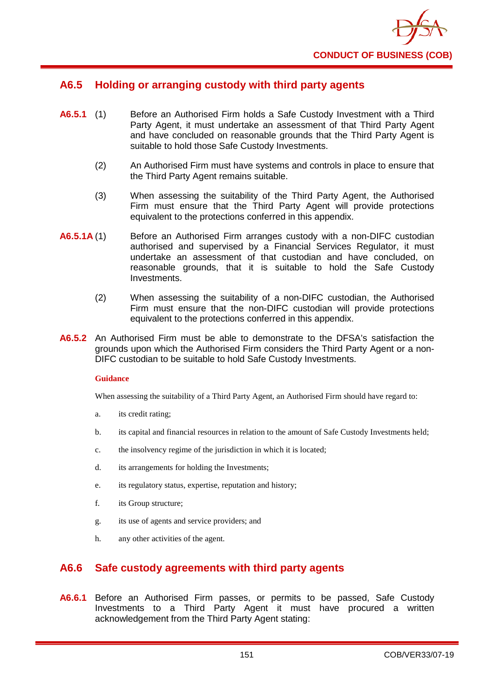

## **A6.5 Holding or arranging custody with third party agents**

- **A6.5.1** (1) Before an Authorised Firm holds a Safe Custody Investment with a Third Party Agent, it must undertake an assessment of that Third Party Agent and have concluded on reasonable grounds that the Third Party Agent is suitable to hold those Safe Custody Investments.
	- (2) An Authorised Firm must have systems and controls in place to ensure that the Third Party Agent remains suitable.
	- (3) When assessing the suitability of the Third Party Agent, the Authorised Firm must ensure that the Third Party Agent will provide protections equivalent to the protections conferred in this appendix.
- **A6.5.1A** (1) Before an Authorised Firm arranges custody with a non-DIFC custodian authorised and supervised by a Financial Services Regulator, it must undertake an assessment of that custodian and have concluded, on reasonable grounds, that it is suitable to hold the Safe Custody Investments.
	- (2) When assessing the suitability of a non-DIFC custodian, the Authorised Firm must ensure that the non-DIFC custodian will provide protections equivalent to the protections conferred in this appendix.
- **A6.5.2** An Authorised Firm must be able to demonstrate to the DFSA's satisfaction the grounds upon which the Authorised Firm considers the Third Party Agent or a non-DIFC custodian to be suitable to hold Safe Custody Investments.

### **Guidance**

When assessing the suitability of a Third Party Agent, an Authorised Firm should have regard to:

- a. its credit rating;
- b. its capital and financial resources in relation to the amount of Safe Custody Investments held;
- c. the insolvency regime of the jurisdiction in which it is located;
- d. its arrangements for holding the Investments;
- e. its regulatory status, expertise, reputation and history;
- f. its Group structure;
- g. its use of agents and service providers; and
- h. any other activities of the agent.

### **A6.6 Safe custody agreements with third party agents**

**A6.6.1** Before an Authorised Firm passes, or permits to be passed, Safe Custody Investments to a Third Party Agent it must have procured a written acknowledgement from the Third Party Agent stating: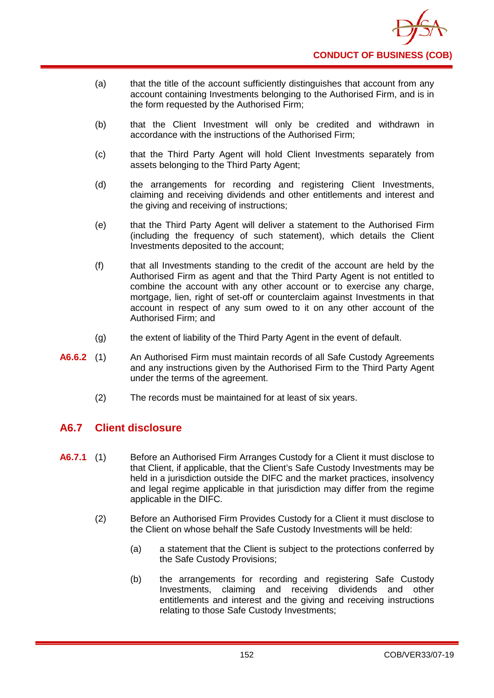

- (a) that the title of the account sufficiently distinguishes that account from any account containing Investments belonging to the Authorised Firm, and is in the form requested by the Authorised Firm;
- (b) that the Client Investment will only be credited and withdrawn in accordance with the instructions of the Authorised Firm;
- (c) that the Third Party Agent will hold Client Investments separately from assets belonging to the Third Party Agent;
- (d) the arrangements for recording and registering Client Investments, claiming and receiving dividends and other entitlements and interest and the giving and receiving of instructions;
- (e) that the Third Party Agent will deliver a statement to the Authorised Firm (including the frequency of such statement), which details the Client Investments deposited to the account;
- (f) that all Investments standing to the credit of the account are held by the Authorised Firm as agent and that the Third Party Agent is not entitled to combine the account with any other account or to exercise any charge, mortgage, lien, right of set-off or counterclaim against Investments in that account in respect of any sum owed to it on any other account of the Authorised Firm; and
- (g) the extent of liability of the Third Party Agent in the event of default.
- **A6.6.2** (1) An Authorised Firm must maintain records of all Safe Custody Agreements and any instructions given by the Authorised Firm to the Third Party Agent under the terms of the agreement.
	- (2) The records must be maintained for at least of six years.

## **A6.7 Client disclosure**

- **A6.7.1** (1) Before an Authorised Firm Arranges Custody for a Client it must disclose to that Client, if applicable, that the Client's Safe Custody Investments may be held in a jurisdiction outside the DIFC and the market practices, insolvency and legal regime applicable in that jurisdiction may differ from the regime applicable in the DIFC.
	- (2) Before an Authorised Firm Provides Custody for a Client it must disclose to the Client on whose behalf the Safe Custody Investments will be held:
		- (a) a statement that the Client is subject to the protections conferred by the Safe Custody Provisions;
		- (b) the arrangements for recording and registering Safe Custody Investments, claiming and receiving dividends and other entitlements and interest and the giving and receiving instructions relating to those Safe Custody Investments;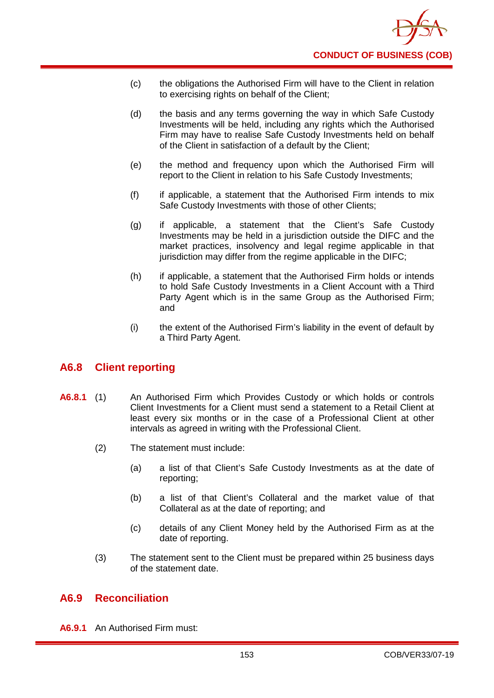

- (c) the obligations the Authorised Firm will have to the Client in relation to exercising rights on behalf of the Client;
- (d) the basis and any terms governing the way in which Safe Custody Investments will be held, including any rights which the Authorised Firm may have to realise Safe Custody Investments held on behalf of the Client in satisfaction of a default by the Client;
- (e) the method and frequency upon which the Authorised Firm will report to the Client in relation to his Safe Custody Investments;
- (f) if applicable, a statement that the Authorised Firm intends to mix Safe Custody Investments with those of other Clients;
- (g) if applicable, a statement that the Client's Safe Custody Investments may be held in a jurisdiction outside the DIFC and the market practices, insolvency and legal regime applicable in that jurisdiction may differ from the regime applicable in the DIFC;
- (h) if applicable, a statement that the Authorised Firm holds or intends to hold Safe Custody Investments in a Client Account with a Third Party Agent which is in the same Group as the Authorised Firm; and
- (i) the extent of the Authorised Firm's liability in the event of default by a Third Party Agent.

### **A6.8 Client reporting**

- **A6.8.1** (1) An Authorised Firm which Provides Custody or which holds or controls Client Investments for a Client must send a statement to a Retail Client at least every six months or in the case of a Professional Client at other intervals as agreed in writing with the Professional Client.
	- (2) The statement must include:
		- (a) a list of that Client's Safe Custody Investments as at the date of reporting;
		- (b) a list of that Client's Collateral and the market value of that Collateral as at the date of reporting; and
		- (c) details of any Client Money held by the Authorised Firm as at the date of reporting.
	- (3) The statement sent to the Client must be prepared within 25 business days of the statement date.

### **A6.9 Reconciliation**

**A6.9.1** An Authorised Firm must: